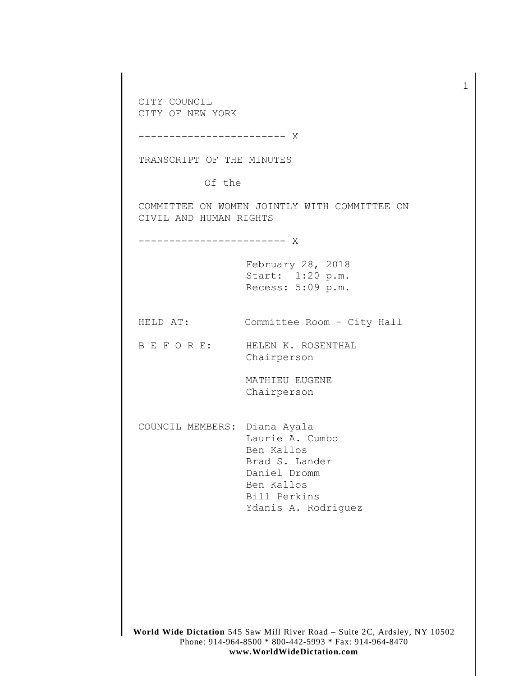**World Wide Dictation** 545 Saw Mill River Road – Suite 2C, Ardsley, NY 10502 CITY COUNCIL CITY OF NEW YORK ------------------------ X TRANSCRIPT OF THE MINUTES Of the COMMITTEE ON WOMEN JOINTLY WITH COMMITTEE ON CIVIL AND HUMAN RIGHTS ------------------------ X February 28, 2018 Start: 1:20 p.m. Recess: 5:09 p.m. HELD AT: Committee Room - City Hall B E F O R E: HELEN K. ROSENTHAL Chairperson MATHIEU EUGENE Chairperson COUNCIL MEMBERS: Diana Ayala Laurie A. Cumbo Ben Kallos Brad S. Lander Daniel Dromm Ben Kallos Bill Perkins Ydanis A. Rodriguez

1

Phone: 914-964-8500 \* 800-442-5993 \* Fax: 914-964-8470 **www.WorldWideDictation.com**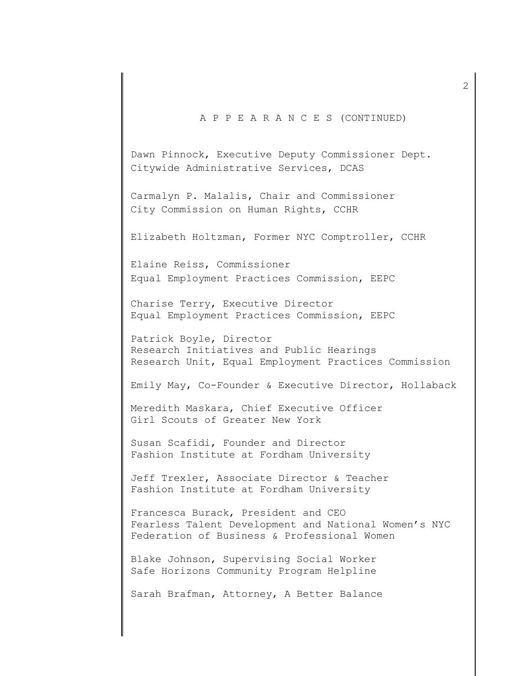## A P P E A R A N C E S (CONTINUED)

Dawn Pinnock, Executive Deputy Commissioner Dept. Citywide Administrative Services, DCAS

Carmalyn P. Malalis, Chair and Commissioner City Commission on Human Rights, CCHR

Elizabeth Holtzman, Former NYC Comptroller, CCHR

Elaine Reiss, Commissioner Equal Employment Practices Commission, EEPC

Charise Terry, Executive Director Equal Employment Practices Commission, EEPC

Patrick Boyle, Director Research Initiatives and Public Hearings Research Unit, Equal Employment Practices Commission

Emily May, Co-Founder & Executive Director, Hollaback

Meredith Maskara, Chief Executive Officer Girl Scouts of Greater New York

Susan Scafidi, Founder and Director Fashion Institute at Fordham University

Jeff Trexler, Associate Director & Teacher Fashion Institute at Fordham University

Francesca Burack, President and CEO Fearless Talent Development and National Women's NYC Federation of Business & Professional Women

Blake Johnson, Supervising Social Worker Safe Horizons Community Program Helpline

Sarah Brafman, Attorney, A Better Balance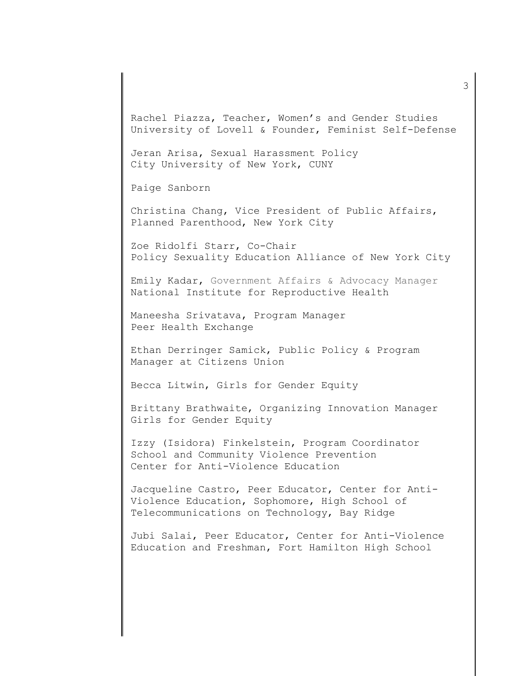Rachel Piazza, Teacher, Women's and Gender Studies University of Lovell & Founder, Feminist Self-Defense

Jeran Arisa, Sexual Harassment Policy City University of New York, CUNY

Paige Sanborn

Christina Chang, Vice President of Public Affairs, Planned Parenthood, New York City

Zoe Ridolfi Starr, Co-Chair Policy Sexuality Education Alliance of New York City

Emily Kadar, Government Affairs & Advocacy Manager National Institute for Reproductive Health

Maneesha Srivatava, Program Manager Peer Health Exchange

Ethan Derringer Samick, Public Policy & Program Manager at Citizens Union

Becca Litwin, Girls for Gender Equity

Brittany Brathwaite, Organizing Innovation Manager Girls for Gender Equity

Izzy (Isidora) Finkelstein, Program Coordinator School and Community Violence Prevention Center for Anti-Violence Education

Jacqueline Castro, Peer Educator, Center for Anti-Violence Education, Sophomore, High School of Telecommunications on Technology, Bay Ridge

Jubi Salai, Peer Educator, Center for Anti-Violence Education and Freshman, Fort Hamilton High School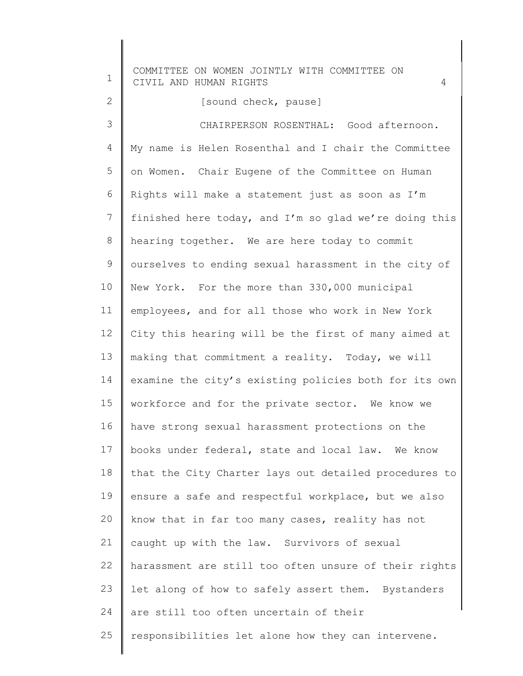| $\mathbf 1$  | COMMITTEE ON WOMEN JOINTLY WITH COMMITTEE ON<br>CIVIL AND HUMAN RIGHTS<br>4 |
|--------------|-----------------------------------------------------------------------------|
| $\mathbf{2}$ | [sound check, pause]                                                        |
| 3            | CHAIRPERSON ROSENTHAL: Good afternoon.                                      |
| 4            | My name is Helen Rosenthal and I chair the Committee                        |
| 5            | on Women. Chair Eugene of the Committee on Human                            |
| 6            | Rights will make a statement just as soon as I'm                            |
| 7            | finished here today, and I'm so glad we're doing this                       |
| 8            | hearing together. We are here today to commit                               |
| 9            | ourselves to ending sexual harassment in the city of                        |
| 10           | New York. For the more than 330,000 municipal                               |
| 11           | employees, and for all those who work in New York                           |
| 12           | City this hearing will be the first of many aimed at                        |
| 13           | making that commitment a reality. Today, we will                            |
| 14           | examine the city's existing policies both for its own                       |
| 15           | workforce and for the private sector. We know we                            |
| 16           | have strong sexual harassment protections on the                            |
| 17           | books under federal, state and local law. We know                           |
| 18           | that the City Charter lays out detailed procedures to                       |
| 19           | ensure a safe and respectful workplace, but we also                         |
| 20           | know that in far too many cases, reality has not                            |
| 21           | caught up with the law. Survivors of sexual                                 |
| 22           | harassment are still too often unsure of their rights                       |
| 23           | let along of how to safely assert them. Bystanders                          |
| 24           | are still too often uncertain of their                                      |
| 25           | responsibilities let alone how they can intervene.                          |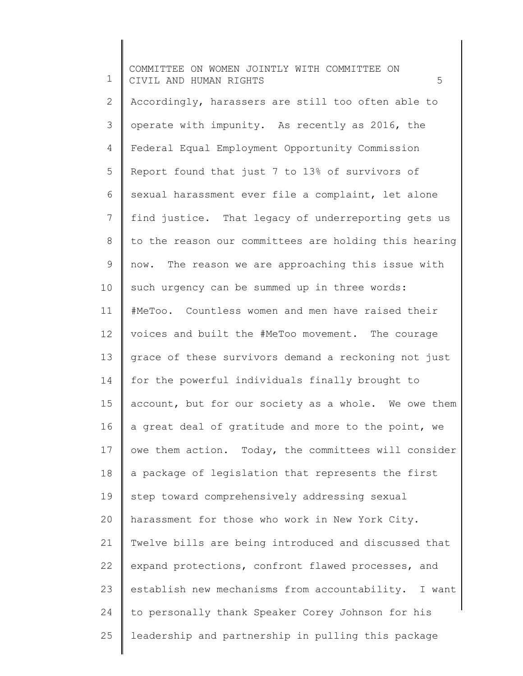1 2 3 4 5 6 7 8 9 10 11 12 13 14 15 16 17 18 19 20 21 22 23 24 25 COMMITTEE ON WOMEN JOINTLY WITH COMMITTEE ON CIVIL AND HUMAN RIGHTS 5 Accordingly, harassers are still too often able to operate with impunity. As recently as 2016, the Federal Equal Employment Opportunity Commission Report found that just 7 to 13% of survivors of sexual harassment ever file a complaint, let alone find justice. That legacy of underreporting gets us to the reason our committees are holding this hearing now. The reason we are approaching this issue with such urgency can be summed up in three words: #MeToo. Countless women and men have raised their voices and built the #MeToo movement. The courage grace of these survivors demand a reckoning not just for the powerful individuals finally brought to account, but for our society as a whole. We owe them a great deal of gratitude and more to the point, we owe them action. Today, the committees will consider a package of legislation that represents the first step toward comprehensively addressing sexual harassment for those who work in New York City. Twelve bills are being introduced and discussed that expand protections, confront flawed processes, and establish new mechanisms from accountability. I want to personally thank Speaker Corey Johnson for his leadership and partnership in pulling this package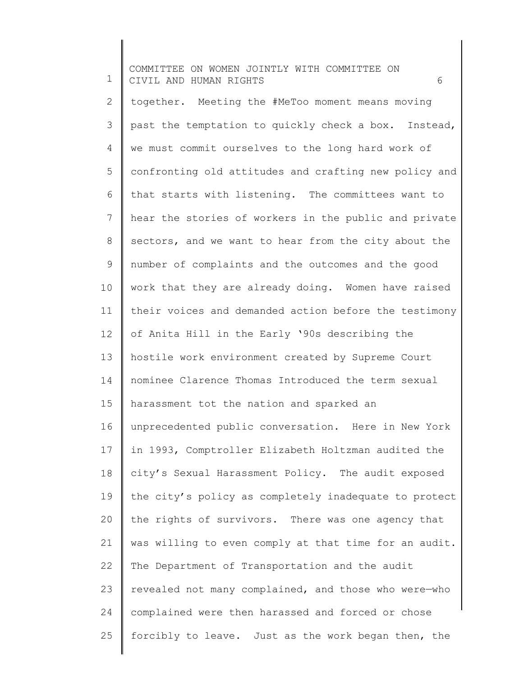1 2 3 4 5 6 7 8 9 10 11 12 13 14 15 16 17 18 19 20 21 22 23 24 25 COMMITTEE ON WOMEN JOINTLY WITH COMMITTEE ON CIVIL AND HUMAN RIGHTS 6 together. Meeting the #MeToo moment means moving past the temptation to quickly check a box. Instead, we must commit ourselves to the long hard work of confronting old attitudes and crafting new policy and that starts with listening. The committees want to hear the stories of workers in the public and private sectors, and we want to hear from the city about the number of complaints and the outcomes and the good work that they are already doing. Women have raised their voices and demanded action before the testimony of Anita Hill in the Early '90s describing the hostile work environment created by Supreme Court nominee Clarence Thomas Introduced the term sexual harassment tot the nation and sparked an unprecedented public conversation. Here in New York in 1993, Comptroller Elizabeth Holtzman audited the city's Sexual Harassment Policy. The audit exposed the city's policy as completely inadequate to protect the rights of survivors. There was one agency that was willing to even comply at that time for an audit. The Department of Transportation and the audit revealed not many complained, and those who were—who complained were then harassed and forced or chose forcibly to leave. Just as the work began then, the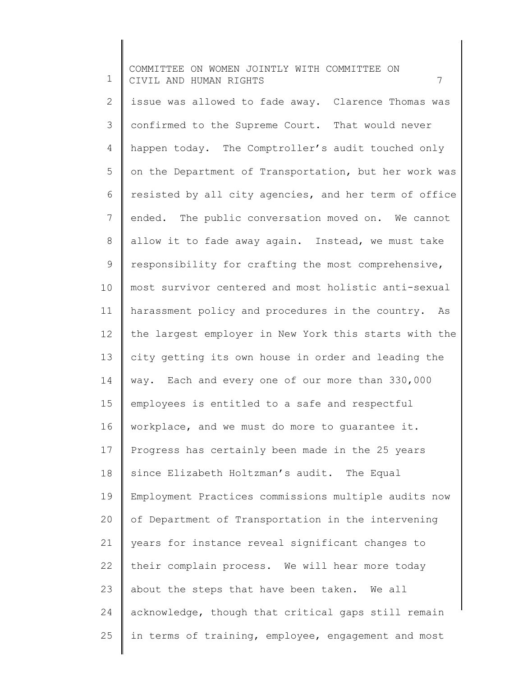1 2 3 4 5 6 7 8 9 10 11 12 13 14 15 16 17 18 19 20 21 22 23 24 25 COMMITTEE ON WOMEN JOINTLY WITH COMMITTEE ON CIVIL AND HUMAN RIGHTS 7 issue was allowed to fade away. Clarence Thomas was confirmed to the Supreme Court. That would never happen today. The Comptroller's audit touched only on the Department of Transportation, but her work was resisted by all city agencies, and her term of office ended. The public conversation moved on. We cannot allow it to fade away again. Instead, we must take responsibility for crafting the most comprehensive, most survivor centered and most holistic anti-sexual harassment policy and procedures in the country. As the largest employer in New York this starts with the city getting its own house in order and leading the way. Each and every one of our more than 330,000 employees is entitled to a safe and respectful workplace, and we must do more to guarantee it. Progress has certainly been made in the 25 years since Elizabeth Holtzman's audit. The Equal Employment Practices commissions multiple audits now of Department of Transportation in the intervening years for instance reveal significant changes to their complain process. We will hear more today about the steps that have been taken. We all acknowledge, though that critical gaps still remain in terms of training, employee, engagement and most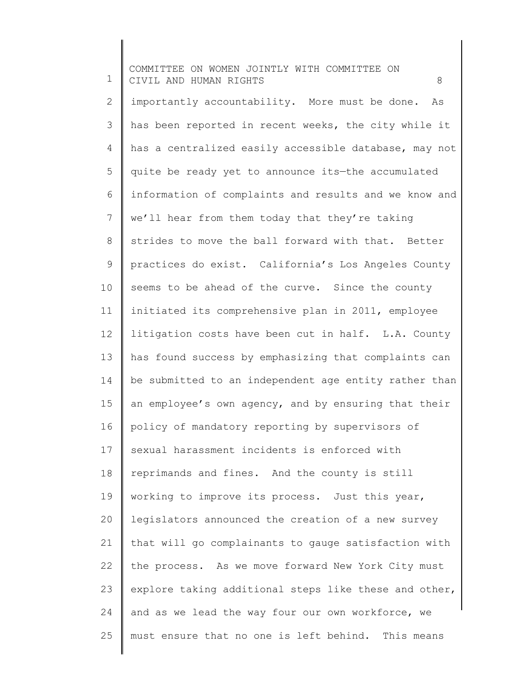1 2 3 4 5 6 7 8 9 10 11 12 13 14 15 16 17 18 19 20 21 22 23 24 25 COMMITTEE ON WOMEN JOINTLY WITH COMMITTEE ON CIVIL AND HUMAN RIGHTS 8 importantly accountability. More must be done. As has been reported in recent weeks, the city while it has a centralized easily accessible database, may not quite be ready yet to announce its—the accumulated information of complaints and results and we know and we'll hear from them today that they're taking strides to move the ball forward with that. Better practices do exist. California's Los Angeles County seems to be ahead of the curve. Since the county initiated its comprehensive plan in 2011, employee litigation costs have been cut in half. L.A. County has found success by emphasizing that complaints can be submitted to an independent age entity rather than an employee's own agency, and by ensuring that their policy of mandatory reporting by supervisors of sexual harassment incidents is enforced with reprimands and fines. And the county is still working to improve its process. Just this year, legislators announced the creation of a new survey that will go complainants to gauge satisfaction with the process. As we move forward New York City must explore taking additional steps like these and other, and as we lead the way four our own workforce, we must ensure that no one is left behind. This means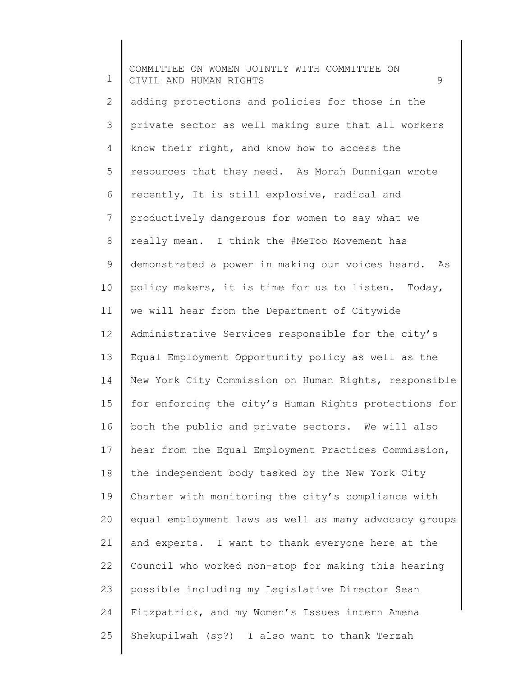1 2 3 4 5 6 7 8 9 10 11 12 13 14 15 16 17 18 19 20 21 22 23 24 25 COMMITTEE ON WOMEN JOINTLY WITH COMMITTEE ON CIVIL AND HUMAN RIGHTS 9 adding protections and policies for those in the private sector as well making sure that all workers know their right, and know how to access the resources that they need. As Morah Dunnigan wrote recently, It is still explosive, radical and productively dangerous for women to say what we really mean. I think the #MeToo Movement has demonstrated a power in making our voices heard. As policy makers, it is time for us to listen. Today, we will hear from the Department of Citywide Administrative Services responsible for the city's Equal Employment Opportunity policy as well as the New York City Commission on Human Rights, responsible for enforcing the city's Human Rights protections for both the public and private sectors. We will also hear from the Equal Employment Practices Commission, the independent body tasked by the New York City Charter with monitoring the city's compliance with equal employment laws as well as many advocacy groups and experts. I want to thank everyone here at the Council who worked non-stop for making this hearing possible including my Legislative Director Sean Fitzpatrick, and my Women's Issues intern Amena Shekupilwah (sp?) I also want to thank Terzah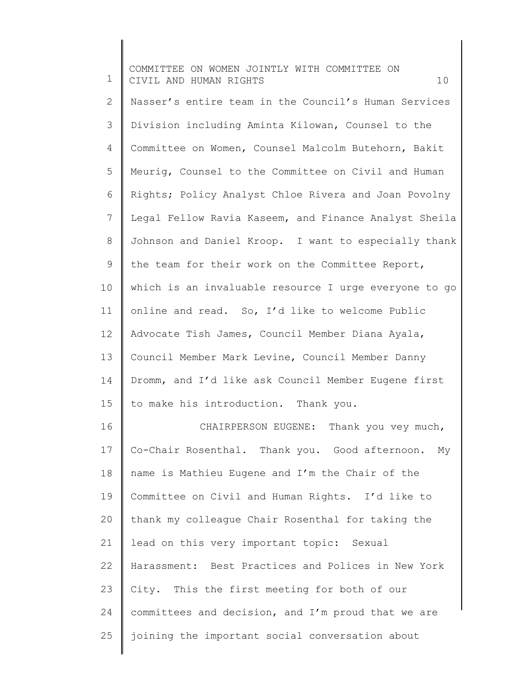1 2 3 4 5 6 7 8 9 10 11 12 13 14 15 16 17 18 19 20 21 22 23 24 COMMITTEE ON WOMEN JOINTLY WITH COMMITTEE ON CIVIL AND HUMAN RIGHTS 10 Nasser's entire team in the Council's Human Services Division including Aminta Kilowan, Counsel to the Committee on Women, Counsel Malcolm Butehorn, Bakit Meurig, Counsel to the Committee on Civil and Human Rights; Policy Analyst Chloe Rivera and Joan Povolny Legal Fellow Ravia Kaseem, and Finance Analyst Sheila Johnson and Daniel Kroop. I want to especially thank the team for their work on the Committee Report, which is an invaluable resource I urge everyone to go online and read. So, I'd like to welcome Public Advocate Tish James, Council Member Diana Ayala, Council Member Mark Levine, Council Member Danny Dromm, and I'd like ask Council Member Eugene first to make his introduction. Thank you. CHAIRPERSON EUGENE: Thank you vey much, Co-Chair Rosenthal. Thank you. Good afternoon. My name is Mathieu Eugene and I'm the Chair of the Committee on Civil and Human Rights. I'd like to thank my colleague Chair Rosenthal for taking the lead on this very important topic: Sexual Harassment: Best Practices and Polices in New York City. This the first meeting for both of our committees and decision, and I'm proud that we are

joining the important social conversation about

25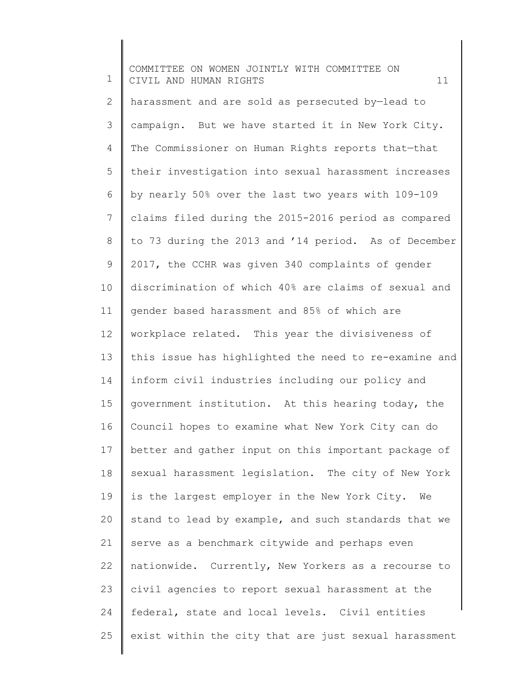1 2 3 4 5 6 7 8 9 10 11 12 13 14 15 16 17 18 19 20 21 22 23 24 25 COMMITTEE ON WOMEN JOINTLY WITH COMMITTEE ON CIVIL AND HUMAN RIGHTS 11 harassment and are sold as persecuted by—lead to campaign. But we have started it in New York City. The Commissioner on Human Rights reports that—that their investigation into sexual harassment increases by nearly 50% over the last two years with 109-109 claims filed during the 2015-2016 period as compared to 73 during the 2013 and '14 period. As of December 2017, the CCHR was given 340 complaints of gender discrimination of which 40% are claims of sexual and gender based harassment and 85% of which are workplace related. This year the divisiveness of this issue has highlighted the need to re-examine and inform civil industries including our policy and government institution. At this hearing today, the Council hopes to examine what New York City can do better and gather input on this important package of sexual harassment legislation. The city of New York is the largest employer in the New York City. We stand to lead by example, and such standards that we serve as a benchmark citywide and perhaps even nationwide. Currently, New Yorkers as a recourse to civil agencies to report sexual harassment at the federal, state and local levels. Civil entities exist within the city that are just sexual harassment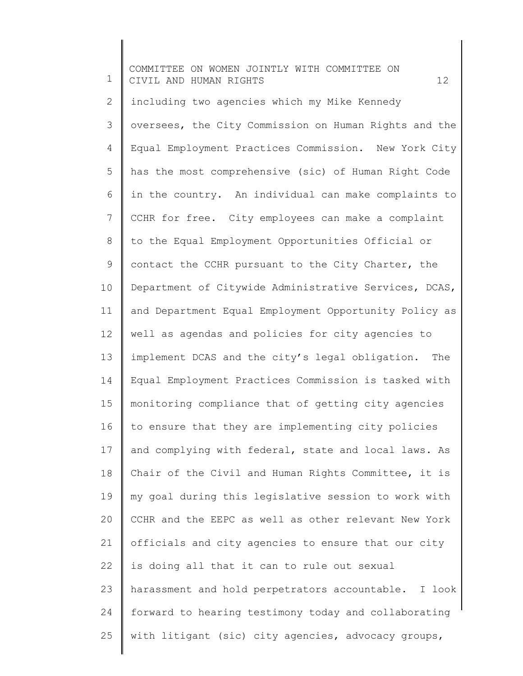1 2 3 4 5 6 7 8 9 10 11 12 13 14 15 16 17 18 19 20 21 22 23 24 25 COMMITTEE ON WOMEN JOINTLY WITH COMMITTEE ON CIVIL AND HUMAN RIGHTS 12 including two agencies which my Mike Kennedy oversees, the City Commission on Human Rights and the Equal Employment Practices Commission. New York City has the most comprehensive (sic) of Human Right Code in the country. An individual can make complaints to CCHR for free. City employees can make a complaint to the Equal Employment Opportunities Official or contact the CCHR pursuant to the City Charter, the Department of Citywide Administrative Services, DCAS, and Department Equal Employment Opportunity Policy as well as agendas and policies for city agencies to implement DCAS and the city's legal obligation. The Equal Employment Practices Commission is tasked with monitoring compliance that of getting city agencies to ensure that they are implementing city policies and complying with federal, state and local laws. As Chair of the Civil and Human Rights Committee, it is my goal during this legislative session to work with CCHR and the EEPC as well as other relevant New York officials and city agencies to ensure that our city is doing all that it can to rule out sexual harassment and hold perpetrators accountable. I look forward to hearing testimony today and collaborating with litigant (sic) city agencies, advocacy groups,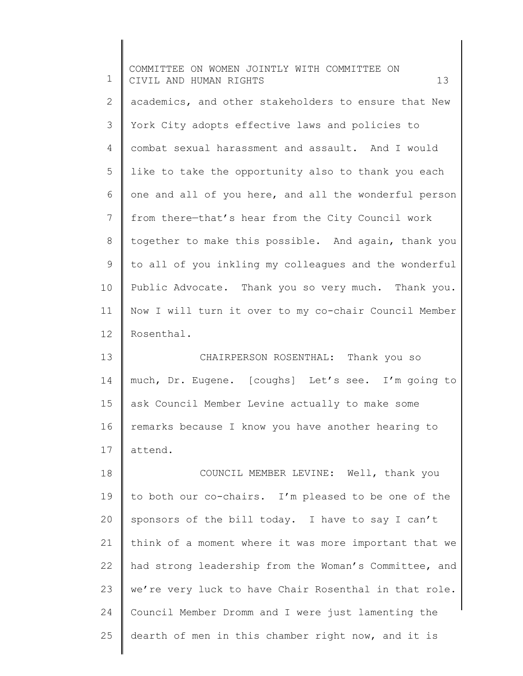1 2 3 4 5 6 7 8 9 10 11 12 13 14 15 16 17 18 19 20 21 22 23 24 25 COMMITTEE ON WOMEN JOINTLY WITH COMMITTEE ON CIVIL AND HUMAN RIGHTS 13 academics, and other stakeholders to ensure that New York City adopts effective laws and policies to combat sexual harassment and assault. And I would like to take the opportunity also to thank you each one and all of you here, and all the wonderful person from there—that's hear from the City Council work together to make this possible. And again, thank you to all of you inkling my colleagues and the wonderful Public Advocate. Thank you so very much. Thank you. Now I will turn it over to my co-chair Council Member Rosenthal. CHAIRPERSON ROSENTHAL: Thank you so much, Dr. Eugene. [coughs] Let's see. I'm going to ask Council Member Levine actually to make some remarks because I know you have another hearing to attend. COUNCIL MEMBER LEVINE: Well, thank you to both our co-chairs. I'm pleased to be one of the sponsors of the bill today. I have to say I can't think of a moment where it was more important that we had strong leadership from the Woman's Committee, and we're very luck to have Chair Rosenthal in that role. Council Member Dromm and I were just lamenting the dearth of men in this chamber right now, and it is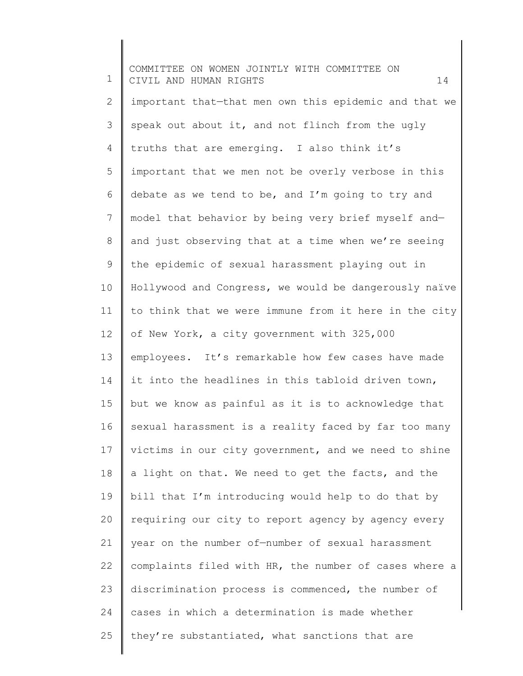1 2 3 4 5 6 7 8 9 10 11 12 13 14 15 16 17 18 19 20 21 22 23 24 25 COMMITTEE ON WOMEN JOINTLY WITH COMMITTEE ON CIVIL AND HUMAN RIGHTS 14 important that—that men own this epidemic and that we speak out about it, and not flinch from the ugly truths that are emerging. I also think it's important that we men not be overly verbose in this debate as we tend to be, and I'm going to try and model that behavior by being very brief myself and and just observing that at a time when we're seeing the epidemic of sexual harassment playing out in Hollywood and Congress, we would be dangerously naïve to think that we were immune from it here in the city of New York, a city government with 325,000 employees. It's remarkable how few cases have made it into the headlines in this tabloid driven town, but we know as painful as it is to acknowledge that sexual harassment is a reality faced by far too many victims in our city government, and we need to shine a light on that. We need to get the facts, and the bill that I'm introducing would help to do that by requiring our city to report agency by agency every year on the number of—number of sexual harassment complaints filed with HR, the number of cases where a discrimination process is commenced, the number of cases in which a determination is made whether they're substantiated, what sanctions that are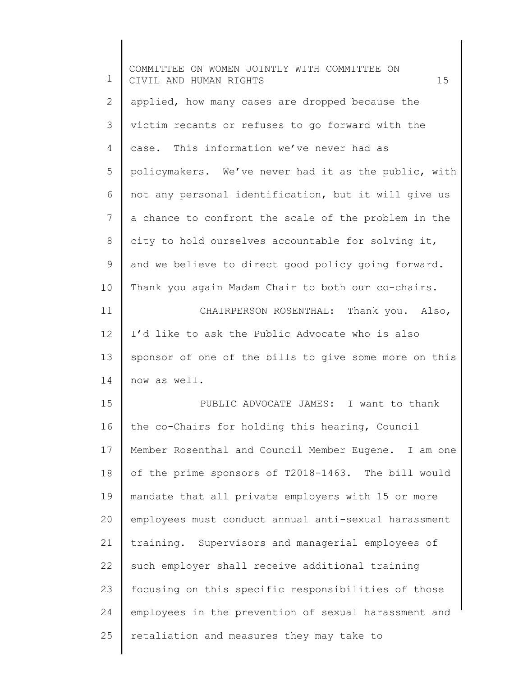| $\mathbf 1$  | COMMITTEE ON WOMEN JOINTLY WITH COMMITTEE ON<br>15<br>CIVIL AND HUMAN RIGHTS |
|--------------|------------------------------------------------------------------------------|
| $\mathbf{2}$ | applied, how many cases are dropped because the                              |
| 3            | victim recants or refuses to go forward with the                             |
| 4            | case. This information we've never had as                                    |
| 5            | policymakers. We've never had it as the public, with                         |
| 6            | not any personal identification, but it will give us                         |
| 7            | a chance to confront the scale of the problem in the                         |
| 8            | city to hold ourselves accountable for solving it,                           |
| $\mathsf 9$  | and we believe to direct good policy going forward.                          |
| 10           | Thank you again Madam Chair to both our co-chairs.                           |
| 11           | CHAIRPERSON ROSENTHAL: Thank you. Also,                                      |
| $12 \,$      | I'd like to ask the Public Advocate who is also                              |
| 13           | sponsor of one of the bills to give some more on this                        |
| 14           | now as well.                                                                 |
| 15           | PUBLIC ADVOCATE JAMES: I want to thank                                       |
| 16           | the co-Chairs for holding this hearing, Council                              |
| 17           | Member Rosenthal and Council Member Eugene. I am one                         |
| 18           | of the prime sponsors of T2018-1463. The bill would                          |
| 19           | mandate that all private employers with 15 or more                           |
| 20           | employees must conduct annual anti-sexual harassment                         |
| 21           | training. Supervisors and managerial employees of                            |
| 22           | such employer shall receive additional training                              |
| 23           | focusing on this specific responsibilities of those                          |
| 24           | employees in the prevention of sexual harassment and                         |
| 25           | retaliation and measures they may take to                                    |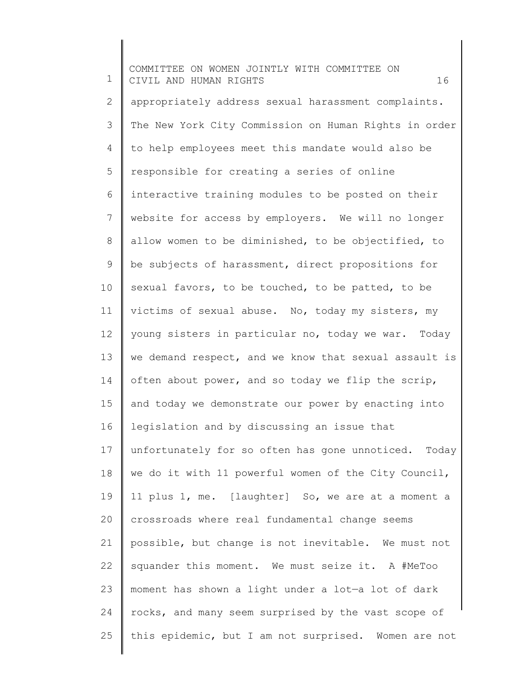1 2 3 4 5 6 7 8 9 10 11 12 13 14 15 16 17 18 19 20 21 22 23 24 25 COMMITTEE ON WOMEN JOINTLY WITH COMMITTEE ON CIVIL AND HUMAN RIGHTS 16 appropriately address sexual harassment complaints. The New York City Commission on Human Rights in order to help employees meet this mandate would also be responsible for creating a series of online interactive training modules to be posted on their website for access by employers. We will no longer allow women to be diminished, to be objectified, to be subjects of harassment, direct propositions for sexual favors, to be touched, to be patted, to be victims of sexual abuse. No, today my sisters, my young sisters in particular no, today we war. Today we demand respect, and we know that sexual assault is often about power, and so today we flip the scrip, and today we demonstrate our power by enacting into legislation and by discussing an issue that unfortunately for so often has gone unnoticed. Today we do it with 11 powerful women of the City Council, 11 plus 1, me. [laughter] So, we are at a moment a crossroads where real fundamental change seems possible, but change is not inevitable. We must not squander this moment. We must seize it. A #MeToo moment has shown a light under a lot—a lot of dark rocks, and many seem surprised by the vast scope of this epidemic, but I am not surprised. Women are not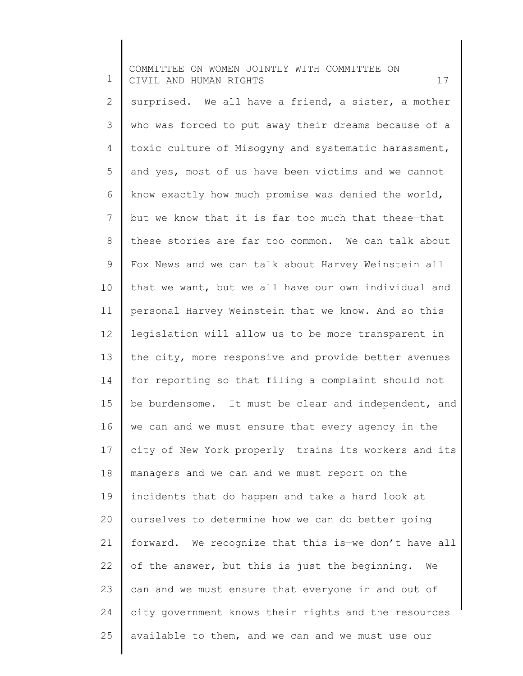1 2 3 4 5 6 7 8 9 10 11 12 13 14 15 16 17 18 19 20 21 22 23 24 25 COMMITTEE ON WOMEN JOINTLY WITH COMMITTEE ON CIVIL AND HUMAN RIGHTS 17 surprised. We all have a friend, a sister, a mother who was forced to put away their dreams because of a toxic culture of Misogyny and systematic harassment, and yes, most of us have been victims and we cannot know exactly how much promise was denied the world, but we know that it is far too much that these—that these stories are far too common. We can talk about Fox News and we can talk about Harvey Weinstein all that we want, but we all have our own individual and personal Harvey Weinstein that we know. And so this legislation will allow us to be more transparent in the city, more responsive and provide better avenues for reporting so that filing a complaint should not be burdensome. It must be clear and independent, and we can and we must ensure that every agency in the city of New York properly trains its workers and its managers and we can and we must report on the incidents that do happen and take a hard look at ourselves to determine how we can do better going forward. We recognize that this is—we don't have all of the answer, but this is just the beginning. We can and we must ensure that everyone in and out of city government knows their rights and the resources available to them, and we can and we must use our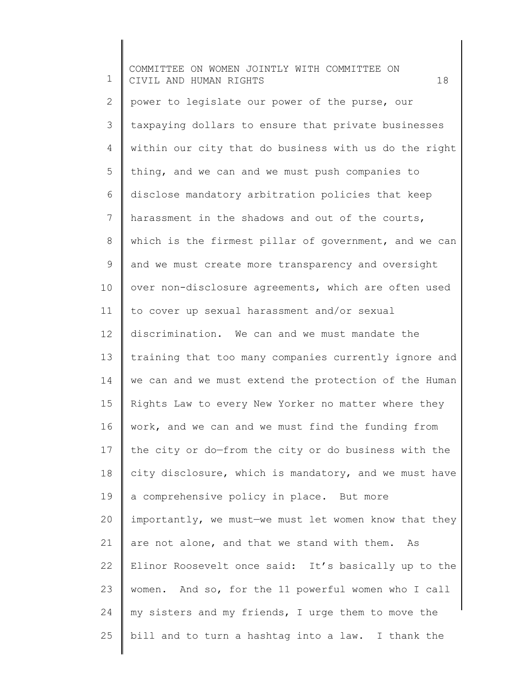1 2 3 4 5 6 7 8 9 10 11 12 13 14 15 16 17 18 19 20 21 22 23 24 25 COMMITTEE ON WOMEN JOINTLY WITH COMMITTEE ON CIVIL AND HUMAN RIGHTS 18 power to legislate our power of the purse, our taxpaying dollars to ensure that private businesses within our city that do business with us do the right thing, and we can and we must push companies to disclose mandatory arbitration policies that keep harassment in the shadows and out of the courts, which is the firmest pillar of government, and we can and we must create more transparency and oversight over non-disclosure agreements, which are often used to cover up sexual harassment and/or sexual discrimination. We can and we must mandate the training that too many companies currently ignore and we can and we must extend the protection of the Human Rights Law to every New Yorker no matter where they work, and we can and we must find the funding from the city or do—from the city or do business with the city disclosure, which is mandatory, and we must have a comprehensive policy in place. But more importantly, we must—we must let women know that they are not alone, and that we stand with them. As Elinor Roosevelt once said: It's basically up to the women. And so, for the 11 powerful women who I call my sisters and my friends, I urge them to move the bill and to turn a hashtag into a law. I thank the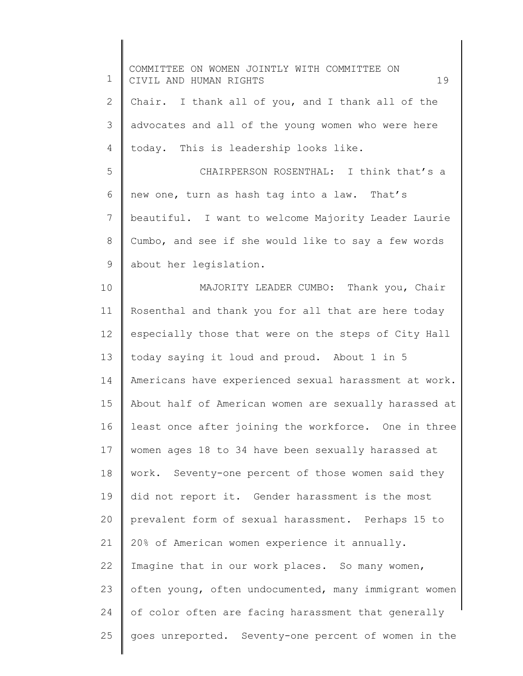1 2 3 4 5 6 7 8 9 10 11 12 13 14 15 16 17 18 19 20 21 22 23 24 25 COMMITTEE ON WOMEN JOINTLY WITH COMMITTEE ON CIVIL AND HUMAN RIGHTS 19 Chair. I thank all of you, and I thank all of the advocates and all of the young women who were here today. This is leadership looks like. CHAIRPERSON ROSENTHAL: I think that's a new one, turn as hash tag into a law. That's beautiful. I want to welcome Majority Leader Laurie Cumbo, and see if she would like to say a few words about her legislation. MAJORITY LEADER CUMBO: Thank you, Chair Rosenthal and thank you for all that are here today especially those that were on the steps of City Hall today saying it loud and proud. About 1 in 5 Americans have experienced sexual harassment at work. About half of American women are sexually harassed at least once after joining the workforce. One in three women ages 18 to 34 have been sexually harassed at work. Seventy-one percent of those women said they did not report it. Gender harassment is the most prevalent form of sexual harassment. Perhaps 15 to 20% of American women experience it annually. Imagine that in our work places. So many women, often young, often undocumented, many immigrant women of color often are facing harassment that generally goes unreported. Seventy-one percent of women in the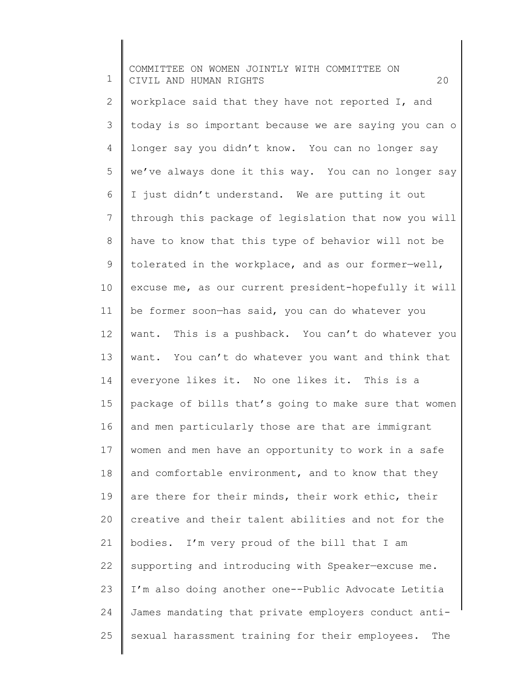1 2 3 4 5 6 7 8 9 10 11 12 13 14 15 16 17 18 19 20 21 22 23 24 25 COMMITTEE ON WOMEN JOINTLY WITH COMMITTEE ON CIVIL AND HUMAN RIGHTS 20 workplace said that they have not reported I, and today is so important because we are saying you can o longer say you didn't know. You can no longer say we've always done it this way. You can no longer say I just didn't understand. We are putting it out through this package of legislation that now you will have to know that this type of behavior will not be tolerated in the workplace, and as our former—well, excuse me, as our current president-hopefully it will be former soon—has said, you can do whatever you want. This is a pushback. You can't do whatever you want. You can't do whatever you want and think that everyone likes it. No one likes it. This is a package of bills that's going to make sure that women and men particularly those are that are immigrant women and men have an opportunity to work in a safe and comfortable environment, and to know that they are there for their minds, their work ethic, their creative and their talent abilities and not for the bodies. I'm very proud of the bill that I am supporting and introducing with Speaker—excuse me. I'm also doing another one--Public Advocate Letitia James mandating that private employers conduct antisexual harassment training for their employees. The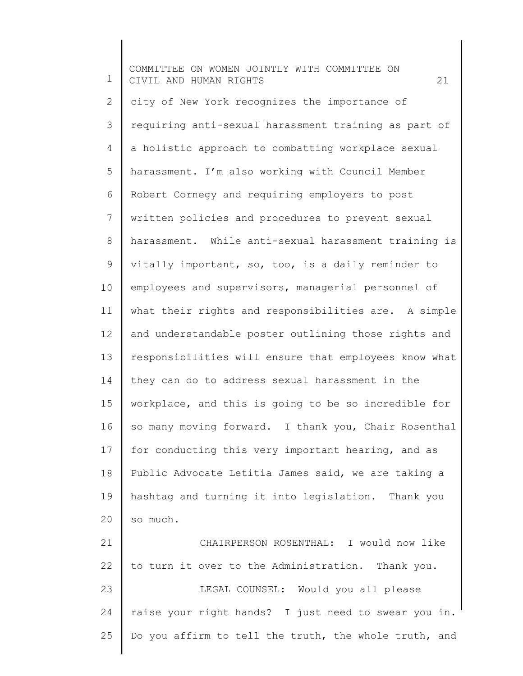1 2 3 4 5 6 7 8 9 10 11 12 13 14 15 16 17 18 19 20 21 22 COMMITTEE ON WOMEN JOINTLY WITH COMMITTEE ON CIVIL AND HUMAN RIGHTS 21 city of New York recognizes the importance of requiring anti-sexual harassment training as part of a holistic approach to combatting workplace sexual harassment. I'm also working with Council Member Robert Cornegy and requiring employers to post written policies and procedures to prevent sexual harassment. While anti-sexual harassment training is vitally important, so, too, is a daily reminder to employees and supervisors, managerial personnel of what their rights and responsibilities are. A simple and understandable poster outlining those rights and responsibilities will ensure that employees know what they can do to address sexual harassment in the workplace, and this is going to be so incredible for so many moving forward. I thank you, Chair Rosenthal for conducting this very important hearing, and as Public Advocate Letitia James said, we are taking a hashtag and turning it into legislation. Thank you so much. CHAIRPERSON ROSENTHAL: I would now like to turn it over to the Administration. Thank you.

23 24 25 LEGAL COUNSEL: Would you all please raise your right hands? I just need to swear you in. Do you affirm to tell the truth, the whole truth, and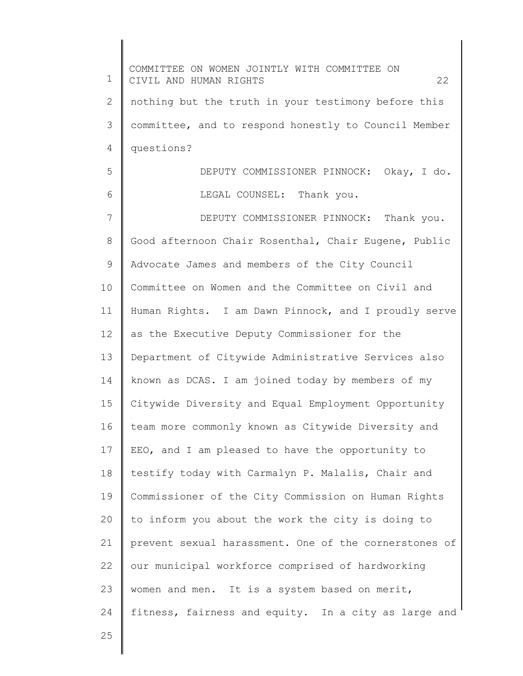1 2 3 4 5 6 7 8 9 10 11 12 13 14 15 16 17 18 19 20 21 22 23 24 COMMITTEE ON WOMEN JOINTLY WITH COMMITTEE ON CIVIL AND HUMAN RIGHTS 22 nothing but the truth in your testimony before this committee, and to respond honestly to Council Member questions? DEPUTY COMMISSIONER PINNOCK: Okay, I do. LEGAL COUNSEL: Thank you. DEPUTY COMMISSIONER PINNOCK: Thank you. Good afternoon Chair Rosenthal, Chair Eugene, Public Advocate James and members of the City Council Committee on Women and the Committee on Civil and Human Rights. I am Dawn Pinnock, and I proudly serve as the Executive Deputy Commissioner for the Department of Citywide Administrative Services also known as DCAS. I am joined today by members of my Citywide Diversity and Equal Employment Opportunity team more commonly known as Citywide Diversity and EEO, and I am pleased to have the opportunity to testify today with Carmalyn P. Malalis, Chair and Commissioner of the City Commission on Human Rights to inform you about the work the city is doing to prevent sexual harassment. One of the cornerstones of our municipal workforce comprised of hardworking women and men. It is a system based on merit, fitness, fairness and equity. In a city as large and

25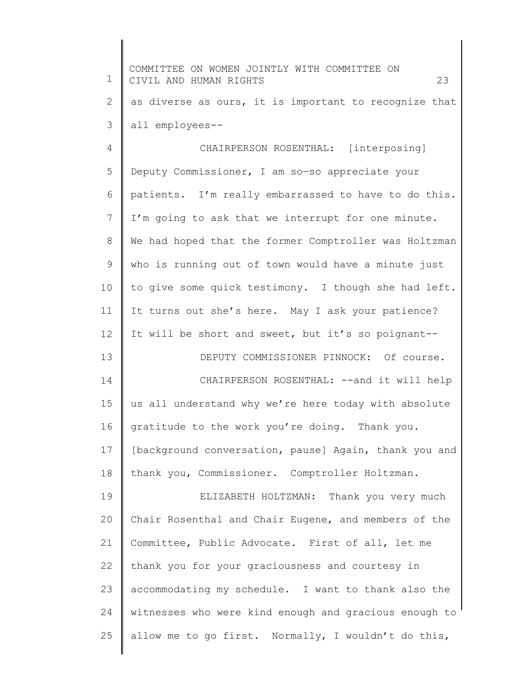| 1  | COMMITTEE ON WOMEN JOINTLY WITH COMMITTEE ON<br>23<br>CIVIL AND HUMAN RIGHTS |
|----|------------------------------------------------------------------------------|
| 2  | as diverse as ours, it is important to recognize that                        |
| 3  | all employees--                                                              |
| 4  | CHAIRPERSON ROSENTHAL: [interposing]                                         |
| 5  | Deputy Commissioner, I am so-so appreciate your                              |
| 6  | patients. I'm really embarrassed to have to do this.                         |
| 7  | I'm going to ask that we interrupt for one minute.                           |
| 8  | We had hoped that the former Comptroller was Holtzman                        |
| 9  | who is running out of town would have a minute just                          |
| 10 | to give some quick testimony. I though she had left.                         |
| 11 | It turns out she's here. May I ask your patience?                            |
| 12 | It will be short and sweet, but it's so poignant--                           |
| 13 | DEPUTY COMMISSIONER PINNOCK: Of course.                                      |
| 14 | CHAIRPERSON ROSENTHAL: -- and it will help                                   |
| 15 | us all understand why we're here today with absolute                         |
| 16 | gratitude to the work you're doing. Thank you.                               |
| 17 | [background conversation, pause] Again, thank you and                        |
| 18 | thank you, Commissioner. Comptroller Holtzman.                               |
| 19 | ELIZABETH HOLTZMAN: Thank you very much                                      |
| 20 | Chair Rosenthal and Chair Eugene, and members of the                         |
| 21 | Committee, Public Advocate. First of all, let me                             |
| 22 | thank you for your graciousness and courtesy in                              |
| 23 | accommodating my schedule. I want to thank also the                          |
| 24 | witnesses who were kind enough and gracious enough to                        |
| 25 | allow me to go first. Normally, I wouldn't do this,                          |
|    |                                                                              |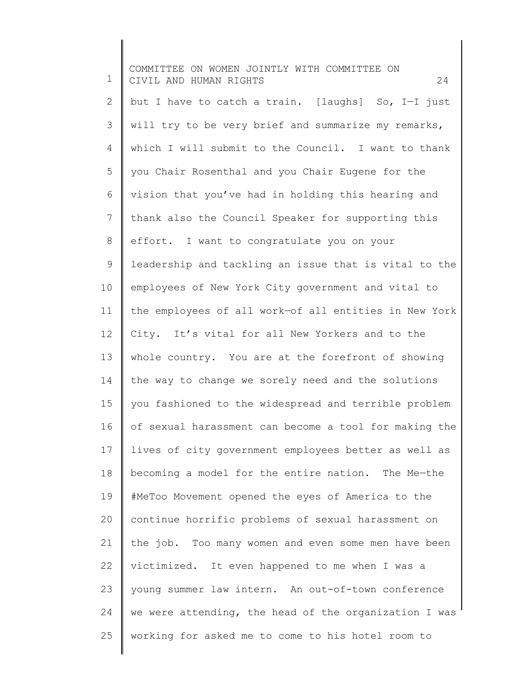1 2 3 4 5 6 7 8 9 10 11 12 13 14 15 16 17 18 19 20 21 22 23 24 25 COMMITTEE ON WOMEN JOINTLY WITH COMMITTEE ON CIVIL AND HUMAN RIGHTS 24 but I have to catch a train. [laughs] So, I—I just will try to be very brief and summarize my remarks, which I will submit to the Council. I want to thank you Chair Rosenthal and you Chair Eugene for the vision that you've had in holding this hearing and thank also the Council Speaker for supporting this effort. I want to congratulate you on your leadership and tackling an issue that is vital to the employees of New York City government and vital to the employees of all work—of all entities in New York City. It's vital for all New Yorkers and to the whole country. You are at the forefront of showing the way to change we sorely need and the solutions you fashioned to the widespread and terrible problem of sexual harassment can become a tool for making the lives of city government employees better as well as becoming a model for the entire nation. The Me—the #MeToo Movement opened the eyes of America to the continue horrific problems of sexual harassment on the job. Too many women and even some men have been victimized. It even happened to me when I was a young summer law intern. An out-of-town conference we were attending, the head of the organization I was working for asked me to come to his hotel room to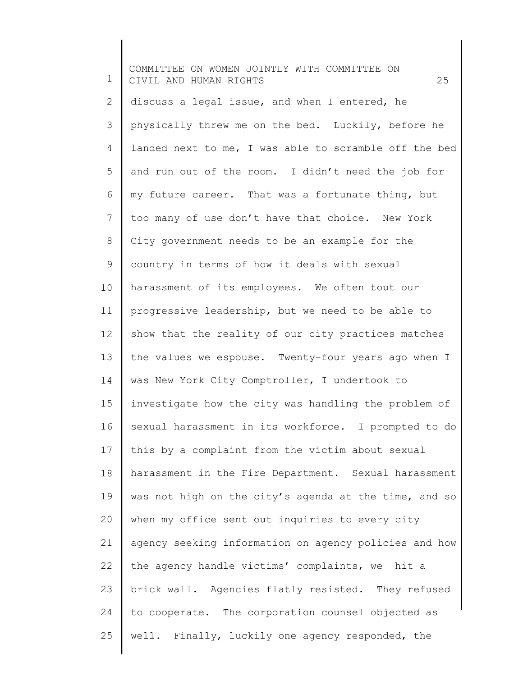1 2 3 4 5 6 7 8 9 10 11 12 13 14 15 16 17 18 19 20 21 22 23 24 25 COMMITTEE ON WOMEN JOINTLY WITH COMMITTEE ON CIVIL AND HUMAN RIGHTS 25 discuss a legal issue, and when I entered, he physically threw me on the bed. Luckily, before he landed next to me, I was able to scramble off the bed and run out of the room. I didn't need the job for my future career. That was a fortunate thing, but too many of use don't have that choice. New York City government needs to be an example for the country in terms of how it deals with sexual harassment of its employees. We often tout our progressive leadership, but we need to be able to show that the reality of our city practices matches the values we espouse. Twenty-four years ago when I was New York City Comptroller, I undertook to investigate how the city was handling the problem of sexual harassment in its workforce. I prompted to do this by a complaint from the victim about sexual harassment in the Fire Department. Sexual harassment was not high on the city's agenda at the time, and so when my office sent out inquiries to every city agency seeking information on agency policies and how the agency handle victims' complaints, we hit a brick wall. Agencies flatly resisted. They refused to cooperate. The corporation counsel objected as well. Finally, luckily one agency responded, the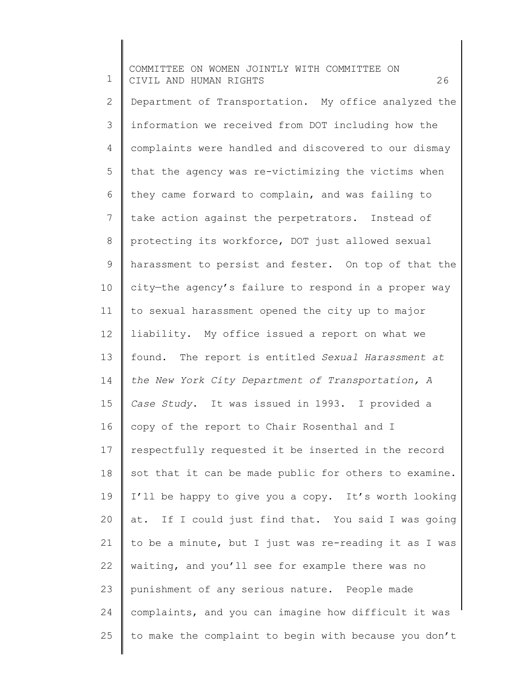1 2 3 4 5 6 7 8 9 10 11 12 13 14 15 16 17 18 19 20 21 22 23 24 25 COMMITTEE ON WOMEN JOINTLY WITH COMMITTEE ON CIVIL AND HUMAN RIGHTS 26 Department of Transportation. My office analyzed the information we received from DOT including how the complaints were handled and discovered to our dismay that the agency was re-victimizing the victims when they came forward to complain, and was failing to take action against the perpetrators. Instead of protecting its workforce, DOT just allowed sexual harassment to persist and fester. On top of that the city—the agency's failure to respond in a proper way to sexual harassment opened the city up to major liability. My office issued a report on what we found. The report is entitled *Sexual Harassment at the New York City Department of Transportation, A Case Study*. It was issued in 1993. I provided a copy of the report to Chair Rosenthal and I respectfully requested it be inserted in the record sot that it can be made public for others to examine. I'll be happy to give you a copy. It's worth looking at. If I could just find that. You said I was going to be a minute, but I just was re-reading it as I was waiting, and you'll see for example there was no punishment of any serious nature. People made complaints, and you can imagine how difficult it was to make the complaint to begin with because you don't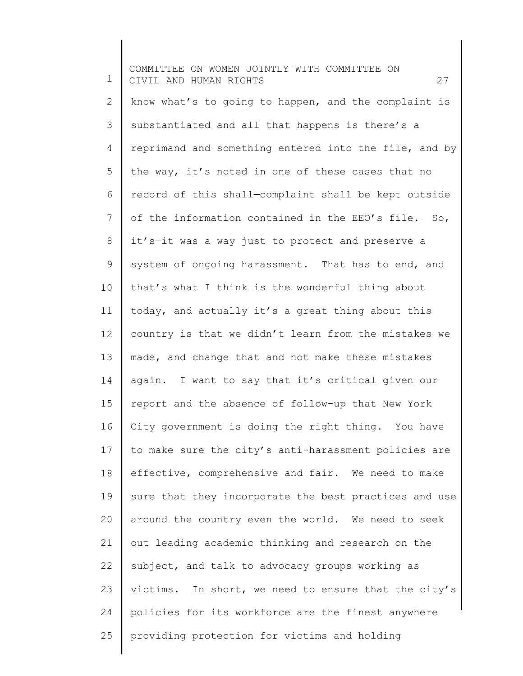1 2 3 4 5 6 7 8 9 10 11 12 13 14 15 16 17 18 19 20 21 22 23 24 25 COMMITTEE ON WOMEN JOINTLY WITH COMMITTEE ON CIVIL AND HUMAN RIGHTS 27 know what's to going to happen, and the complaint is substantiated and all that happens is there's a reprimand and something entered into the file, and by the way, it's noted in one of these cases that no record of this shall—complaint shall be kept outside of the information contained in the EEO's file. So, it's—it was a way just to protect and preserve a system of ongoing harassment. That has to end, and that's what I think is the wonderful thing about today, and actually it's a great thing about this country is that we didn't learn from the mistakes we made, and change that and not make these mistakes again. I want to say that it's critical given our report and the absence of follow-up that New York City government is doing the right thing. You have to make sure the city's anti-harassment policies are effective, comprehensive and fair. We need to make sure that they incorporate the best practices and use around the country even the world. We need to seek out leading academic thinking and research on the subject, and talk to advocacy groups working as victims. In short, we need to ensure that the city's policies for its workforce are the finest anywhere providing protection for victims and holding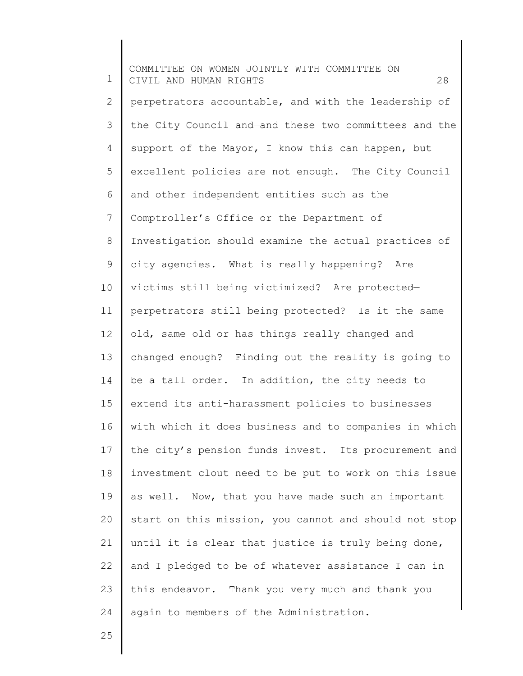1 2 3 4 5 6 7 8 9 10 11 12 13 14 15 16 17 18 19 20 21 22 23 24 COMMITTEE ON WOMEN JOINTLY WITH COMMITTEE ON CIVIL AND HUMAN RIGHTS 28 perpetrators accountable, and with the leadership of the City Council and—and these two committees and the support of the Mayor, I know this can happen, but excellent policies are not enough. The City Council and other independent entities such as the Comptroller's Office or the Department of Investigation should examine the actual practices of city agencies. What is really happening? Are victims still being victimized? Are protected perpetrators still being protected? Is it the same old, same old or has things really changed and changed enough? Finding out the reality is going to be a tall order. In addition, the city needs to extend its anti-harassment policies to businesses with which it does business and to companies in which the city's pension funds invest. Its procurement and investment clout need to be put to work on this issue as well. Now, that you have made such an important start on this mission, you cannot and should not stop until it is clear that justice is truly being done, and I pledged to be of whatever assistance I can in this endeavor. Thank you very much and thank you again to members of the Administration.

25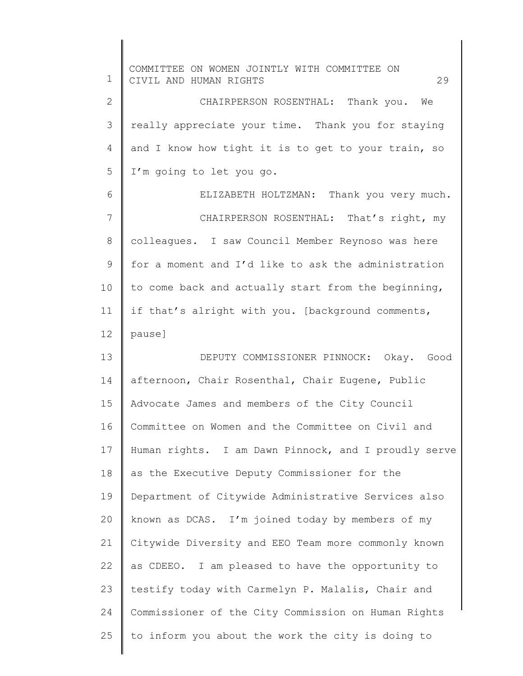| $\mathbf 1$    | COMMITTEE ON WOMEN JOINTLY WITH COMMITTEE ON<br>29<br>CIVIL AND HUMAN RIGHTS |
|----------------|------------------------------------------------------------------------------|
| $\mathbf{2}$   | CHAIRPERSON ROSENTHAL: Thank you. We                                         |
| 3              | really appreciate your time. Thank you for staying                           |
| $\overline{4}$ | and I know how tight it is to get to your train, so                          |
| 5              | I'm going to let you go.                                                     |
| 6              | ELIZABETH HOLTZMAN: Thank you very much.                                     |
| 7              | CHAIRPERSON ROSENTHAL: That's right, my                                      |
| $8\,$          | colleagues. I saw Council Member Reynoso was here                            |
| $\mathcal{G}$  | for a moment and I'd like to ask the administration                          |
| 10             | to come back and actually start from the beginning,                          |
| 11             | if that's alright with you. [background comments,                            |
| 12             | pause]                                                                       |
| 13             | DEPUTY COMMISSIONER PINNOCK: Okay. Good                                      |
| 14             | afternoon, Chair Rosenthal, Chair Eugene, Public                             |
| 15             | Advocate James and members of the City Council                               |
| 16             | Committee on Women and the Committee on Civil and                            |
| 17             | Human rights. I am Dawn Pinnock, and I proudly serve                         |
| 18             | as the Executive Deputy Commissioner for the                                 |
| 19             | Department of Citywide Administrative Services also                          |
| 20             | known as DCAS. I'm joined today by members of my                             |
| 21             | Citywide Diversity and EEO Team more commonly known                          |
| 22             | as CDEEO. I am pleased to have the opportunity to                            |
| 23             | testify today with Carmelyn P. Malalis, Chair and                            |
| 24             | Commissioner of the City Commission on Human Rights                          |
| 25             | to inform you about the work the city is doing to                            |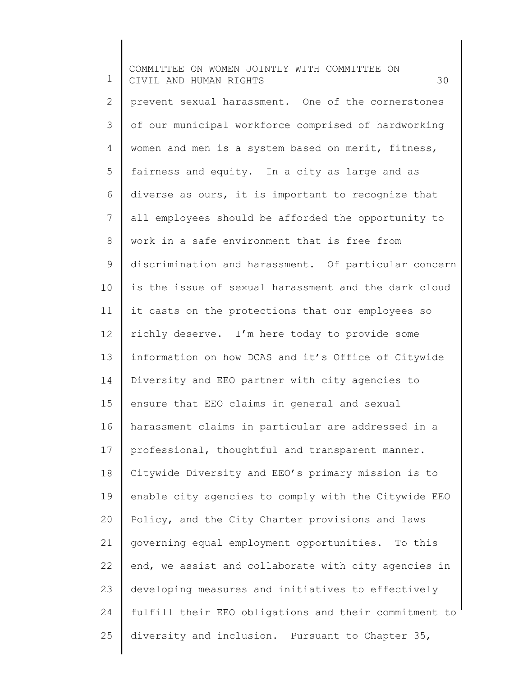1 2 3 4 5 6 7 8 9 10 11 12 13 14 15 16 17 18 19 20 21 22 23 24 25 COMMITTEE ON WOMEN JOINTLY WITH COMMITTEE ON CIVIL AND HUMAN RIGHTS 30 prevent sexual harassment. One of the cornerstones of our municipal workforce comprised of hardworking women and men is a system based on merit, fitness, fairness and equity. In a city as large and as diverse as ours, it is important to recognize that all employees should be afforded the opportunity to work in a safe environment that is free from discrimination and harassment. Of particular concern is the issue of sexual harassment and the dark cloud it casts on the protections that our employees so richly deserve. I'm here today to provide some information on how DCAS and it's Office of Citywide Diversity and EEO partner with city agencies to ensure that EEO claims in general and sexual harassment claims in particular are addressed in a professional, thoughtful and transparent manner. Citywide Diversity and EEO's primary mission is to enable city agencies to comply with the Citywide EEO Policy, and the City Charter provisions and laws governing equal employment opportunities. To this end, we assist and collaborate with city agencies in developing measures and initiatives to effectively fulfill their EEO obligations and their commitment to diversity and inclusion. Pursuant to Chapter 35,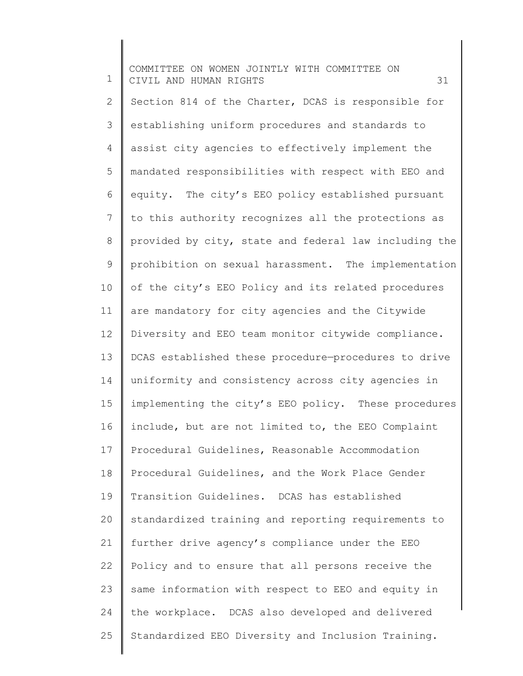1 2 3 4 5 6 7 8 9 10 11 12 13 14 15 16 17 18 19 20 21 22 23 24 25 COMMITTEE ON WOMEN JOINTLY WITH COMMITTEE ON CIVIL AND HUMAN RIGHTS 31 Section 814 of the Charter, DCAS is responsible for establishing uniform procedures and standards to assist city agencies to effectively implement the mandated responsibilities with respect with EEO and equity. The city's EEO policy established pursuant to this authority recognizes all the protections as provided by city, state and federal law including the prohibition on sexual harassment. The implementation of the city's EEO Policy and its related procedures are mandatory for city agencies and the Citywide Diversity and EEO team monitor citywide compliance. DCAS established these procedure—procedures to drive uniformity and consistency across city agencies in implementing the city's EEO policy. These procedures include, but are not limited to, the EEO Complaint Procedural Guidelines, Reasonable Accommodation Procedural Guidelines, and the Work Place Gender Transition Guidelines. DCAS has established standardized training and reporting requirements to further drive agency's compliance under the EEO Policy and to ensure that all persons receive the same information with respect to EEO and equity in the workplace. DCAS also developed and delivered Standardized EEO Diversity and Inclusion Training.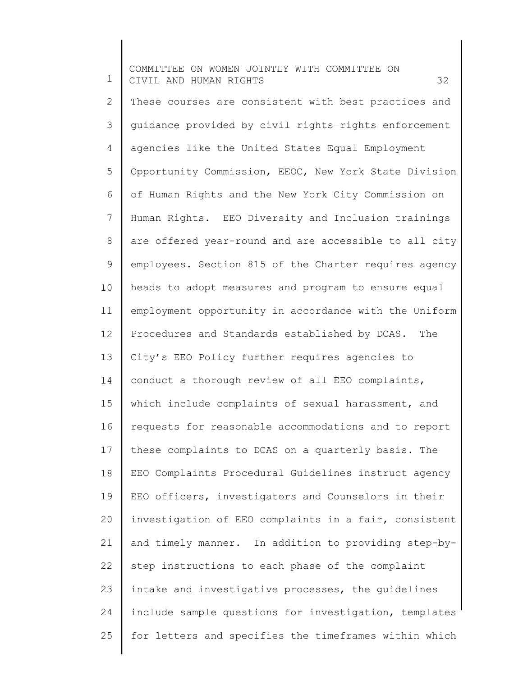1 2 3 4 5 6 7 8 9 10 11 12 13 14 15 16 17 18 19 20 21 22 23 24 25 COMMITTEE ON WOMEN JOINTLY WITH COMMITTEE ON CIVIL AND HUMAN RIGHTS 32 These courses are consistent with best practices and guidance provided by civil rights—rights enforcement agencies like the United States Equal Employment Opportunity Commission, EEOC, New York State Division of Human Rights and the New York City Commission on Human Rights. EEO Diversity and Inclusion trainings are offered year-round and are accessible to all city employees. Section 815 of the Charter requires agency heads to adopt measures and program to ensure equal employment opportunity in accordance with the Uniform Procedures and Standards established by DCAS. The City's EEO Policy further requires agencies to conduct a thorough review of all EEO complaints, which include complaints of sexual harassment, and requests for reasonable accommodations and to report these complaints to DCAS on a quarterly basis. The EEO Complaints Procedural Guidelines instruct agency EEO officers, investigators and Counselors in their investigation of EEO complaints in a fair, consistent and timely manner. In addition to providing step-bystep instructions to each phase of the complaint intake and investigative processes, the guidelines include sample questions for investigation, templates for letters and specifies the timeframes within which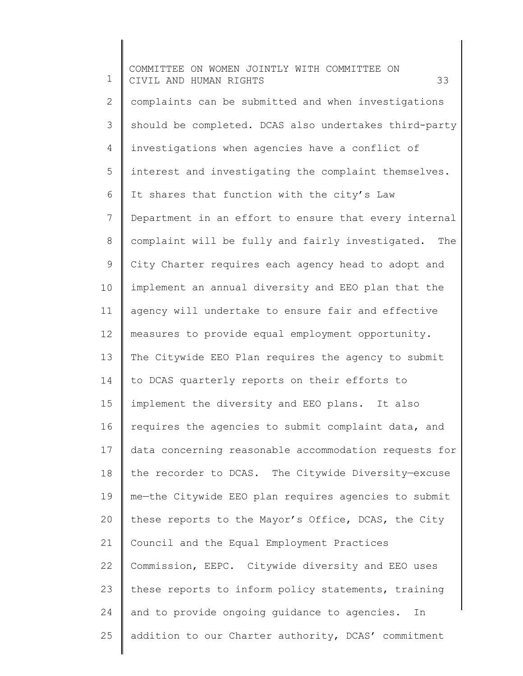1 2 3 4 5 6 7 8 9 10 11 12 13 14 15 16 17 18 19 20 21 22 23 24 25 COMMITTEE ON WOMEN JOINTLY WITH COMMITTEE ON CIVIL AND HUMAN RIGHTS 33 complaints can be submitted and when investigations should be completed. DCAS also undertakes third-party investigations when agencies have a conflict of interest and investigating the complaint themselves. It shares that function with the city's Law Department in an effort to ensure that every internal complaint will be fully and fairly investigated. The City Charter requires each agency head to adopt and implement an annual diversity and EEO plan that the agency will undertake to ensure fair and effective measures to provide equal employment opportunity. The Citywide EEO Plan requires the agency to submit to DCAS quarterly reports on their efforts to implement the diversity and EEO plans. It also requires the agencies to submit complaint data, and data concerning reasonable accommodation requests for the recorder to DCAS. The Citywide Diversity—excuse me—the Citywide EEO plan requires agencies to submit these reports to the Mayor's Office, DCAS, the City Council and the Equal Employment Practices Commission, EEPC. Citywide diversity and EEO uses these reports to inform policy statements, training and to provide ongoing guidance to agencies. In addition to our Charter authority, DCAS' commitment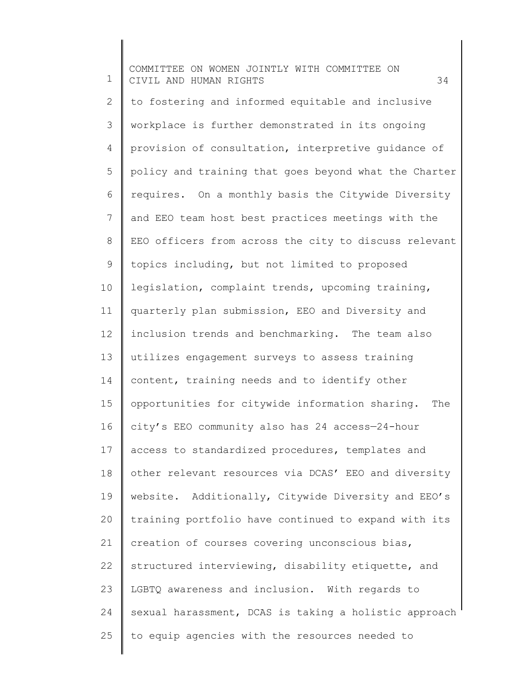1 2 3 4 5 6 7 8 9 10 11 12 13 14 15 16 17 18 19 20 21 22 23 24 25 COMMITTEE ON WOMEN JOINTLY WITH COMMITTEE ON CIVIL AND HUMAN RIGHTS 34 to fostering and informed equitable and inclusive workplace is further demonstrated in its ongoing provision of consultation, interpretive guidance of policy and training that goes beyond what the Charter requires. On a monthly basis the Citywide Diversity and EEO team host best practices meetings with the EEO officers from across the city to discuss relevant topics including, but not limited to proposed legislation, complaint trends, upcoming training, quarterly plan submission, EEO and Diversity and inclusion trends and benchmarking. The team also utilizes engagement surveys to assess training content, training needs and to identify other opportunities for citywide information sharing. The city's EEO community also has 24 access—24-hour access to standardized procedures, templates and other relevant resources via DCAS' EEO and diversity website. Additionally, Citywide Diversity and EEO's training portfolio have continued to expand with its creation of courses covering unconscious bias, structured interviewing, disability etiquette, and LGBTQ awareness and inclusion. With regards to sexual harassment, DCAS is taking a holistic approach to equip agencies with the resources needed to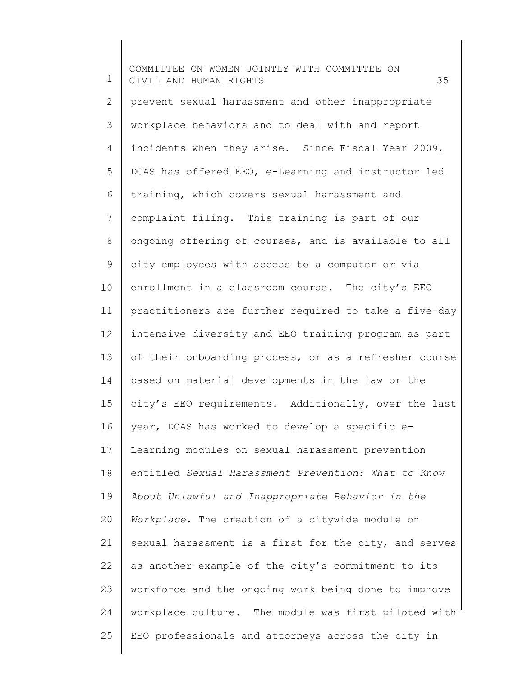1 2 3 4 5 6 7 8 9 10 11 12 13 14 15 16 17 18 19 20 21 22 23 24 25 COMMITTEE ON WOMEN JOINTLY WITH COMMITTEE ON CIVIL AND HUMAN RIGHTS 35 prevent sexual harassment and other inappropriate workplace behaviors and to deal with and report incidents when they arise. Since Fiscal Year 2009, DCAS has offered EEO, e-Learning and instructor led training, which covers sexual harassment and complaint filing. This training is part of our ongoing offering of courses, and is available to all city employees with access to a computer or via enrollment in a classroom course. The city's EEO practitioners are further required to take a five-day intensive diversity and EEO training program as part of their onboarding process, or as a refresher course based on material developments in the law or the city's EEO requirements. Additionally, over the last year, DCAS has worked to develop a specific e-Learning modules on sexual harassment prevention entitled *Sexual Harassment Prevention: What to Know About Unlawful and Inappropriate Behavior in the Workplace*. The creation of a citywide module on sexual harassment is a first for the city, and serves as another example of the city's commitment to its workforce and the ongoing work being done to improve workplace culture. The module was first piloted with EEO professionals and attorneys across the city in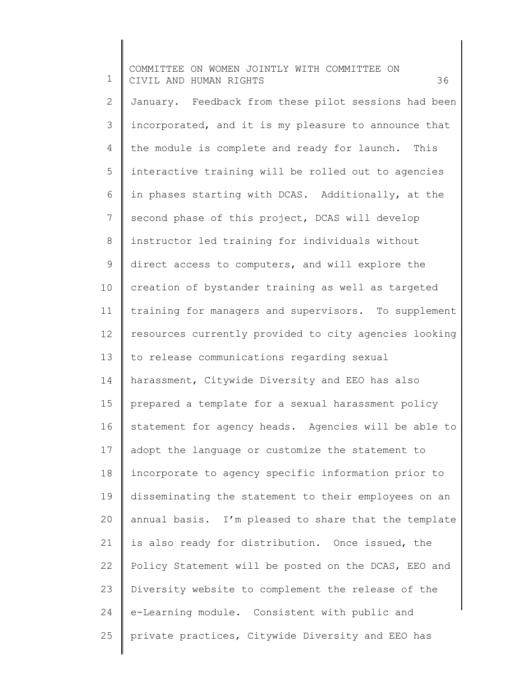1 2 3 4 5 6 7 8 9 10 11 12 13 14 15 16 17 18 19 20 21 22 23 24 25 COMMITTEE ON WOMEN JOINTLY WITH COMMITTEE ON CIVIL AND HUMAN RIGHTS 36 January. Feedback from these pilot sessions had been incorporated, and it is my pleasure to announce that the module is complete and ready for launch. This interactive training will be rolled out to agencies in phases starting with DCAS. Additionally, at the second phase of this project, DCAS will develop instructor led training for individuals without direct access to computers, and will explore the creation of bystander training as well as targeted training for managers and supervisors. To supplement resources currently provided to city agencies looking to release communications regarding sexual harassment, Citywide Diversity and EEO has also prepared a template for a sexual harassment policy statement for agency heads. Agencies will be able to adopt the language or customize the statement to incorporate to agency specific information prior to disseminating the statement to their employees on an annual basis. I'm pleased to share that the template is also ready for distribution. Once issued, the Policy Statement will be posted on the DCAS, EEO and Diversity website to complement the release of the e-Learning module. Consistent with public and private practices, Citywide Diversity and EEO has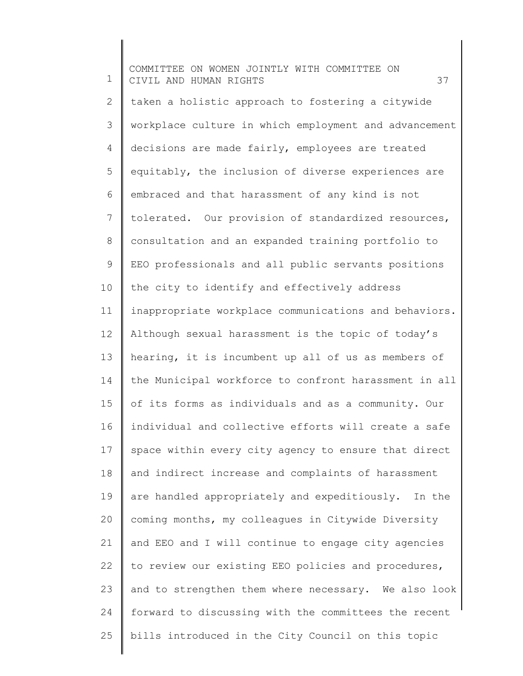1 2 3 4 5 6 7 8 9 10 11 12 13 14 15 16 17 18 19 20 21 22 23 24 25 COMMITTEE ON WOMEN JOINTLY WITH COMMITTEE ON CIVIL AND HUMAN RIGHTS 37 taken a holistic approach to fostering a citywide workplace culture in which employment and advancement decisions are made fairly, employees are treated equitably, the inclusion of diverse experiences are embraced and that harassment of any kind is not tolerated. Our provision of standardized resources, consultation and an expanded training portfolio to EEO professionals and all public servants positions the city to identify and effectively address inappropriate workplace communications and behaviors. Although sexual harassment is the topic of today's hearing, it is incumbent up all of us as members of the Municipal workforce to confront harassment in all of its forms as individuals and as a community. Our individual and collective efforts will create a safe space within every city agency to ensure that direct and indirect increase and complaints of harassment are handled appropriately and expeditiously. In the coming months, my colleagues in Citywide Diversity and EEO and I will continue to engage city agencies to review our existing EEO policies and procedures, and to strengthen them where necessary. We also look forward to discussing with the committees the recent bills introduced in the City Council on this topic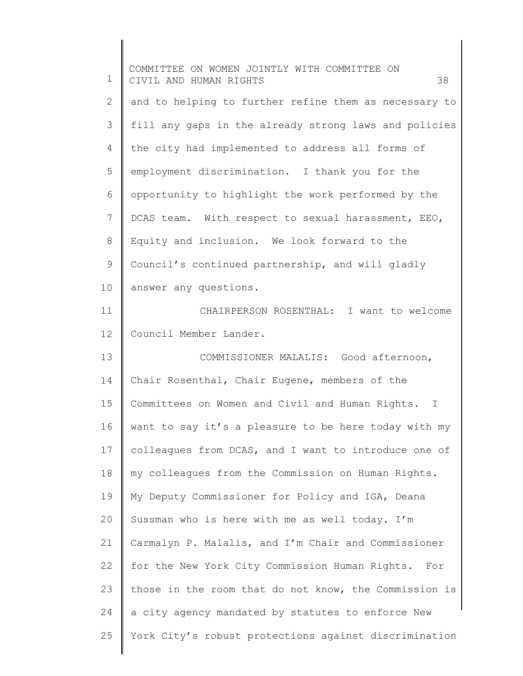| 1              | COMMITTEE ON WOMEN JOINTLY WITH COMMITTEE ON<br>38<br>CIVIL AND HUMAN RIGHTS |
|----------------|------------------------------------------------------------------------------|
| $\mathbf{2}$   | and to helping to further refine them as necessary to                        |
| 3              | fill any gaps in the already strong laws and policies                        |
| $\overline{4}$ | the city had implemented to address all forms of                             |
| 5              | employment discrimination. I thank you for the                               |
| 6              | opportunity to highlight the work performed by the                           |
| 7              | DCAS team. With respect to sexual harassment, EEO,                           |
| $\,8\,$        | Equity and inclusion. We look forward to the                                 |
| $\mathsf 9$    | Council's continued partnership, and will gladly                             |
| 10             | answer any questions.                                                        |
| 11             | CHAIRPERSON ROSENTHAL: I want to welcome                                     |
| 12             | Council Member Lander.                                                       |
| 13             | COMMISSIONER MALALIS: Good afternoon,                                        |
| 14             | Chair Rosenthal, Chair Eugene, members of the                                |
| 15             | Committees on Women and Civil and Human Rights.<br>T                         |
| 16             | want to say it's a pleasure to be here today with my                         |
| 17             | colleagues from DCAS, and I want to introduce one of                         |
| 18             | my colleagues from the Commission on Human Rights.                           |
| 19             | My Deputy Commissioner for Policy and IGA, Deana                             |
| 20             | Sussman who is here with me as well today. I'm                               |
| 21             | Carmalyn P. Malalis, and I'm Chair and Commissioner                          |
| 22             | for the New York City Commission Human Rights. For                           |
| 23             | those in the room that do not know, the Commission is                        |
| 24             | a city agency mandated by statutes to enforce New                            |
| 25             | York City's robust protections against discrimination                        |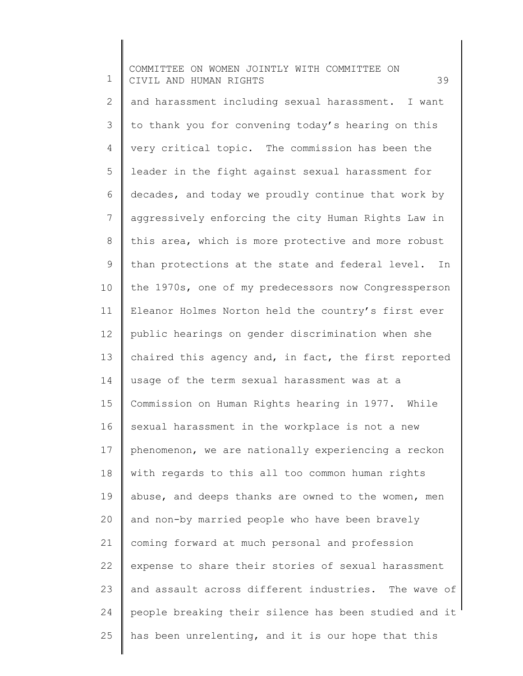1 2 3 4 5 6 7 8 9 10 11 12 13 14 15 16 17 18 19 20 21 22 23 24 25 COMMITTEE ON WOMEN JOINTLY WITH COMMITTEE ON CIVIL AND HUMAN RIGHTS 39 and harassment including sexual harassment. I want to thank you for convening today's hearing on this very critical topic. The commission has been the leader in the fight against sexual harassment for decades, and today we proudly continue that work by aggressively enforcing the city Human Rights Law in this area, which is more protective and more robust than protections at the state and federal level. In the 1970s, one of my predecessors now Congressperson Eleanor Holmes Norton held the country's first ever public hearings on gender discrimination when she chaired this agency and, in fact, the first reported usage of the term sexual harassment was at a Commission on Human Rights hearing in 1977. While sexual harassment in the workplace is not a new phenomenon, we are nationally experiencing a reckon with regards to this all too common human rights abuse, and deeps thanks are owned to the women, men and non-by married people who have been bravely coming forward at much personal and profession expense to share their stories of sexual harassment and assault across different industries. The wave of people breaking their silence has been studied and it has been unrelenting, and it is our hope that this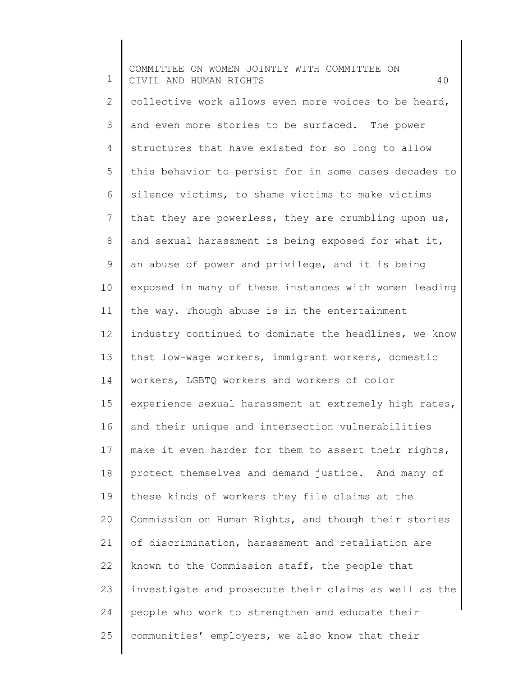1 2 3 4 5 6 7 8 9 10 11 12 13 14 15 16 17 18 19 20 21 22 23 24 25 COMMITTEE ON WOMEN JOINTLY WITH COMMITTEE ON CIVIL AND HUMAN RIGHTS 40 collective work allows even more voices to be heard, and even more stories to be surfaced. The power structures that have existed for so long to allow this behavior to persist for in some cases decades to silence victims, to shame victims to make victims that they are powerless, they are crumbling upon us, and sexual harassment is being exposed for what it, an abuse of power and privilege, and it is being exposed in many of these instances with women leading the way. Though abuse is in the entertainment industry continued to dominate the headlines, we know that low-wage workers, immigrant workers, domestic workers, LGBTQ workers and workers of color experience sexual harassment at extremely high rates, and their unique and intersection vulnerabilities make it even harder for them to assert their rights, protect themselves and demand justice. And many of these kinds of workers they file claims at the Commission on Human Rights, and though their stories of discrimination, harassment and retaliation are known to the Commission staff, the people that investigate and prosecute their claims as well as the people who work to strengthen and educate their communities' employers, we also know that their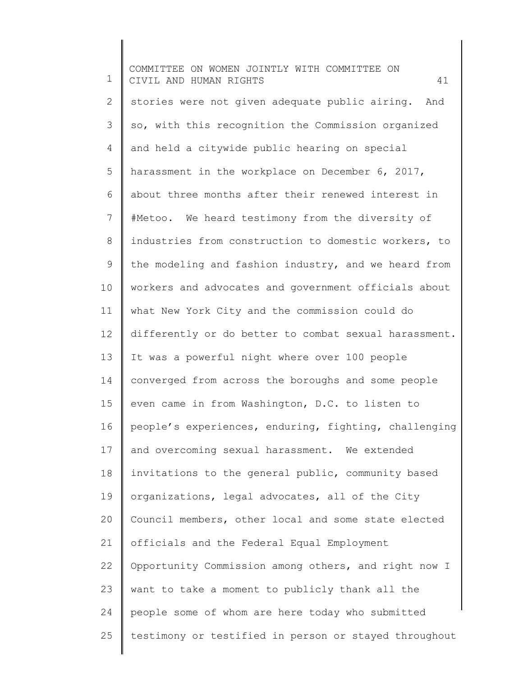1 2 3 4 5 6 7 8 9 10 11 12 13 14 15 16 17 18 19 20 21 22 23 24 25 COMMITTEE ON WOMEN JOINTLY WITH COMMITTEE ON CIVIL AND HUMAN RIGHTS 41 stories were not given adequate public airing. And so, with this recognition the Commission organized and held a citywide public hearing on special harassment in the workplace on December 6, 2017, about three months after their renewed interest in #Metoo. We heard testimony from the diversity of industries from construction to domestic workers, to the modeling and fashion industry, and we heard from workers and advocates and government officials about what New York City and the commission could do differently or do better to combat sexual harassment. It was a powerful night where over 100 people converged from across the boroughs and some people even came in from Washington, D.C. to listen to people's experiences, enduring, fighting, challenging and overcoming sexual harassment. We extended invitations to the general public, community based organizations, legal advocates, all of the City Council members, other local and some state elected officials and the Federal Equal Employment Opportunity Commission among others, and right now I want to take a moment to publicly thank all the people some of whom are here today who submitted testimony or testified in person or stayed throughout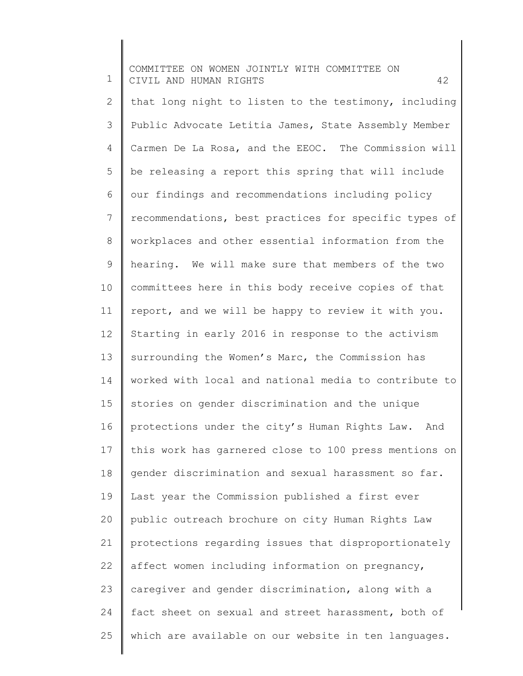1 2 3 4 5 6 7 8 9 10 11 12 13 14 15 16 17 18 19 20 21 22 23 24 25 COMMITTEE ON WOMEN JOINTLY WITH COMMITTEE ON CIVIL AND HUMAN RIGHTS 42 that long night to listen to the testimony, including Public Advocate Letitia James, State Assembly Member Carmen De La Rosa, and the EEOC. The Commission will be releasing a report this spring that will include our findings and recommendations including policy recommendations, best practices for specific types of workplaces and other essential information from the hearing. We will make sure that members of the two committees here in this body receive copies of that report, and we will be happy to review it with you. Starting in early 2016 in response to the activism surrounding the Women's Marc, the Commission has worked with local and national media to contribute to stories on gender discrimination and the unique protections under the city's Human Rights Law. And this work has garnered close to 100 press mentions on gender discrimination and sexual harassment so far. Last year the Commission published a first ever public outreach brochure on city Human Rights Law protections regarding issues that disproportionately affect women including information on pregnancy, caregiver and gender discrimination, along with a fact sheet on sexual and street harassment, both of which are available on our website in ten languages.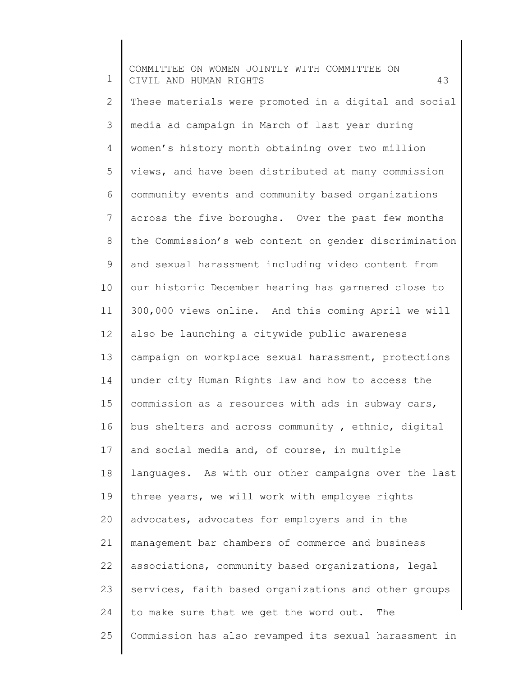1 2 3 4 5 6 7 8 9 10 11 12 13 14 15 16 17 18 19 20 21 22 23 24 25 COMMITTEE ON WOMEN JOINTLY WITH COMMITTEE ON CIVIL AND HUMAN RIGHTS 43 These materials were promoted in a digital and social media ad campaign in March of last year during women's history month obtaining over two million views, and have been distributed at many commission community events and community based organizations across the five boroughs. Over the past few months the Commission's web content on gender discrimination and sexual harassment including video content from our historic December hearing has garnered close to 300,000 views online. And this coming April we will also be launching a citywide public awareness campaign on workplace sexual harassment, protections under city Human Rights law and how to access the commission as a resources with ads in subway cars, bus shelters and across community , ethnic, digital and social media and, of course, in multiple languages. As with our other campaigns over the last three years, we will work with employee rights advocates, advocates for employers and in the management bar chambers of commerce and business associations, community based organizations, legal services, faith based organizations and other groups to make sure that we get the word out. The Commission has also revamped its sexual harassment in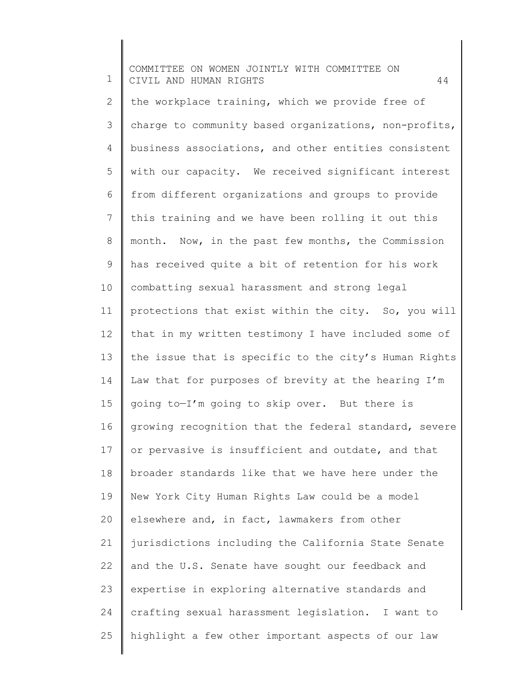1 2 3 4 5 6 7 8 9 10 11 12 13 14 15 16 17 18 19 20 21 22 23 24 25 COMMITTEE ON WOMEN JOINTLY WITH COMMITTEE ON CIVIL AND HUMAN RIGHTS 44 the workplace training, which we provide free of charge to community based organizations, non-profits, business associations, and other entities consistent with our capacity. We received significant interest from different organizations and groups to provide this training and we have been rolling it out this month. Now, in the past few months, the Commission has received quite a bit of retention for his work combatting sexual harassment and strong legal protections that exist within the city. So, you will that in my written testimony I have included some of the issue that is specific to the city's Human Rights Law that for purposes of brevity at the hearing I'm going to—I'm going to skip over. But there is growing recognition that the federal standard, severe or pervasive is insufficient and outdate, and that broader standards like that we have here under the New York City Human Rights Law could be a model elsewhere and, in fact, lawmakers from other jurisdictions including the California State Senate and the U.S. Senate have sought our feedback and expertise in exploring alternative standards and crafting sexual harassment legislation. I want to highlight a few other important aspects of our law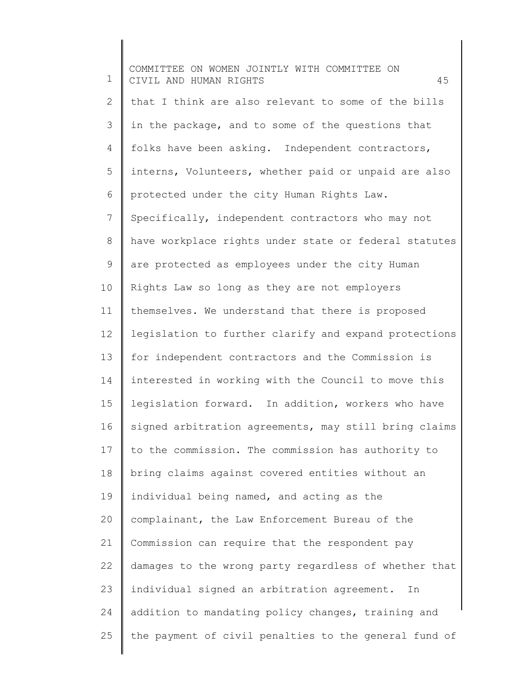1 2 3 4 5 6 7 8 9 10 11 12 13 14 15 16 17 18 19 20 21 22 23 24 25 COMMITTEE ON WOMEN JOINTLY WITH COMMITTEE ON CIVIL AND HUMAN RIGHTS 45 that I think are also relevant to some of the bills in the package, and to some of the questions that folks have been asking. Independent contractors, interns, Volunteers, whether paid or unpaid are also protected under the city Human Rights Law. Specifically, independent contractors who may not have workplace rights under state or federal statutes are protected as employees under the city Human Rights Law so long as they are not employers themselves. We understand that there is proposed legislation to further clarify and expand protections for independent contractors and the Commission is interested in working with the Council to move this legislation forward. In addition, workers who have signed arbitration agreements, may still bring claims to the commission. The commission has authority to bring claims against covered entities without an individual being named, and acting as the complainant, the Law Enforcement Bureau of the Commission can require that the respondent pay damages to the wrong party regardless of whether that individual signed an arbitration agreement. In addition to mandating policy changes, training and the payment of civil penalties to the general fund of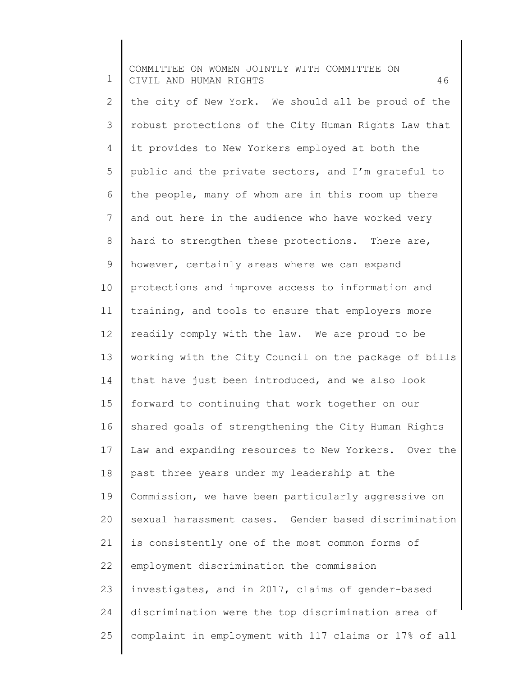1 2 3 4 5 6 7 8 9 10 11 12 13 14 15 16 17 18 19 20 21 22 23 24 25 COMMITTEE ON WOMEN JOINTLY WITH COMMITTEE ON CIVIL AND HUMAN RIGHTS 46 the city of New York. We should all be proud of the robust protections of the City Human Rights Law that it provides to New Yorkers employed at both the public and the private sectors, and I'm grateful to the people, many of whom are in this room up there and out here in the audience who have worked very hard to strengthen these protections. There are, however, certainly areas where we can expand protections and improve access to information and training, and tools to ensure that employers more readily comply with the law. We are proud to be working with the City Council on the package of bills that have just been introduced, and we also look forward to continuing that work together on our shared goals of strengthening the City Human Rights Law and expanding resources to New Yorkers. Over the past three years under my leadership at the Commission, we have been particularly aggressive on sexual harassment cases. Gender based discrimination is consistently one of the most common forms of employment discrimination the commission investigates, and in 2017, claims of gender-based discrimination were the top discrimination area of complaint in employment with 117 claims or 17% of all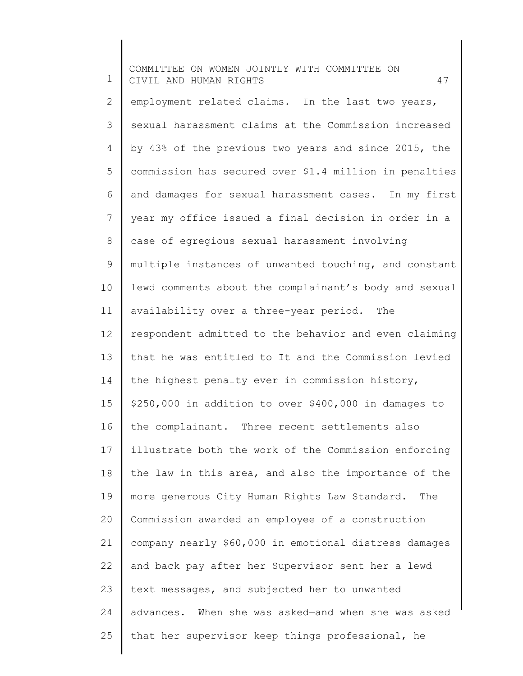1 2 3 4 5 6 7 8 9 10 11 12 13 14 15 16 17 18 19 20 21 22 23 24 25 COMMITTEE ON WOMEN JOINTLY WITH COMMITTEE ON CIVIL AND HUMAN RIGHTS 47 employment related claims. In the last two years, sexual harassment claims at the Commission increased by 43% of the previous two years and since 2015, the commission has secured over \$1.4 million in penalties and damages for sexual harassment cases. In my first year my office issued a final decision in order in a case of egregious sexual harassment involving multiple instances of unwanted touching, and constant lewd comments about the complainant's body and sexual availability over a three-year period. The respondent admitted to the behavior and even claiming that he was entitled to It and the Commission levied the highest penalty ever in commission history, \$250,000 in addition to over \$400,000 in damages to the complainant. Three recent settlements also illustrate both the work of the Commission enforcing the law in this area, and also the importance of the more generous City Human Rights Law Standard. The Commission awarded an employee of a construction company nearly \$60,000 in emotional distress damages and back pay after her Supervisor sent her a lewd text messages, and subjected her to unwanted advances. When she was asked—and when she was asked that her supervisor keep things professional, he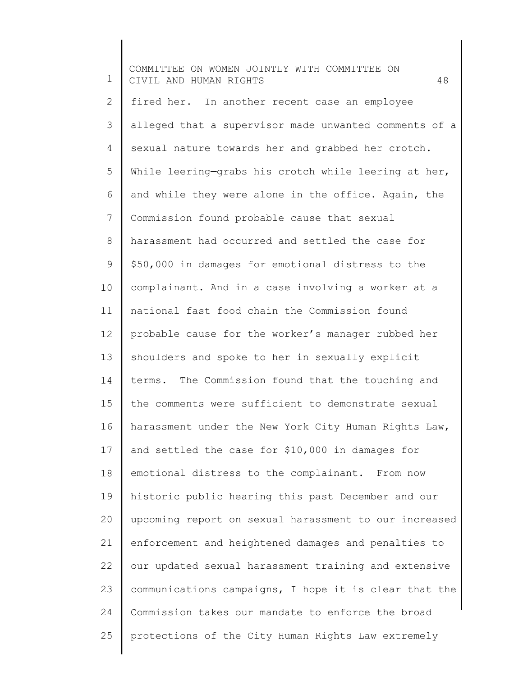1 2 3 4 5 6 7 8 9 10 11 12 13 14 15 16 17 18 19 20 21 22 23 24 25 COMMITTEE ON WOMEN JOINTLY WITH COMMITTEE ON CIVIL AND HUMAN RIGHTS 48 fired her. In another recent case an employee alleged that a supervisor made unwanted comments of a sexual nature towards her and grabbed her crotch. While leering-grabs his crotch while leering at her, and while they were alone in the office. Again, the Commission found probable cause that sexual harassment had occurred and settled the case for \$50,000 in damages for emotional distress to the complainant. And in a case involving a worker at a national fast food chain the Commission found probable cause for the worker's manager rubbed her shoulders and spoke to her in sexually explicit terms. The Commission found that the touching and the comments were sufficient to demonstrate sexual harassment under the New York City Human Rights Law, and settled the case for \$10,000 in damages for emotional distress to the complainant. From now historic public hearing this past December and our upcoming report on sexual harassment to our increased enforcement and heightened damages and penalties to our updated sexual harassment training and extensive communications campaigns, I hope it is clear that the Commission takes our mandate to enforce the broad protections of the City Human Rights Law extremely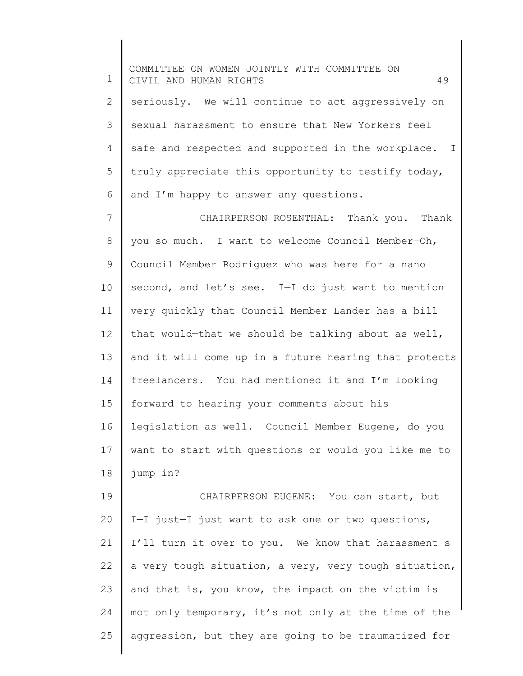1 2 3 4 5 6 7 8 9 10 11 12 13 14 15 16 17 18 19 20 21 22 23 24 25 COMMITTEE ON WOMEN JOINTLY WITH COMMITTEE ON CIVIL AND HUMAN RIGHTS 49 seriously. We will continue to act aggressively on sexual harassment to ensure that New Yorkers feel safe and respected and supported in the workplace. I truly appreciate this opportunity to testify today, and I'm happy to answer any questions. CHAIRPERSON ROSENTHAL: Thank you. Thank you so much. I want to welcome Council Member—Oh, Council Member Rodriguez who was here for a nano second, and let's see. I—I do just want to mention very quickly that Council Member Lander has a bill that would—that we should be talking about as well, and it will come up in a future hearing that protects freelancers. You had mentioned it and I'm looking forward to hearing your comments about his legislation as well. Council Member Eugene, do you want to start with questions or would you like me to jump in? CHAIRPERSON EUGENE: You can start, but I—I just—I just want to ask one or two questions, I'll turn it over to you. We know that harassment s a very tough situation, a very, very tough situation, and that is, you know, the impact on the victim is mot only temporary, it's not only at the time of the aggression, but they are going to be traumatized for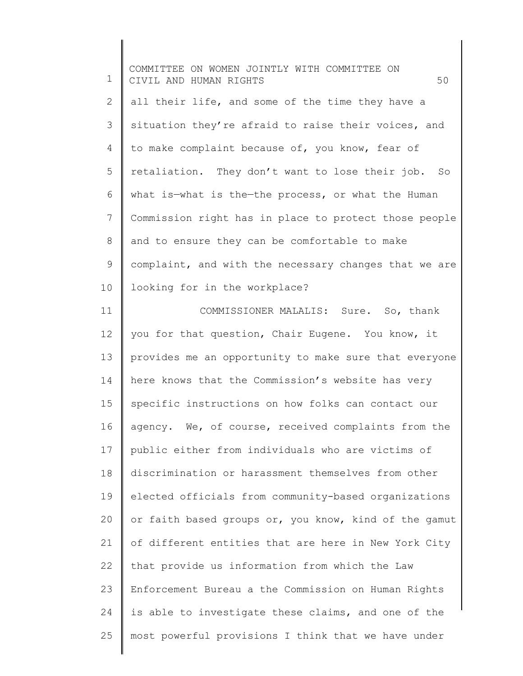1 2 3 4 5 6 7 8 9 10 11 COMMITTEE ON WOMEN JOINTLY WITH COMMITTEE ON CIVIL AND HUMAN RIGHTS 50 all their life, and some of the time they have a situation they're afraid to raise their voices, and to make complaint because of, you know, fear of retaliation. They don't want to lose their job. So what is—what is the—the process, or what the Human Commission right has in place to protect those people and to ensure they can be comfortable to make complaint, and with the necessary changes that we are looking for in the workplace? COMMISSIONER MALALIS: Sure. So, thank

12 13 14 15 16 17 18 19 20 21 22 23 24 25 you for that question, Chair Eugene. You know, it provides me an opportunity to make sure that everyone here knows that the Commission's website has very specific instructions on how folks can contact our agency. We, of course, received complaints from the public either from individuals who are victims of discrimination or harassment themselves from other elected officials from community-based organizations or faith based groups or, you know, kind of the gamut of different entities that are here in New York City that provide us information from which the Law Enforcement Bureau a the Commission on Human Rights is able to investigate these claims, and one of the most powerful provisions I think that we have under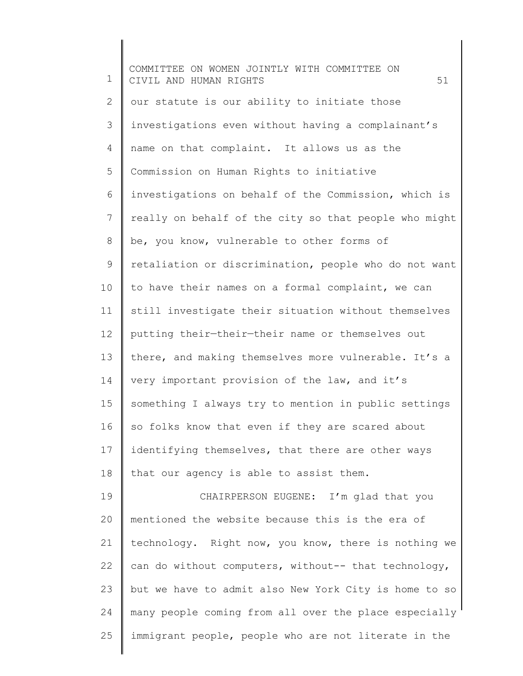1 2 3 4 5 6 7 8 9 10 11 12 13 14 15 16 17 18 19 20 21 22 23 24 25 COMMITTEE ON WOMEN JOINTLY WITH COMMITTEE ON CIVIL AND HUMAN RIGHTS 51 our statute is our ability to initiate those investigations even without having a complainant's name on that complaint. It allows us as the Commission on Human Rights to initiative investigations on behalf of the Commission, which is really on behalf of the city so that people who might be, you know, vulnerable to other forms of retaliation or discrimination, people who do not want to have their names on a formal complaint, we can still investigate their situation without themselves putting their—their—their name or themselves out there, and making themselves more vulnerable. It's a very important provision of the law, and it's something I always try to mention in public settings so folks know that even if they are scared about identifying themselves, that there are other ways that our agency is able to assist them. CHAIRPERSON EUGENE: I'm glad that you mentioned the website because this is the era of technology. Right now, you know, there is nothing we can do without computers, without-- that technology, but we have to admit also New York City is home to so many people coming from all over the place especially immigrant people, people who are not literate in the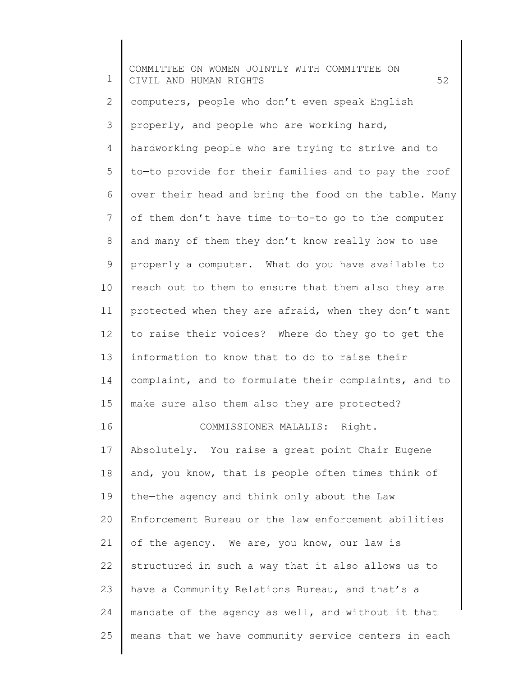1 2 3 4 5 6 7 8 9 10 11 12 13 14 15 16 17 18 19 20 21 22 23 24 25 COMMITTEE ON WOMEN JOINTLY WITH COMMITTEE ON CIVIL AND HUMAN RIGHTS 52 computers, people who don't even speak English properly, and people who are working hard, hardworking people who are trying to strive and to to—to provide for their families and to pay the roof over their head and bring the food on the table. Many of them don't have time to—to-to go to the computer and many of them they don't know really how to use properly a computer. What do you have available to reach out to them to ensure that them also they are protected when they are afraid, when they don't want to raise their voices? Where do they go to get the information to know that to do to raise their complaint, and to formulate their complaints, and to make sure also them also they are protected? COMMISSIONER MALALIS: Right. Absolutely. You raise a great point Chair Eugene and, you know, that is—people often times think of the—the agency and think only about the Law Enforcement Bureau or the law enforcement abilities of the agency. We are, you know, our law is structured in such a way that it also allows us to have a Community Relations Bureau, and that's a mandate of the agency as well, and without it that means that we have community service centers in each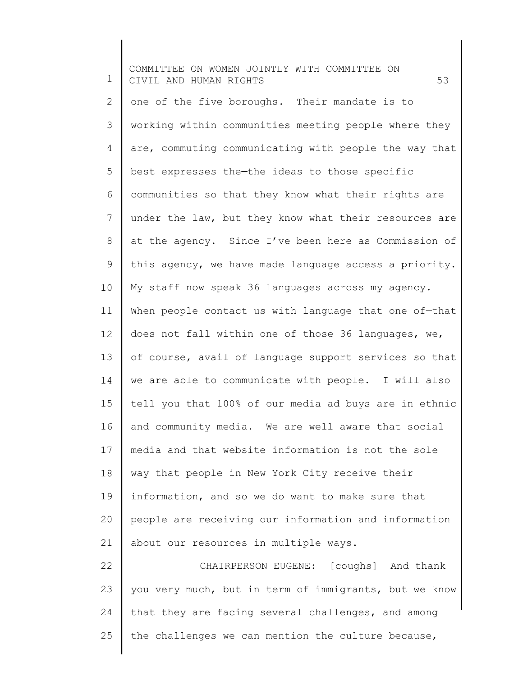1 2 3 4 5 6 7 8 9 10 11 12 13 14 15 16 17 18 19 20 21 22 23 24 25 COMMITTEE ON WOMEN JOINTLY WITH COMMITTEE ON CIVIL AND HUMAN RIGHTS 53 one of the five boroughs. Their mandate is to working within communities meeting people where they are, commuting—communicating with people the way that best expresses the—the ideas to those specific communities so that they know what their rights are under the law, but they know what their resources are at the agency. Since I've been here as Commission of this agency, we have made language access a priority. My staff now speak 36 languages across my agency. When people contact us with language that one of—that does not fall within one of those 36 languages, we, of course, avail of language support services so that we are able to communicate with people. I will also tell you that 100% of our media ad buys are in ethnic and community media. We are well aware that social media and that website information is not the sole way that people in New York City receive their information, and so we do want to make sure that people are receiving our information and information about our resources in multiple ways. CHAIRPERSON EUGENE: [coughs] And thank you very much, but in term of immigrants, but we know that they are facing several challenges, and among the challenges we can mention the culture because,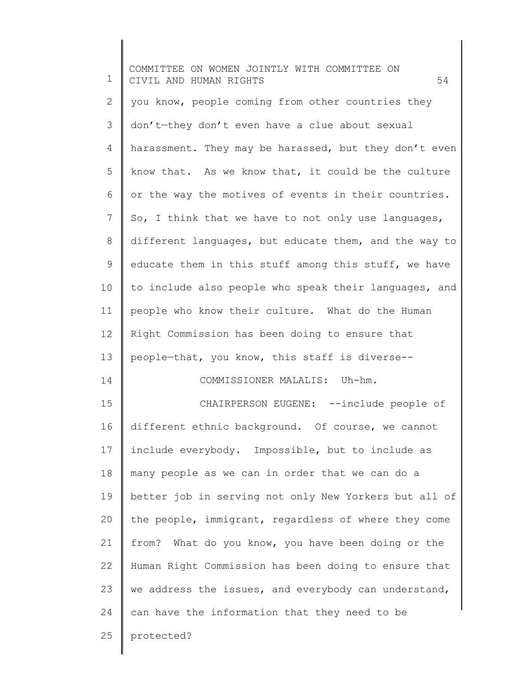| 1  | COMMITTEE ON WOMEN JOINTLY WITH COMMITTEE ON<br>54<br>CIVIL AND HUMAN RIGHTS |
|----|------------------------------------------------------------------------------|
| 2  | you know, people coming from other countries they                            |
| 3  | don't-they don't even have a clue about sexual                               |
| 4  | harassment. They may be harassed, but they don't even                        |
| 5  | know that. As we know that, it could be the culture                          |
| 6  | or the way the motives of events in their countries.                         |
| 7  | So, I think that we have to not only use languages,                          |
| 8  | different languages, but educate them, and the way to                        |
| 9  | educate them in this stuff among this stuff, we have                         |
| 10 | to include also people who speak their languages, and                        |
| 11 | people who know their culture. What do the Human                             |
| 12 | Right Commission has been doing to ensure that                               |
| 13 | people-that, you know, this staff is diverse--                               |
| 14 | COMMISSIONER MALALIS: Uh-hm.                                                 |
| 15 | CHAIRPERSON EUGENE: --include people of                                      |
| 16 | different ethnic background. Of course, we cannot                            |
| 17 | include everybody. Impossible, but to include as                             |
| 18 | many people as we can in order that we can do a                              |
| 19 | better job in serving not only New Yorkers but all of                        |
| 20 | the people, immigrant, regardless of where they come                         |
| 21 | from? What do you know, you have been doing or the                           |
| 22 | Human Right Commission has been doing to ensure that                         |
| 23 | we address the issues, and everybody can understand,                         |
| 24 | can have the information that they need to be                                |
| 25 | protected?                                                                   |
|    |                                                                              |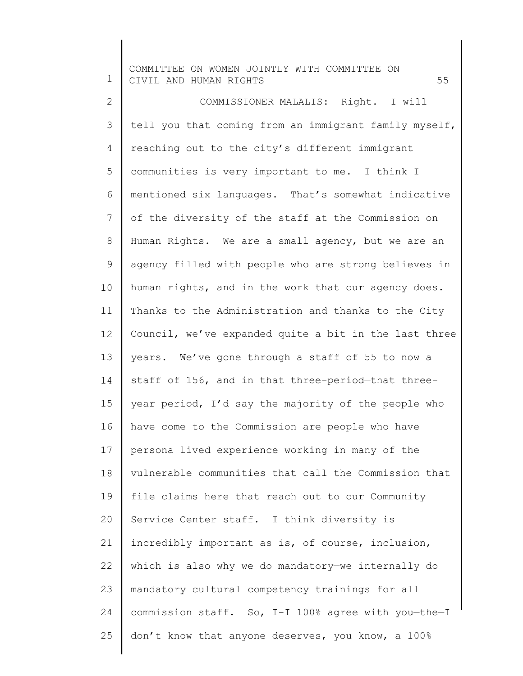1 2 3 4 5 6 7 8 9 10 11 12 13 14 15 16 17 18 19 20 21 22 23 24 25 COMMITTEE ON WOMEN JOINTLY WITH COMMITTEE ON CIVIL AND HUMAN RIGHTS 35 COMMISSIONER MALALIS: Right. I will tell you that coming from an immigrant family myself, reaching out to the city's different immigrant communities is very important to me. I think I mentioned six languages. That's somewhat indicative of the diversity of the staff at the Commission on Human Rights. We are a small agency, but we are an agency filled with people who are strong believes in human rights, and in the work that our agency does. Thanks to the Administration and thanks to the City Council, we've expanded quite a bit in the last three years. We've gone through a staff of 55 to now a staff of 156, and in that three-period—that threeyear period, I'd say the majority of the people who have come to the Commission are people who have persona lived experience working in many of the vulnerable communities that call the Commission that file claims here that reach out to our Community Service Center staff. I think diversity is incredibly important as is, of course, inclusion, which is also why we do mandatory—we internally do mandatory cultural competency trainings for all commission staff. So, I-I 100% agree with you—the—I don't know that anyone deserves, you know, a 100%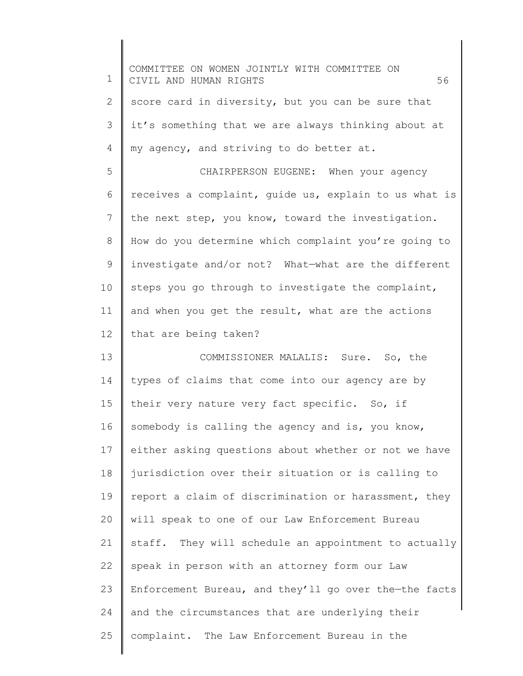1 2 3 4 5 6 7 8 9 10 11 12 13 14 15 16 17 18 19 20 21 22 23 24 25 COMMITTEE ON WOMEN JOINTLY WITH COMMITTEE ON CIVIL AND HUMAN RIGHTS 36 score card in diversity, but you can be sure that it's something that we are always thinking about at my agency, and striving to do better at. CHAIRPERSON EUGENE: When your agency receives a complaint, guide us, explain to us what is the next step, you know, toward the investigation. How do you determine which complaint you're going to investigate and/or not? What—what are the different steps you go through to investigate the complaint, and when you get the result, what are the actions that are being taken? COMMISSIONER MALALIS: Sure. So, the types of claims that come into our agency are by their very nature very fact specific. So, if somebody is calling the agency and is, you know, either asking questions about whether or not we have jurisdiction over their situation or is calling to report a claim of discrimination or harassment, they will speak to one of our Law Enforcement Bureau staff. They will schedule an appointment to actually speak in person with an attorney form our Law Enforcement Bureau, and they'll go over the—the facts and the circumstances that are underlying their complaint. The Law Enforcement Bureau in the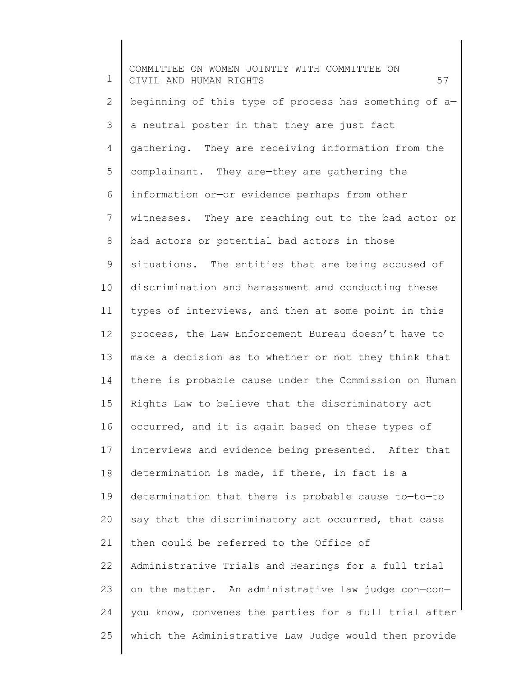1 2 3 4 5 6 7 8 9 10 11 12 13 14 15 16 17 18 19 20 21 22 23 24 25 COMMITTEE ON WOMEN JOINTLY WITH COMMITTEE ON CIVIL AND HUMAN RIGHTS 57 beginning of this type of process has something of a a neutral poster in that they are just fact gathering. They are receiving information from the complainant. They are—they are gathering the information or—or evidence perhaps from other witnesses. They are reaching out to the bad actor or bad actors or potential bad actors in those situations. The entities that are being accused of discrimination and harassment and conducting these types of interviews, and then at some point in this process, the Law Enforcement Bureau doesn't have to make a decision as to whether or not they think that there is probable cause under the Commission on Human Rights Law to believe that the discriminatory act occurred, and it is again based on these types of interviews and evidence being presented. After that determination is made, if there, in fact is a determination that there is probable cause to—to—to say that the discriminatory act occurred, that case then could be referred to the Office of Administrative Trials and Hearings for a full trial on the matter. An administrative law judge con—con you know, convenes the parties for a full trial after which the Administrative Law Judge would then provide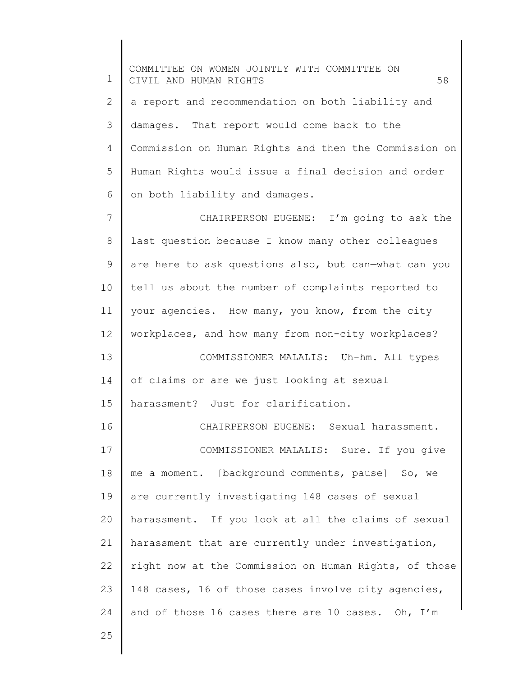1 2 3 4 5 6 7 8 9 10 11 12 13 14 15 16 17 18 19 20 21 22 23 24 COMMITTEE ON WOMEN JOINTLY WITH COMMITTEE ON CIVIL AND HUMAN RIGHTS 58 a report and recommendation on both liability and damages. That report would come back to the Commission on Human Rights and then the Commission on Human Rights would issue a final decision and order on both liability and damages. CHAIRPERSON EUGENE: I'm going to ask the last question because I know many other colleagues are here to ask questions also, but can—what can you tell us about the number of complaints reported to your agencies. How many, you know, from the city workplaces, and how many from non-city workplaces? COMMISSIONER MALALIS: Uh-hm. All types of claims or are we just looking at sexual harassment? Just for clarification. CHAIRPERSON EUGENE: Sexual harassment. COMMISSIONER MALALIS: Sure. If you give me a moment. [background comments, pause] So, we are currently investigating 148 cases of sexual harassment. If you look at all the claims of sexual harassment that are currently under investigation, right now at the Commission on Human Rights, of those 148 cases, 16 of those cases involve city agencies, and of those 16 cases there are 10 cases. Oh, I'm

25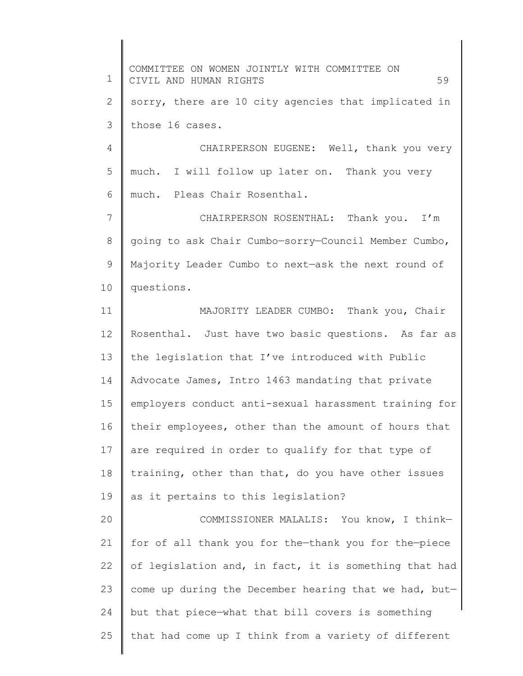1 2 3 4 5 6 7 8 9 10 11 12 13 14 15 16 17 18 19 20 21 22 23 24 25 COMMITTEE ON WOMEN JOINTLY WITH COMMITTEE ON CIVIL AND HUMAN RIGHTS 59 sorry, there are 10 city agencies that implicated in those 16 cases. CHAIRPERSON EUGENE: Well, thank you very much. I will follow up later on. Thank you very much. Pleas Chair Rosenthal. CHAIRPERSON ROSENTHAL: Thank you. I'm going to ask Chair Cumbo—sorry—Council Member Cumbo, Majority Leader Cumbo to next—ask the next round of questions. MAJORITY LEADER CUMBO: Thank you, Chair Rosenthal. Just have two basic questions. As far as the legislation that I've introduced with Public Advocate James, Intro 1463 mandating that private employers conduct anti-sexual harassment training for their employees, other than the amount of hours that are required in order to qualify for that type of training, other than that, do you have other issues as it pertains to this legislation? COMMISSIONER MALALIS: You know, I think for of all thank you for the—thank you for the—piece of legislation and, in fact, it is something that had come up during the December hearing that we had, but but that piece—what that bill covers is something that had come up I think from a variety of different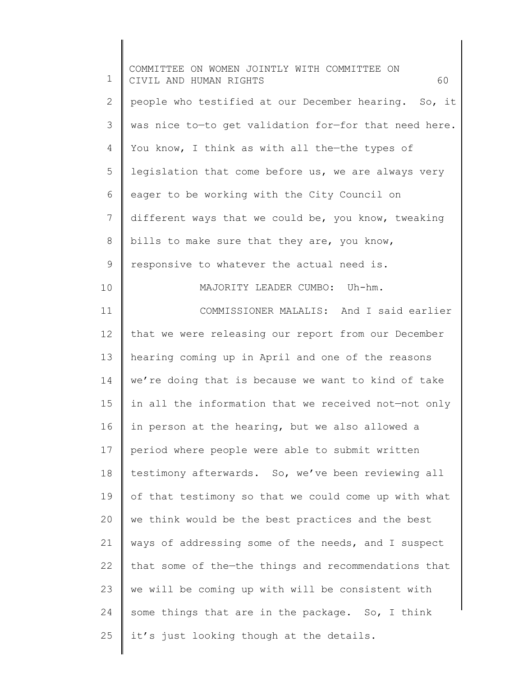1 2 3 4 5 6 7 8 9 10 11 12 13 14 15 16 17 18 19 20 21 22 23 24 25 COMMITTEE ON WOMEN JOINTLY WITH COMMITTEE ON CIVIL AND HUMAN RIGHTS 60 people who testified at our December hearing. So, it was nice to—to get validation for—for that need here. You know, I think as with all the-the types of legislation that come before us, we are always very eager to be working with the City Council on different ways that we could be, you know, tweaking bills to make sure that they are, you know, responsive to whatever the actual need is. MAJORITY LEADER CUMBO: Uh-hm. COMMISSIONER MALALIS: And I said earlier that we were releasing our report from our December hearing coming up in April and one of the reasons we're doing that is because we want to kind of take in all the information that we received not—not only in person at the hearing, but we also allowed a period where people were able to submit written testimony afterwards. So, we've been reviewing all of that testimony so that we could come up with what we think would be the best practices and the best ways of addressing some of the needs, and I suspect that some of the—the things and recommendations that we will be coming up with will be consistent with some things that are in the package. So, I think it's just looking though at the details.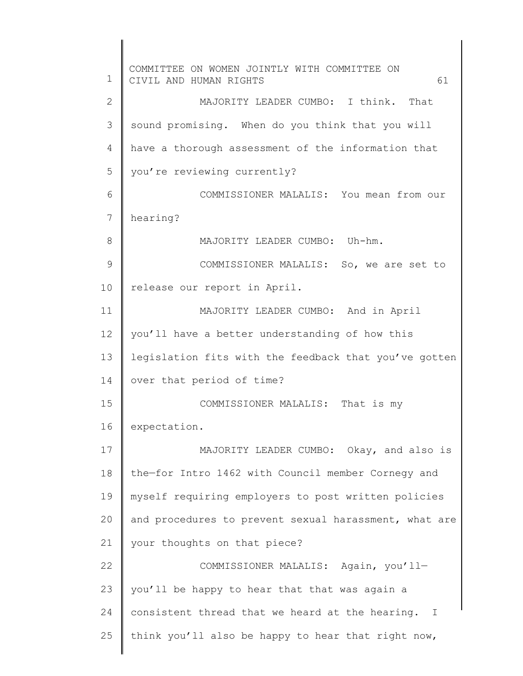1 2 3 4 5 6 7 8 9 10 11 12 13 14 15 16 17 18 19 20 21 22 23 24 25 COMMITTEE ON WOMEN JOINTLY WITH COMMITTEE ON CIVIL AND HUMAN RIGHTS 61 MAJORITY LEADER CUMBO: I think. That sound promising. When do you think that you will have a thorough assessment of the information that you're reviewing currently? COMMISSIONER MALALIS: You mean from our hearing? MAJORITY LEADER CUMBO: Uh-hm. COMMISSIONER MALALIS: So, we are set to release our report in April. MAJORITY LEADER CUMBO: And in April you'll have a better understanding of how this legislation fits with the feedback that you've gotten over that period of time? COMMISSIONER MALALIS: That is my expectation. MAJORITY LEADER CUMBO: Okay, and also is the—for Intro 1462 with Council member Cornegy and myself requiring employers to post written policies and procedures to prevent sexual harassment, what are your thoughts on that piece? COMMISSIONER MALALIS: Again, you'll you'll be happy to hear that that was again a consistent thread that we heard at the hearing. I think you'll also be happy to hear that right now,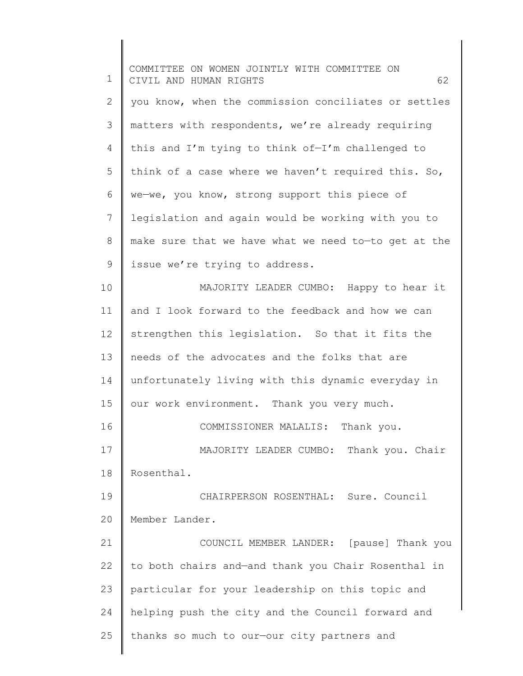1 2 3 4 5 6 7 8 9 10 11 12 13 14 15 16 17 18 19 20 21 22 23 24 25 COMMITTEE ON WOMEN JOINTLY WITH COMMITTEE ON CIVIL AND HUMAN RIGHTS 62 you know, when the commission conciliates or settles matters with respondents, we're already requiring this and I'm tying to think of—I'm challenged to think of a case where we haven't required this. So, we—we, you know, strong support this piece of legislation and again would be working with you to make sure that we have what we need to—to get at the issue we're trying to address. MAJORITY LEADER CUMBO: Happy to hear it and I look forward to the feedback and how we can strengthen this legislation. So that it fits the needs of the advocates and the folks that are unfortunately living with this dynamic everyday in our work environment. Thank you very much. COMMISSIONER MALALIS: Thank you. MAJORITY LEADER CUMBO: Thank you. Chair Rosenthal. CHAIRPERSON ROSENTHAL: Sure. Council Member Lander. COUNCIL MEMBER LANDER: [pause] Thank you to both chairs and—and thank you Chair Rosenthal in particular for your leadership on this topic and helping push the city and the Council forward and thanks so much to our—our city partners and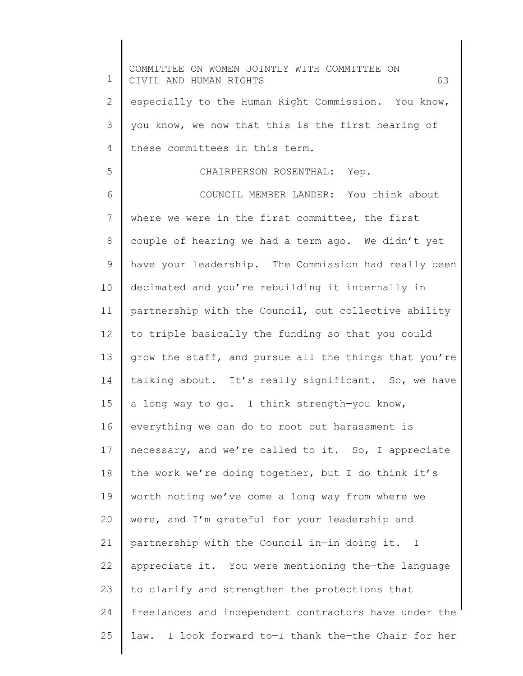1 2 3 4 5 6 7 8 9 10 11 12 13 14 15 16 17 18 19 20 21 22 23 24 25 COMMITTEE ON WOMEN JOINTLY WITH COMMITTEE ON CIVIL AND HUMAN RIGHTS 63 especially to the Human Right Commission. You know, you know, we now—that this is the first hearing of these committees in this term. CHAIRPERSON ROSENTHAL: Yep. COUNCIL MEMBER LANDER: You think about where we were in the first committee, the first couple of hearing we had a term ago. We didn't yet have your leadership. The Commission had really been decimated and you're rebuilding it internally in partnership with the Council, out collective ability to triple basically the funding so that you could grow the staff, and pursue all the things that you're talking about. It's really significant. So, we have a long way to go. I think strength—you know, everything we can do to root out harassment is necessary, and we're called to it. So, I appreciate the work we're doing together, but I do think it's worth noting we've come a long way from where we were, and I'm grateful for your leadership and partnership with the Council in—in doing it. I appreciate it. You were mentioning the—the language to clarify and strengthen the protections that freelances and independent contractors have under the law. I look forward to—I thank the—the Chair for her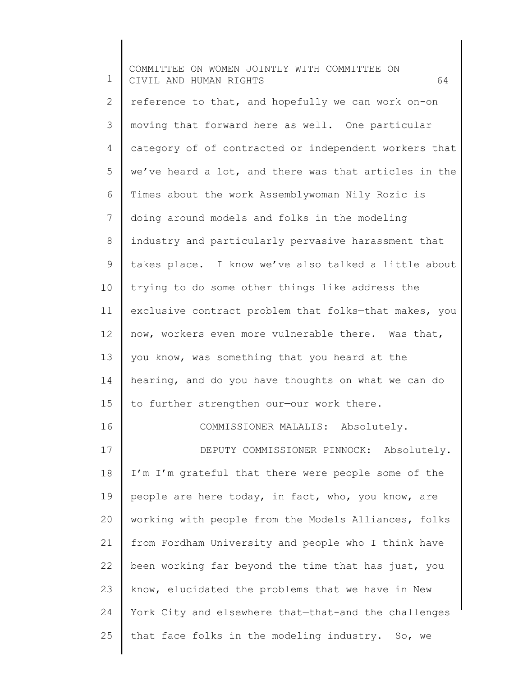1 2 3 4 5 6 7 8 9 10 11 12 13 14 15 16 17 18 19 20 21 22 23 24 25 COMMITTEE ON WOMEN JOINTLY WITH COMMITTEE ON CIVIL AND HUMAN RIGHTS 64 reference to that, and hopefully we can work on-on moving that forward here as well. One particular category of—of contracted or independent workers that we've heard a lot, and there was that articles in the Times about the work Assemblywoman Nily Rozic is doing around models and folks in the modeling industry and particularly pervasive harassment that takes place. I know we've also talked a little about trying to do some other things like address the exclusive contract problem that folks—that makes, you now, workers even more vulnerable there. Was that, you know, was something that you heard at the hearing, and do you have thoughts on what we can do to further strengthen our—our work there. COMMISSIONER MALALIS: Absolutely. DEPUTY COMMISSIONER PINNOCK: Absolutely. I'm—I'm grateful that there were people—some of the people are here today, in fact, who, you know, are working with people from the Models Alliances, folks from Fordham University and people who I think have been working far beyond the time that has just, you know, elucidated the problems that we have in New York City and elsewhere that-that-and the challenges that face folks in the modeling industry. So, we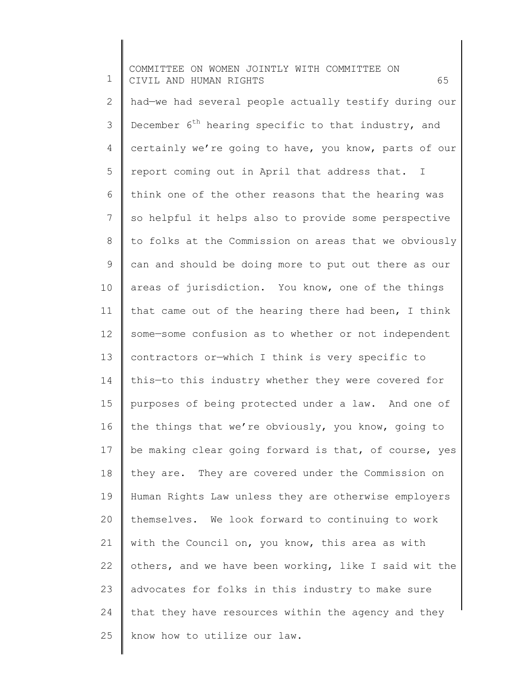1 2 3 4 5 6 7 8 9 10 11 12 13 14 15 16 17 18 19 20 21 22 23 24 25 COMMITTEE ON WOMEN JOINTLY WITH COMMITTEE ON CIVIL AND HUMAN RIGHTS 65 had—we had several people actually testify during our December 6<sup>th</sup> hearing specific to that industry, and certainly we're going to have, you know, parts of our report coming out in April that address that. I think one of the other reasons that the hearing was so helpful it helps also to provide some perspective to folks at the Commission on areas that we obviously can and should be doing more to put out there as our areas of jurisdiction. You know, one of the things that came out of the hearing there had been, I think some—some confusion as to whether or not independent contractors or—which I think is very specific to this—to this industry whether they were covered for purposes of being protected under a law. And one of the things that we're obviously, you know, going to be making clear going forward is that, of course, yes they are. They are covered under the Commission on Human Rights Law unless they are otherwise employers themselves. We look forward to continuing to work with the Council on, you know, this area as with others, and we have been working, like I said wit the advocates for folks in this industry to make sure that they have resources within the agency and they know how to utilize our law.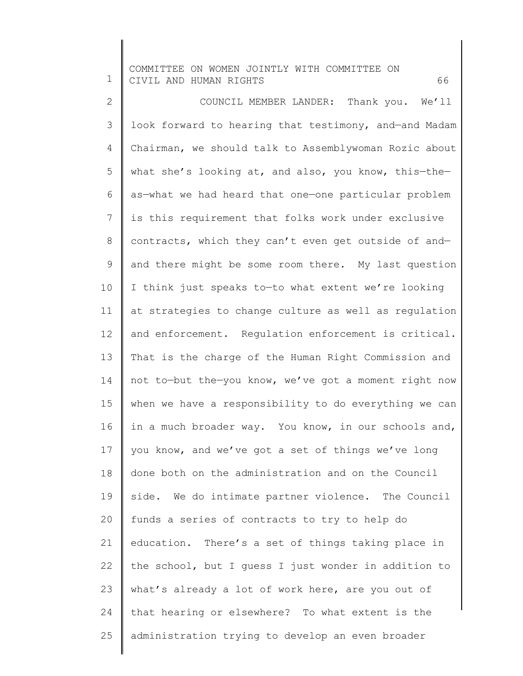1 COMMITTEE ON WOMEN JOINTLY WITH COMMITTEE ON CIVIL AND HUMAN RIGHTS 66

2 3 4 5 6 7 8 9 10 11 12 13 14 15 16 17 18 19 20 21 22 23 24 25 COUNCIL MEMBER LANDER: Thank you. We'll look forward to hearing that testimony, and—and Madam Chairman, we should talk to Assemblywoman Rozic about what she's looking at, and also, you know, this—the as—what we had heard that one—one particular problem is this requirement that folks work under exclusive contracts, which they can't even get outside of and and there might be some room there. My last question I think just speaks to—to what extent we're looking at strategies to change culture as well as regulation and enforcement. Regulation enforcement is critical. That is the charge of the Human Right Commission and not to—but the—you know, we've got a moment right now when we have a responsibility to do everything we can in a much broader way. You know, in our schools and, you know, and we've got a set of things we've long done both on the administration and on the Council side. We do intimate partner violence. The Council funds a series of contracts to try to help do education. There's a set of things taking place in the school, but I guess I just wonder in addition to what's already a lot of work here, are you out of that hearing or elsewhere? To what extent is the administration trying to develop an even broader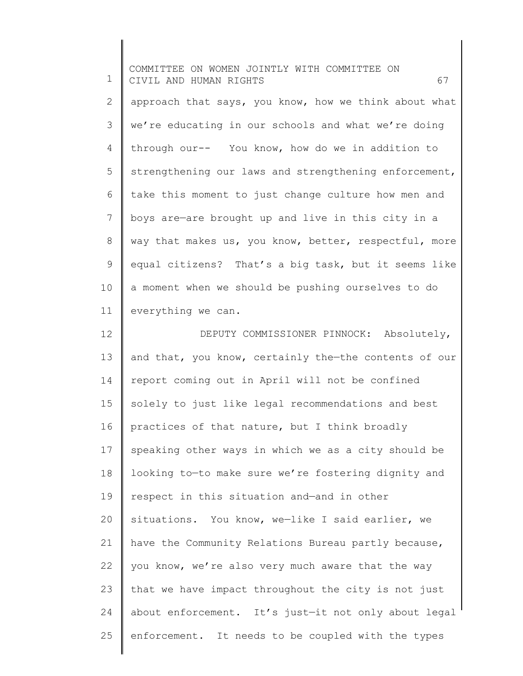1 2 3 4 5 6 7 8 9 10 11 COMMITTEE ON WOMEN JOINTLY WITH COMMITTEE ON CIVIL AND HUMAN RIGHTS 67 approach that says, you know, how we think about what we're educating in our schools and what we're doing through our-- You know, how do we in addition to strengthening our laws and strengthening enforcement, take this moment to just change culture how men and boys are—are brought up and live in this city in a way that makes us, you know, better, respectful, more equal citizens? That's a big task, but it seems like a moment when we should be pushing ourselves to do everything we can.

12 13 14 15 16 17 18 19 20 21 22 23 24 25 DEPUTY COMMISSIONER PINNOCK: Absolutely, and that, you know, certainly the—the contents of our report coming out in April will not be confined solely to just like legal recommendations and best practices of that nature, but I think broadly speaking other ways in which we as a city should be looking to—to make sure we're fostering dignity and respect in this situation and—and in other situations. You know, we—like I said earlier, we have the Community Relations Bureau partly because, you know, we're also very much aware that the way that we have impact throughout the city is not just about enforcement. It's just—it not only about legal enforcement. It needs to be coupled with the types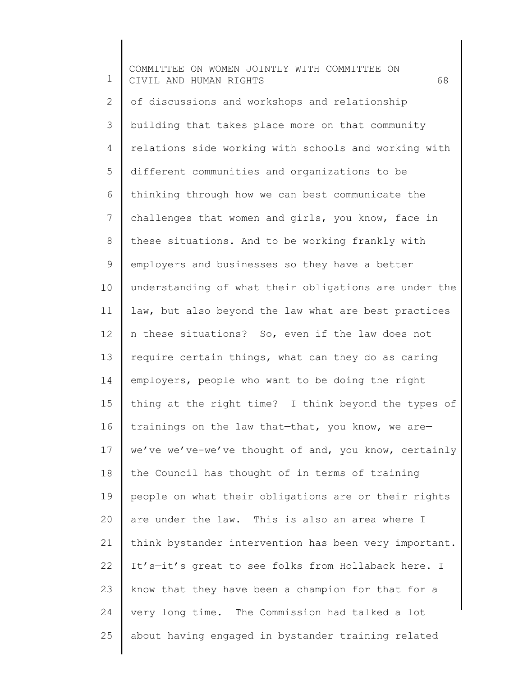1 2 3 4 5 6 7 8 9 10 11 12 13 14 15 16 17 18 19 20 21 22 23 24 25 COMMITTEE ON WOMEN JOINTLY WITH COMMITTEE ON CIVIL AND HUMAN RIGHTS 68 of discussions and workshops and relationship building that takes place more on that community relations side working with schools and working with different communities and organizations to be thinking through how we can best communicate the challenges that women and girls, you know, face in these situations. And to be working frankly with employers and businesses so they have a better understanding of what their obligations are under the law, but also beyond the law what are best practices n these situations? So, even if the law does not require certain things, what can they do as caring employers, people who want to be doing the right thing at the right time? I think beyond the types of trainings on the law that—that, you know, we are we've—we've-we've thought of and, you know, certainly the Council has thought of in terms of training people on what their obligations are or their rights are under the law. This is also an area where I think bystander intervention has been very important. It's—it's great to see folks from Hollaback here. I know that they have been a champion for that for a very long time. The Commission had talked a lot about having engaged in bystander training related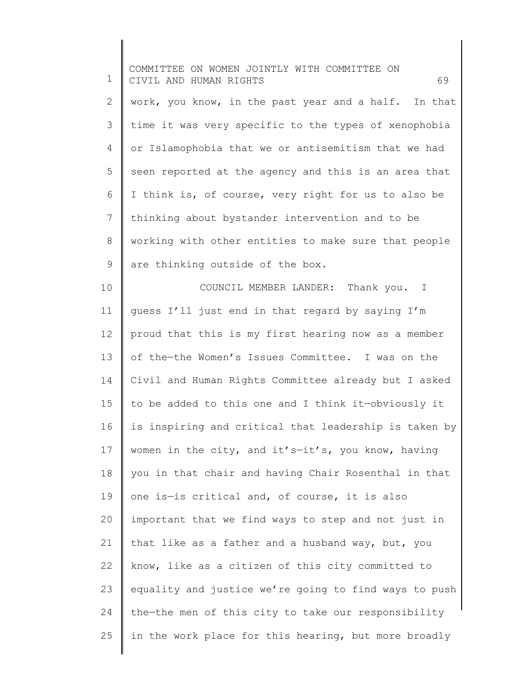| $\mathbf 1$     | COMMITTEE ON WOMEN JOINTLY WITH COMMITTEE ON<br>69<br>CIVIL AND HUMAN RIGHTS |
|-----------------|------------------------------------------------------------------------------|
| $\mathbf{2}$    | work, you know, in the past year and a half. In that                         |
| 3               | time it was very specific to the types of xenophobia                         |
| 4               | or Islamophobia that we or antisemitism that we had                          |
| 5               | seen reported at the agency and this is an area that                         |
| 6               | I think is, of course, very right for us to also be                          |
| 7               | thinking about bystander intervention and to be                              |
| 8               | working with other entities to make sure that people                         |
| 9               | are thinking outside of the box.                                             |
| 10              | COUNCIL MEMBER LANDER: Thank you. I                                          |
| 11              | guess I'll just end in that regard by saying I'm                             |
| 12 <sup>°</sup> | proud that this is my first hearing now as a member                          |
| 13              | of the-the Women's Issues Committee. I was on the                            |
| 14              | Civil and Human Rights Committee already but I asked                         |
| 15              | to be added to this one and I think it-obviously it                          |
| 16              | is inspiring and critical that leadership is taken by                        |
| 17              | women in the city, and it's-it's, you know, having                           |
| 18              | you in that chair and having Chair Rosenthal in that                         |
| 19              | one is-is critical and, of course, it is also                                |
| 20              | important that we find ways to step and not just in                          |
| 21              | that like as a father and a husband way, but, you                            |
| 22              | know, like as a citizen of this city committed to                            |
| 23              | equality and justice we're going to find ways to push                        |
| 24              | the-the men of this city to take our responsibility                          |
| 25              | in the work place for this hearing, but more broadly                         |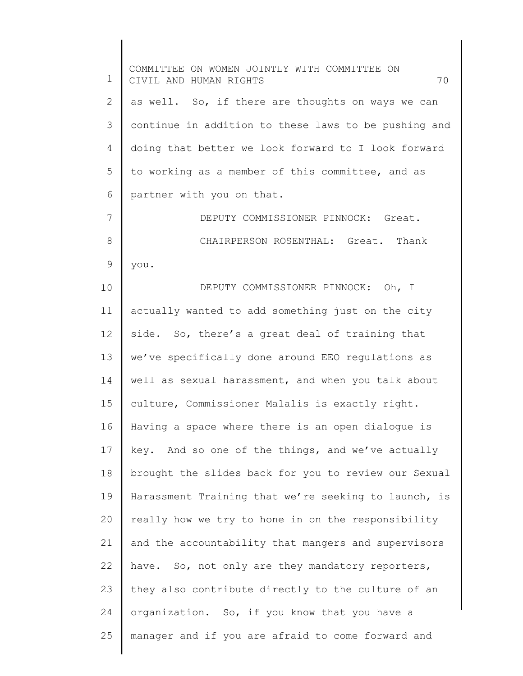1 2 3 4 5 6 7 8 9 10 11 12 13 14 15 16 17 18 19 20 21 22 23 24 25 COMMITTEE ON WOMEN JOINTLY WITH COMMITTEE ON CIVIL AND HUMAN RIGHTS 70 as well. So, if there are thoughts on ways we can continue in addition to these laws to be pushing and doing that better we look forward to—I look forward to working as a member of this committee, and as partner with you on that. DEPUTY COMMISSIONER PINNOCK: Great. CHAIRPERSON ROSENTHAL: Great. Thank you. DEPUTY COMMISSIONER PINNOCK: Oh, I actually wanted to add something just on the city side. So, there's a great deal of training that we've specifically done around EEO regulations as well as sexual harassment, and when you talk about culture, Commissioner Malalis is exactly right. Having a space where there is an open dialogue is key. And so one of the things, and we've actually brought the slides back for you to review our Sexual Harassment Training that we're seeking to launch, is really how we try to hone in on the responsibility and the accountability that mangers and supervisors have. So, not only are they mandatory reporters, they also contribute directly to the culture of an organization. So, if you know that you have a manager and if you are afraid to come forward and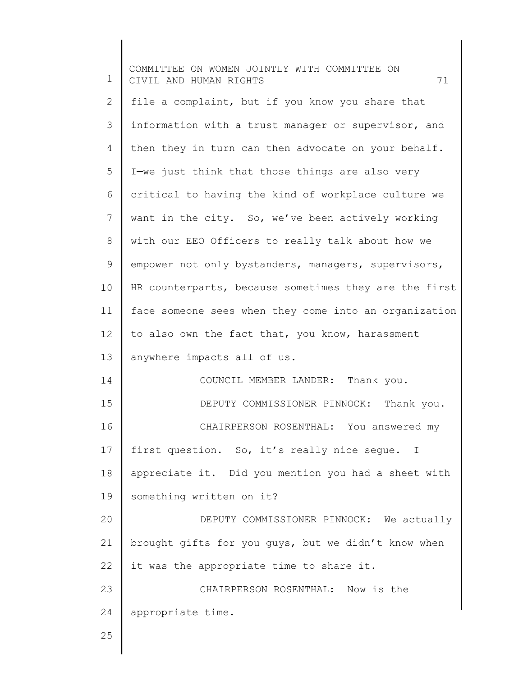1 2 3 4 5 6 7 8 9 10 11 12 13 14 15 16 17 18 19 20 21 22 23 24 25 COMMITTEE ON WOMEN JOINTLY WITH COMMITTEE ON CIVIL AND HUMAN RIGHTS 71 file a complaint, but if you know you share that information with a trust manager or supervisor, and then they in turn can then advocate on your behalf. I—we just think that those things are also very critical to having the kind of workplace culture we want in the city. So, we've been actively working with our EEO Officers to really talk about how we empower not only bystanders, managers, supervisors, HR counterparts, because sometimes they are the first face someone sees when they come into an organization to also own the fact that, you know, harassment anywhere impacts all of us. COUNCIL MEMBER LANDER: Thank you. DEPUTY COMMISSIONER PINNOCK: Thank you. CHAIRPERSON ROSENTHAL: You answered my first question. So, it's really nice segue. I appreciate it. Did you mention you had a sheet with something written on it? DEPUTY COMMISSIONER PINNOCK: We actually brought gifts for you guys, but we didn't know when it was the appropriate time to share it. CHAIRPERSON ROSENTHAL: Now is the appropriate time.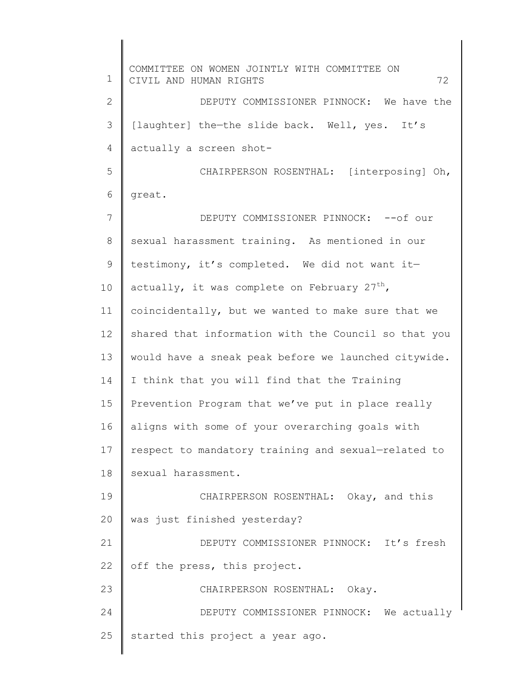1 2 3 4 5 6 7 8 9 10 11 12 13 14 15 16 17 18 19 20 21 22 23 24 25 COMMITTEE ON WOMEN JOINTLY WITH COMMITTEE ON CIVIL AND HUMAN RIGHTS 72 DEPUTY COMMISSIONER PINNOCK: We have the [laughter] the—the slide back. Well, yes. It's actually a screen shot-CHAIRPERSON ROSENTHAL: [interposing] Oh, great. DEPUTY COMMISSIONER PINNOCK: --of our sexual harassment training. As mentioned in our testimony, it's completed. We did not want it actually, it was complete on February 27<sup>th</sup>, coincidentally, but we wanted to make sure that we shared that information with the Council so that you would have a sneak peak before we launched citywide. I think that you will find that the Training Prevention Program that we've put in place really aligns with some of your overarching goals with respect to mandatory training and sexual—related to sexual harassment. CHAIRPERSON ROSENTHAL: Okay, and this was just finished yesterday? DEPUTY COMMISSIONER PINNOCK: It's fresh off the press, this project. CHAIRPERSON ROSENTHAL: Okay. DEPUTY COMMISSIONER PINNOCK: We actually started this project a year ago.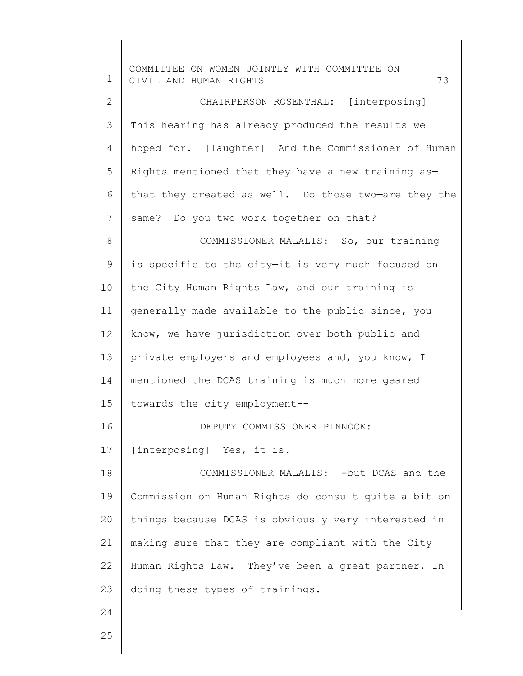1 2 3 4 5 6 7 8 9 10 11 12 13 14 15 16 17 18 19 20 21 22 23 24 COMMITTEE ON WOMEN JOINTLY WITH COMMITTEE ON CIVIL AND HUMAN RIGHTS 73 CHAIRPERSON ROSENTHAL: [interposing] This hearing has already produced the results we hoped for. [laughter] And the Commissioner of Human Rights mentioned that they have a new training as that they created as well. Do those two—are they the same? Do you two work together on that? COMMISSIONER MALALIS: So, our training is specific to the city—it is very much focused on the City Human Rights Law, and our training is generally made available to the public since, you know, we have jurisdiction over both public and private employers and employees and, you know, I mentioned the DCAS training is much more geared towards the city employment-- DEPUTY COMMISSIONER PINNOCK: [interposing] Yes, it is. COMMISSIONER MALALIS: -but DCAS and the Commission on Human Rights do consult quite a bit on things because DCAS is obviously very interested in making sure that they are compliant with the City Human Rights Law. They've been a great partner. In doing these types of trainings.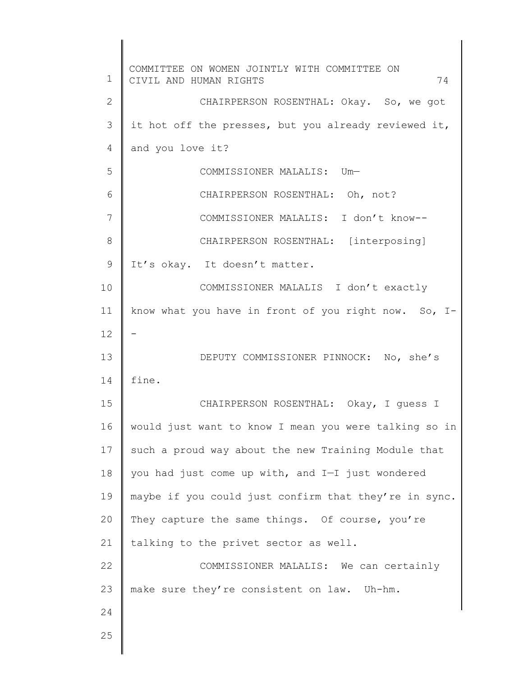| $\mathbf 1$    | COMMITTEE ON WOMEN JOINTLY WITH COMMITTEE ON<br>74<br>CIVIL AND HUMAN RIGHTS |
|----------------|------------------------------------------------------------------------------|
| $\overline{2}$ | CHAIRPERSON ROSENTHAL: Okay. So, we got                                      |
| 3              | it hot off the presses, but you already reviewed it,                         |
| 4              | and you love it?                                                             |
| 5              | COMMISSIONER MALALIS: Um-                                                    |
| 6              | CHAIRPERSON ROSENTHAL: Oh, not?                                              |
| 7              | COMMISSIONER MALALIS: I don't know--                                         |
| 8              | CHAIRPERSON ROSENTHAL: [interposing]                                         |
| 9              | It's okay. It doesn't matter.                                                |
| 10             | COMMISSIONER MALALIS I don't exactly                                         |
| 11             | know what you have in front of you right now. So, I-                         |
| 12             |                                                                              |
| 13             | DEPUTY COMMISSIONER PINNOCK: No, she's                                       |
| 14             | fine.                                                                        |
| 15             | CHAIRPERSON ROSENTHAL: Okay, I guess I                                       |
| 16             | would just want to know I mean you were talking so in                        |
| 17             | such a proud way about the new Training Module that                          |
| 18             | you had just come up with, and I-I just wondered                             |
| 19             | maybe if you could just confirm that they're in sync.                        |
| 20             | They capture the same things. Of course, you're                              |
| 21             | talking to the privet sector as well.                                        |
| 22             | COMMISSIONER MALALIS: We can certainly                                       |
| 23             | make sure they're consistent on law. Uh-hm.                                  |
| 24             |                                                                              |
| 25             |                                                                              |
|                |                                                                              |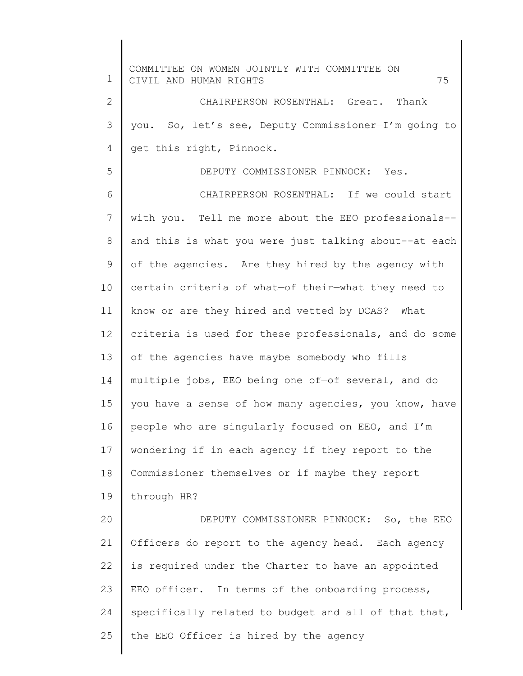1 2 3 4 5 6 7 8 9 10 11 12 13 14 15 16 17 18 19 20 21 22 23 24 25 COMMITTEE ON WOMEN JOINTLY WITH COMMITTEE ON CIVIL AND HUMAN RIGHTS 75 CHAIRPERSON ROSENTHAL: Great. Thank you. So, let's see, Deputy Commissioner—I'm going to get this right, Pinnock. DEPUTY COMMISSIONER PINNOCK: Yes. CHAIRPERSON ROSENTHAL: If we could start with you. Tell me more about the EEO professionals- and this is what you were just talking about--at each of the agencies. Are they hired by the agency with certain criteria of what—of their—what they need to know or are they hired and vetted by DCAS? What criteria is used for these professionals, and do some of the agencies have maybe somebody who fills multiple jobs, EEO being one of—of several, and do you have a sense of how many agencies, you know, have people who are singularly focused on EEO, and I'm wondering if in each agency if they report to the Commissioner themselves or if maybe they report through HR? DEPUTY COMMISSIONER PINNOCK: So, the EEO Officers do report to the agency head. Each agency is required under the Charter to have an appointed EEO officer. In terms of the onboarding process, specifically related to budget and all of that that, the EEO Officer is hired by the agency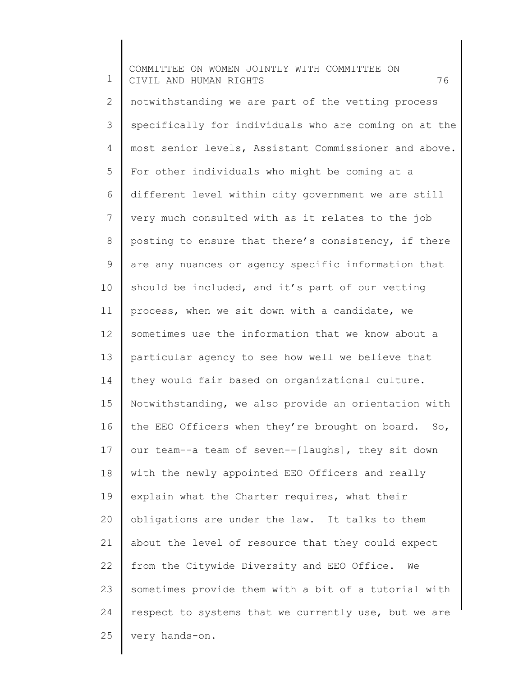1 2 3 4 5 6 7 8 9 10 11 12 13 14 15 16 17 18 19 20 21 22 23 24 25 COMMITTEE ON WOMEN JOINTLY WITH COMMITTEE ON CIVIL AND HUMAN RIGHTS 76 notwithstanding we are part of the vetting process specifically for individuals who are coming on at the most senior levels, Assistant Commissioner and above. For other individuals who might be coming at a different level within city government we are still very much consulted with as it relates to the job posting to ensure that there's consistency, if there are any nuances or agency specific information that should be included, and it's part of our vetting process, when we sit down with a candidate, we sometimes use the information that we know about a particular agency to see how well we believe that they would fair based on organizational culture. Notwithstanding, we also provide an orientation with the EEO Officers when they're brought on board. So, our team--a team of seven--[laughs], they sit down with the newly appointed EEO Officers and really explain what the Charter requires, what their obligations are under the law. It talks to them about the level of resource that they could expect from the Citywide Diversity and EEO Office. We sometimes provide them with a bit of a tutorial with respect to systems that we currently use, but we are very hands-on.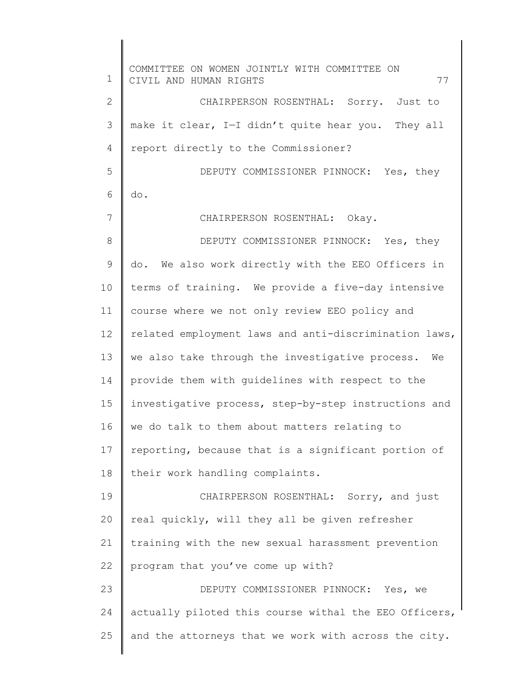1 2 3 4 5 6 7 8 9 10 11 12 13 14 15 16 17 18 19 20 21 22 23 24 25 COMMITTEE ON WOMEN JOINTLY WITH COMMITTEE ON CIVIL AND HUMAN RIGHTS 77 CHAIRPERSON ROSENTHAL: Sorry. Just to make it clear, I—I didn't quite hear you. They all report directly to the Commissioner? DEPUTY COMMISSIONER PINNOCK: Yes, they do. CHAIRPERSON ROSENTHAL: Okay. DEPUTY COMMISSIONER PINNOCK: Yes, they do. We also work directly with the EEO Officers in terms of training. We provide a five-day intensive course where we not only review EEO policy and related employment laws and anti-discrimination laws, we also take through the investigative process. We provide them with guidelines with respect to the investigative process, step-by-step instructions and we do talk to them about matters relating to reporting, because that is a significant portion of their work handling complaints. CHAIRPERSON ROSENTHAL: Sorry, and just real quickly, will they all be given refresher training with the new sexual harassment prevention program that you've come up with? DEPUTY COMMISSIONER PINNOCK: Yes, we actually piloted this course withal the EEO Officers, and the attorneys that we work with across the city.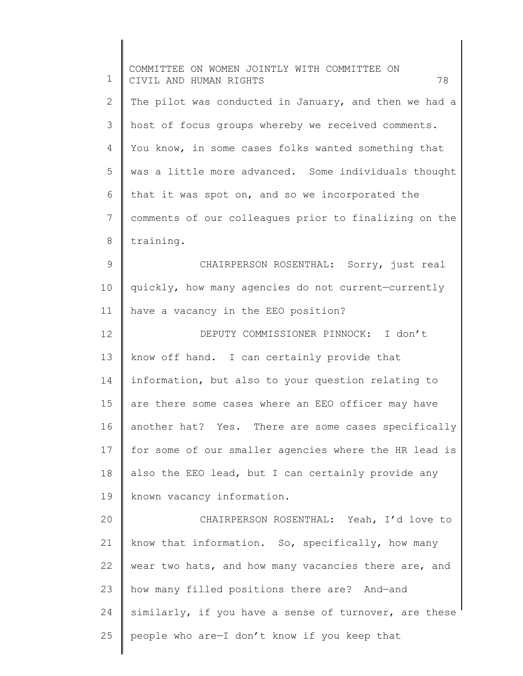| $\mathbf 1$   | COMMITTEE ON WOMEN JOINTLY WITH COMMITTEE ON<br>78<br>CIVIL AND HUMAN RIGHTS |
|---------------|------------------------------------------------------------------------------|
| 2             | The pilot was conducted in January, and then we had a                        |
| 3             | host of focus groups whereby we received comments.                           |
| 4             | You know, in some cases folks wanted something that                          |
| 5             | was a little more advanced. Some individuals thought                         |
| 6             | that it was spot on, and so we incorporated the                              |
| 7             | comments of our colleagues prior to finalizing on the                        |
| 8             | training.                                                                    |
| $\mathcal{G}$ | CHAIRPERSON ROSENTHAL: Sorry, just real                                      |
| 10            | quickly, how many agencies do not current-currently                          |
| 11            | have a vacancy in the EEO position?                                          |
| 12            | DEPUTY COMMISSIONER PINNOCK: I don't                                         |
| 13            | know off hand. I can certainly provide that                                  |
| 14            | information, but also to your question relating to                           |
| 15            | are there some cases where an EEO officer may have                           |
| 16            | another hat? Yes. There are some cases specifically                          |
| 17            | for some of our smaller agencies where the HR lead is                        |
| 18            | also the EEO lead, but I can certainly provide any                           |
| 19            | known vacancy information.                                                   |
| 20            | CHAIRPERSON ROSENTHAL: Yeah, I'd love to                                     |
| 21            | know that information. So, specifically, how many                            |
| 22            | wear two hats, and how many vacancies there are, and                         |
| 23            | how many filled positions there are? And-and                                 |
| 24            | similarly, if you have a sense of turnover, are these                        |
| 25            | people who are-I don't know if you keep that                                 |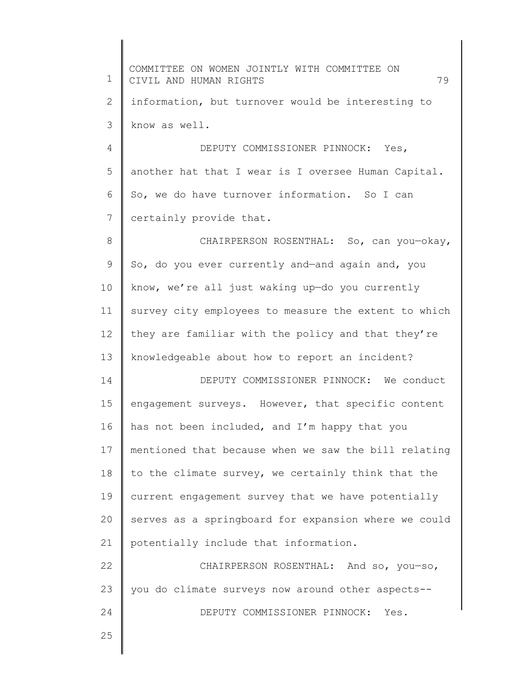| $\mathbf 1$ | COMMITTEE ON WOMEN JOINTLY WITH COMMITTEE ON<br>79<br>CIVIL AND HUMAN RIGHTS |
|-------------|------------------------------------------------------------------------------|
| 2           | information, but turnover would be interesting to                            |
| 3           | know as well.                                                                |
| 4           | DEPUTY COMMISSIONER PINNOCK: Yes,                                            |
| 5           | another hat that I wear is I oversee Human Capital.                          |
| 6           | So, we do have turnover information. So I can                                |
| 7           | certainly provide that.                                                      |
| 8           | CHAIRPERSON ROSENTHAL: So, can you-okay,                                     |
| 9           | So, do you ever currently and-and again and, you                             |
| 10          | know, we're all just waking up-do you currently                              |
| 11          | survey city employees to measure the extent to which                         |
| 12          | they are familiar with the policy and that they're                           |
| 13          | knowledgeable about how to report an incident?                               |
| 14          | DEPUTY COMMISSIONER PINNOCK: We conduct                                      |
| 15          | engagement surveys. However, that specific content                           |
| 16          | has not been included, and I'm happy that you                                |
| 17          | mentioned that because when we saw the bill relating                         |
| 18          | to the climate survey, we certainly think that the                           |
| 19          | current engagement survey that we have potentially                           |
| 20          | serves as a springboard for expansion where we could                         |
| 21          | potentially include that information.                                        |
| 22          | CHAIRPERSON ROSENTHAL: And so, you-so,                                       |
| 23          | you do climate surveys now around other aspects--                            |
| 24          | DEPUTY COMMISSIONER PINNOCK:<br>Yes.                                         |
| 25          |                                                                              |
|             |                                                                              |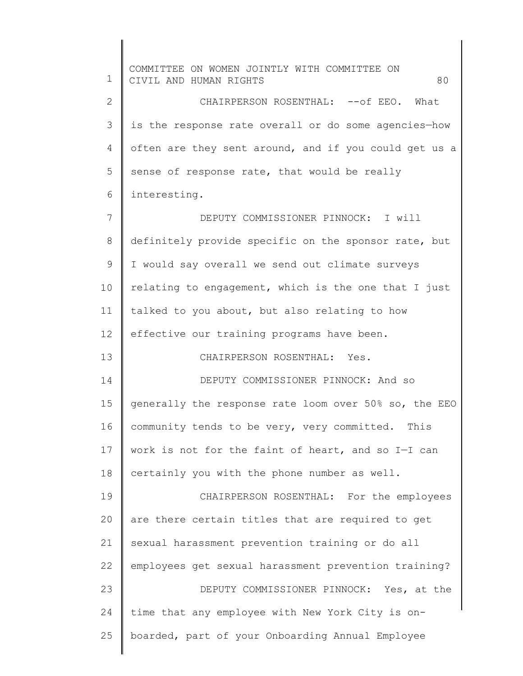1 2 3 4 5 6 7 8 9 10 11 12 13 14 15 16 17 18 19 20 21 22 23 24 25 COMMITTEE ON WOMEN JOINTLY WITH COMMITTEE ON CIVIL AND HUMAN RIGHTS 80 CHAIRPERSON ROSENTHAL: -- of EEO. What is the response rate overall or do some agencies—how often are they sent around, and if you could get us a sense of response rate, that would be really interesting. DEPUTY COMMISSIONER PINNOCK: I will definitely provide specific on the sponsor rate, but I would say overall we send out climate surveys relating to engagement, which is the one that I just talked to you about, but also relating to how effective our training programs have been. CHAIRPERSON ROSENTHAL: Yes. DEPUTY COMMISSIONER PINNOCK: And so generally the response rate loom over 50% so, the EEO community tends to be very, very committed. This work is not for the faint of heart, and so I—I can certainly you with the phone number as well. CHAIRPERSON ROSENTHAL: For the employees are there certain titles that are required to get sexual harassment prevention training or do all employees get sexual harassment prevention training? DEPUTY COMMISSIONER PINNOCK: Yes, at the time that any employee with New York City is onboarded, part of your Onboarding Annual Employee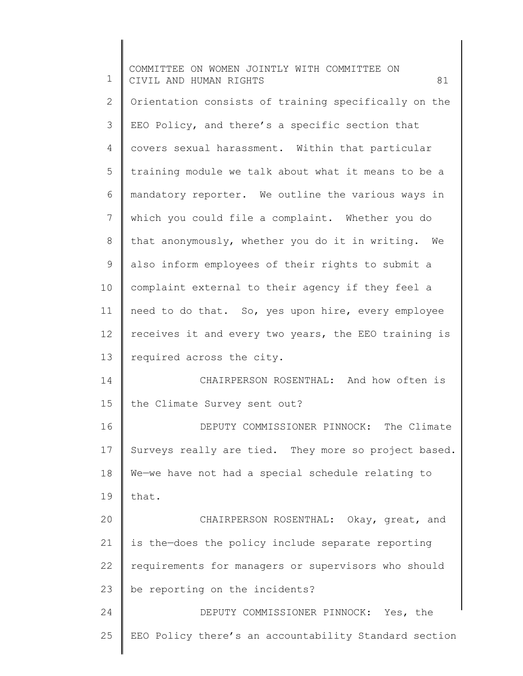1 2 3 4 5 6 7 8 9 10 11 12 13 14 15 16 17 18 19 20 21 22 23 24 25 COMMITTEE ON WOMEN JOINTLY WITH COMMITTEE ON CIVIL AND HUMAN RIGHTS 81 Orientation consists of training specifically on the EEO Policy, and there's a specific section that covers sexual harassment. Within that particular training module we talk about what it means to be a mandatory reporter. We outline the various ways in which you could file a complaint. Whether you do that anonymously, whether you do it in writing. We also inform employees of their rights to submit a complaint external to their agency if they feel a need to do that. So, yes upon hire, every employee receives it and every two years, the EEO training is required across the city. CHAIRPERSON ROSENTHAL: And how often is the Climate Survey sent out? DEPUTY COMMISSIONER PINNOCK: The Climate Surveys really are tied. They more so project based. We—we have not had a special schedule relating to that. CHAIRPERSON ROSENTHAL: Okay, great, and is the—does the policy include separate reporting requirements for managers or supervisors who should be reporting on the incidents? DEPUTY COMMISSIONER PINNOCK: Yes, the EEO Policy there's an accountability Standard section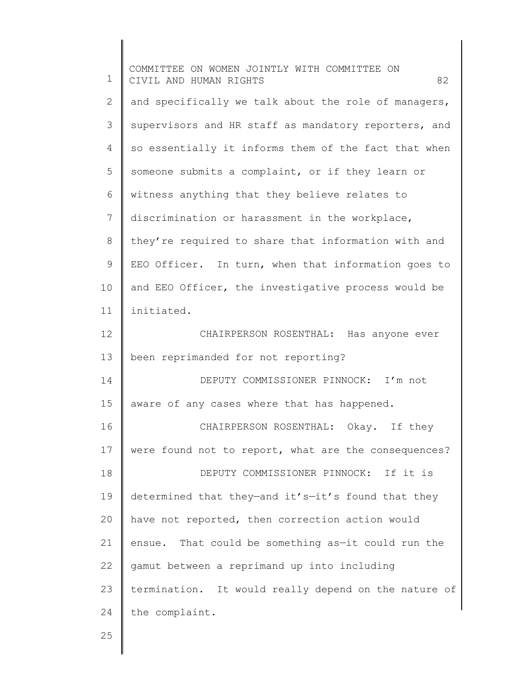| $\mathbf 1$  | COMMITTEE ON WOMEN JOINTLY WITH COMMITTEE ON<br>82<br>CIVIL AND HUMAN RIGHTS |
|--------------|------------------------------------------------------------------------------|
| $\mathbf{2}$ | and specifically we talk about the role of managers,                         |
| 3            | supervisors and HR staff as mandatory reporters, and                         |
| 4            | so essentially it informs them of the fact that when                         |
| 5            | someone submits a complaint, or if they learn or                             |
| 6            | witness anything that they believe relates to                                |
| 7            | discrimination or harassment in the workplace,                               |
| 8            | they're required to share that information with and                          |
| 9            | EEO Officer. In turn, when that information goes to                          |
| 10           | and EEO Officer, the investigative process would be                          |
| 11           | initiated.                                                                   |
| 12           | CHAIRPERSON ROSENTHAL: Has anyone ever                                       |
| 13           | been reprimanded for not reporting?                                          |
| 14           | DEPUTY COMMISSIONER PINNOCK: I'm not                                         |
| 15           | aware of any cases where that has happened.                                  |
| 16           | CHAIRPERSON ROSENTHAL: Okay. If they                                         |
| 17           | were found not to report, what are the consequences?                         |
| 18           | DEPUTY COMMISSIONER PINNOCK: If it is                                        |
| 19           | determined that they-and it's-it's found that they                           |
| 20           | have not reported, then correction action would                              |
| 21           | ensue. That could be something as-it could run the                           |
| 22           | gamut between a reprimand up into including                                  |
| 23           | termination. It would really depend on the nature of                         |
| 24           | the complaint.                                                               |
| 25           |                                                                              |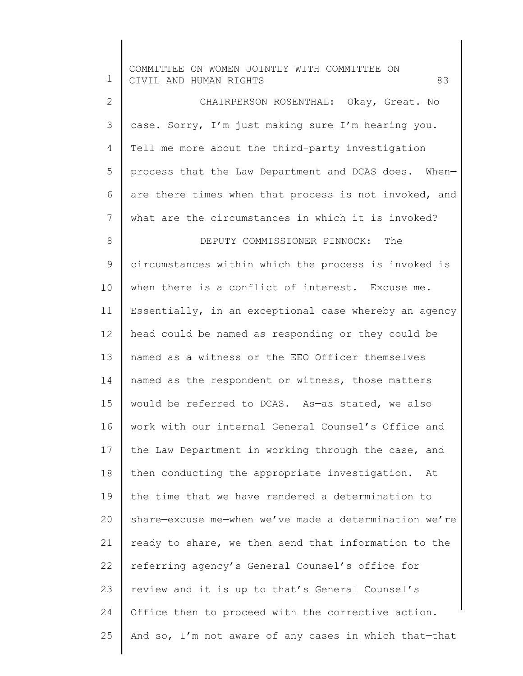1 2 3 4 5 6 7 8 9 10 11 12 13 14 15 16 17 18 19 20 21 22 23 24 25 COMMITTEE ON WOMEN JOINTLY WITH COMMITTEE ON CIVIL AND HUMAN RIGHTS 83 CHAIRPERSON ROSENTHAL: Okay, Great. No case. Sorry, I'm just making sure I'm hearing you. Tell me more about the third-party investigation process that the Law Department and DCAS does. When are there times when that process is not invoked, and what are the circumstances in which it is invoked? DEPUTY COMMISSIONER PINNOCK: The circumstances within which the process is invoked is when there is a conflict of interest. Excuse me. Essentially, in an exceptional case whereby an agency head could be named as responding or they could be named as a witness or the EEO Officer themselves named as the respondent or witness, those matters would be referred to DCAS. As—as stated, we also work with our internal General Counsel's Office and the Law Department in working through the case, and then conducting the appropriate investigation. At the time that we have rendered a determination to share—excuse me—when we've made a determination we're ready to share, we then send that information to the referring agency's General Counsel's office for review and it is up to that's General Counsel's Office then to proceed with the corrective action. And so, I'm not aware of any cases in which that—that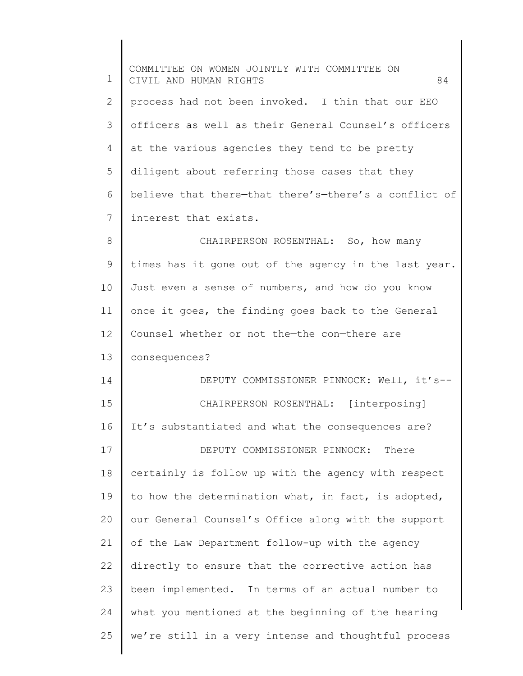| $\mathbf 1$ | COMMITTEE ON WOMEN JOINTLY WITH COMMITTEE ON<br>84<br>CIVIL AND HUMAN RIGHTS |
|-------------|------------------------------------------------------------------------------|
| 2           | process had not been invoked. I thin that our EEO                            |
| 3           | officers as well as their General Counsel's officers                         |
| 4           | at the various agencies they tend to be pretty                               |
| 5           | diligent about referring those cases that they                               |
| 6           | believe that there-that there's-there's a conflict of                        |
| 7           | interest that exists.                                                        |
| 8           | CHAIRPERSON ROSENTHAL: So, how many                                          |
| 9           | times has it gone out of the agency in the last year.                        |
| 10          | Just even a sense of numbers, and how do you know                            |
| 11          | once it goes, the finding goes back to the General                           |
| 12          | Counsel whether or not the-the con-there are                                 |
| 13          | consequences?                                                                |
| 14          | DEPUTY COMMISSIONER PINNOCK: Well, it's--                                    |
| 15          | CHAIRPERSON ROSENTHAL: [interposing]                                         |
| 16          | It's substantiated and what the consequences are?                            |
| 17          | DEPUTY COMMISSIONER PINNOCK: There                                           |
| 18          | certainly is follow up with the agency with respect                          |
| 19          | to how the determination what, in fact, is adopted,                          |
| 20          | our General Counsel's Office along with the support                          |
| 21          | of the Law Department follow-up with the agency                              |
| 22          | directly to ensure that the corrective action has                            |
| 23          | been implemented. In terms of an actual number to                            |
| 24          | what you mentioned at the beginning of the hearing                           |
| 25          | we're still in a very intense and thoughtful process                         |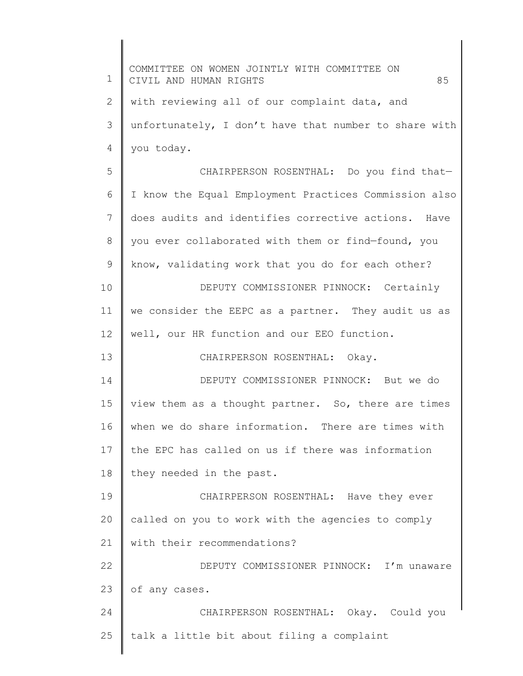| 1               | COMMITTEE ON WOMEN JOINTLY WITH COMMITTEE ON<br>85<br>CIVIL AND HUMAN RIGHTS |
|-----------------|------------------------------------------------------------------------------|
| $\overline{2}$  | with reviewing all of our complaint data, and                                |
| 3               | unfortunately, I don't have that number to share with                        |
| 4               | you today.                                                                   |
| 5               | CHAIRPERSON ROSENTHAL: Do you find that-                                     |
| 6               | I know the Equal Employment Practices Commission also                        |
| 7               | does audits and identifies corrective actions. Have                          |
| 8               | you ever collaborated with them or find-found, you                           |
| 9               | know, validating work that you do for each other?                            |
| 10              | DEPUTY COMMISSIONER PINNOCK: Certainly                                       |
| 11              | we consider the EEPC as a partner. They audit us as                          |
| 12 <sup>°</sup> | well, our HR function and our EEO function.                                  |
| 13              | CHAIRPERSON ROSENTHAL: Okay.                                                 |
| 14              | DEPUTY COMMISSIONER PINNOCK: But we do                                       |
| 15              | view them as a thought partner. So, there are times                          |
| 16              | when we do share information. There are times with                           |
| 17              | the EPC has called on us if there was information                            |
| 18              | they needed in the past.                                                     |
| 19              | CHAIRPERSON ROSENTHAL: Have they ever                                        |
| 20              | called on you to work with the agencies to comply                            |
| 21              | with their recommendations?                                                  |
| 22              | DEPUTY COMMISSIONER PINNOCK: I'm unaware                                     |
| 23              | of any cases.                                                                |
| 24              | CHAIRPERSON ROSENTHAL: Okay. Could you                                       |
| 25              | talk a little bit about filing a complaint                                   |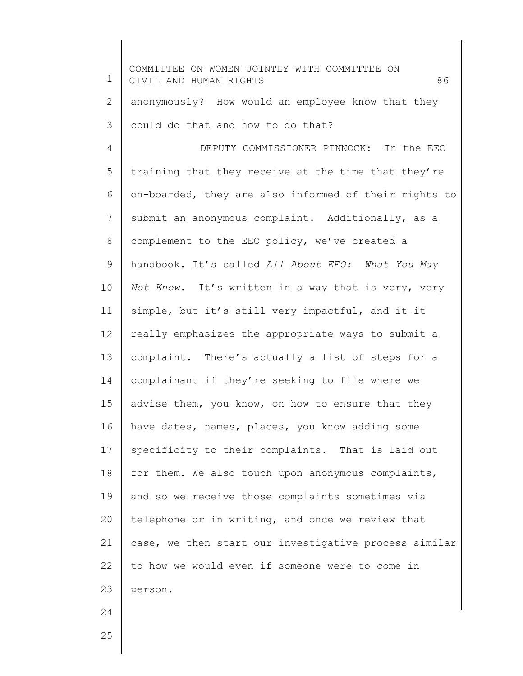1 2 3 4 5 6 7 8 9 10 11 12 13 14 15 16 17 18 19 20 21 22 23 24 25 COMMITTEE ON WOMEN JOINTLY WITH COMMITTEE ON CIVIL AND HUMAN RIGHTS 86 anonymously? How would an employee know that they could do that and how to do that? DEPUTY COMMISSIONER PINNOCK: In the EEO training that they receive at the time that they're on-boarded, they are also informed of their rights to submit an anonymous complaint. Additionally, as a complement to the EEO policy, we've created a handbook. It's called *All About EEO: What You May Not Know.* It's written in a way that is very, very simple, but it's still very impactful, and it—it really emphasizes the appropriate ways to submit a complaint. There's actually a list of steps for a complainant if they're seeking to file where we advise them, you know, on how to ensure that they have dates, names, places, you know adding some specificity to their complaints. That is laid out for them. We also touch upon anonymous complaints, and so we receive those complaints sometimes via telephone or in writing, and once we review that case, we then start our investigative process similar to how we would even if someone were to come in person.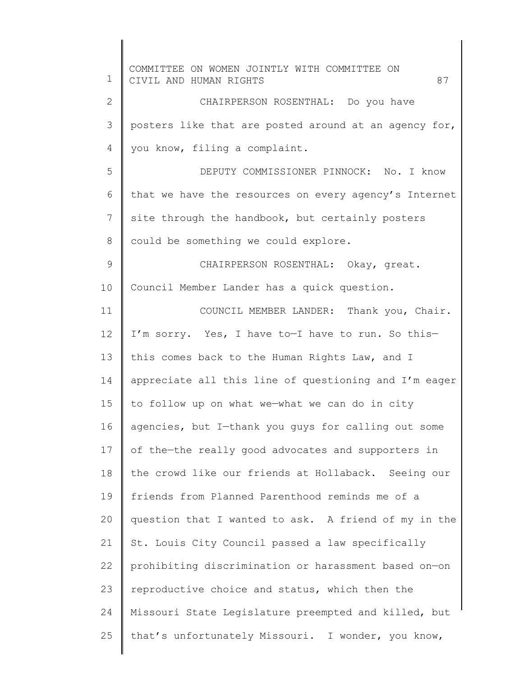1 2 3 4 5 6 7 8 9 10 11 12 13 14 15 16 17 18 19 20 21 22 23 24 25 COMMITTEE ON WOMEN JOINTLY WITH COMMITTEE ON CIVIL AND HUMAN RIGHTS 87 CHAIRPERSON ROSENTHAL: Do you have posters like that are posted around at an agency for, you know, filing a complaint. DEPUTY COMMISSIONER PINNOCK: No. I know that we have the resources on every agency's Internet site through the handbook, but certainly posters could be something we could explore. CHAIRPERSON ROSENTHAL: Okay, great. Council Member Lander has a quick question. COUNCIL MEMBER LANDER: Thank you, Chair. I'm sorry. Yes, I have to—I have to run. So this this comes back to the Human Rights Law, and I appreciate all this line of questioning and I'm eager to follow up on what we—what we can do in city agencies, but I—thank you guys for calling out some of the—the really good advocates and supporters in the crowd like our friends at Hollaback. Seeing our friends from Planned Parenthood reminds me of a question that I wanted to ask. A friend of my in the St. Louis City Council passed a law specifically prohibiting discrimination or harassment based on—on reproductive choice and status, which then the Missouri State Legislature preempted and killed, but that's unfortunately Missouri. I wonder, you know,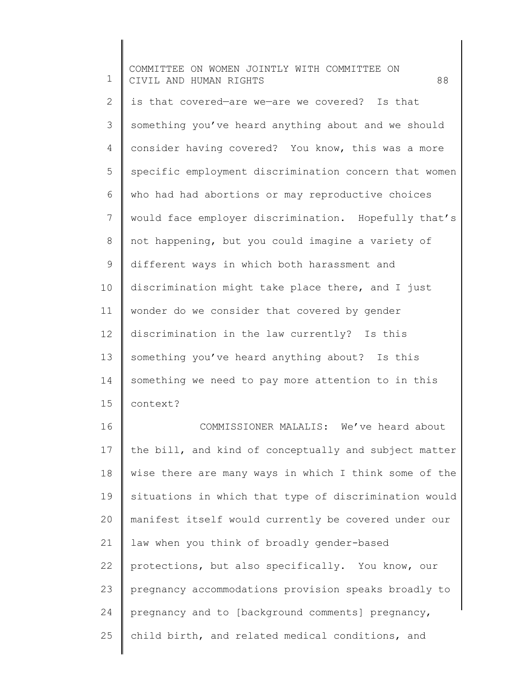1 2 3 4 5 6 7 8 9 10 11 12 13 14 15 COMMITTEE ON WOMEN JOINTLY WITH COMMITTEE ON CIVIL AND HUMAN RIGHTS 88 is that covered—are we—are we covered? Is that something you've heard anything about and we should consider having covered? You know, this was a more specific employment discrimination concern that women who had had abortions or may reproductive choices would face employer discrimination. Hopefully that's not happening, but you could imagine a variety of different ways in which both harassment and discrimination might take place there, and I just wonder do we consider that covered by gender discrimination in the law currently? Is this something you've heard anything about? Is this something we need to pay more attention to in this context?

16 17 18 19 20 21 22 23 24 25 COMMISSIONER MALALIS: We've heard about the bill, and kind of conceptually and subject matter wise there are many ways in which I think some of the situations in which that type of discrimination would manifest itself would currently be covered under our law when you think of broadly gender-based protections, but also specifically. You know, our pregnancy accommodations provision speaks broadly to pregnancy and to [background comments] pregnancy, child birth, and related medical conditions, and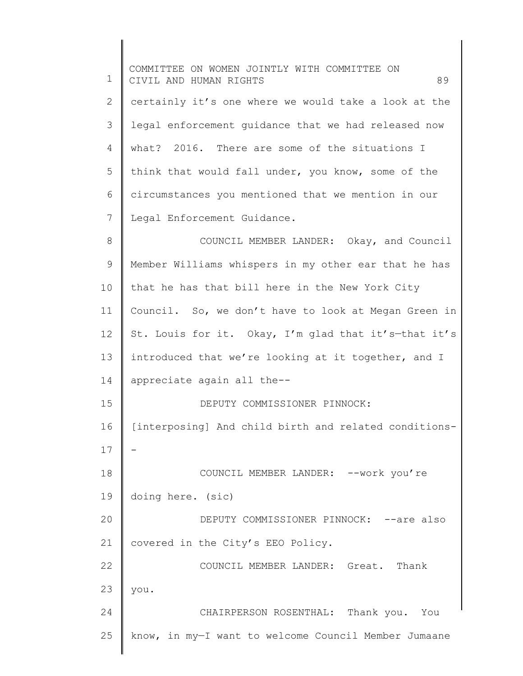1 2 3 4 5 6 7 8 9 10 11 12 13 14 15 16 17 18 19 20 21 22 23 24 25 COMMITTEE ON WOMEN JOINTLY WITH COMMITTEE ON CIVIL AND HUMAN RIGHTS 89 certainly it's one where we would take a look at the legal enforcement guidance that we had released now what? 2016. There are some of the situations I think that would fall under, you know, some of the circumstances you mentioned that we mention in our Legal Enforcement Guidance. COUNCIL MEMBER LANDER: Okay, and Council Member Williams whispers in my other ear that he has that he has that bill here in the New York City Council. So, we don't have to look at Megan Green in St. Louis for it. Okay, I'm glad that it's—that it's introduced that we're looking at it together, and I appreciate again all the-- DEPUTY COMMISSIONER PINNOCK: [interposing] And child birth and related conditions- - COUNCIL MEMBER LANDER: --work you're doing here. (sic) DEPUTY COMMISSIONER PINNOCK: --are also covered in the City's EEO Policy. COUNCIL MEMBER LANDER: Great. Thank you. CHAIRPERSON ROSENTHAL: Thank you. You know, in my—I want to welcome Council Member Jumaane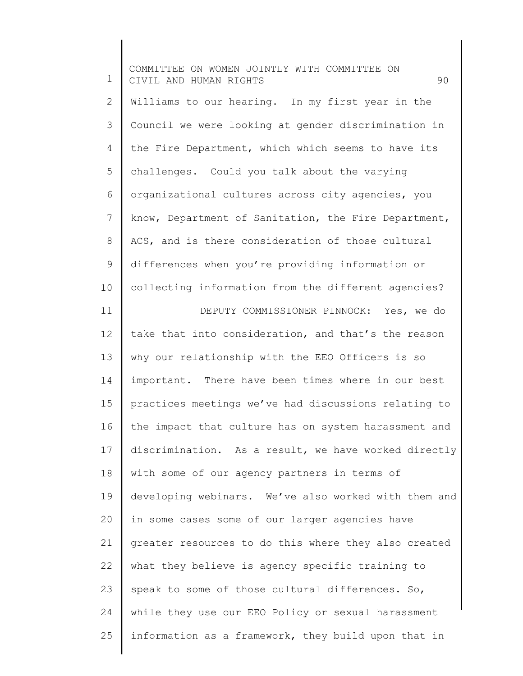1 2 3 4 5 6 7 8 9 10 11 12 13 14 15 16 17 18 19 20 21 22 23 24 25 COMMITTEE ON WOMEN JOINTLY WITH COMMITTEE ON CIVIL AND HUMAN RIGHTS 90 Williams to our hearing. In my first year in the Council we were looking at gender discrimination in the Fire Department, which—which seems to have its challenges. Could you talk about the varying organizational cultures across city agencies, you know, Department of Sanitation, the Fire Department, ACS, and is there consideration of those cultural differences when you're providing information or collecting information from the different agencies? DEPUTY COMMISSIONER PINNOCK: Yes, we do take that into consideration, and that's the reason why our relationship with the EEO Officers is so important. There have been times where in our best practices meetings we've had discussions relating to the impact that culture has on system harassment and discrimination. As a result, we have worked directly with some of our agency partners in terms of developing webinars. We've also worked with them and in some cases some of our larger agencies have greater resources to do this where they also created what they believe is agency specific training to speak to some of those cultural differences. So, while they use our EEO Policy or sexual harassment information as a framework, they build upon that in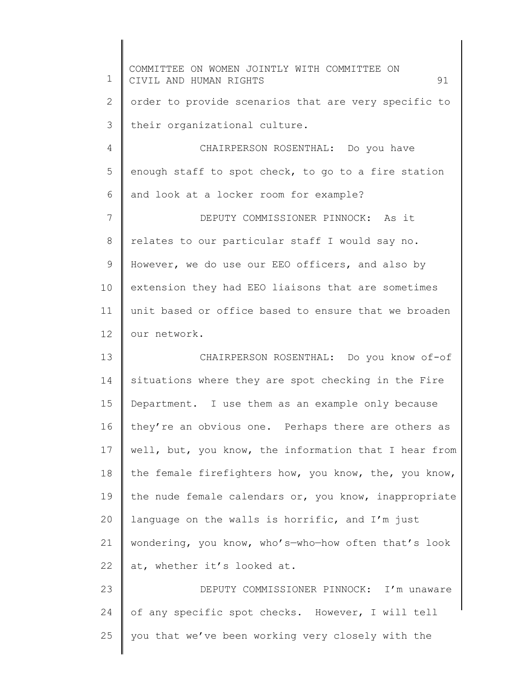1 2 3 4 5 6 7 8 9 10 11 12 13 14 15 16 17 18 19 20 21 22 23 24 25 COMMITTEE ON WOMEN JOINTLY WITH COMMITTEE ON CIVIL AND HUMAN RIGHTS 91 order to provide scenarios that are very specific to their organizational culture. CHAIRPERSON ROSENTHAL: Do you have enough staff to spot check, to go to a fire station and look at a locker room for example? DEPUTY COMMISSIONER PINNOCK: As it relates to our particular staff I would say no. However, we do use our EEO officers, and also by extension they had EEO liaisons that are sometimes unit based or office based to ensure that we broaden our network. CHAIRPERSON ROSENTHAL: Do you know of-of situations where they are spot checking in the Fire Department. I use them as an example only because they're an obvious one. Perhaps there are others as well, but, you know, the information that I hear from the female firefighters how, you know, the, you know, the nude female calendars or, you know, inappropriate language on the walls is horrific, and I'm just wondering, you know, who's—who—how often that's look at, whether it's looked at. DEPUTY COMMISSIONER PINNOCK: I'm unaware of any specific spot checks. However, I will tell you that we've been working very closely with the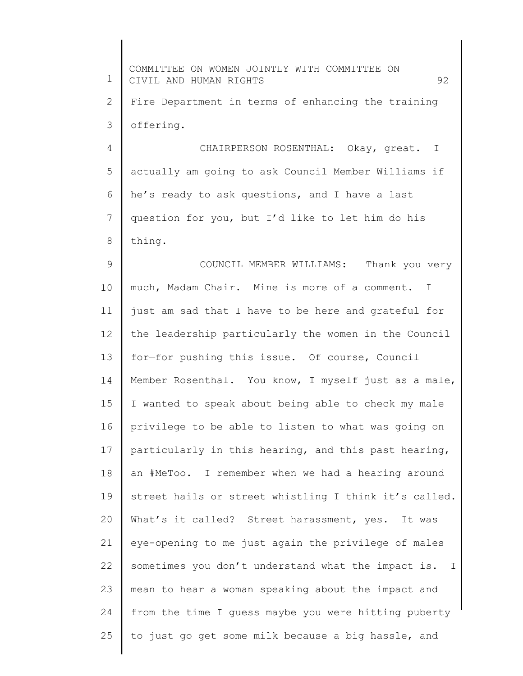| $\mathbf 1$   | COMMITTEE ON WOMEN JOINTLY WITH COMMITTEE ON<br>92<br>CIVIL AND HUMAN RIGHTS |
|---------------|------------------------------------------------------------------------------|
| $\mathbf{2}$  | Fire Department in terms of enhancing the training                           |
| 3             | offering.                                                                    |
| 4             | CHAIRPERSON ROSENTHAL: Okay, great. I                                        |
| 5             | actually am going to ask Council Member Williams if                          |
| 6             | he's ready to ask questions, and I have a last                               |
| 7             | question for you, but I'd like to let him do his                             |
| $\,8\,$       | thing.                                                                       |
| $\mathcal{G}$ | COUNCIL MEMBER WILLIAMS: Thank you very                                      |
| 10            | much, Madam Chair. Mine is more of a comment. I                              |
| 11            | just am sad that I have to be here and grateful for                          |
| 12            | the leadership particularly the women in the Council                         |
| 13            | for-for pushing this issue. Of course, Council                               |
| 14            | Member Rosenthal. You know, I myself just as a male,                         |
| 15            | I wanted to speak about being able to check my male                          |
| 16            | privilege to be able to listen to what was going on                          |
| 17            | particularly in this hearing, and this past hearing,                         |
| 18            | an #MeToo. I remember when we had a hearing around                           |
| 19            | street hails or street whistling I think it's called.                        |
| 20            | What's it called? Street harassment, yes. It was                             |
| 21            | eye-opening to me just again the privilege of males                          |
| 22            | sometimes you don't understand what the impact is. I                         |
| 23            | mean to hear a woman speaking about the impact and                           |
| 24            | from the time I quess maybe you were hitting puberty                         |
| 25            | to just go get some milk because a big hassle, and                           |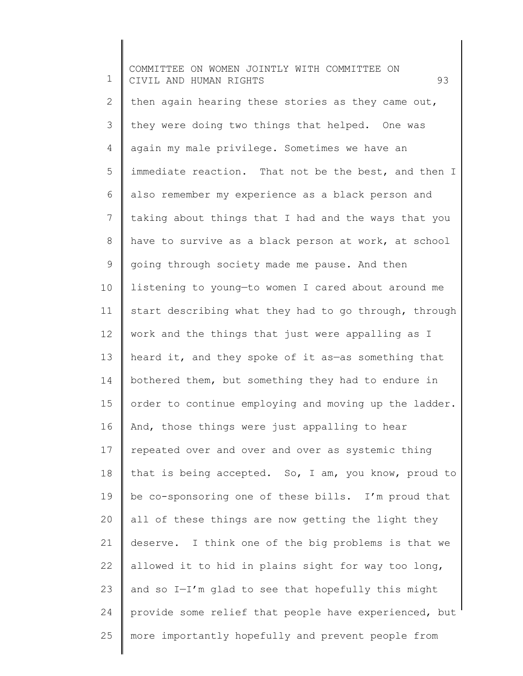1 2 3 4 5 6 7 8 9 10 11 12 13 14 15 16 17 18 19 20 21 22 23 24 25 COMMITTEE ON WOMEN JOINTLY WITH COMMITTEE ON CIVIL AND HUMAN RIGHTS 93 then again hearing these stories as they came out, they were doing two things that helped. One was again my male privilege. Sometimes we have an immediate reaction. That not be the best, and then I also remember my experience as a black person and taking about things that I had and the ways that you have to survive as a black person at work, at school going through society made me pause. And then listening to young—to women I cared about around me start describing what they had to go through, through work and the things that just were appalling as I heard it, and they spoke of it as—as something that bothered them, but something they had to endure in order to continue employing and moving up the ladder. And, those things were just appalling to hear repeated over and over and over as systemic thing that is being accepted. So, I am, you know, proud to be co-sponsoring one of these bills. I'm proud that all of these things are now getting the light they deserve. I think one of the big problems is that we allowed it to hid in plains sight for way too long, and so I—I'm glad to see that hopefully this might provide some relief that people have experienced, but more importantly hopefully and prevent people from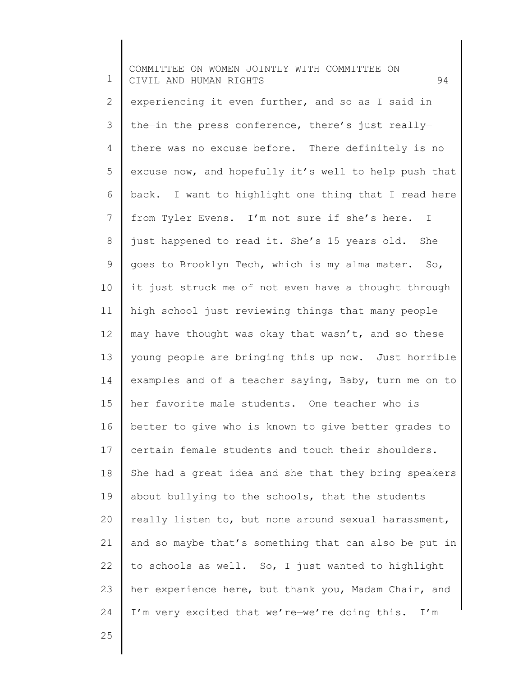1 2 3 4 5 6 7 8 9 10 11 12 13 14 15 16 17 18 19 20 21 22 23 24 COMMITTEE ON WOMEN JOINTLY WITH COMMITTEE ON CIVIL AND HUMAN RIGHTS 94 experiencing it even further, and so as I said in the—in the press conference, there's just really there was no excuse before. There definitely is no excuse now, and hopefully it's well to help push that back. I want to highlight one thing that I read here from Tyler Evens. I'm not sure if she's here. I just happened to read it. She's 15 years old. She goes to Brooklyn Tech, which is my alma mater. So, it just struck me of not even have a thought through high school just reviewing things that many people may have thought was okay that wasn't, and so these young people are bringing this up now. Just horrible examples and of a teacher saying, Baby, turn me on to her favorite male students. One teacher who is better to give who is known to give better grades to certain female students and touch their shoulders. She had a great idea and she that they bring speakers about bullying to the schools, that the students really listen to, but none around sexual harassment, and so maybe that's something that can also be put in to schools as well. So, I just wanted to highlight her experience here, but thank you, Madam Chair, and I'm very excited that we're—we're doing this. I'm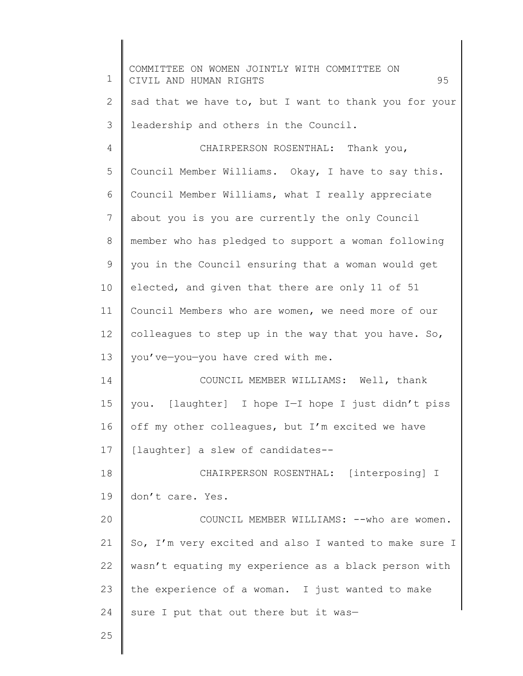1 2 3 4 5 6 7 8 9 10 11 12 13 14 15 16 17 18 19 20 21 22 23 24 25 COMMITTEE ON WOMEN JOINTLY WITH COMMITTEE ON CIVIL AND HUMAN RIGHTS 95 sad that we have to, but I want to thank you for your leadership and others in the Council. CHAIRPERSON ROSENTHAL: Thank you, Council Member Williams. Okay, I have to say this. Council Member Williams, what I really appreciate about you is you are currently the only Council member who has pledged to support a woman following you in the Council ensuring that a woman would get elected, and given that there are only 11 of 51 Council Members who are women, we need more of our colleagues to step up in the way that you have. So, you've—you—you have cred with me. COUNCIL MEMBER WILLIAMS: Well, thank you. [laughter] I hope I—I hope I just didn't piss off my other colleagues, but I'm excited we have [laughter] a slew of candidates-- CHAIRPERSON ROSENTHAL: [interposing] I don't care. Yes. COUNCIL MEMBER WILLIAMS: --who are women. So, I'm very excited and also I wanted to make sure I wasn't equating my experience as a black person with the experience of a woman. I just wanted to make sure I put that out there but it was-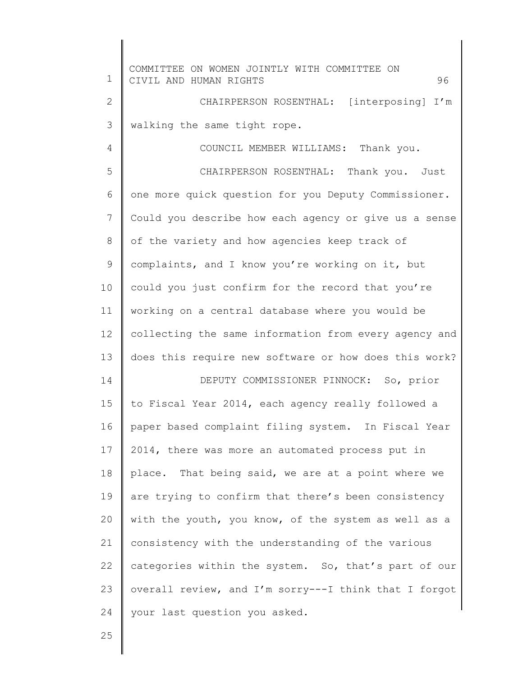| 1            | COMMITTEE ON WOMEN JOINTLY WITH COMMITTEE ON<br>96<br>CIVIL AND HUMAN RIGHTS |
|--------------|------------------------------------------------------------------------------|
| $\mathbf{2}$ | CHAIRPERSON ROSENTHAL: [interposing] I'm                                     |
| 3            | walking the same tight rope.                                                 |
| 4            | COUNCIL MEMBER WILLIAMS: Thank you.                                          |
| 5            | CHAIRPERSON ROSENTHAL: Thank you. Just                                       |
| 6            | one more quick question for you Deputy Commissioner.                         |
| 7            | Could you describe how each agency or give us a sense                        |
| 8            | of the variety and how agencies keep track of                                |
| 9            | complaints, and I know you're working on it, but                             |
| 10           | could you just confirm for the record that you're                            |
| 11           | working on a central database where you would be                             |
| 12           | collecting the same information from every agency and                        |
| 13           | does this require new software or how does this work?                        |
| 14           | DEPUTY COMMISSIONER PINNOCK: So, prior                                       |
| 15           | to Fiscal Year 2014, each agency really followed a                           |
| 16           | paper based complaint filing system. In Fiscal Year                          |
| 17           | 2014, there was more an automated process put in                             |
| 18           | place. That being said, we are at a point where we                           |
| 19           | are trying to confirm that there's been consistency                          |
| 20           | with the youth, you know, of the system as well as a                         |
| 21           | consistency with the understanding of the various                            |
| 22           | categories within the system. So, that's part of our                         |
| 23           | overall review, and I'm sorry---I think that I forgot                        |
| 24           | your last question you asked.                                                |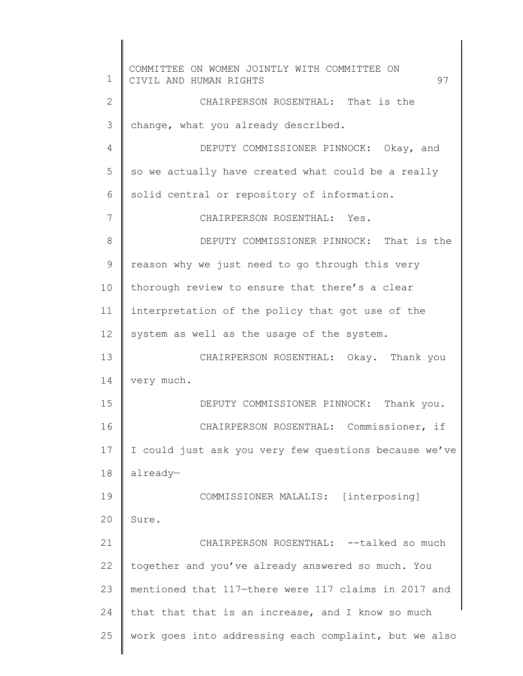1 2 3 4 5 6 7 8 9 10 11 12 13 14 15 16 17 18 19 20 21 22 23 24 25 COMMITTEE ON WOMEN JOINTLY WITH COMMITTEE ON CIVIL AND HUMAN RIGHTS 97 CHAIRPERSON ROSENTHAL: That is the change, what you already described. DEPUTY COMMISSIONER PINNOCK: Okay, and so we actually have created what could be a really solid central or repository of information. CHAIRPERSON ROSENTHAL: Yes. DEPUTY COMMISSIONER PINNOCK: That is the reason why we just need to go through this very thorough review to ensure that there's a clear interpretation of the policy that got use of the system as well as the usage of the system. CHAIRPERSON ROSENTHAL: Okay. Thank you very much. DEPUTY COMMISSIONER PINNOCK: Thank you. CHAIRPERSON ROSENTHAL: Commissioner, if I could just ask you very few questions because we've already— COMMISSIONER MALALIS: [interposing] Sure. CHAIRPERSON ROSENTHAL: -- talked so much together and you've already answered so much. You mentioned that 117—there were 117 claims in 2017 and that that that is an increase, and I know so much work goes into addressing each complaint, but we also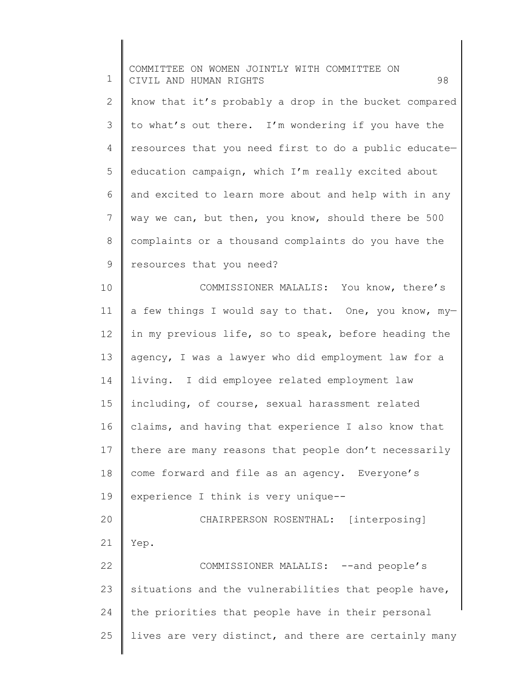| 1     | COMMITTEE ON WOMEN JOINTLY WITH COMMITTEE ON<br>98<br>CIVIL AND HUMAN RIGHTS |
|-------|------------------------------------------------------------------------------|
| 2     | know that it's probably a drop in the bucket compared                        |
| 3     | to what's out there. I'm wondering if you have the                           |
| 4     | resources that you need first to do a public educate-                        |
| 5     | education campaign, which I'm really excited about                           |
| 6     | and excited to learn more about and help with in any                         |
| 7     | way we can, but then, you know, should there be 500                          |
| $8\,$ | complaints or a thousand complaints do you have the                          |
| 9     | resources that you need?                                                     |
| 10    | COMMISSIONER MALALIS: You know, there's                                      |
| 11    | a few things I would say to that. One, you know, my-                         |
| 12    | in my previous life, so to speak, before heading the                         |
| 13    | agency, I was a lawyer who did employment law for a                          |
| 14    | living. I did employee related employment law                                |
| 15    | including, of course, sexual harassment related                              |
| 16    | claims, and having that experience I also know that                          |
| 17    | there are many reasons that people don't necessarily                         |
| 18    | come forward and file as an agency. Everyone's                               |
| 19    | experience I think is very unique--                                          |
| 20    | CHAIRPERSON ROSENTHAL: [interposing]                                         |
| 21    | Yep.                                                                         |
| 22    | COMMISSIONER MALALIS: -- and people's                                        |
| 23    | situations and the vulnerabilities that people have,                         |
| 24    | the priorities that people have in their personal                            |
| 25    | lives are very distinct, and there are certainly many                        |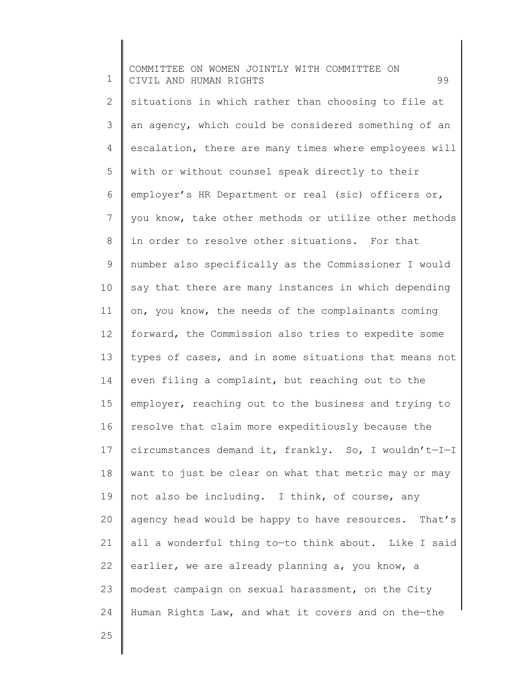1 2 3 4 5 6 7 8 9 10 11 12 13 14 15 16 17 18 19 20 21 22 23 24 COMMITTEE ON WOMEN JOINTLY WITH COMMITTEE ON CIVIL AND HUMAN RIGHTS 99 situations in which rather than choosing to file at an agency, which could be considered something of an escalation, there are many times where employees will with or without counsel speak directly to their employer's HR Department or real (sic) officers or, you know, take other methods or utilize other methods in order to resolve other situations. For that number also specifically as the Commissioner I would say that there are many instances in which depending on, you know, the needs of the complainants coming forward, the Commission also tries to expedite some types of cases, and in some situations that means not even filing a complaint, but reaching out to the employer, reaching out to the business and trying to resolve that claim more expeditiously because the circumstances demand it, frankly. So, I wouldn't—I—I want to just be clear on what that metric may or may not also be including. I think, of course, any agency head would be happy to have resources. That's all a wonderful thing to—to think about. Like I said earlier, we are already planning a, you know, a modest campaign on sexual harassment, on the City Human Rights Law, and what it covers and on the—the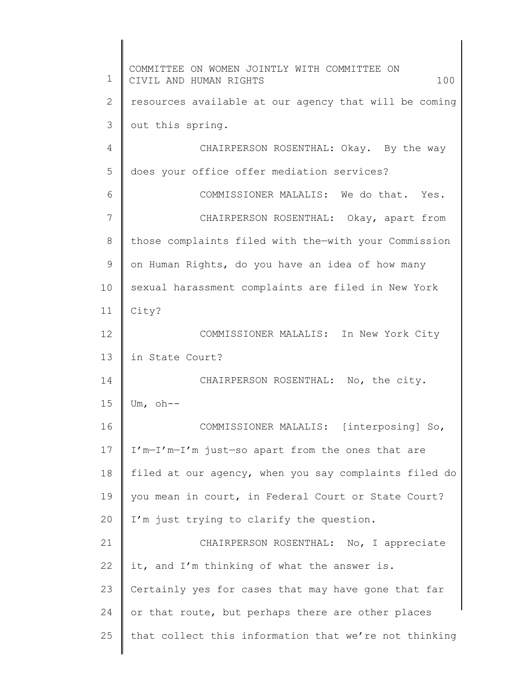1 2 3 4 5 6 7 8 9 10 11 12 13 14 15 16 17 18 19 20 21 22 23 24 25 COMMITTEE ON WOMEN JOINTLY WITH COMMITTEE ON CIVIL AND HUMAN RIGHTS 100 resources available at our agency that will be coming out this spring. CHAIRPERSON ROSENTHAL: Okay. By the way does your office offer mediation services? COMMISSIONER MALALIS: We do that. Yes. CHAIRPERSON ROSENTHAL: Okay, apart from those complaints filed with the—with your Commission on Human Rights, do you have an idea of how many sexual harassment complaints are filed in New York City? COMMISSIONER MALALIS: In New York City in State Court? CHAIRPERSON ROSENTHAL: No, the city. Um, oh-- COMMISSIONER MALALIS: [interposing] So, I'm—I'm—I'm just—so apart from the ones that are filed at our agency, when you say complaints filed do you mean in court, in Federal Court or State Court? I'm just trying to clarify the question. CHAIRPERSON ROSENTHAL: No, I appreciate it, and I'm thinking of what the answer is. Certainly yes for cases that may have gone that far or that route, but perhaps there are other places that collect this information that we're not thinking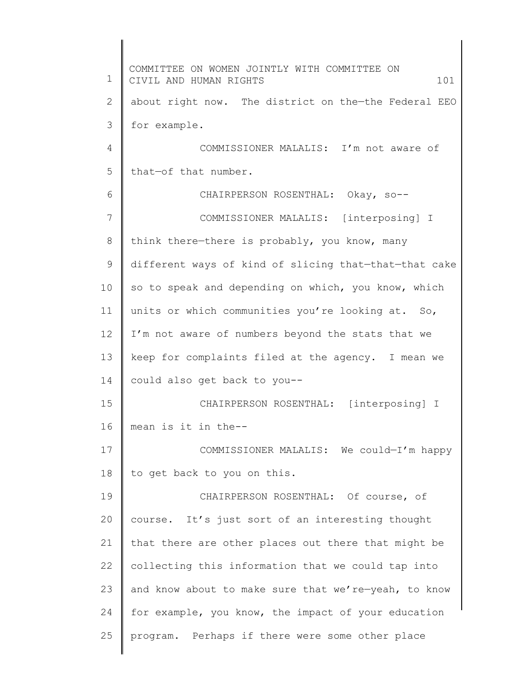1 2 3 4 5 6 7 8 9 10 11 12 13 14 15 16 17 18 19 20 21 22 23 24 25 COMMITTEE ON WOMEN JOINTLY WITH COMMITTEE ON CIVIL AND HUMAN RIGHTS 101 about right now. The district on the—the Federal EEO for example. COMMISSIONER MALALIS: I'm not aware of that—of that number. CHAIRPERSON ROSENTHAL: Okay, so-- COMMISSIONER MALALIS: [interposing] I think there—there is probably, you know, many different ways of kind of slicing that—that—that cake so to speak and depending on which, you know, which units or which communities you're looking at. So, I'm not aware of numbers beyond the stats that we keep for complaints filed at the agency. I mean we could also get back to you-- CHAIRPERSON ROSENTHAL: [interposing] I mean is it in the-- COMMISSIONER MALALIS: We could—I'm happy to get back to you on this. CHAIRPERSON ROSENTHAL: Of course, of course. It's just sort of an interesting thought that there are other places out there that might be collecting this information that we could tap into and know about to make sure that we're—yeah, to know for example, you know, the impact of your education program. Perhaps if there were some other place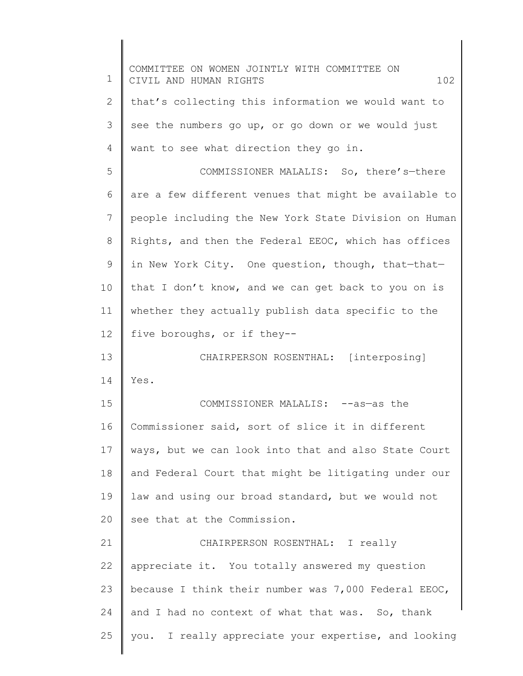| $\mathbf 1$    | COMMITTEE ON WOMEN JOINTLY WITH COMMITTEE ON<br>102<br>CIVIL AND HUMAN RIGHTS |
|----------------|-------------------------------------------------------------------------------|
| $\mathbf{2}$   | that's collecting this information we would want to                           |
| 3              | see the numbers go up, or go down or we would just                            |
| $\overline{4}$ | want to see what direction they go in.                                        |
| 5              | COMMISSIONER MALALIS: So, there's-there                                       |
| 6              | are a few different venues that might be available to                         |
| $\overline{7}$ | people including the New York State Division on Human                         |
| 8              | Rights, and then the Federal EEOC, which has offices                          |
| 9              | in New York City. One question, though, that-that-                            |
| 10             | that I don't know, and we can get back to you on is                           |
| 11             | whether they actually publish data specific to the                            |
| 12             | five boroughs, or if they--                                                   |
| 13             | CHAIRPERSON ROSENTHAL: [interposing]                                          |
| 14             | Yes.                                                                          |
| 15             | COMMISSIONER MALALIS: --as-as the                                             |
| 16             | Commissioner said, sort of slice it in different                              |
| 17             | ways, but we can look into that and also State Court                          |
| 18             | and Federal Court that might be litigating under our                          |
| 19             | law and using our broad standard, but we would not                            |
| 20             | see that at the Commission.                                                   |
| 21             | CHAIRPERSON ROSENTHAL: I really                                               |
|                |                                                                               |
| 22             | appreciate it. You totally answered my question                               |
| 23             | because I think their number was 7,000 Federal EEOC,                          |
| 24             | and I had no context of what that was. So, thank                              |
| 25             | you. I really appreciate your expertise, and looking                          |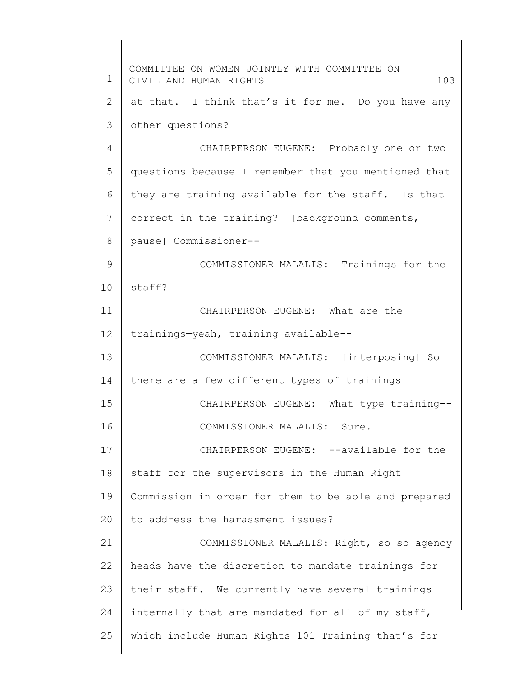1 2 3 4 5 6 7 8 9 10 11 12 13 14 15 16 17 18 19 20 21 22 23 24 25 COMMITTEE ON WOMEN JOINTLY WITH COMMITTEE ON CIVIL AND HUMAN RIGHTS 103 at that. I think that's it for me. Do you have any other questions? CHAIRPERSON EUGENE: Probably one or two questions because I remember that you mentioned that they are training available for the staff. Is that correct in the training? [background comments, pause] Commissioner-- COMMISSIONER MALALIS: Trainings for the staff? CHAIRPERSON EUGENE: What are the trainings—yeah, training available-- COMMISSIONER MALALIS: [interposing] So there are a few different types of trainings— CHAIRPERSON EUGENE: What type training-- COMMISSIONER MALALIS: Sure. CHAIRPERSON EUGENE: --available for the staff for the supervisors in the Human Right Commission in order for them to be able and prepared to address the harassment issues? COMMISSIONER MALALIS: Right, so—so agency heads have the discretion to mandate trainings for their staff. We currently have several trainings internally that are mandated for all of my staff, which include Human Rights 101 Training that's for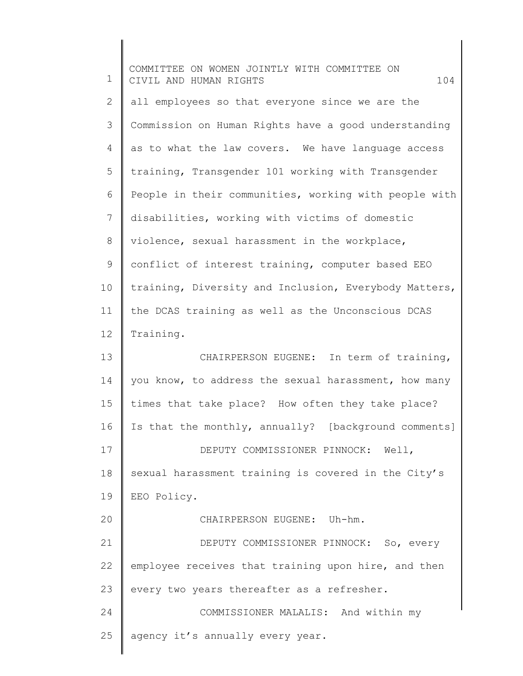| $\mathbf 1$    | COMMITTEE ON WOMEN JOINTLY WITH COMMITTEE ON<br>104<br>CIVIL AND HUMAN RIGHTS |
|----------------|-------------------------------------------------------------------------------|
| $\mathbf{2}$   | all employees so that everyone since we are the                               |
| 3              | Commission on Human Rights have a good understanding                          |
| 4              | as to what the law covers. We have language access                            |
| 5              | training, Transgender 101 working with Transgender                            |
| 6              | People in their communities, working with people with                         |
| $7\phantom{.}$ | disabilities, working with victims of domestic                                |
| 8              | violence, sexual harassment in the workplace,                                 |
| $\mathsf 9$    | conflict of interest training, computer based EEO                             |
| 10             | training, Diversity and Inclusion, Everybody Matters,                         |
| 11             | the DCAS training as well as the Unconscious DCAS                             |
| 12             | Training.                                                                     |
| 13             | CHAIRPERSON EUGENE: In term of training,                                      |
| 14             | you know, to address the sexual harassment, how many                          |
| 15             | times that take place? How often they take place?                             |
| 16             | Is that the monthly, annually? [background comments]                          |
| 17             | DEPUTY COMMISSIONER PINNOCK: Well,                                            |
| 18             | sexual harassment training is covered in the City's                           |
| 19             | EEO Policy.                                                                   |
| 20             | CHAIRPERSON EUGENE: Uh-hm.                                                    |
| 21             | DEPUTY COMMISSIONER PINNOCK: So, every                                        |
| 22             | employee receives that training upon hire, and then                           |
| 23             | every two years thereafter as a refresher.                                    |
| 24             | COMMISSIONER MALALIS: And within my                                           |
| 25             | agency it's annually every year.                                              |
|                |                                                                               |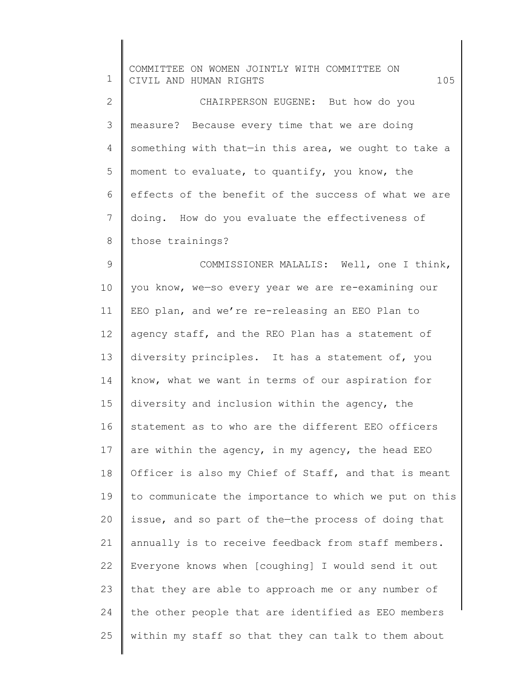| $\mathbf 1$    | COMMITTEE ON WOMEN JOINTLY WITH COMMITTEE ON<br>105<br>CIVIL AND HUMAN RIGHTS |
|----------------|-------------------------------------------------------------------------------|
| 2              | CHAIRPERSON EUGENE: But how do you                                            |
| 3              | measure? Because every time that we are doing                                 |
| $\overline{4}$ | something with that-in this area, we ought to take a                          |
| 5              | moment to evaluate, to quantify, you know, the                                |
| 6              | effects of the benefit of the success of what we are                          |
| 7              | doing. How do you evaluate the effectiveness of                               |
| 8              | those trainings?                                                              |
| 9              | COMMISSIONER MALALIS: Well, one I think,                                      |
| 10             | you know, we-so every year we are re-examining our                            |
| 11             | EEO plan, and we're re-releasing an EEO Plan to                               |
| 12             | agency staff, and the REO Plan has a statement of                             |
| 13             | diversity principles. It has a statement of, you                              |
| 14             | know, what we want in terms of our aspiration for                             |
| 15             | diversity and inclusion within the agency, the                                |
| 16             | statement as to who are the different EEO officers                            |
| 17             | are within the agency, in my agency, the head EEO                             |
| 18             | Officer is also my Chief of Staff, and that is meant                          |
| 19             | to communicate the importance to which we put on this                         |
| 20             | issue, and so part of the-the process of doing that                           |
| 21             | annually is to receive feedback from staff members.                           |
| 22             | Everyone knows when [coughing] I would send it out                            |
| 23             | that they are able to approach me or any number of                            |
| 24             | the other people that are identified as EEO members                           |
| 25             | within my staff so that they can talk to them about                           |
|                |                                                                               |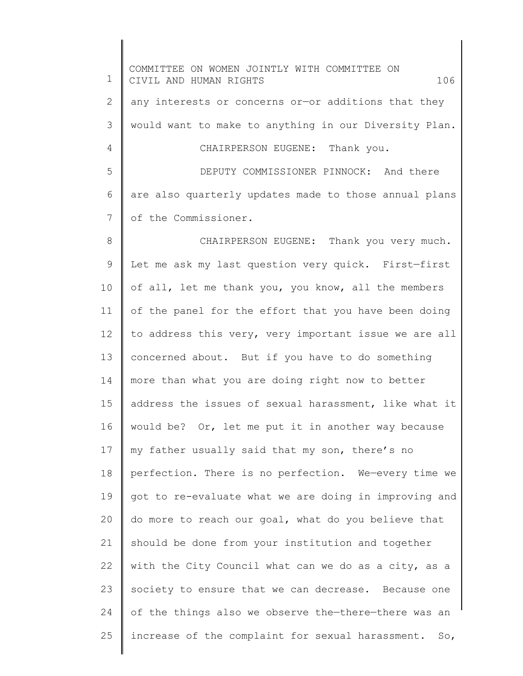1 2 3 4 5 6 7 8 9 10 11 12 13 14 15 16 17 18 19 20 21 22 23 24 25 COMMITTEE ON WOMEN JOINTLY WITH COMMITTEE ON CIVIL AND HUMAN RIGHTS 106 any interests or concerns or—or additions that they would want to make to anything in our Diversity Plan. CHAIRPERSON EUGENE: Thank you. DEPUTY COMMISSIONER PINNOCK: And there are also quarterly updates made to those annual plans of the Commissioner. CHAIRPERSON EUGENE: Thank you very much. Let me ask my last question very quick. First—first of all, let me thank you, you know, all the members of the panel for the effort that you have been doing to address this very, very important issue we are all concerned about. But if you have to do something more than what you are doing right now to better address the issues of sexual harassment, like what it would be? Or, let me put it in another way because my father usually said that my son, there's no perfection. There is no perfection. We—every time we got to re-evaluate what we are doing in improving and do more to reach our goal, what do you believe that should be done from your institution and together with the City Council what can we do as a city, as a society to ensure that we can decrease. Because one of the things also we observe the—there—there was an increase of the complaint for sexual harassment. So,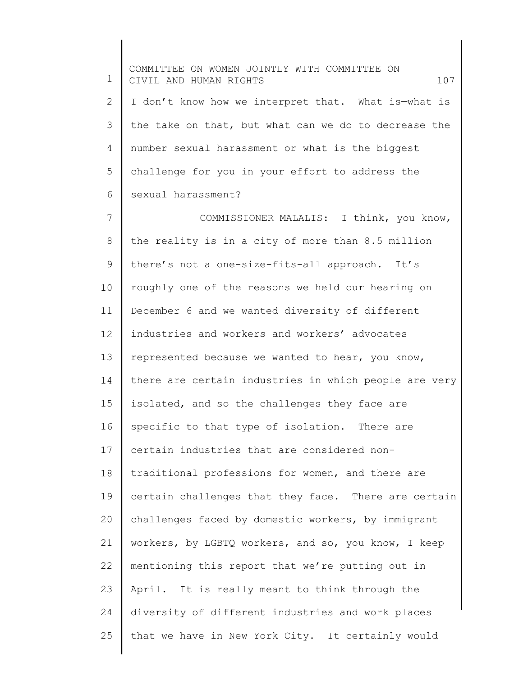1 2 3 4 5 6 7 8 9 10 11 12 13 14 15 16 17 18 19 20 21 22 23 24 COMMITTEE ON WOMEN JOINTLY WITH COMMITTEE ON CIVIL AND HUMAN RIGHTS 107 I don't know how we interpret that. What is—what is the take on that, but what can we do to decrease the number sexual harassment or what is the biggest challenge for you in your effort to address the sexual harassment? COMMISSIONER MALALIS: I think, you know, the reality is in a city of more than 8.5 million there's not a one-size-fits-all approach. It's roughly one of the reasons we held our hearing on December 6 and we wanted diversity of different industries and workers and workers' advocates represented because we wanted to hear, you know, there are certain industries in which people are very isolated, and so the challenges they face are specific to that type of isolation. There are certain industries that are considered nontraditional professions for women, and there are certain challenges that they face. There are certain challenges faced by domestic workers, by immigrant workers, by LGBTQ workers, and so, you know, I keep mentioning this report that we're putting out in April. It is really meant to think through the diversity of different industries and work places

that we have in New York City. It certainly would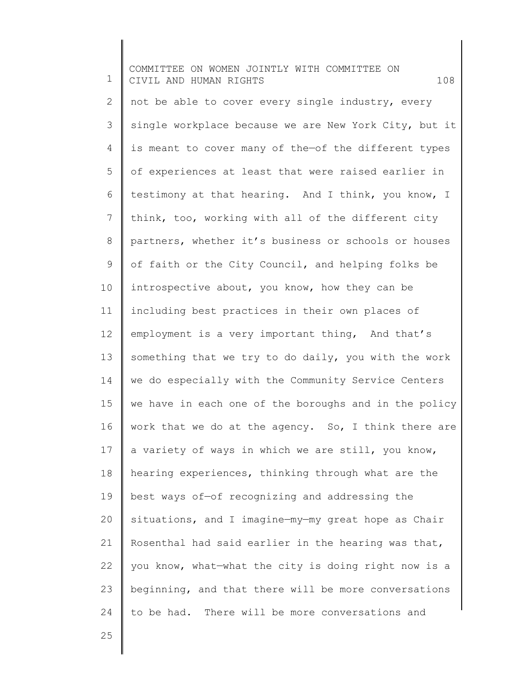1 2 3 4 5 6 7 8 9 10 11 12 13 14 15 16 17 18 19 20 21 22 23 24 COMMITTEE ON WOMEN JOINTLY WITH COMMITTEE ON CIVIL AND HUMAN RIGHTS 108 not be able to cover every single industry, every single workplace because we are New York City, but it is meant to cover many of the—of the different types of experiences at least that were raised earlier in testimony at that hearing. And I think, you know, I think, too, working with all of the different city partners, whether it's business or schools or houses of faith or the City Council, and helping folks be introspective about, you know, how they can be including best practices in their own places of employment is a very important thing, And that's something that we try to do daily, you with the work we do especially with the Community Service Centers we have in each one of the boroughs and in the policy work that we do at the agency. So, I think there are a variety of ways in which we are still, you know, hearing experiences, thinking through what are the best ways of—of recognizing and addressing the situations, and I imagine—my—my great hope as Chair Rosenthal had said earlier in the hearing was that, you know, what—what the city is doing right now is a beginning, and that there will be more conversations to be had. There will be more conversations and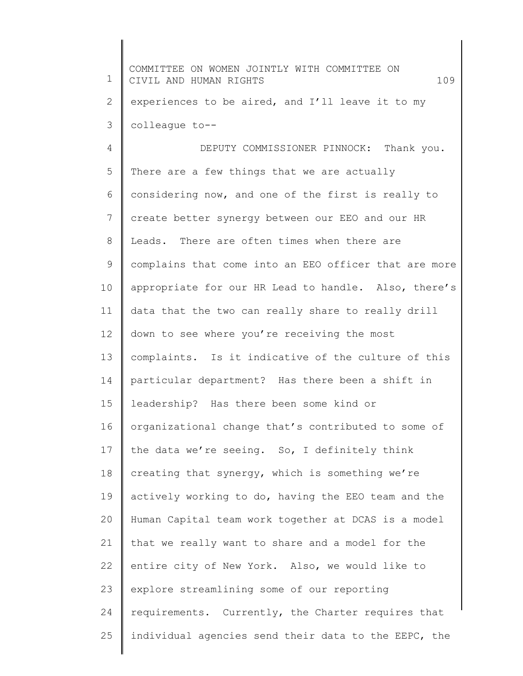1 2 3 4 5 6 7 8 9 10 11 12 13 14 15 16 17 18 19 20 21 22 23 24 25 COMMITTEE ON WOMEN JOINTLY WITH COMMITTEE ON CIVIL AND HUMAN RIGHTS 109 experiences to be aired, and I'll leave it to my colleague to-- DEPUTY COMMISSIONER PINNOCK: Thank you. There are a few things that we are actually considering now, and one of the first is really to create better synergy between our EEO and our HR Leads. There are often times when there are complains that come into an EEO officer that are more appropriate for our HR Lead to handle. Also, there's data that the two can really share to really drill down to see where you're receiving the most complaints. Is it indicative of the culture of this particular department? Has there been a shift in leadership? Has there been some kind or organizational change that's contributed to some of the data we're seeing. So, I definitely think creating that synergy, which is something we're actively working to do, having the EEO team and the Human Capital team work together at DCAS is a model that we really want to share and a model for the entire city of New York. Also, we would like to explore streamlining some of our reporting requirements. Currently, the Charter requires that individual agencies send their data to the EEPC, the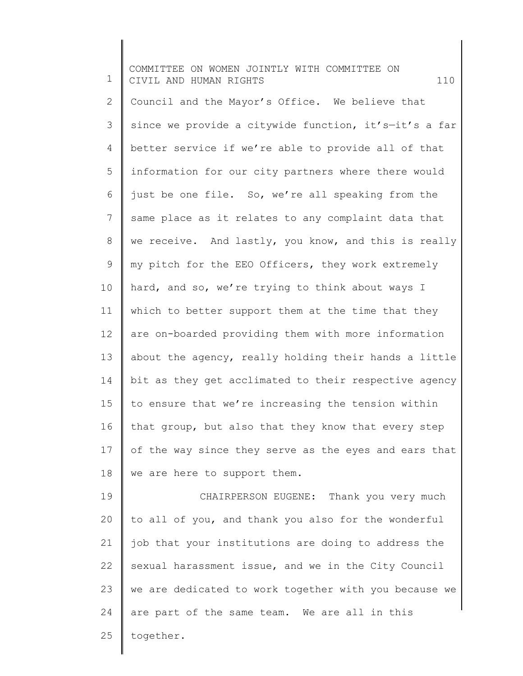1 2 3 4 5 6 7 8 9 10 11 12 13 14 15 16 17 18 19 20 21 22 23 COMMITTEE ON WOMEN JOINTLY WITH COMMITTEE ON CIVIL AND HUMAN RIGHTS 110 Council and the Mayor's Office. We believe that since we provide a citywide function, it's-it's a far better service if we're able to provide all of that information for our city partners where there would just be one file. So, we're all speaking from the same place as it relates to any complaint data that we receive. And lastly, you know, and this is really my pitch for the EEO Officers, they work extremely hard, and so, we're trying to think about ways I which to better support them at the time that they are on-boarded providing them with more information about the agency, really holding their hands a little bit as they get acclimated to their respective agency to ensure that we're increasing the tension within that group, but also that they know that every step of the way since they serve as the eyes and ears that we are here to support them. CHAIRPERSON EUGENE: Thank you very much to all of you, and thank you also for the wonderful job that your institutions are doing to address the sexual harassment issue, and we in the City Council we are dedicated to work together with you because we

are part of the same team. We are all in this

25 together.

24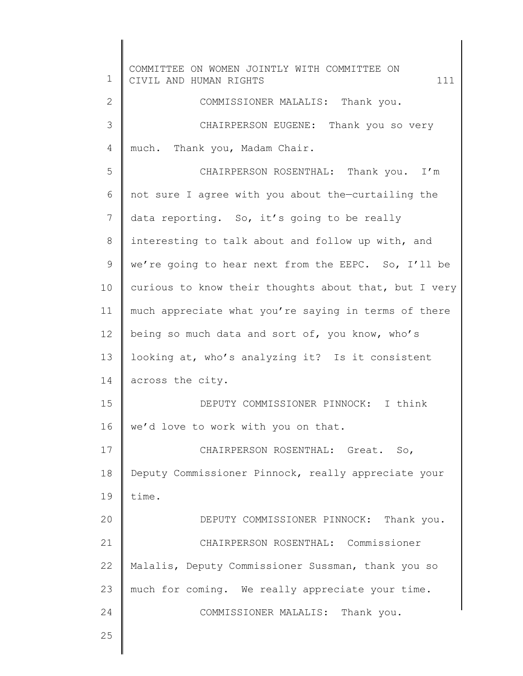1 2 3 4 5 6 7 8 9 10 11 12 13 14 15 16 17 18 19 20 21 22 23 24 25 COMMITTEE ON WOMEN JOINTLY WITH COMMITTEE ON CIVIL AND HUMAN RIGHTS 111 COMMISSIONER MALALIS: Thank you. CHAIRPERSON EUGENE: Thank you so very much. Thank you, Madam Chair. CHAIRPERSON ROSENTHAL: Thank you. I'm not sure I agree with you about the—curtailing the data reporting. So, it's going to be really interesting to talk about and follow up with, and we're going to hear next from the EEPC. So, I'll be curious to know their thoughts about that, but I very much appreciate what you're saying in terms of there being so much data and sort of, you know, who's looking at, who's analyzing it? Is it consistent across the city. DEPUTY COMMISSIONER PINNOCK: I think we'd love to work with you on that. CHAIRPERSON ROSENTHAL: Great. So, Deputy Commissioner Pinnock, really appreciate your time. DEPUTY COMMISSIONER PINNOCK: Thank you. CHAIRPERSON ROSENTHAL: Commissioner Malalis, Deputy Commissioner Sussman, thank you so much for coming. We really appreciate your time. COMMISSIONER MALALIS: Thank you.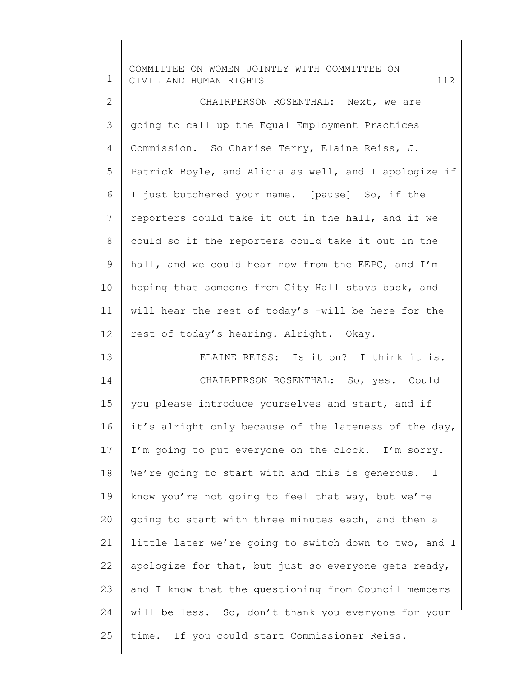1 2 3 4 5 6 7 8 9 10 11 12 13 14 15 16 17 18 19 20 21 22 23 24 25 COMMITTEE ON WOMEN JOINTLY WITH COMMITTEE ON CIVIL AND HUMAN RIGHTS 112 CHAIRPERSON ROSENTHAL: Next, we are going to call up the Equal Employment Practices Commission. So Charise Terry, Elaine Reiss, J. Patrick Boyle, and Alicia as well, and I apologize if I just butchered your name. [pause] So, if the reporters could take it out in the hall, and if we could—so if the reporters could take it out in the hall, and we could hear now from the EEPC, and I'm hoping that someone from City Hall stays back, and will hear the rest of today's—-will be here for the rest of today's hearing. Alright. Okay. ELAINE REISS: Is it on? I think it is. CHAIRPERSON ROSENTHAL: So, yes. Could you please introduce yourselves and start, and if it's alright only because of the lateness of the day, I'm going to put everyone on the clock. I'm sorry. We're going to start with-and this is generous. I know you're not going to feel that way, but we're going to start with three minutes each, and then a little later we're going to switch down to two, and I apologize for that, but just so everyone gets ready, and I know that the questioning from Council members will be less. So, don't-thank you everyone for your time. If you could start Commissioner Reiss.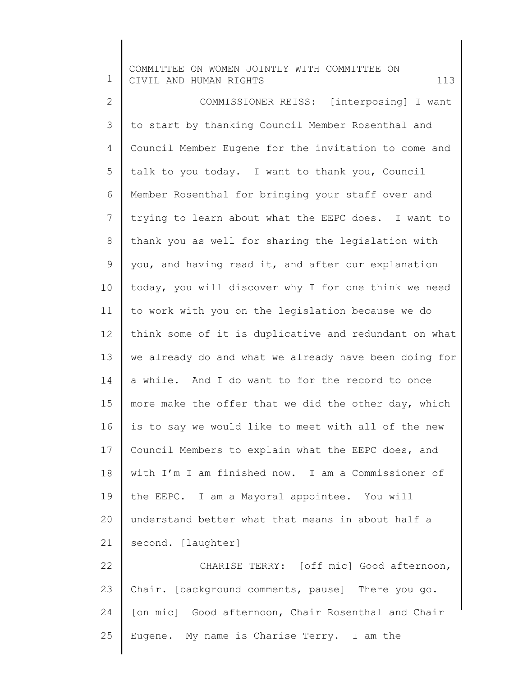1 2 3 4 5 6 7 8 9 10 11 12 13 14 15 16 17 18 19 20 21 22 23 24 25 COMMITTEE ON WOMEN JOINTLY WITH COMMITTEE ON CIVIL AND HUMAN RIGHTS 113 COMMISSIONER REISS: [interposing] I want to start by thanking Council Member Rosenthal and Council Member Eugene for the invitation to come and talk to you today. I want to thank you, Council Member Rosenthal for bringing your staff over and trying to learn about what the EEPC does. I want to thank you as well for sharing the legislation with you, and having read it, and after our explanation today, you will discover why I for one think we need to work with you on the legislation because we do think some of it is duplicative and redundant on what we already do and what we already have been doing for a while. And I do want to for the record to once more make the offer that we did the other day, which is to say we would like to meet with all of the new Council Members to explain what the EEPC does, and with—I'm—I am finished now. I am a Commissioner of the EEPC. I am a Mayoral appointee. You will understand better what that means in about half a second. [laughter] CHARISE TERRY: [off mic] Good afternoon, Chair. [background comments, pause] There you go. [on mic] Good afternoon, Chair Rosenthal and Chair Eugene. My name is Charise Terry. I am the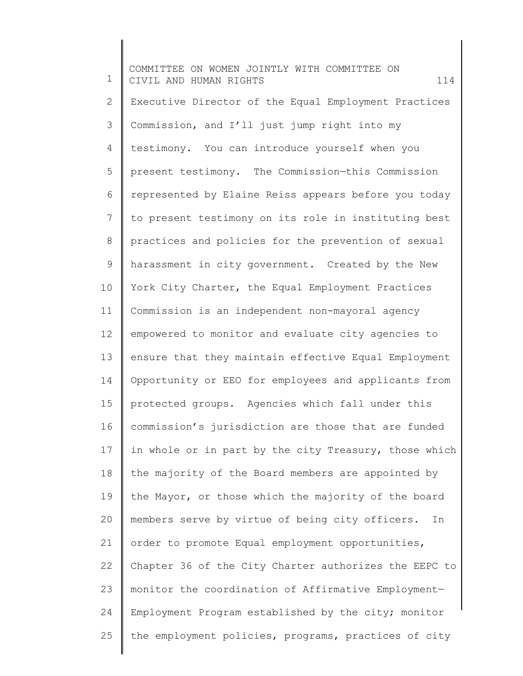1 2 3 4 5 6 7 8 9 10 11 12 13 14 15 16 17 18 19 20 21 22 23 24 25 COMMITTEE ON WOMEN JOINTLY WITH COMMITTEE ON CIVIL AND HUMAN RIGHTS 114 Executive Director of the Equal Employment Practices Commission, and I'll just jump right into my testimony. You can introduce yourself when you present testimony. The Commission—this Commission represented by Elaine Reiss appears before you today to present testimony on its role in instituting best practices and policies for the prevention of sexual harassment in city government. Created by the New York City Charter, the Equal Employment Practices Commission is an independent non-mayoral agency empowered to monitor and evaluate city agencies to ensure that they maintain effective Equal Employment Opportunity or EEO for employees and applicants from protected groups. Agencies which fall under this commission's jurisdiction are those that are funded in whole or in part by the city Treasury, those which the majority of the Board members are appointed by the Mayor, or those which the majority of the board members serve by virtue of being city officers. In order to promote Equal employment opportunities, Chapter 36 of the City Charter authorizes the EEPC to monitor the coordination of Affirmative Employment— Employment Program established by the city; monitor the employment policies, programs, practices of city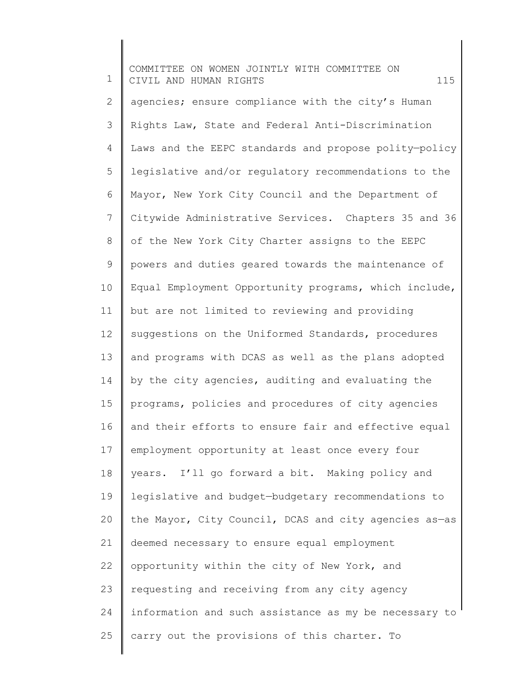1 2 3 4 5 6 7 8 9 10 11 12 13 14 15 16 17 18 19 20 21 22 23 24 25 COMMITTEE ON WOMEN JOINTLY WITH COMMITTEE ON CIVIL AND HUMAN RIGHTS 115 agencies; ensure compliance with the city's Human Rights Law, State and Federal Anti-Discrimination Laws and the EEPC standards and propose polity—policy legislative and/or regulatory recommendations to the Mayor, New York City Council and the Department of Citywide Administrative Services. Chapters 35 and 36 of the New York City Charter assigns to the EEPC powers and duties geared towards the maintenance of Equal Employment Opportunity programs, which include, but are not limited to reviewing and providing suggestions on the Uniformed Standards, procedures and programs with DCAS as well as the plans adopted by the city agencies, auditing and evaluating the programs, policies and procedures of city agencies and their efforts to ensure fair and effective equal employment opportunity at least once every four years. I'll go forward a bit. Making policy and legislative and budget—budgetary recommendations to the Mayor, City Council, DCAS and city agencies as—as deemed necessary to ensure equal employment opportunity within the city of New York, and requesting and receiving from any city agency information and such assistance as my be necessary to carry out the provisions of this charter. To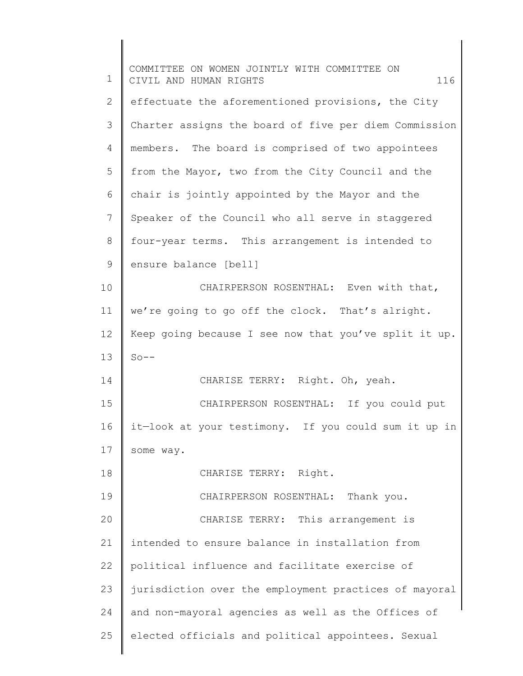1 2 3 4 5 6 7 8 9 10 11 12 13 14 15 16 17 18 19 20 21 22 23 24 25 COMMITTEE ON WOMEN JOINTLY WITH COMMITTEE ON CIVIL AND HUMAN RIGHTS 116 effectuate the aforementioned provisions, the City Charter assigns the board of five per diem Commission members. The board is comprised of two appointees from the Mayor, two from the City Council and the chair is jointly appointed by the Mayor and the Speaker of the Council who all serve in staggered four-year terms. This arrangement is intended to ensure balance [bell] CHAIRPERSON ROSENTHAL: Even with that, we're going to go off the clock. That's alright. Keep going because I see now that you've split it up.  $So --$ CHARISE TERRY: Right. Oh, yeah. CHAIRPERSON ROSENTHAL: If you could put it—look at your testimony. If you could sum it up in some way. CHARISE TERRY: Right. CHAIRPERSON ROSENTHAL: Thank you. CHARISE TERRY: This arrangement is intended to ensure balance in installation from political influence and facilitate exercise of jurisdiction over the employment practices of mayoral and non-mayoral agencies as well as the Offices of elected officials and political appointees. Sexual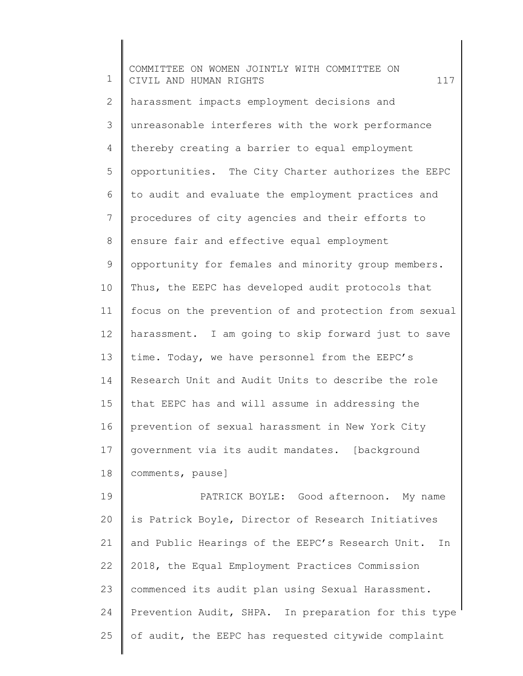1 2 3 4 5 6 7 8 9 10 11 12 13 14 15 16 17 18 19 20 21 COMMITTEE ON WOMEN JOINTLY WITH COMMITTEE ON CIVIL AND HUMAN RIGHTS 117 harassment impacts employment decisions and unreasonable interferes with the work performance thereby creating a barrier to equal employment opportunities. The City Charter authorizes the EEPC to audit and evaluate the employment practices and procedures of city agencies and their efforts to ensure fair and effective equal employment opportunity for females and minority group members. Thus, the EEPC has developed audit protocols that focus on the prevention of and protection from sexual harassment. I am going to skip forward just to save time. Today, we have personnel from the EEPC's Research Unit and Audit Units to describe the role that EEPC has and will assume in addressing the prevention of sexual harassment in New York City government via its audit mandates. [background comments, pause] PATRICK BOYLE: Good afternoon. My name is Patrick Boyle, Director of Research Initiatives and Public Hearings of the EEPC's Research Unit. In

22 23 24 25 2018, the Equal Employment Practices Commission commenced its audit plan using Sexual Harassment. Prevention Audit, SHPA. In preparation for this type of audit, the EEPC has requested citywide complaint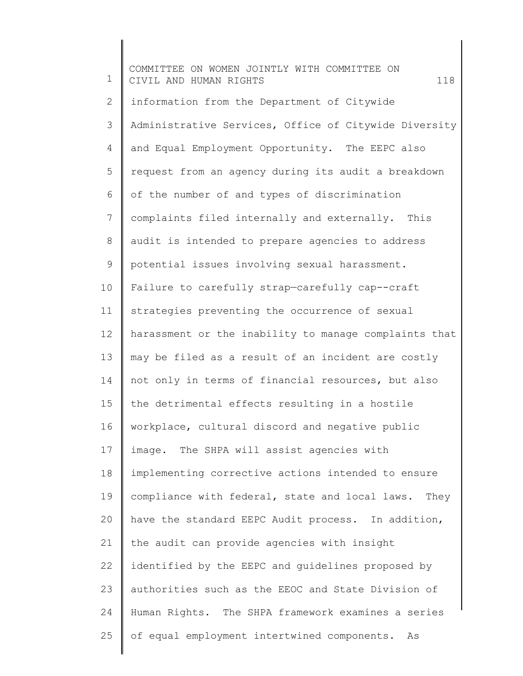1 2 3 4 5 6 7 8 9 10 11 12 13 14 15 16 17 18 19 20 21 22 23 24 25 COMMITTEE ON WOMEN JOINTLY WITH COMMITTEE ON CIVIL AND HUMAN RIGHTS 118 information from the Department of Citywide Administrative Services, Office of Citywide Diversity and Equal Employment Opportunity. The EEPC also request from an agency during its audit a breakdown of the number of and types of discrimination complaints filed internally and externally. This audit is intended to prepare agencies to address potential issues involving sexual harassment. Failure to carefully strap—carefully cap--craft strategies preventing the occurrence of sexual harassment or the inability to manage complaints that may be filed as a result of an incident are costly not only in terms of financial resources, but also the detrimental effects resulting in a hostile workplace, cultural discord and negative public image. The SHPA will assist agencies with implementing corrective actions intended to ensure compliance with federal, state and local laws. They have the standard EEPC Audit process. In addition, the audit can provide agencies with insight identified by the EEPC and guidelines proposed by authorities such as the EEOC and State Division of Human Rights. The SHPA framework examines a series of equal employment intertwined components. As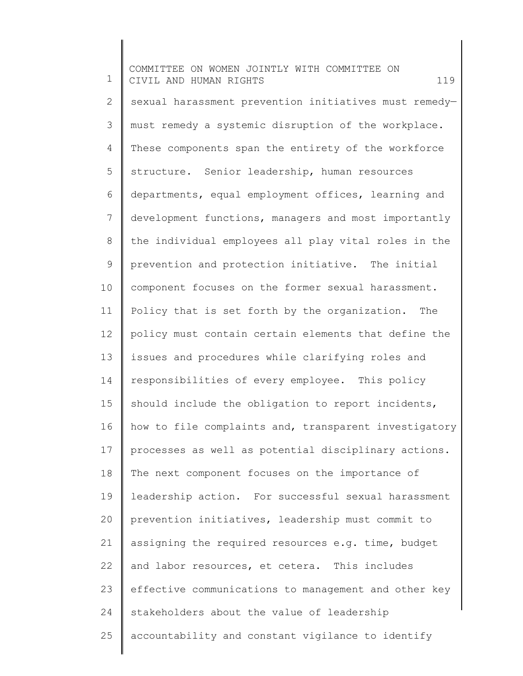1 2 3 4 5 6 7 8 9 10 11 12 13 14 15 16 17 18 19 20 21 22 23 24 25 COMMITTEE ON WOMEN JOINTLY WITH COMMITTEE ON CIVIL AND HUMAN RIGHTS 119 sexual harassment prevention initiatives must remedy must remedy a systemic disruption of the workplace. These components span the entirety of the workforce structure. Senior leadership, human resources departments, equal employment offices, learning and development functions, managers and most importantly the individual employees all play vital roles in the prevention and protection initiative. The initial component focuses on the former sexual harassment. Policy that is set forth by the organization. The policy must contain certain elements that define the issues and procedures while clarifying roles and responsibilities of every employee. This policy should include the obligation to report incidents, how to file complaints and, transparent investigatory processes as well as potential disciplinary actions. The next component focuses on the importance of leadership action. For successful sexual harassment prevention initiatives, leadership must commit to assigning the required resources e.g. time, budget and labor resources, et cetera. This includes effective communications to management and other key stakeholders about the value of leadership accountability and constant vigilance to identify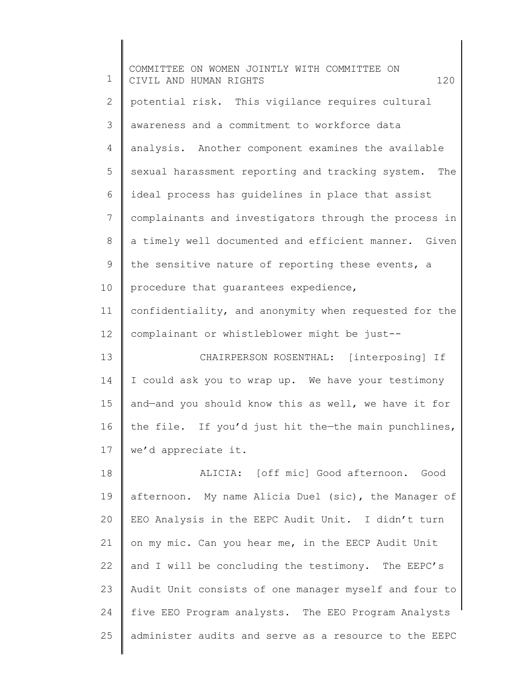| $\mathbf 1$    | COMMITTEE ON WOMEN JOINTLY WITH COMMITTEE ON<br>120<br>CIVIL AND HUMAN RIGHTS |
|----------------|-------------------------------------------------------------------------------|
| $\overline{2}$ | potential risk. This vigilance requires cultural                              |
| 3              | awareness and a commitment to workforce data                                  |
| $\overline{4}$ | analysis. Another component examines the available                            |
| 5              | sexual harassment reporting and tracking system.<br>The                       |
| 6              | ideal process has guidelines in place that assist                             |
| $7\phantom{.}$ | complainants and investigators through the process in                         |
| 8              | a timely well documented and efficient manner. Given                          |
| 9              | the sensitive nature of reporting these events, a                             |
| 10             | procedure that guarantees expedience,                                         |
| 11             | confidentiality, and anonymity when requested for the                         |
| 12             | complainant or whistleblower might be just--                                  |
| 13             | CHAIRPERSON ROSENTHAL: [interposing] If                                       |
| 14             | I could ask you to wrap up. We have your testimony                            |
| 15             | and-and you should know this as well, we have it for                          |
| 16             | the file. If you'd just hit the-the main punchlines,                          |
| 17             | we'd appreciate it.                                                           |
| 18             | ALICIA: [off mic] Good afternoon. Good                                        |
| 19             | afternoon. My name Alicia Duel (sic), the Manager of                          |
| 20             | EEO Analysis in the EEPC Audit Unit. I didn't turn                            |
| 21             | on my mic. Can you hear me, in the EECP Audit Unit                            |
| 22             | and I will be concluding the testimony. The EEPC's                            |
| 23             | Audit Unit consists of one manager myself and four to                         |
| 24             | five EEO Program analysts. The EEO Program Analysts                           |
| 25             | administer audits and serve as a resource to the EEPC                         |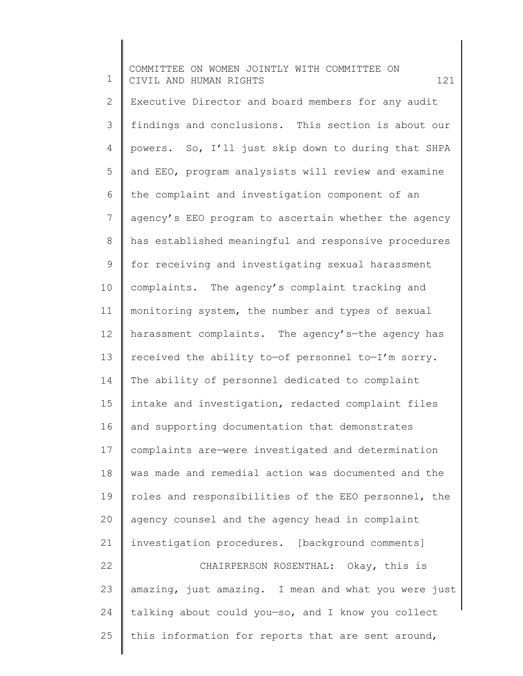1 2 3 4 5 6 7 8 9 10 11 12 13 14 15 16 17 18 19 20 21 22 23 24 25 COMMITTEE ON WOMEN JOINTLY WITH COMMITTEE ON CIVIL AND HUMAN RIGHTS 121 Executive Director and board members for any audit findings and conclusions. This section is about our powers. So, I'll just skip down to during that SHPA and EEO, program analysists will review and examine the complaint and investigation component of an agency's EEO program to ascertain whether the agency has established meaningful and responsive procedures for receiving and investigating sexual harassment complaints. The agency's complaint tracking and monitoring system, the number and types of sexual harassment complaints. The agency's—the agency has received the ability to—of personnel to—I'm sorry. The ability of personnel dedicated to complaint intake and investigation, redacted complaint files and supporting documentation that demonstrates complaints are—were investigated and determination was made and remedial action was documented and the roles and responsibilities of the EEO personnel, the agency counsel and the agency head in complaint investigation procedures. [background comments] CHAIRPERSON ROSENTHAL: Okay, this is amazing, just amazing. I mean and what you were just talking about could you—so, and I know you collect this information for reports that are sent around,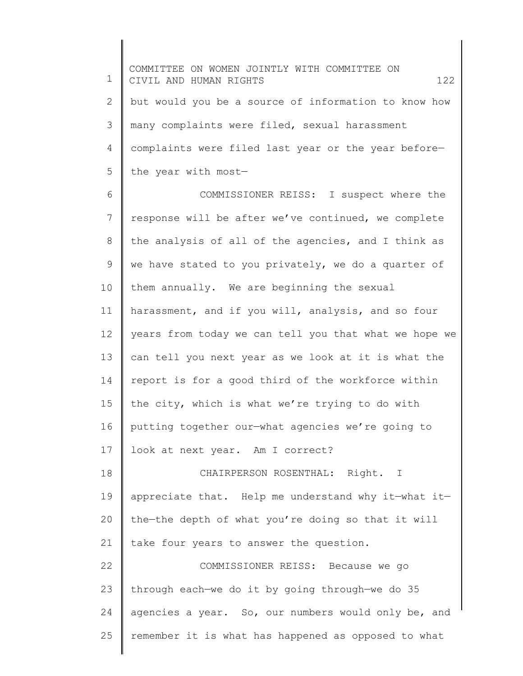1 2 3 4 5 COMMITTEE ON WOMEN JOINTLY WITH COMMITTEE ON CIVIL AND HUMAN RIGHTS 122 but would you be a source of information to know how many complaints were filed, sexual harassment complaints were filed last year or the year before the year with most—

6 7 8 9 10 11 12 13 14 15 16 17 18 COMMISSIONER REISS: I suspect where the response will be after we've continued, we complete the analysis of all of the agencies, and I think as we have stated to you privately, we do a quarter of them annually. We are beginning the sexual harassment, and if you will, analysis, and so four years from today we can tell you that what we hope we can tell you next year as we look at it is what the report is for a good third of the workforce within the city, which is what we're trying to do with putting together our—what agencies we're going to look at next year. Am I correct? CHAIRPERSON ROSENTHAL: Right. I

19 20 21 22 appreciate that. Help me understand why it—what it the—the depth of what you're doing so that it will take four years to answer the question. COMMISSIONER REISS: Because we go

23 24 25 through each—we do it by going through—we do 35 agencies a year. So, our numbers would only be, and remember it is what has happened as opposed to what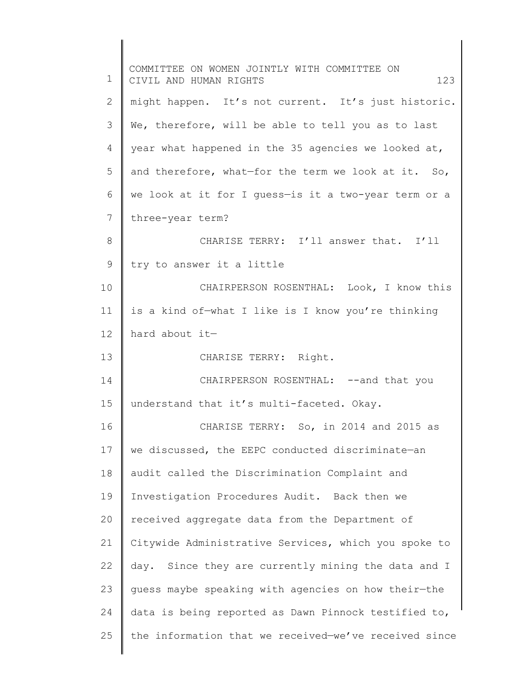1 2 3 4 5 6 7 8 9 10 11 12 13 14 15 16 17 18 19 20 21 22 23 24 25 COMMITTEE ON WOMEN JOINTLY WITH COMMITTEE ON CIVIL AND HUMAN RIGHTS 123 might happen. It's not current. It's just historic. We, therefore, will be able to tell you as to last year what happened in the 35 agencies we looked at, and therefore, what—for the term we look at it. So, we look at it for I guess—is it a two-year term or a three-year term? CHARISE TERRY: I'll answer that. I'll try to answer it a little CHAIRPERSON ROSENTHAL: Look, I know this is a kind of—what I like is I know you're thinking hard about it— CHARISE TERRY: Right. CHAIRPERSON ROSENTHAL: -- and that you understand that it's multi-faceted. Okay. CHARISE TERRY: So, in 2014 and 2015 as we discussed, the EEPC conducted discriminate—an audit called the Discrimination Complaint and Investigation Procedures Audit. Back then we received aggregate data from the Department of Citywide Administrative Services, which you spoke to day. Since they are currently mining the data and I guess maybe speaking with agencies on how their—the data is being reported as Dawn Pinnock testified to, the information that we received—we've received since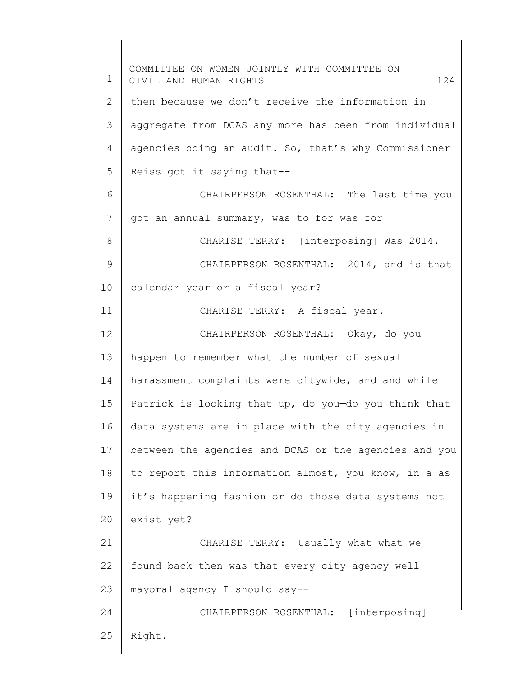1 2 3 4 5 6 7 8 9 10 11 12 13 14 15 16 17 18 19 20 21 22 23 24 25 COMMITTEE ON WOMEN JOINTLY WITH COMMITTEE ON CIVIL AND HUMAN RIGHTS 124 then because we don't receive the information in aggregate from DCAS any more has been from individual agencies doing an audit. So, that's why Commissioner Reiss got it saying that-- CHAIRPERSON ROSENTHAL: The last time you got an annual summary, was to—for—was for CHARISE TERRY: [interposing] Was 2014. CHAIRPERSON ROSENTHAL: 2014, and is that calendar year or a fiscal year? CHARISE TERRY: A fiscal year. CHAIRPERSON ROSENTHAL: Okay, do you happen to remember what the number of sexual harassment complaints were citywide, and—and while Patrick is looking that up, do you—do you think that data systems are in place with the city agencies in between the agencies and DCAS or the agencies and you to report this information almost, you know, in a—as it's happening fashion or do those data systems not exist yet? CHARISE TERRY: Usually what—what we found back then was that every city agency well mayoral agency I should say-- CHAIRPERSON ROSENTHAL: [interposing] Right.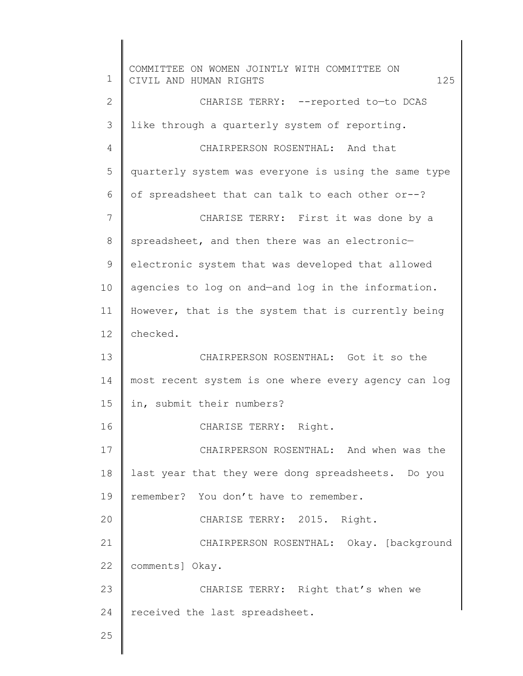1 2 3 4 5 6 7 8 9 10 11 12 13 14 15 16 17 18 19 20 21 22 23 24 25 COMMITTEE ON WOMEN JOINTLY WITH COMMITTEE ON CIVIL AND HUMAN RIGHTS 125 CHARISE TERRY: --reported to—to DCAS like through a quarterly system of reporting. CHAIRPERSON ROSENTHAL: And that quarterly system was everyone is using the same type of spreadsheet that can talk to each other or--? CHARISE TERRY: First it was done by a spreadsheet, and then there was an electronic electronic system that was developed that allowed agencies to log on and—and log in the information. However, that is the system that is currently being checked. CHAIRPERSON ROSENTHAL: Got it so the most recent system is one where every agency can log in, submit their numbers? CHARISE TERRY: Right. CHAIRPERSON ROSENTHAL: And when was the last year that they were dong spreadsheets. Do you remember? You don't have to remember. CHARISE TERRY: 2015. Right. CHAIRPERSON ROSENTHAL: Okay. [background comments] Okay. CHARISE TERRY: Right that's when we received the last spreadsheet.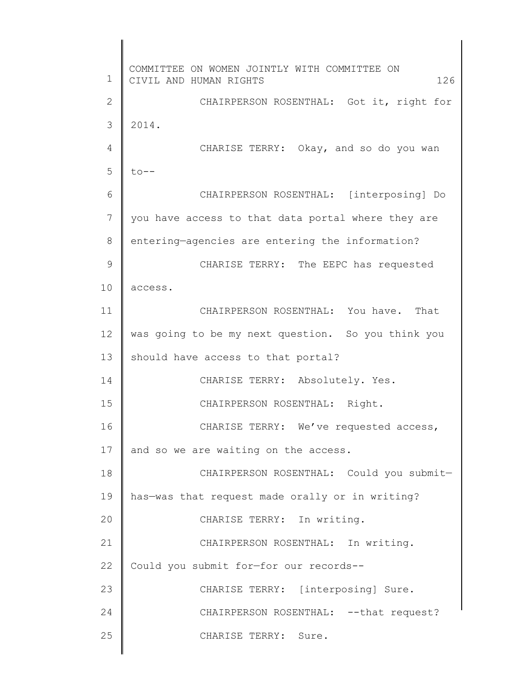1 2 3 4 5 6 7 8 9 10 11 12 13 14 15 16 17 18 19 20 21 22 23 24 25 COMMITTEE ON WOMEN JOINTLY WITH COMMITTEE ON CIVIL AND HUMAN RIGHTS 126 CHAIRPERSON ROSENTHAL: Got it, right for 2014. CHARISE TERRY: Okay, and so do you wan  $to --$ CHAIRPERSON ROSENTHAL: [interposing] Do you have access to that data portal where they are entering—agencies are entering the information? CHARISE TERRY: The EEPC has requested access. CHAIRPERSON ROSENTHAL: You have. That was going to be my next question. So you think you should have access to that portal? CHARISE TERRY: Absolutely. Yes. CHAIRPERSON ROSENTHAL: Right. CHARISE TERRY: We've requested access, and so we are waiting on the access. CHAIRPERSON ROSENTHAL: Could you submit has—was that request made orally or in writing? CHARISE TERRY: In writing. CHAIRPERSON ROSENTHAL: In writing. Could you submit for—for our records-- CHARISE TERRY: [interposing] Sure. CHAIRPERSON ROSENTHAL: -- that request? CHARISE TERRY: Sure.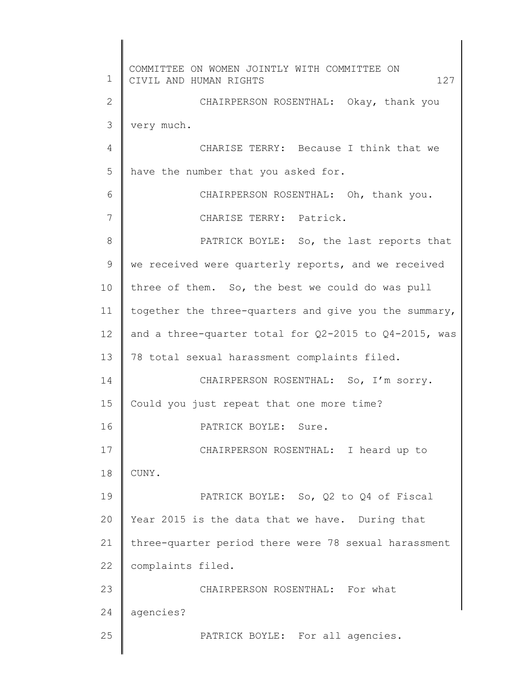1 2 3 4 5 6 7 8 9 10 11 12 13 14 15 16 17 18 19 20 21 22 23 24 25 COMMITTEE ON WOMEN JOINTLY WITH COMMITTEE ON CIVIL AND HUMAN RIGHTS 127 CHAIRPERSON ROSENTHAL: Okay, thank you very much. CHARISE TERRY: Because I think that we have the number that you asked for. CHAIRPERSON ROSENTHAL: Oh, thank you. CHARISE TERRY: Patrick. PATRICK BOYLE: So, the last reports that we received were quarterly reports, and we received three of them. So, the best we could do was pull together the three-quarters and give you the summary, and a three-quarter total for Q2-2015 to Q4-2015, was 78 total sexual harassment complaints filed. CHAIRPERSON ROSENTHAL: So, I'm sorry. Could you just repeat that one more time? PATRICK BOYLE: Sure. CHAIRPERSON ROSENTHAL: I heard up to CUNY. PATRICK BOYLE: So, Q2 to Q4 of Fiscal Year 2015 is the data that we have. During that three-quarter period there were 78 sexual harassment complaints filed. CHAIRPERSON ROSENTHAL: For what agencies? PATRICK BOYLE: For all agencies.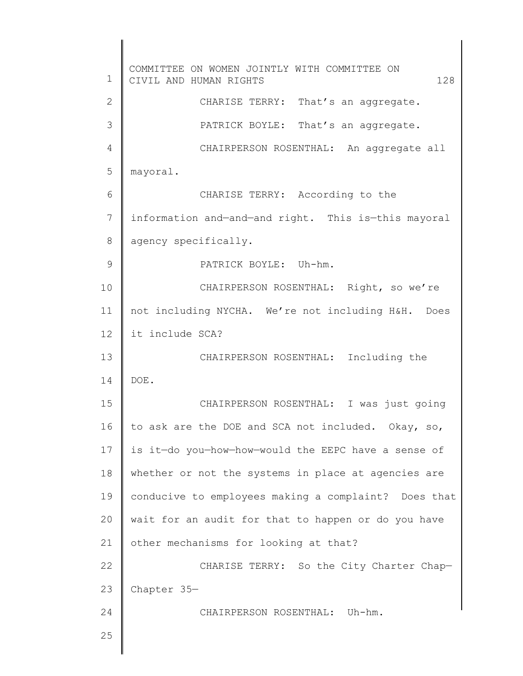1 2 3 4 5 6 7 8 9 10 11 12 13 14 15 16 17 18 19 20 21 22 23 24 25 COMMITTEE ON WOMEN JOINTLY WITH COMMITTEE ON CIVIL AND HUMAN RIGHTS 128 CHARISE TERRY: That's an aggregate. PATRICK BOYLE: That's an aggregate. CHAIRPERSON ROSENTHAL: An aggregate all mayoral. CHARISE TERRY: According to the information and—and—and right. This is—this mayoral agency specifically. PATRICK BOYLE: Uh-hm. CHAIRPERSON ROSENTHAL: Right, so we're not including NYCHA. We're not including H&H. Does it include SCA? CHAIRPERSON ROSENTHAL: Including the DOE. CHAIRPERSON ROSENTHAL: I was just going to ask are the DOE and SCA not included. Okay, so, is it—do you—how—how—would the EEPC have a sense of whether or not the systems in place at agencies are conducive to employees making a complaint? Does that wait for an audit for that to happen or do you have other mechanisms for looking at that? CHARISE TERRY: So the City Charter Chap— Chapter 35— CHAIRPERSON ROSENTHAL: Uh-hm.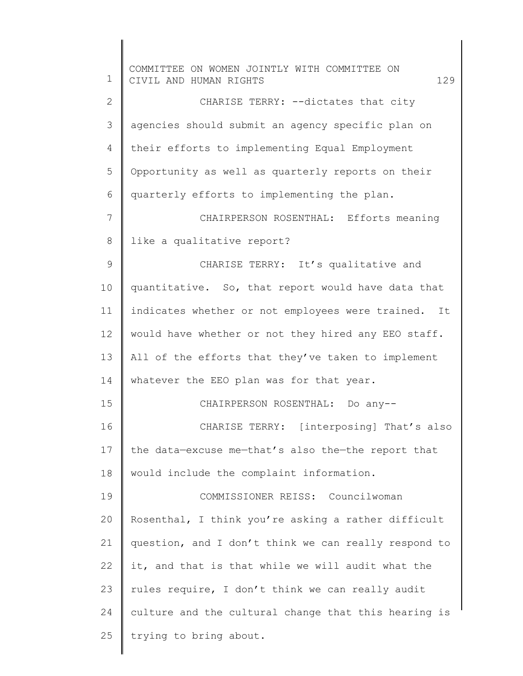1 2 3 4 5 6 7 8 9 10 11 12 13 14 15 16 17 18 19 20 21 22 23 24 25 COMMITTEE ON WOMEN JOINTLY WITH COMMITTEE ON CIVIL AND HUMAN RIGHTS 129 CHARISE TERRY: --dictates that city agencies should submit an agency specific plan on their efforts to implementing Equal Employment Opportunity as well as quarterly reports on their quarterly efforts to implementing the plan. CHAIRPERSON ROSENTHAL: Efforts meaning like a qualitative report? CHARISE TERRY: It's qualitative and quantitative. So, that report would have data that indicates whether or not employees were trained. It would have whether or not they hired any EEO staff. All of the efforts that they've taken to implement whatever the EEO plan was for that year. CHAIRPERSON ROSENTHAL: Do any-- CHARISE TERRY: [interposing] That's also the data—excuse me—that's also the—the report that would include the complaint information. COMMISSIONER REISS: Councilwoman Rosenthal, I think you're asking a rather difficult question, and I don't think we can really respond to it, and that is that while we will audit what the rules require, I don't think we can really audit culture and the cultural change that this hearing is trying to bring about.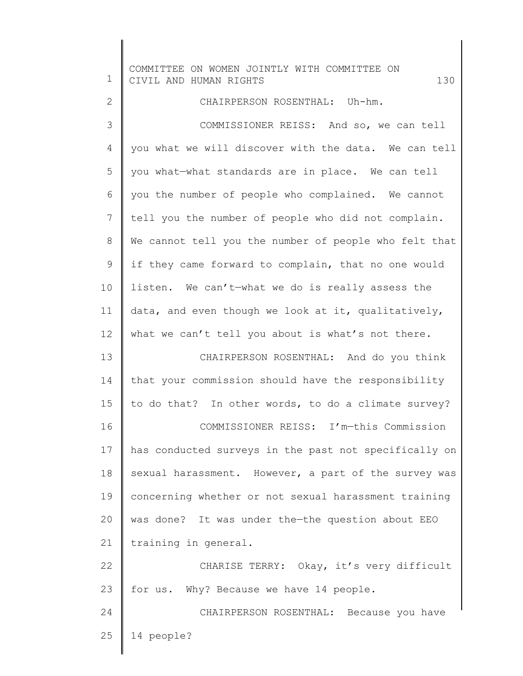| $\mathbf 1$    | COMMITTEE ON WOMEN JOINTLY WITH COMMITTEE ON<br>130<br>CIVIL AND HUMAN RIGHTS |
|----------------|-------------------------------------------------------------------------------|
| $\mathbf{2}$   | CHAIRPERSON ROSENTHAL: Uh-hm.                                                 |
| 3              | COMMISSIONER REISS: And so, we can tell                                       |
| 4              | you what we will discover with the data. We can tell                          |
| 5              | you what-what standards are in place. We can tell                             |
| 6              | you the number of people who complained. We cannot                            |
| $\overline{7}$ | tell you the number of people who did not complain.                           |
| $\,8\,$        | We cannot tell you the number of people who felt that                         |
| $\mathsf 9$    | if they came forward to complain, that no one would                           |
| 10             | listen. We can't-what we do is really assess the                              |
| 11             | data, and even though we look at it, qualitatively,                           |
| 12             | what we can't tell you about is what's not there.                             |
| 13             | CHAIRPERSON ROSENTHAL: And do you think                                       |
| 14             | that your commission should have the responsibility                           |
| 15             | to do that? In other words, to do a climate survey?                           |
| 16             | COMMISSIONER REISS: I'm-this Commission                                       |
| 17             | has conducted surveys in the past not specifically on                         |
| 18             | sexual harassment. However, a part of the survey was                          |
| 19             | concerning whether or not sexual harassment training                          |
| 20             | was done? It was under the-the question about EEO                             |
| 21             | training in general.                                                          |
| 22             | CHARISE TERRY: Okay, it's very difficult                                      |
| 23             | for us. Why? Because we have 14 people.                                       |
| 24             | CHAIRPERSON ROSENTHAL: Because you have                                       |
| 25             | 14 people?                                                                    |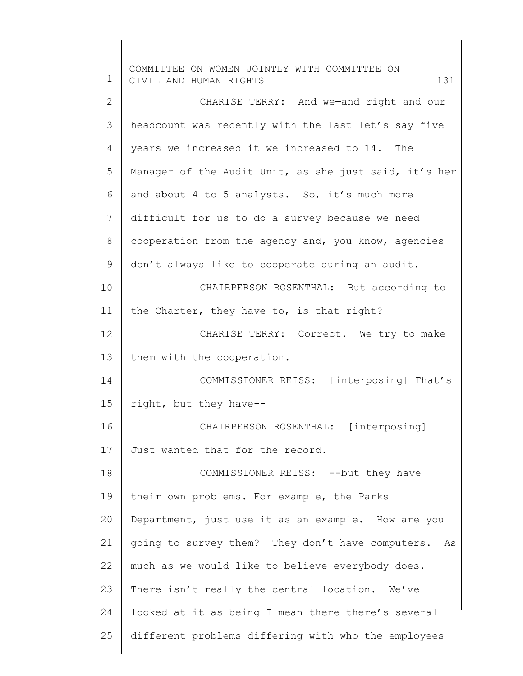| $\mathbf 1$  | COMMITTEE ON WOMEN JOINTLY WITH COMMITTEE ON<br>131<br>CIVIL AND HUMAN RIGHTS |
|--------------|-------------------------------------------------------------------------------|
| $\mathbf{2}$ | CHARISE TERRY: And we-and right and our                                       |
| 3            | headcount was recently-with the last let's say five                           |
| 4            | years we increased it-we increased to 14. The                                 |
| 5            | Manager of the Audit Unit, as she just said, it's her                         |
| 6            | and about 4 to 5 analysts. So, it's much more                                 |
| 7            | difficult for us to do a survey because we need                               |
| $8\,$        | cooperation from the agency and, you know, agencies                           |
| 9            | don't always like to cooperate during an audit.                               |
| 10           | CHAIRPERSON ROSENTHAL: But according to                                       |
| 11           | the Charter, they have to, is that right?                                     |
| 12           | CHARISE TERRY: Correct. We try to make                                        |
| 13           | them-with the cooperation.                                                    |
| 14           | COMMISSIONER REISS: [interposing] That's                                      |
| 15           | right, but they have--                                                        |
| 16           | CHAIRPERSON ROSENTHAL: [interposing]                                          |
| 17           | Just wanted that for the record.                                              |
| 18           | COMMISSIONER REISS: -- but they have                                          |
| 19           | their own problems. For example, the Parks                                    |
| 20           | Department, just use it as an example. How are you                            |
| 21           | going to survey them? They don't have computers. As                           |
| 22           | much as we would like to believe everybody does.                              |
| 23           | There isn't really the central location. We've                                |
| 24           | looked at it as being-I mean there-there's several                            |
| 25           | different problems differing with who the employees                           |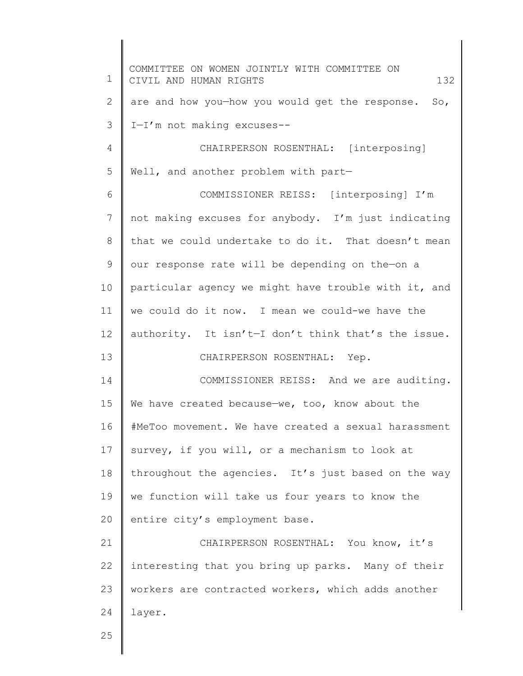1 2 3 4 5 6 7 8 9 10 11 12 13 14 15 16 17 18 19 20 21 22 23 24 25 COMMITTEE ON WOMEN JOINTLY WITH COMMITTEE ON CIVIL AND HUMAN RIGHTS 132 are and how you—how you would get the response. So, I—I'm not making excuses-- CHAIRPERSON ROSENTHAL: [interposing] Well, and another problem with part-COMMISSIONER REISS: [interposing] I'm not making excuses for anybody. I'm just indicating that we could undertake to do it. That doesn't mean our response rate will be depending on the—on a particular agency we might have trouble with it, and we could do it now. I mean we could-we have the authority. It isn't—I don't think that's the issue. CHAIRPERSON ROSENTHAL: Yep. COMMISSIONER REISS: And we are auditing. We have created because-we, too, know about the #MeToo movement. We have created a sexual harassment survey, if you will, or a mechanism to look at throughout the agencies. It's just based on the way we function will take us four years to know the entire city's employment base. CHAIRPERSON ROSENTHAL: You know, it's interesting that you bring up parks. Many of their workers are contracted workers, which adds another layer.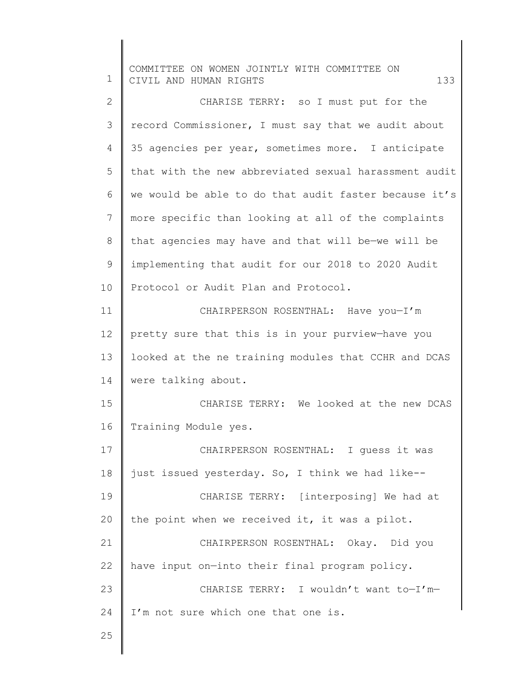1 2 3 4 5 6 7 8 9 10 11 12 13 14 15 16 17 18 19 20 21 22 23 24 25 COMMITTEE ON WOMEN JOINTLY WITH COMMITTEE ON CIVIL AND HUMAN RIGHTS 133 CHARISE TERRY: so I must put for the record Commissioner, I must say that we audit about 35 agencies per year, sometimes more. I anticipate that with the new abbreviated sexual harassment audit we would be able to do that audit faster because it's more specific than looking at all of the complaints that agencies may have and that will be—we will be implementing that audit for our 2018 to 2020 Audit Protocol or Audit Plan and Protocol. CHAIRPERSON ROSENTHAL: Have you—I'm pretty sure that this is in your purview—have you looked at the ne training modules that CCHR and DCAS were talking about. CHARISE TERRY: We looked at the new DCAS Training Module yes. CHAIRPERSON ROSENTHAL: I guess it was just issued yesterday. So, I think we had like-- CHARISE TERRY: [interposing] We had at the point when we received it, it was a pilot. CHAIRPERSON ROSENTHAL: Okay. Did you have input on—into their final program policy. CHARISE TERRY: I wouldn't want to—I'm— I'm not sure which one that one is.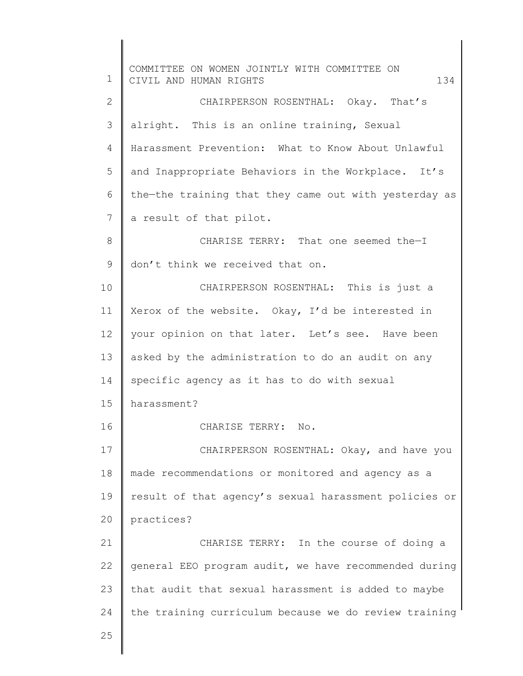1 2 3 4 5 6 7 8 9 10 11 12 13 14 15 16 17 18 19 20 21 22 23 24 25 COMMITTEE ON WOMEN JOINTLY WITH COMMITTEE ON CIVIL AND HUMAN RIGHTS 134 CHAIRPERSON ROSENTHAL: Okay. That's alright. This is an online training, Sexual Harassment Prevention: What to Know About Unlawful and Inappropriate Behaviors in the Workplace. It's the—the training that they came out with yesterday as a result of that pilot. CHARISE TERRY: That one seemed the—I don't think we received that on. CHAIRPERSON ROSENTHAL: This is just a Xerox of the website. Okay, I'd be interested in your opinion on that later. Let's see. Have been asked by the administration to do an audit on any specific agency as it has to do with sexual harassment? CHARISE TERRY: No. CHAIRPERSON ROSENTHAL: Okay, and have you made recommendations or monitored and agency as a result of that agency's sexual harassment policies or practices? CHARISE TERRY: In the course of doing a general EEO program audit, we have recommended during that audit that sexual harassment is added to maybe the training curriculum because we do review training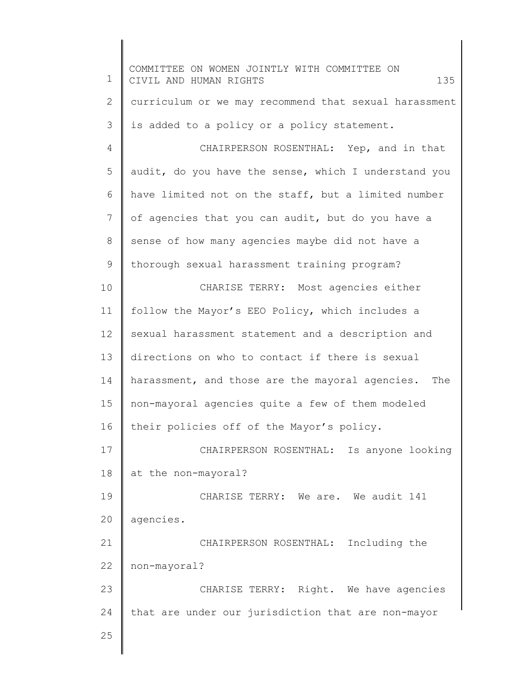1 2 3 4 5 6 7 8 9 10 11 12 13 14 15 16 17 18 19 20 21 22 23 24 25 COMMITTEE ON WOMEN JOINTLY WITH COMMITTEE ON CIVIL AND HUMAN RIGHTS 135 curriculum or we may recommend that sexual harassment is added to a policy or a policy statement. CHAIRPERSON ROSENTHAL: Yep, and in that audit, do you have the sense, which I understand you have limited not on the staff, but a limited number of agencies that you can audit, but do you have a sense of how many agencies maybe did not have a thorough sexual harassment training program? CHARISE TERRY: Most agencies either follow the Mayor's EEO Policy, which includes a sexual harassment statement and a description and directions on who to contact if there is sexual harassment, and those are the mayoral agencies. The non-mayoral agencies quite a few of them modeled their policies off of the Mayor's policy. CHAIRPERSON ROSENTHAL: Is anyone looking at the non-mayoral? CHARISE TERRY: We are. We audit 141 agencies. CHAIRPERSON ROSENTHAL: Including the non-mayoral? CHARISE TERRY: Right. We have agencies that are under our jurisdiction that are non-mayor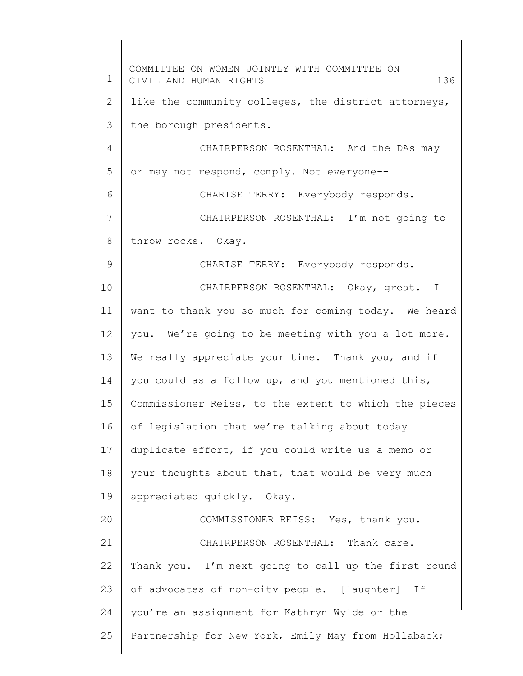1 2 3 4 5 6 7 8 9 10 11 12 13 14 15 16 17 18 19 20 21 22 23 24 25 COMMITTEE ON WOMEN JOINTLY WITH COMMITTEE ON CIVIL AND HUMAN RIGHTS 136 like the community colleges, the district attorneys, the borough presidents. CHAIRPERSON ROSENTHAL: And the DAs may or may not respond, comply. Not everyone-- CHARISE TERRY: Everybody responds. CHAIRPERSON ROSENTHAL: I'm not going to throw rocks. Okay. CHARISE TERRY: Everybody responds. CHAIRPERSON ROSENTHAL: Okay, great. I want to thank you so much for coming today. We heard you. We're going to be meeting with you a lot more. We really appreciate your time. Thank you, and if you could as a follow up, and you mentioned this, Commissioner Reiss, to the extent to which the pieces of legislation that we're talking about today duplicate effort, if you could write us a memo or your thoughts about that, that would be very much appreciated quickly. Okay. COMMISSIONER REISS: Yes, thank you. CHAIRPERSON ROSENTHAL: Thank care. Thank you. I'm next going to call up the first round of advocates—of non-city people. [laughter] If you're an assignment for Kathryn Wylde or the Partnership for New York, Emily May from Hollaback;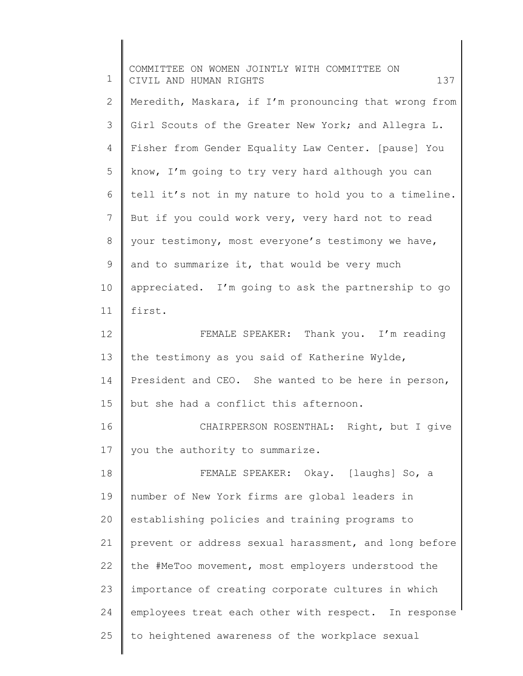1 2 3 4 5 6 7 8 9 10 11 12 13 14 15 16 17 18 19 20 21 22 23 24 25 COMMITTEE ON WOMEN JOINTLY WITH COMMITTEE ON CIVIL AND HUMAN RIGHTS 137 Meredith, Maskara, if I'm pronouncing that wrong from Girl Scouts of the Greater New York; and Allegra L. Fisher from Gender Equality Law Center. [pause] You know, I'm going to try very hard although you can tell it's not in my nature to hold you to a timeline. But if you could work very, very hard not to read your testimony, most everyone's testimony we have, and to summarize it, that would be very much appreciated. I'm going to ask the partnership to go first. FEMALE SPEAKER: Thank you. I'm reading the testimony as you said of Katherine Wylde, President and CEO. She wanted to be here in person, but she had a conflict this afternoon. CHAIRPERSON ROSENTHAL: Right, but I give you the authority to summarize. FEMALE SPEAKER: Okay. [laughs] So, a number of New York firms are global leaders in establishing policies and training programs to prevent or address sexual harassment, and long before the #MeToo movement, most employers understood the importance of creating corporate cultures in which employees treat each other with respect. In response to heightened awareness of the workplace sexual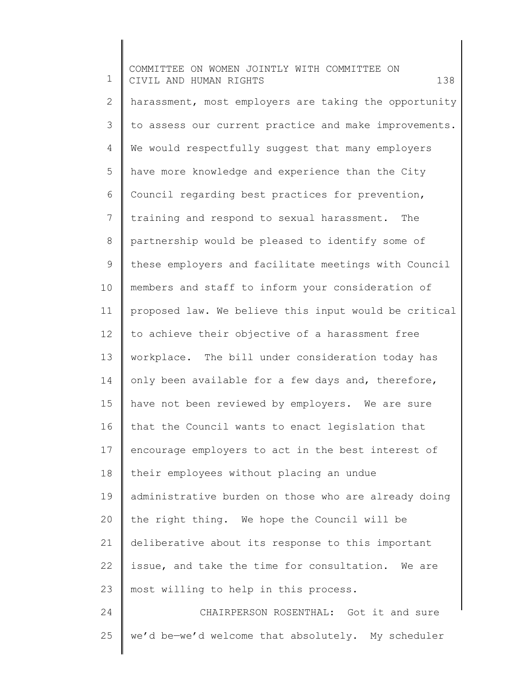1 2 3 4 5 6 7 8 9 10 11 12 13 14 15 16 17 18 19 20 21 22 23 24 COMMITTEE ON WOMEN JOINTLY WITH COMMITTEE ON CIVIL AND HUMAN RIGHTS 138 harassment, most employers are taking the opportunity to assess our current practice and make improvements. We would respectfully suggest that many employers have more knowledge and experience than the City Council regarding best practices for prevention, training and respond to sexual harassment. The partnership would be pleased to identify some of these employers and facilitate meetings with Council members and staff to inform your consideration of proposed law. We believe this input would be critical to achieve their objective of a harassment free workplace. The bill under consideration today has only been available for a few days and, therefore, have not been reviewed by employers. We are sure that the Council wants to enact legislation that encourage employers to act in the best interest of their employees without placing an undue administrative burden on those who are already doing the right thing. We hope the Council will be deliberative about its response to this important issue, and take the time for consultation. We are most willing to help in this process. CHAIRPERSON ROSENTHAL: Got it and sure

we'd be—we'd welcome that absolutely. My scheduler

25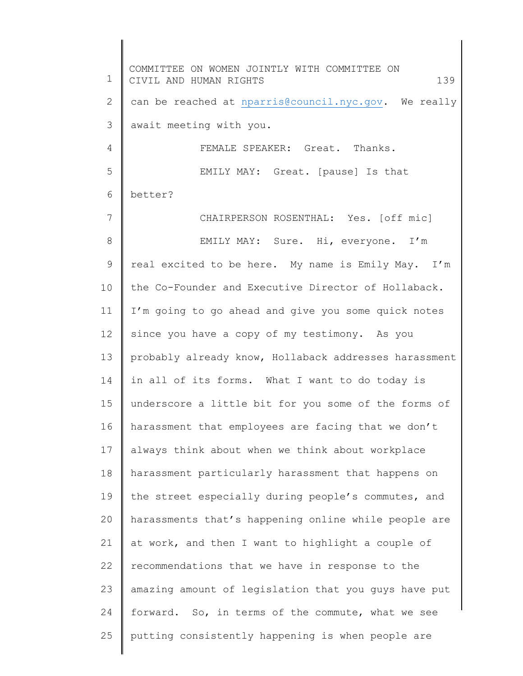1 2 3 4 5 6 7 8 9 10 11 12 13 14 15 16 17 18 19 20 21 22 23 24 25 COMMITTEE ON WOMEN JOINTLY WITH COMMITTEE ON CIVIL AND HUMAN RIGHTS 139 can be reached at [nparris@council.nyc.gov.](mailto:nparris@council.nyc.gov) We really await meeting with you. FEMALE SPEAKER: Great. Thanks. EMILY MAY: Great. [pause] Is that better? CHAIRPERSON ROSENTHAL: Yes. [off mic] EMILY MAY: Sure. Hi, everyone. I'm real excited to be here. My name is Emily May. I'm the Co-Founder and Executive Director of Hollaback. I'm going to go ahead and give you some quick notes since you have a copy of my testimony. As you probably already know, Hollaback addresses harassment in all of its forms. What I want to do today is underscore a little bit for you some of the forms of harassment that employees are facing that we don't always think about when we think about workplace harassment particularly harassment that happens on the street especially during people's commutes, and harassments that's happening online while people are at work, and then I want to highlight a couple of recommendations that we have in response to the amazing amount of legislation that you guys have put forward. So, in terms of the commute, what we see putting consistently happening is when people are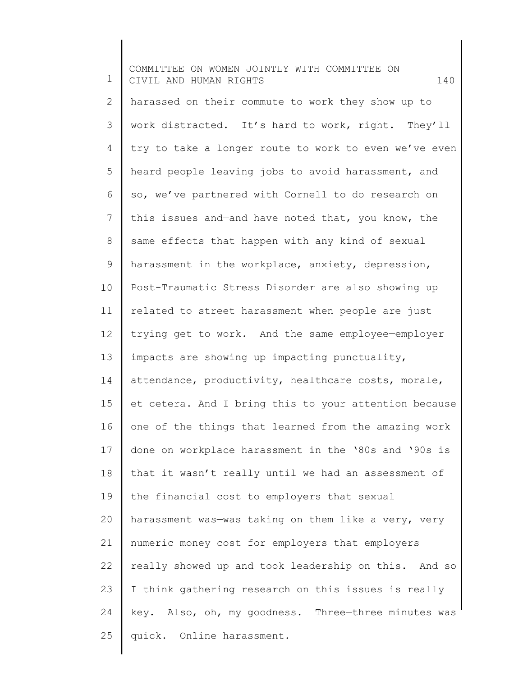1 2 3 4 5 6 7 8 9 10 11 12 13 14 15 16 17 18 19 20 21 22 23 24 25 COMMITTEE ON WOMEN JOINTLY WITH COMMITTEE ON CIVIL AND HUMAN RIGHTS 140 harassed on their commute to work they show up to work distracted. It's hard to work, right. They'll try to take a longer route to work to even—we've even heard people leaving jobs to avoid harassment, and so, we've partnered with Cornell to do research on this issues and—and have noted that, you know, the same effects that happen with any kind of sexual harassment in the workplace, anxiety, depression, Post-Traumatic Stress Disorder are also showing up related to street harassment when people are just trying get to work. And the same employee—employer impacts are showing up impacting punctuality, attendance, productivity, healthcare costs, morale, et cetera. And I bring this to your attention because one of the things that learned from the amazing work done on workplace harassment in the '80s and '90s is that it wasn't really until we had an assessment of the financial cost to employers that sexual harassment was—was taking on them like a very, very numeric money cost for employers that employers really showed up and took leadership on this. And so I think gathering research on this issues is really key. Also, oh, my goodness. Three—three minutes was quick. Online harassment.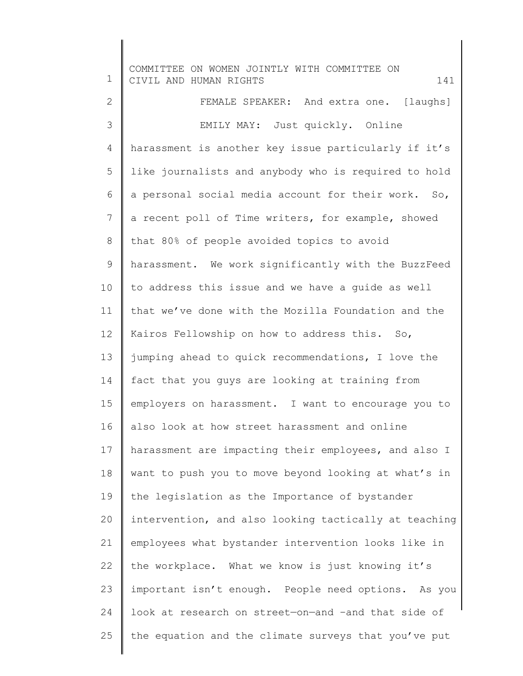1 2 3 4 5 6 7 8 9 10 11 12 13 14 15 16 17 18 19 20 21 22 23 24 25 COMMITTEE ON WOMEN JOINTLY WITH COMMITTEE ON CIVIL AND HUMAN RIGHTS 141 FEMALE SPEAKER: And extra one. [laughs] EMILY MAY: Just quickly. Online harassment is another key issue particularly if it's like journalists and anybody who is required to hold a personal social media account for their work. So, a recent poll of Time writers, for example, showed that 80% of people avoided topics to avoid harassment. We work significantly with the BuzzFeed to address this issue and we have a guide as well that we've done with the Mozilla Foundation and the Kairos Fellowship on how to address this. So, jumping ahead to quick recommendations, I love the fact that you guys are looking at training from employers on harassment. I want to encourage you to also look at how street harassment and online harassment are impacting their employees, and also I want to push you to move beyond looking at what's in the legislation as the Importance of bystander intervention, and also looking tactically at teaching employees what bystander intervention looks like in the workplace. What we know is just knowing it's important isn't enough. People need options. As you look at research on street—on—and –and that side of the equation and the climate surveys that you've put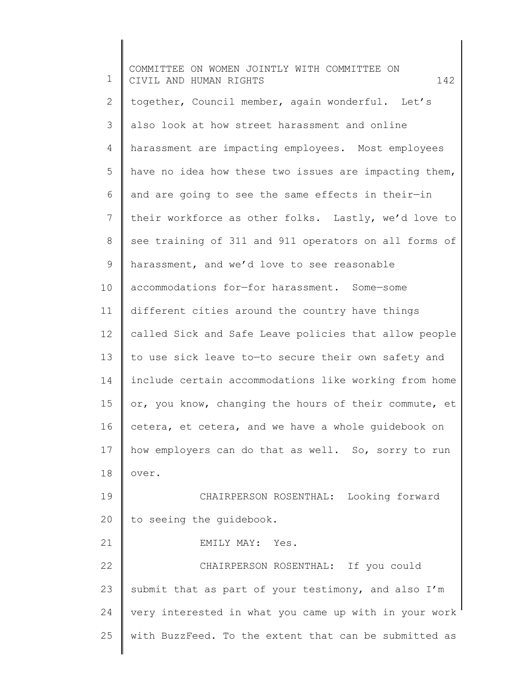1 2 3 4 5 6 7 8 9 10 11 12 13 14 15 16 17 18 19 20 21 22 23 24 25 COMMITTEE ON WOMEN JOINTLY WITH COMMITTEE ON CIVIL AND HUMAN RIGHTS 142 together, Council member, again wonderful. Let's also look at how street harassment and online harassment are impacting employees. Most employees have no idea how these two issues are impacting them, and are going to see the same effects in their—in their workforce as other folks. Lastly, we'd love to see training of 311 and 911 operators on all forms of harassment, and we'd love to see reasonable accommodations for—for harassment. Some—some different cities around the country have things called Sick and Safe Leave policies that allow people to use sick leave to—to secure their own safety and include certain accommodations like working from home or, you know, changing the hours of their commute, et cetera, et cetera, and we have a whole guidebook on how employers can do that as well. So, sorry to run over. CHAIRPERSON ROSENTHAL: Looking forward to seeing the guidebook. EMILY MAY: Yes. CHAIRPERSON ROSENTHAL: If you could submit that as part of your testimony, and also I'm very interested in what you came up with in your work with BuzzFeed. To the extent that can be submitted as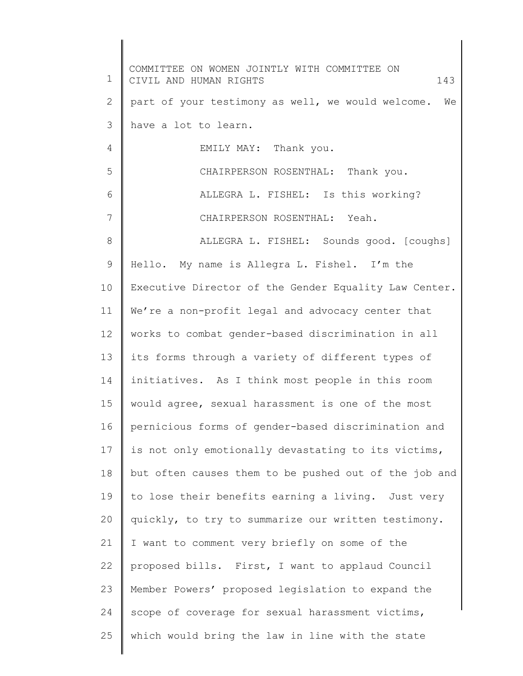1 2 3 4 5 6 7 8 9 10 11 12 13 14 15 16 17 18 19 20 21 22 23 24 25 COMMITTEE ON WOMEN JOINTLY WITH COMMITTEE ON CIVIL AND HUMAN RIGHTS 143 part of your testimony as well, we would welcome. We have a lot to learn. EMILY MAY: Thank you. CHAIRPERSON ROSENTHAL: Thank you. ALLEGRA L. FISHEL: Is this working? CHAIRPERSON ROSENTHAL: Yeah. ALLEGRA L. FISHEL: Sounds good. [coughs] Hello. My name is Allegra L. Fishel. I'm the Executive Director of the Gender Equality Law Center. We're a non-profit legal and advocacy center that works to combat gender-based discrimination in all its forms through a variety of different types of initiatives. As I think most people in this room would agree, sexual harassment is one of the most pernicious forms of gender-based discrimination and is not only emotionally devastating to its victims, but often causes them to be pushed out of the job and to lose their benefits earning a living. Just very quickly, to try to summarize our written testimony. I want to comment very briefly on some of the proposed bills. First, I want to applaud Council Member Powers' proposed legislation to expand the scope of coverage for sexual harassment victims, which would bring the law in line with the state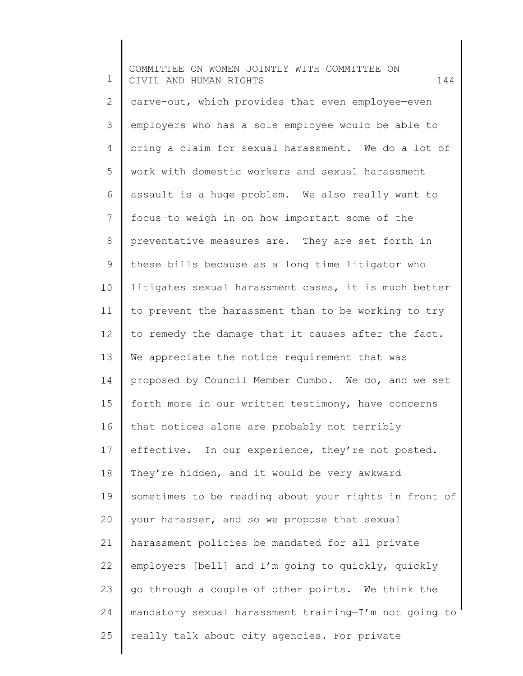1 2 3 4 5 6 7 8 9 10 11 12 13 14 15 16 17 18 19 20 21 22 23 24 25 COMMITTEE ON WOMEN JOINTLY WITH COMMITTEE ON CIVIL AND HUMAN RIGHTS 144 carve-out, which provides that even employee—even employers who has a sole employee would be able to bring a claim for sexual harassment. We do a lot of work with domestic workers and sexual harassment assault is a huge problem. We also really want to focus—to weigh in on how important some of the preventative measures are. They are set forth in these bills because as a long time litigator who litigates sexual harassment cases, it is much better to prevent the harassment than to be working to try to remedy the damage that it causes after the fact. We appreciate the notice requirement that was proposed by Council Member Cumbo. We do, and we set forth more in our written testimony, have concerns that notices alone are probably not terribly effective. In our experience, they're not posted. They're hidden, and it would be very awkward sometimes to be reading about your rights in front of your harasser, and so we propose that sexual harassment policies be mandated for all private employers [bell] and I'm going to quickly, quickly go through a couple of other points. We think the mandatory sexual harassment training—I'm not going to really talk about city agencies. For private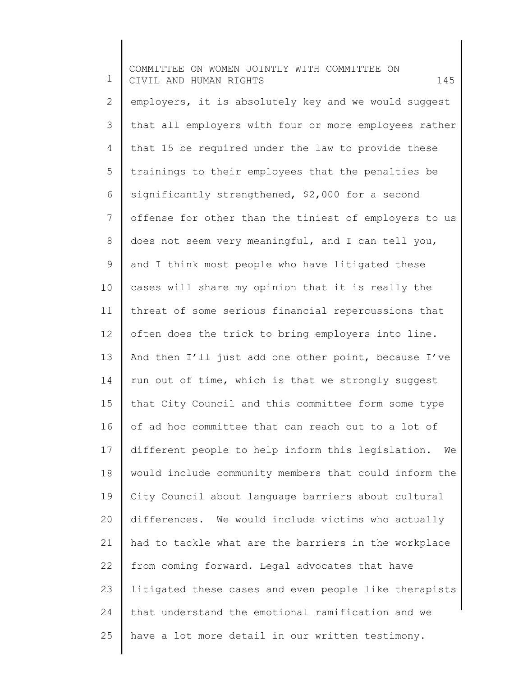1 2 3 4 5 6 7 8 9 10 11 12 13 14 15 16 17 18 19 20 21 22 23 24 25 COMMITTEE ON WOMEN JOINTLY WITH COMMITTEE ON CIVIL AND HUMAN RIGHTS 145 employers, it is absolutely key and we would suggest that all employers with four or more employees rather that 15 be required under the law to provide these trainings to their employees that the penalties be significantly strengthened, \$2,000 for a second offense for other than the tiniest of employers to us does not seem very meaningful, and I can tell you, and I think most people who have litigated these cases will share my opinion that it is really the threat of some serious financial repercussions that often does the trick to bring employers into line. And then I'll just add one other point, because I've run out of time, which is that we strongly suggest that City Council and this committee form some type of ad hoc committee that can reach out to a lot of different people to help inform this legislation. We would include community members that could inform the City Council about language barriers about cultural differences. We would include victims who actually had to tackle what are the barriers in the workplace from coming forward. Legal advocates that have litigated these cases and even people like therapists that understand the emotional ramification and we have a lot more detail in our written testimony.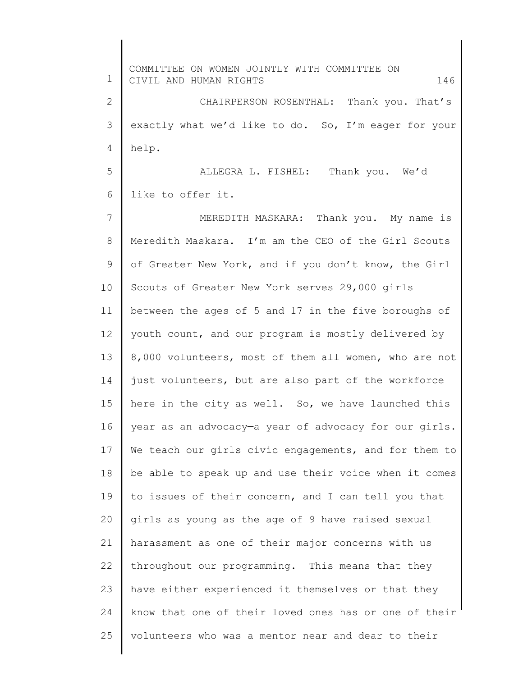1 2 3 4 5 6 7 8 9 10 11 12 13 14 15 16 17 18 19 20 21 22 23 24 25 COMMITTEE ON WOMEN JOINTLY WITH COMMITTEE ON CIVIL AND HUMAN RIGHTS 146 CHAIRPERSON ROSENTHAL: Thank you. That's exactly what we'd like to do. So, I'm eager for your help. ALLEGRA L. FISHEL: Thank you. We'd like to offer it. MEREDITH MASKARA: Thank you. My name is Meredith Maskara. I'm am the CEO of the Girl Scouts of Greater New York, and if you don't know, the Girl Scouts of Greater New York serves 29,000 girls between the ages of 5 and 17 in the five boroughs of youth count, and our program is mostly delivered by 8,000 volunteers, most of them all women, who are not just volunteers, but are also part of the workforce here in the city as well. So, we have launched this year as an advocacy—a year of advocacy for our girls. We teach our girls civic engagements, and for them to be able to speak up and use their voice when it comes to issues of their concern, and I can tell you that girls as young as the age of 9 have raised sexual harassment as one of their major concerns with us throughout our programming. This means that they have either experienced it themselves or that they know that one of their loved ones has or one of their volunteers who was a mentor near and dear to their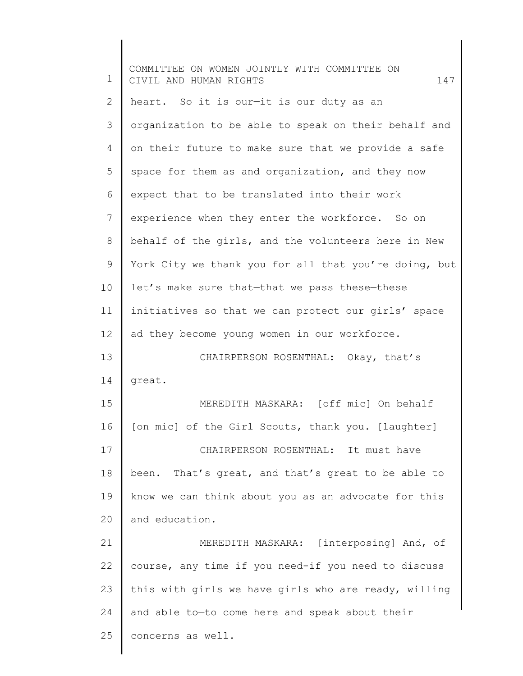1 2 3 4 5 6 7 8 9 10 11 12 13 14 15 16 17 18 19 20 21 22 23 24 25 COMMITTEE ON WOMEN JOINTLY WITH COMMITTEE ON CIVIL AND HUMAN RIGHTS 147 heart. So it is our—it is our duty as an organization to be able to speak on their behalf and on their future to make sure that we provide a safe space for them as and organization, and they now expect that to be translated into their work experience when they enter the workforce. So on behalf of the girls, and the volunteers here in New York City we thank you for all that you're doing, but let's make sure that—that we pass these—these initiatives so that we can protect our girls' space ad they become young women in our workforce. CHAIRPERSON ROSENTHAL: Okay, that's great. MEREDITH MASKARA: [off mic] On behalf [on mic] of the Girl Scouts, thank you. [laughter] CHAIRPERSON ROSENTHAL: It must have been. That's great, and that's great to be able to know we can think about you as an advocate for this and education. MEREDITH MASKARA: [interposing] And, of course, any time if you need-if you need to discuss this with girls we have girls who are ready, willing and able to—to come here and speak about their concerns as well.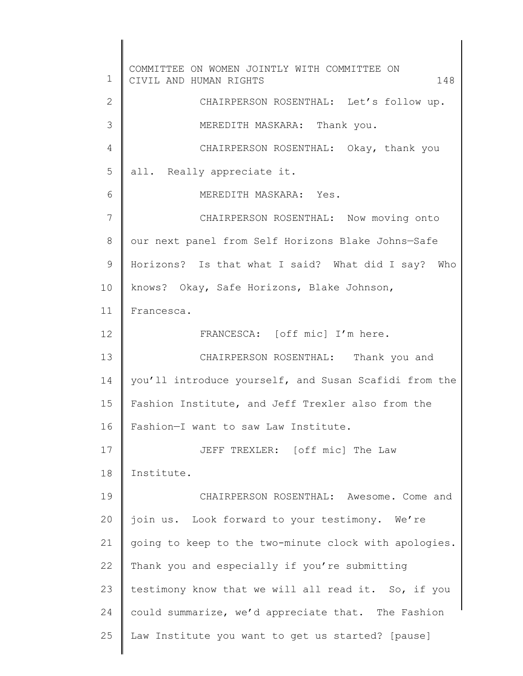1 2 3 4 5 6 7 8 9 10 11 12 13 14 15 16 17 18 19 20 21 22 23 24 25 COMMITTEE ON WOMEN JOINTLY WITH COMMITTEE ON CIVIL AND HUMAN RIGHTS 148 CHAIRPERSON ROSENTHAL: Let's follow up. MEREDITH MASKARA: Thank you. CHAIRPERSON ROSENTHAL: Okay, thank you all. Really appreciate it. MEREDITH MASKARA: Yes. CHAIRPERSON ROSENTHAL: Now moving onto our next panel from Self Horizons Blake Johns—Safe Horizons? Is that what I said? What did I say? Who knows? Okay, Safe Horizons, Blake Johnson, Francesca. FRANCESCA: [off mic] I'm here. CHAIRPERSON ROSENTHAL: Thank you and you'll introduce yourself, and Susan Scafidi from the Fashion Institute, and Jeff Trexler also from the Fashion—I want to saw Law Institute. JEFF TREXLER: [off mic] The Law Institute. CHAIRPERSON ROSENTHAL: Awesome. Come and join us. Look forward to your testimony. We're going to keep to the two-minute clock with apologies. Thank you and especially if you're submitting testimony know that we will all read it. So, if you could summarize, we'd appreciate that. The Fashion Law Institute you want to get us started? [pause]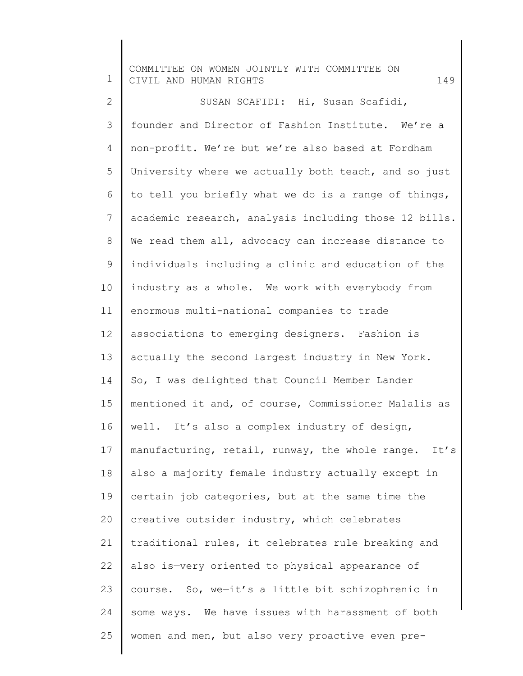1 2 3 4 5 6 7 8 9 10 11 12 13 14 15 16 17 18 19 20 21 22 23 24 25 COMMITTEE ON WOMEN JOINTLY WITH COMMITTEE ON CIVIL AND HUMAN RIGHTS 149 SUSAN SCAFIDI: Hi, Susan Scafidi, founder and Director of Fashion Institute. We're a non-profit. We're—but we're also based at Fordham University where we actually both teach, and so just to tell you briefly what we do is a range of things, academic research, analysis including those 12 bills. We read them all, advocacy can increase distance to individuals including a clinic and education of the industry as a whole. We work with everybody from enormous multi-national companies to trade associations to emerging designers. Fashion is actually the second largest industry in New York. So, I was delighted that Council Member Lander mentioned it and, of course, Commissioner Malalis as well. It's also a complex industry of design, manufacturing, retail, runway, the whole range. It's also a majority female industry actually except in certain job categories, but at the same time the creative outsider industry, which celebrates traditional rules, it celebrates rule breaking and also is—very oriented to physical appearance of course. So, we—it's a little bit schizophrenic in some ways. We have issues with harassment of both women and men, but also very proactive even pre-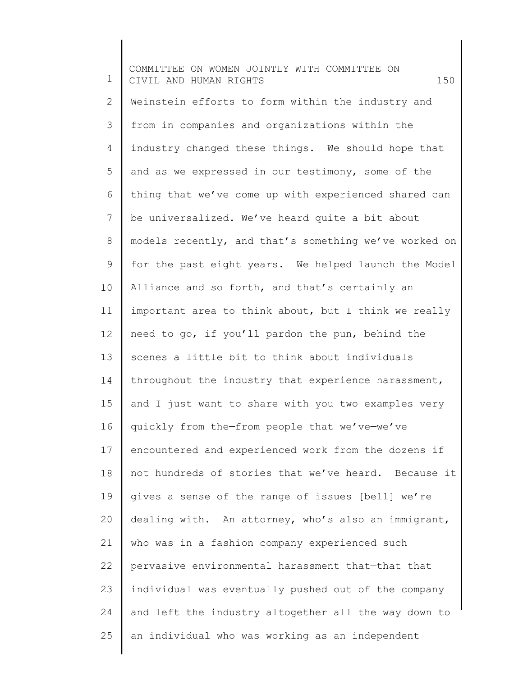1 2 3 4 5 6 7 8 9 10 11 12 13 14 15 16 17 18 19 20 21 22 23 24 25 COMMITTEE ON WOMEN JOINTLY WITH COMMITTEE ON CIVIL AND HUMAN RIGHTS 150 Weinstein efforts to form within the industry and from in companies and organizations within the industry changed these things. We should hope that and as we expressed in our testimony, some of the thing that we've come up with experienced shared can be universalized. We've heard quite a bit about models recently, and that's something we've worked on for the past eight years. We helped launch the Model Alliance and so forth, and that's certainly an important area to think about, but I think we really need to go, if you'll pardon the pun, behind the scenes a little bit to think about individuals throughout the industry that experience harassment, and I just want to share with you two examples very quickly from the—from people that we've—we've encountered and experienced work from the dozens if not hundreds of stories that we've heard. Because it gives a sense of the range of issues [bell] we're dealing with. An attorney, who's also an immigrant, who was in a fashion company experienced such pervasive environmental harassment that—that that individual was eventually pushed out of the company and left the industry altogether all the way down to an individual who was working as an independent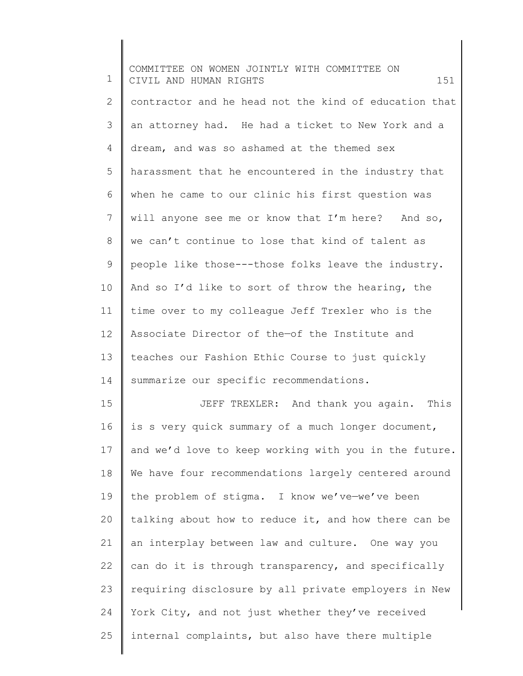1 2 3 4 5 6 7 8 9 10 11 12 13 14 15 16 17 18 19 20 21 22 23 24 25 COMMITTEE ON WOMEN JOINTLY WITH COMMITTEE ON CIVIL AND HUMAN RIGHTS 151 contractor and he head not the kind of education that an attorney had. He had a ticket to New York and a dream, and was so ashamed at the themed sex harassment that he encountered in the industry that when he came to our clinic his first question was will anyone see me or know that I'm here? And so, we can't continue to lose that kind of talent as people like those---those folks leave the industry. And so I'd like to sort of throw the hearing, the time over to my colleague Jeff Trexler who is the Associate Director of the—of the Institute and teaches our Fashion Ethic Course to just quickly summarize our specific recommendations. JEFF TREXLER: And thank you again. This is s very quick summary of a much longer document, and we'd love to keep working with you in the future. We have four recommendations largely centered around the problem of stigma. I know we've—we've been talking about how to reduce it, and how there can be an interplay between law and culture. One way you can do it is through transparency, and specifically requiring disclosure by all private employers in New York City, and not just whether they've received internal complaints, but also have there multiple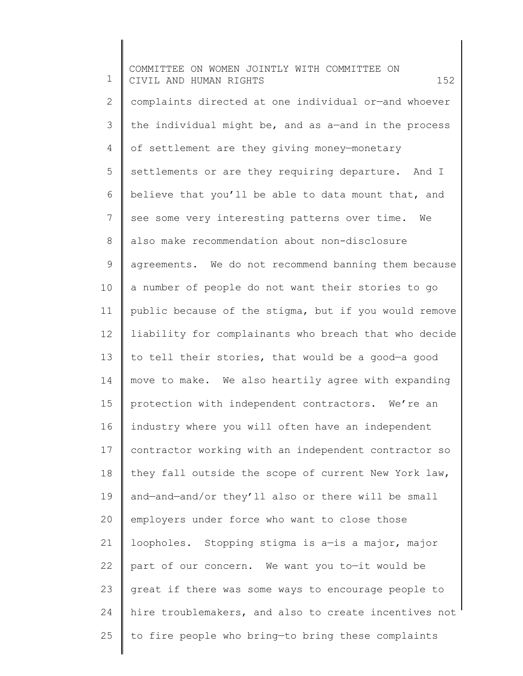1 2 3 4 5 6 7 8 9 10 11 12 13 14 15 16 17 18 19 20 21 22 23 24 25 COMMITTEE ON WOMEN JOINTLY WITH COMMITTEE ON CIVIL AND HUMAN RIGHTS 152 complaints directed at one individual or—and whoever the individual might be, and as a—and in the process of settlement are they giving money—monetary settlements or are they requiring departure. And I believe that you'll be able to data mount that, and see some very interesting patterns over time. We also make recommendation about non-disclosure agreements. We do not recommend banning them because a number of people do not want their stories to go public because of the stigma, but if you would remove liability for complainants who breach that who decide to tell their stories, that would be a good—a good move to make. We also heartily agree with expanding protection with independent contractors. We're an industry where you will often have an independent contractor working with an independent contractor so they fall outside the scope of current New York law, and—and—and/or they'll also or there will be small employers under force who want to close those loopholes. Stopping stigma is a—is a major, major part of our concern. We want you to—it would be great if there was some ways to encourage people to hire troublemakers, and also to create incentives not to fire people who bring—to bring these complaints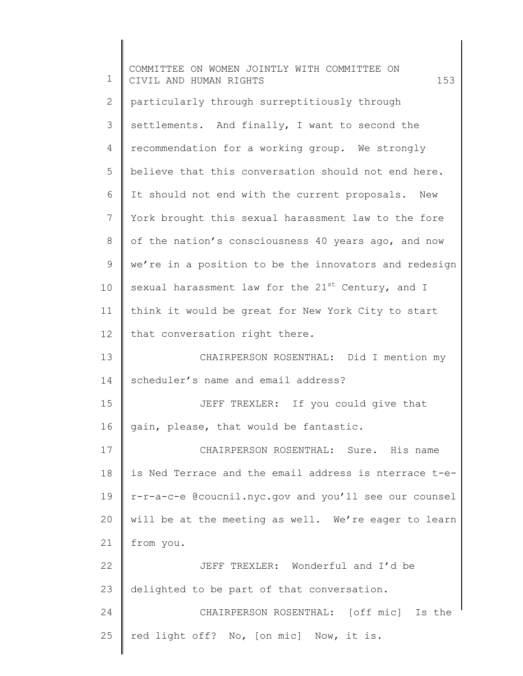| 1  | COMMITTEE ON WOMEN JOINTLY WITH COMMITTEE ON<br>153<br>CIVIL AND HUMAN RIGHTS |
|----|-------------------------------------------------------------------------------|
| 2  | particularly through surreptitiously through                                  |
| 3  | settlements. And finally, I want to second the                                |
| 4  | recommendation for a working group. We strongly                               |
| 5  | believe that this conversation should not end here.                           |
| 6  | It should not end with the current proposals. New                             |
| 7  | York brought this sexual harassment law to the fore                           |
| 8  | of the nation's consciousness 40 years ago, and now                           |
| 9  | we're in a position to be the innovators and redesign                         |
| 10 | sexual harassment law for the 21 <sup>st</sup> Century, and I                 |
| 11 | think it would be great for New York City to start                            |
| 12 | that conversation right there.                                                |
| 13 | CHAIRPERSON ROSENTHAL: Did I mention my                                       |
| 14 | scheduler's name and email address?                                           |
| 15 | JEFF TREXLER: If you could give that                                          |
| 16 | gain, please, that would be fantastic.                                        |
| 17 | CHAIRPERSON ROSENTHAL: Sure. His name                                         |
| 18 | is Ned Terrace and the email address is nterrace t-e-                         |
| 19 | r-r-a-c-e @coucnil.nyc.gov and you'll see our counsel                         |
| 20 | will be at the meeting as well. We're eager to learn                          |
| 21 | from you.                                                                     |
| 22 | JEFF TREXLER: Wonderful and I'd be                                            |
| 23 | delighted to be part of that conversation.                                    |
| 24 | CHAIRPERSON ROSENTHAL: [off mic] Is the                                       |
| 25 | red light off? No, [on mic] Now, it is.                                       |
|    |                                                                               |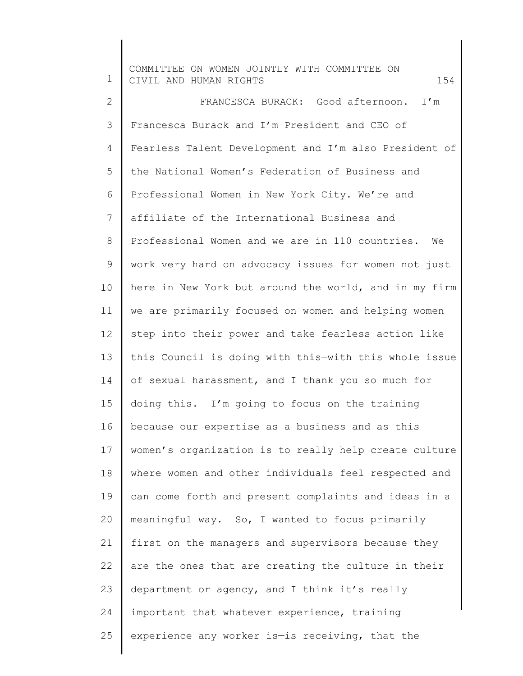1 2 3 4 5 6 7 8 9 10 11 12 13 14 15 16 17 18 19 20 21 22 23 24 25 COMMITTEE ON WOMEN JOINTLY WITH COMMITTEE ON CIVIL AND HUMAN RIGHTS 154 FRANCESCA BURACK: Good afternoon. I'm Francesca Burack and I'm President and CEO of Fearless Talent Development and I'm also President of the National Women's Federation of Business and Professional Women in New York City. We're and affiliate of the International Business and Professional Women and we are in 110 countries. We work very hard on advocacy issues for women not just here in New York but around the world, and in my firm we are primarily focused on women and helping women step into their power and take fearless action like this Council is doing with this—with this whole issue of sexual harassment, and I thank you so much for doing this. I'm going to focus on the training because our expertise as a business and as this women's organization is to really help create culture where women and other individuals feel respected and can come forth and present complaints and ideas in a meaningful way. So, I wanted to focus primarily first on the managers and supervisors because they are the ones that are creating the culture in their department or agency, and I think it's really important that whatever experience, training experience any worker is—is receiving, that the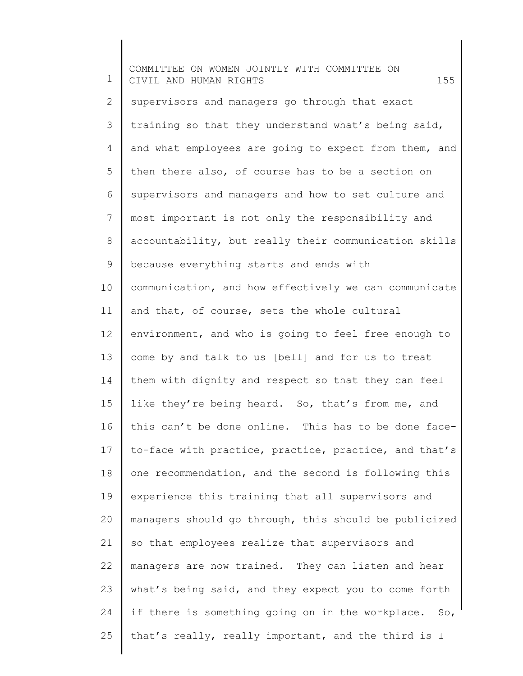1 2 3 4 5 6 7 8 9 10 11 12 13 14 15 16 17 18 19 20 21 22 23 24 25 COMMITTEE ON WOMEN JOINTLY WITH COMMITTEE ON CIVIL AND HUMAN RIGHTS 155 supervisors and managers go through that exact training so that they understand what's being said, and what employees are going to expect from them, and then there also, of course has to be a section on supervisors and managers and how to set culture and most important is not only the responsibility and accountability, but really their communication skills because everything starts and ends with communication, and how effectively we can communicate and that, of course, sets the whole cultural environment, and who is going to feel free enough to come by and talk to us [bell] and for us to treat them with dignity and respect so that they can feel like they're being heard. So, that's from me, and this can't be done online. This has to be done faceto-face with practice, practice, practice, and that's one recommendation, and the second is following this experience this training that all supervisors and managers should go through, this should be publicized so that employees realize that supervisors and managers are now trained. They can listen and hear what's being said, and they expect you to come forth if there is something going on in the workplace. So, that's really, really important, and the third is I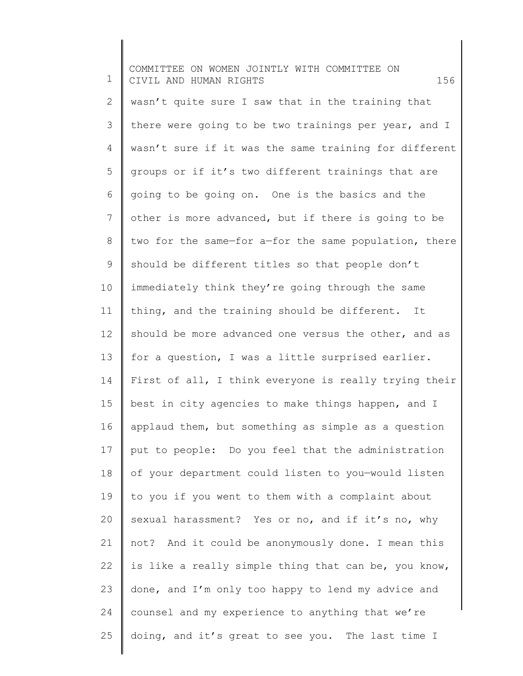1 2 3 4 5 6 7 8 9 10 11 12 13 14 15 16 17 18 19 20 21 22 23 24 25 COMMITTEE ON WOMEN JOINTLY WITH COMMITTEE ON CIVIL AND HUMAN RIGHTS 156 wasn't quite sure I saw that in the training that there were going to be two trainings per year, and I wasn't sure if it was the same training for different groups or if it's two different trainings that are going to be going on. One is the basics and the other is more advanced, but if there is going to be two for the same—for a—for the same population, there should be different titles so that people don't immediately think they're going through the same thing, and the training should be different. It should be more advanced one versus the other, and as for a question, I was a little surprised earlier. First of all, I think everyone is really trying their best in city agencies to make things happen, and I applaud them, but something as simple as a question put to people: Do you feel that the administration of your department could listen to you—would listen to you if you went to them with a complaint about sexual harassment? Yes or no, and if it's no, why not? And it could be anonymously done. I mean this is like a really simple thing that can be, you know, done, and I'm only too happy to lend my advice and counsel and my experience to anything that we're doing, and it's great to see you. The last time I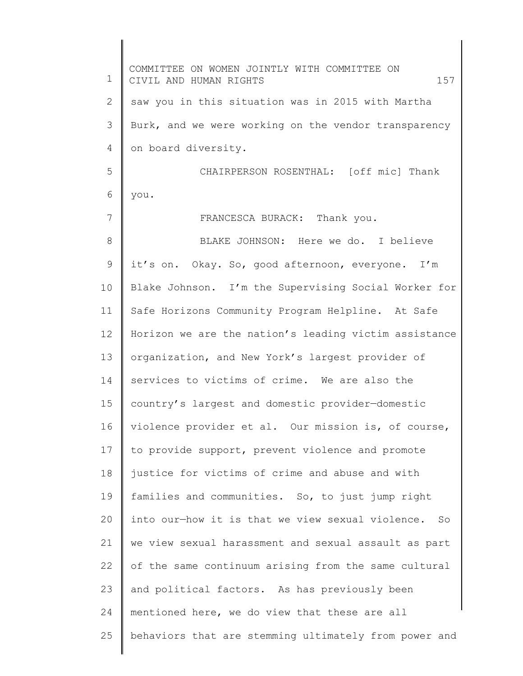1 2 3 4 5 6 7 8 9 10 11 12 13 14 15 16 17 18 19 20 21 22 23 24 25 COMMITTEE ON WOMEN JOINTLY WITH COMMITTEE ON CIVIL AND HUMAN RIGHTS 157 saw you in this situation was in 2015 with Martha Burk, and we were working on the vendor transparency on board diversity. CHAIRPERSON ROSENTHAL: [off mic] Thank you. FRANCESCA BURACK: Thank you. BLAKE JOHNSON: Here we do. I believe it's on. Okay. So, good afternoon, everyone. I'm Blake Johnson. I'm the Supervising Social Worker for Safe Horizons Community Program Helpline. At Safe Horizon we are the nation's leading victim assistance organization, and New York's largest provider of services to victims of crime. We are also the country's largest and domestic provider—domestic violence provider et al. Our mission is, of course, to provide support, prevent violence and promote justice for victims of crime and abuse and with families and communities. So, to just jump right into our—how it is that we view sexual violence. So we view sexual harassment and sexual assault as part of the same continuum arising from the same cultural and political factors. As has previously been mentioned here, we do view that these are all behaviors that are stemming ultimately from power and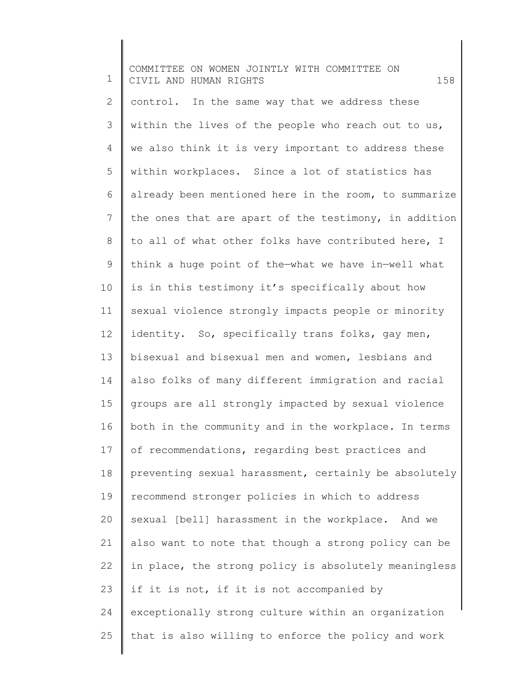1 2 3 4 5 6 7 8 9 10 11 12 13 14 15 16 17 18 19 20 21 22 23 24 25 COMMITTEE ON WOMEN JOINTLY WITH COMMITTEE ON CIVIL AND HUMAN RIGHTS 158 control. In the same way that we address these within the lives of the people who reach out to us, we also think it is very important to address these within workplaces. Since a lot of statistics has already been mentioned here in the room, to summarize the ones that are apart of the testimony, in addition to all of what other folks have contributed here, I think a huge point of the—what we have in—well what is in this testimony it's specifically about how sexual violence strongly impacts people or minority identity. So, specifically trans folks, gay men, bisexual and bisexual men and women, lesbians and also folks of many different immigration and racial groups are all strongly impacted by sexual violence both in the community and in the workplace. In terms of recommendations, regarding best practices and preventing sexual harassment, certainly be absolutely recommend stronger policies in which to address sexual [bell] harassment in the workplace. And we also want to note that though a strong policy can be in place, the strong policy is absolutely meaningless if it is not, if it is not accompanied by exceptionally strong culture within an organization that is also willing to enforce the policy and work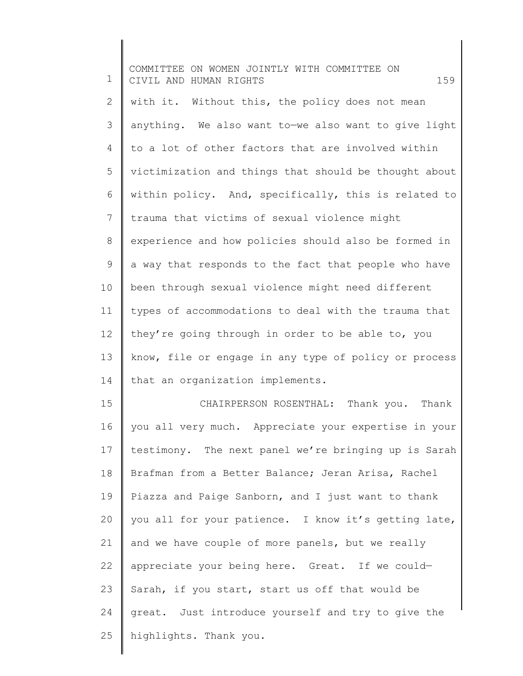1 2 3 4 5 6 7 8 9 10 11 12 13 14 15 16 17 18 19 20 21 22 23 24 25 COMMITTEE ON WOMEN JOINTLY WITH COMMITTEE ON CIVIL AND HUMAN RIGHTS 159 with it. Without this, the policy does not mean anything. We also want to—we also want to give light to a lot of other factors that are involved within victimization and things that should be thought about within policy. And, specifically, this is related to trauma that victims of sexual violence might experience and how policies should also be formed in a way that responds to the fact that people who have been through sexual violence might need different types of accommodations to deal with the trauma that they're going through in order to be able to, you know, file or engage in any type of policy or process that an organization implements. CHAIRPERSON ROSENTHAL: Thank you. Thank you all very much. Appreciate your expertise in your testimony. The next panel we're bringing up is Sarah Brafman from a Better Balance; Jeran Arisa, Rachel Piazza and Paige Sanborn, and I just want to thank you all for your patience. I know it's getting late, and we have couple of more panels, but we really appreciate your being here. Great. If we could— Sarah, if you start, start us off that would be great. Just introduce yourself and try to give the highlights. Thank you.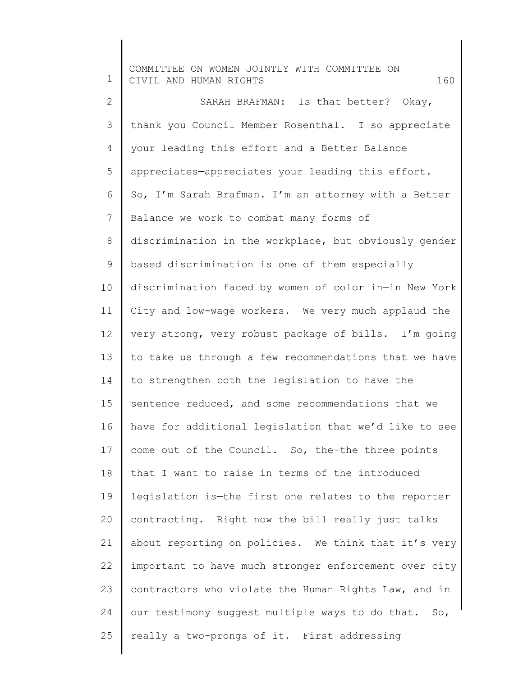1 2 3 4 5 6 7 8 9 10 11 12 13 14 15 16 17 18 19 20 21 22 23 24 25 COMMITTEE ON WOMEN JOINTLY WITH COMMITTEE ON CIVIL AND HUMAN RIGHTS 160 SARAH BRAFMAN: Is that better? Okay, thank you Council Member Rosenthal. I so appreciate your leading this effort and a Better Balance appreciates—appreciates your leading this effort. So, I'm Sarah Brafman. I'm an attorney with a Better Balance we work to combat many forms of discrimination in the workplace, but obviously gender based discrimination is one of them especially discrimination faced by women of color in—in New York City and low-wage workers. We very much applaud the very strong, very robust package of bills. I'm going to take us through a few recommendations that we have to strengthen both the legislation to have the sentence reduced, and some recommendations that we have for additional legislation that we'd like to see come out of the Council. So, the-the three points that I want to raise in terms of the introduced legislation is—the first one relates to the reporter contracting. Right now the bill really just talks about reporting on policies. We think that it's very important to have much stronger enforcement over city contractors who violate the Human Rights Law, and in our testimony suggest multiple ways to do that. So, really a two-prongs of it. First addressing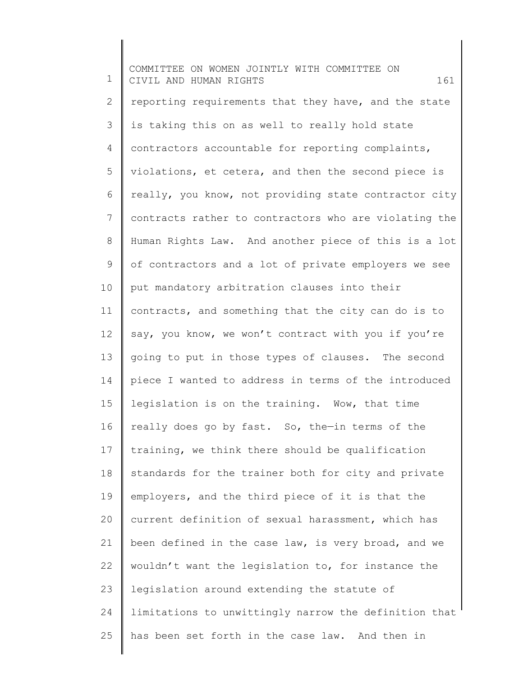1 2 3 4 5 6 7 8 9 10 11 12 13 14 15 16 17 18 19 20 21 22 23 24 25 COMMITTEE ON WOMEN JOINTLY WITH COMMITTEE ON CIVIL AND HUMAN RIGHTS 161 reporting requirements that they have, and the state is taking this on as well to really hold state contractors accountable for reporting complaints, violations, et cetera, and then the second piece is really, you know, not providing state contractor city contracts rather to contractors who are violating the Human Rights Law. And another piece of this is a lot of contractors and a lot of private employers we see put mandatory arbitration clauses into their contracts, and something that the city can do is to say, you know, we won't contract with you if you're going to put in those types of clauses. The second piece I wanted to address in terms of the introduced legislation is on the training. Wow, that time really does go by fast. So, the—in terms of the training, we think there should be qualification standards for the trainer both for city and private employers, and the third piece of it is that the current definition of sexual harassment, which has been defined in the case law, is very broad, and we wouldn't want the legislation to, for instance the legislation around extending the statute of limitations to unwittingly narrow the definition that has been set forth in the case law. And then in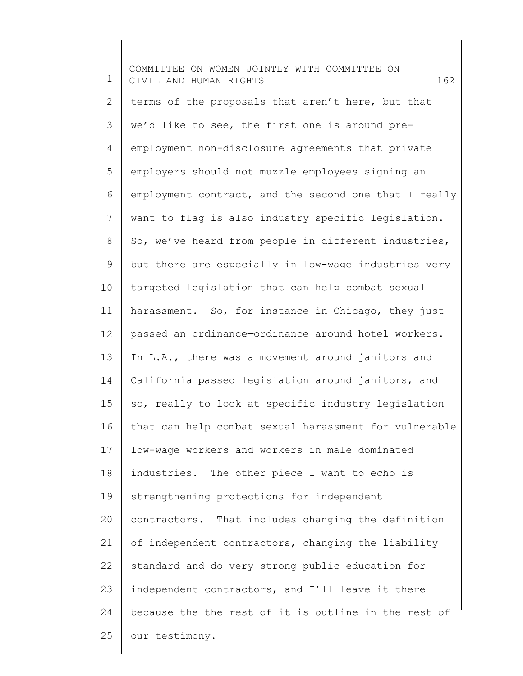1 2 3 4 5 6 7 8 9 10 11 12 13 14 15 16 17 18 19 20 21 22 23 24 25 COMMITTEE ON WOMEN JOINTLY WITH COMMITTEE ON CIVIL AND HUMAN RIGHTS 162 terms of the proposals that aren't here, but that we'd like to see, the first one is around preemployment non-disclosure agreements that private employers should not muzzle employees signing an employment contract, and the second one that I really want to flag is also industry specific legislation. So, we've heard from people in different industries, but there are especially in low-wage industries very targeted legislation that can help combat sexual harassment. So, for instance in Chicago, they just passed an ordinance—ordinance around hotel workers. In L.A., there was a movement around janitors and California passed legislation around janitors, and so, really to look at specific industry legislation that can help combat sexual harassment for vulnerable low-wage workers and workers in male dominated industries. The other piece I want to echo is strengthening protections for independent contractors. That includes changing the definition of independent contractors, changing the liability standard and do very strong public education for independent contractors, and I'll leave it there because the—the rest of it is outline in the rest of our testimony.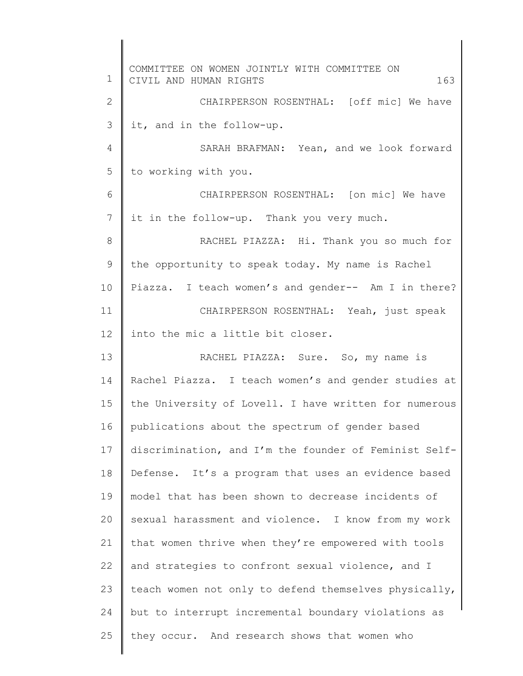1 2 3 4 5 6 7 8 9 10 11 12 13 14 15 16 17 18 19 20 21 22 23 24 25 COMMITTEE ON WOMEN JOINTLY WITH COMMITTEE ON CIVIL AND HUMAN RIGHTS 163 CHAIRPERSON ROSENTHAL: [off mic] We have it, and in the follow-up. SARAH BRAFMAN: Yean, and we look forward to working with you. CHAIRPERSON ROSENTHAL: [on mic] We have it in the follow-up. Thank you very much. RACHEL PIAZZA: Hi. Thank you so much for the opportunity to speak today. My name is Rachel Piazza. I teach women's and gender-- Am I in there? CHAIRPERSON ROSENTHAL: Yeah, just speak into the mic a little bit closer. RACHEL PIAZZA: Sure. So, my name is Rachel Piazza. I teach women's and gender studies at the University of Lovell. I have written for numerous publications about the spectrum of gender based discrimination, and I'm the founder of Feminist Self-Defense. It's a program that uses an evidence based model that has been shown to decrease incidents of sexual harassment and violence. I know from my work that women thrive when they're empowered with tools and strategies to confront sexual violence, and I teach women not only to defend themselves physically, but to interrupt incremental boundary violations as they occur. And research shows that women who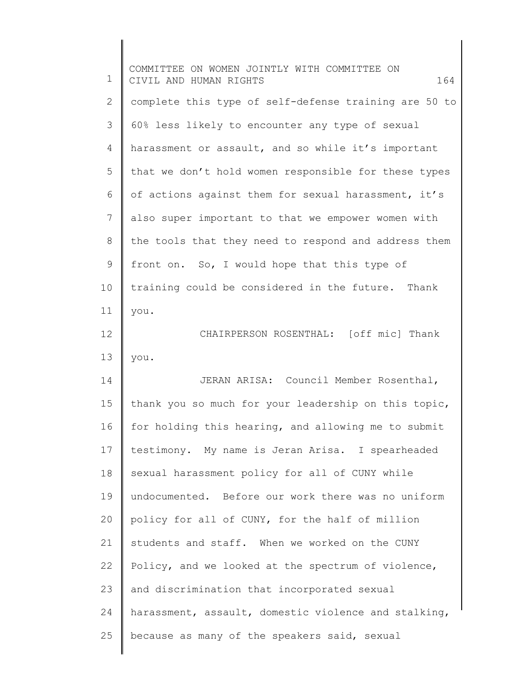| $\mathbf 1$ | COMMITTEE ON WOMEN JOINTLY WITH COMMITTEE ON<br>164<br>CIVIL AND HUMAN RIGHTS |
|-------------|-------------------------------------------------------------------------------|
| 2           | complete this type of self-defense training are 50 to                         |
| 3           | 60% less likely to encounter any type of sexual                               |
| 4           | harassment or assault, and so while it's important                            |
| 5           | that we don't hold women responsible for these types                          |
| 6           | of actions against them for sexual harassment, it's                           |
| 7           | also super important to that we empower women with                            |
| 8           | the tools that they need to respond and address them                          |
| 9           | front on. So, I would hope that this type of                                  |
| 10          | training could be considered in the future. Thank                             |
| 11          | you.                                                                          |
| 12          | CHAIRPERSON ROSENTHAL: [off mic] Thank                                        |
| 13          | you.                                                                          |
| 14          | JERAN ARISA: Council Member Rosenthal,                                        |
| 15          | thank you so much for your leadership on this topic,                          |
| 16          | for holding this hearing, and allowing me to submit                           |
| 17          | testimony. My name is Jeran Arisa. I spearheaded                              |
| 18          | sexual harassment policy for all of CUNY while                                |
| 19          | undocumented. Before our work there was no uniform                            |
| 20          | policy for all of CUNY, for the half of million                               |
| 21          | students and staff. When we worked on the CUNY                                |
| 22          | Policy, and we looked at the spectrum of violence,                            |
| 23          | and discrimination that incorporated sexual                                   |
| 24          | harassment, assault, domestic violence and stalking,                          |
| 25          | because as many of the speakers said, sexual                                  |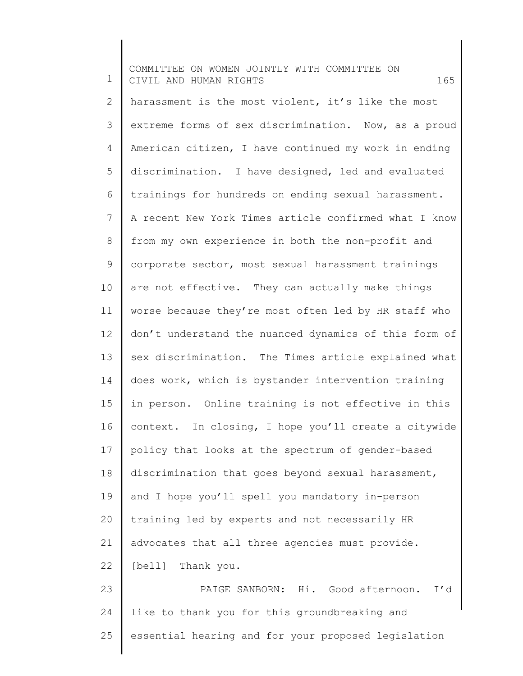1 2 3 4 5 6 7 8 9 10 11 12 13 14 15 16 17 18 19 20 21 22 23 24 COMMITTEE ON WOMEN JOINTLY WITH COMMITTEE ON CIVIL AND HUMAN RIGHTS 165 harassment is the most violent, it's like the most extreme forms of sex discrimination. Now, as a proud American citizen, I have continued my work in ending discrimination. I have designed, led and evaluated trainings for hundreds on ending sexual harassment. A recent New York Times article confirmed what I know from my own experience in both the non-profit and corporate sector, most sexual harassment trainings are not effective. They can actually make things worse because they're most often led by HR staff who don't understand the nuanced dynamics of this form of sex discrimination. The Times article explained what does work, which is bystander intervention training in person. Online training is not effective in this context. In closing, I hope you'll create a citywide policy that looks at the spectrum of gender-based discrimination that goes beyond sexual harassment, and I hope you'll spell you mandatory in-person training led by experts and not necessarily HR advocates that all three agencies must provide. [bell] Thank you. PAIGE SANBORN: Hi. Good afternoon. I'd like to thank you for this groundbreaking and

25 essential hearing and for your proposed legislation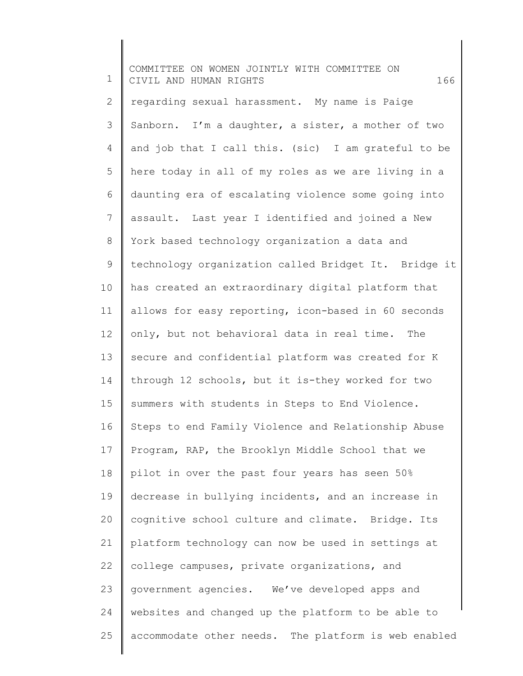1 2 3 4 5 6 7 8 9 10 11 12 13 14 15 16 17 18 19 20 21 22 23 24 25 COMMITTEE ON WOMEN JOINTLY WITH COMMITTEE ON CIVIL AND HUMAN RIGHTS 166 regarding sexual harassment. My name is Paige Sanborn. I'm a daughter, a sister, a mother of two and job that I call this. (sic) I am grateful to be here today in all of my roles as we are living in a daunting era of escalating violence some going into assault. Last year I identified and joined a New York based technology organization a data and technology organization called Bridget It. Bridge it has created an extraordinary digital platform that allows for easy reporting, icon-based in 60 seconds only, but not behavioral data in real time. The secure and confidential platform was created for K through 12 schools, but it is-they worked for two summers with students in Steps to End Violence. Steps to end Family Violence and Relationship Abuse Program, RAP, the Brooklyn Middle School that we pilot in over the past four years has seen 50% decrease in bullying incidents, and an increase in cognitive school culture and climate. Bridge. Its platform technology can now be used in settings at college campuses, private organizations, and government agencies. We've developed apps and websites and changed up the platform to be able to accommodate other needs. The platform is web enabled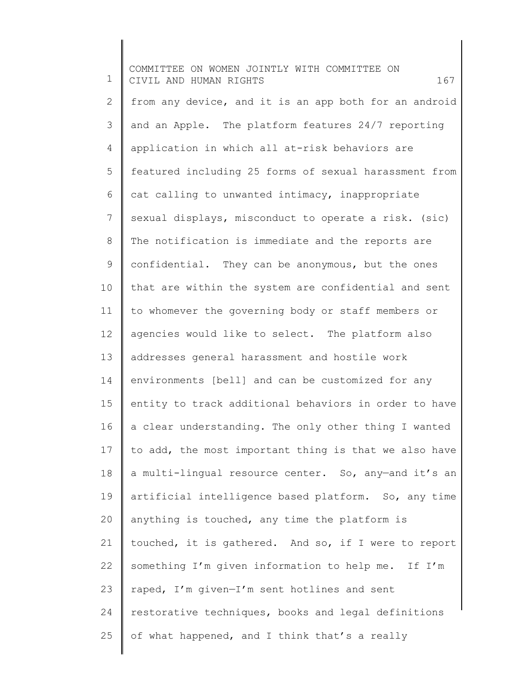1 2 3 4 5 6 7 8 9 10 11 12 13 14 15 16 17 18 19 20 21 22 23 24 25 COMMITTEE ON WOMEN JOINTLY WITH COMMITTEE ON CIVIL AND HUMAN RIGHTS 167 from any device, and it is an app both for an android and an Apple. The platform features 24/7 reporting application in which all at-risk behaviors are featured including 25 forms of sexual harassment from cat calling to unwanted intimacy, inappropriate sexual displays, misconduct to operate a risk. (sic) The notification is immediate and the reports are confidential. They can be anonymous, but the ones that are within the system are confidential and sent to whomever the governing body or staff members or agencies would like to select. The platform also addresses general harassment and hostile work environments [bell] and can be customized for any entity to track additional behaviors in order to have a clear understanding. The only other thing I wanted to add, the most important thing is that we also have a multi-lingual resource center. So, any—and it's an artificial intelligence based platform. So, any time anything is touched, any time the platform is touched, it is gathered. And so, if I were to report something I'm given information to help me. If I'm raped, I'm given—I'm sent hotlines and sent restorative techniques, books and legal definitions of what happened, and I think that's a really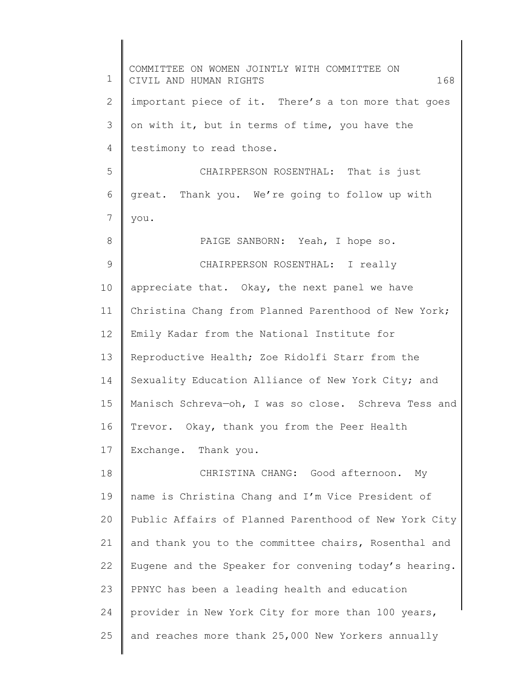1 2 3 4 5 6 7 8 9 10 11 12 13 14 15 16 17 18 19 20 21 22 23 24 25 COMMITTEE ON WOMEN JOINTLY WITH COMMITTEE ON CIVIL AND HUMAN RIGHTS 168 important piece of it. There's a ton more that goes on with it, but in terms of time, you have the testimony to read those. CHAIRPERSON ROSENTHAL: That is just great. Thank you. We're going to follow up with you. PAIGE SANBORN: Yeah, I hope so. CHAIRPERSON ROSENTHAL: I really appreciate that. Okay, the next panel we have Christina Chang from Planned Parenthood of New York; Emily Kadar from the National Institute for Reproductive Health; Zoe Ridolfi Starr from the Sexuality Education Alliance of New York City; and Manisch Schreva—oh, I was so close. Schreva Tess and Trevor. Okay, thank you from the Peer Health Exchange. Thank you. CHRISTINA CHANG: Good afternoon. My name is Christina Chang and I'm Vice President of Public Affairs of Planned Parenthood of New York City and thank you to the committee chairs, Rosenthal and Eugene and the Speaker for convening today's hearing. PPNYC has been a leading health and education provider in New York City for more than 100 years, and reaches more thank 25,000 New Yorkers annually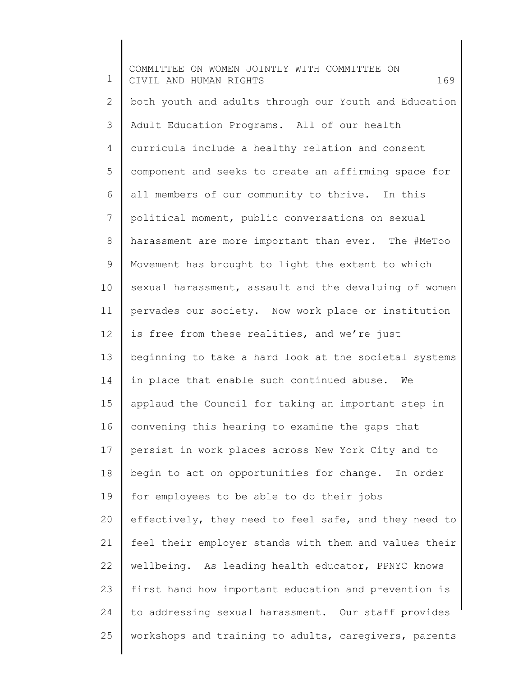1 2 3 4 5 6 7 8 9 10 11 12 13 14 15 16 17 18 19 20 21 22 23 24 25 COMMITTEE ON WOMEN JOINTLY WITH COMMITTEE ON CIVIL AND HUMAN RIGHTS 169 both youth and adults through our Youth and Education Adult Education Programs. All of our health curricula include a healthy relation and consent component and seeks to create an affirming space for all members of our community to thrive. In this political moment, public conversations on sexual harassment are more important than ever. The #MeToo Movement has brought to light the extent to which sexual harassment, assault and the devaluing of women pervades our society. Now work place or institution is free from these realities, and we're just beginning to take a hard look at the societal systems in place that enable such continued abuse. We applaud the Council for taking an important step in convening this hearing to examine the gaps that persist in work places across New York City and to begin to act on opportunities for change. In order for employees to be able to do their jobs effectively, they need to feel safe, and they need to feel their employer stands with them and values their wellbeing. As leading health educator, PPNYC knows first hand how important education and prevention is to addressing sexual harassment. Our staff provides workshops and training to adults, caregivers, parents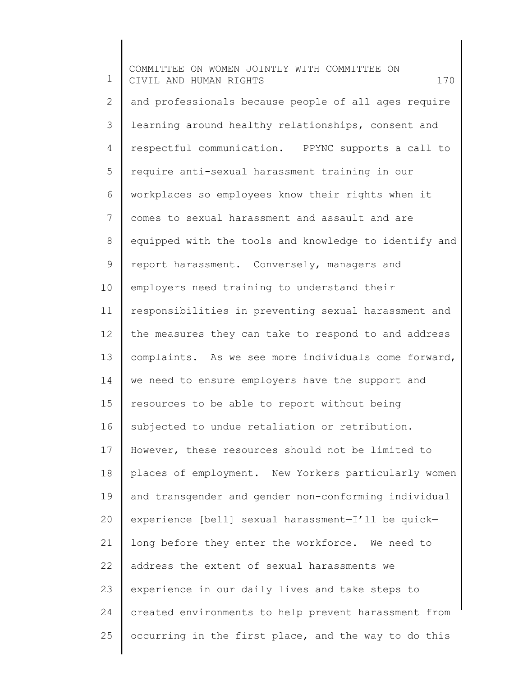1 2 3 4 5 6 7 8 9 10 11 12 13 14 15 16 17 18 19 20 21 22 23 24 25 COMMITTEE ON WOMEN JOINTLY WITH COMMITTEE ON CIVIL AND HUMAN RIGHTS 170 and professionals because people of all ages require learning around healthy relationships, consent and respectful communication. PPYNC supports a call to require anti-sexual harassment training in our workplaces so employees know their rights when it comes to sexual harassment and assault and are equipped with the tools and knowledge to identify and report harassment. Conversely, managers and employers need training to understand their responsibilities in preventing sexual harassment and the measures they can take to respond to and address complaints. As we see more individuals come forward, we need to ensure employers have the support and resources to be able to report without being subjected to undue retaliation or retribution. However, these resources should not be limited to places of employment. New Yorkers particularly women and transgender and gender non-conforming individual experience [bell] sexual harassment—I'll be quick long before they enter the workforce. We need to address the extent of sexual harassments we experience in our daily lives and take steps to created environments to help prevent harassment from occurring in the first place, and the way to do this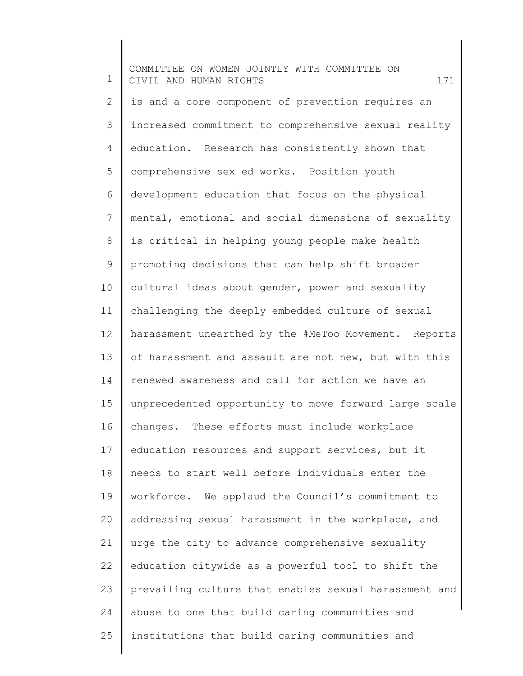1 2 3 4 5 6 7 8 9 10 11 12 13 14 15 16 17 18 19 20 21 22 23 24 25 COMMITTEE ON WOMEN JOINTLY WITH COMMITTEE ON CIVIL AND HUMAN RIGHTS 171 is and a core component of prevention requires an increased commitment to comprehensive sexual reality education. Research has consistently shown that comprehensive sex ed works. Position youth development education that focus on the physical mental, emotional and social dimensions of sexuality is critical in helping young people make health promoting decisions that can help shift broader cultural ideas about gender, power and sexuality challenging the deeply embedded culture of sexual harassment unearthed by the #MeToo Movement. Reports of harassment and assault are not new, but with this renewed awareness and call for action we have an unprecedented opportunity to move forward large scale changes. These efforts must include workplace education resources and support services, but it needs to start well before individuals enter the workforce. We applaud the Council's commitment to addressing sexual harassment in the workplace, and urge the city to advance comprehensive sexuality education citywide as a powerful tool to shift the prevailing culture that enables sexual harassment and abuse to one that build caring communities and institutions that build caring communities and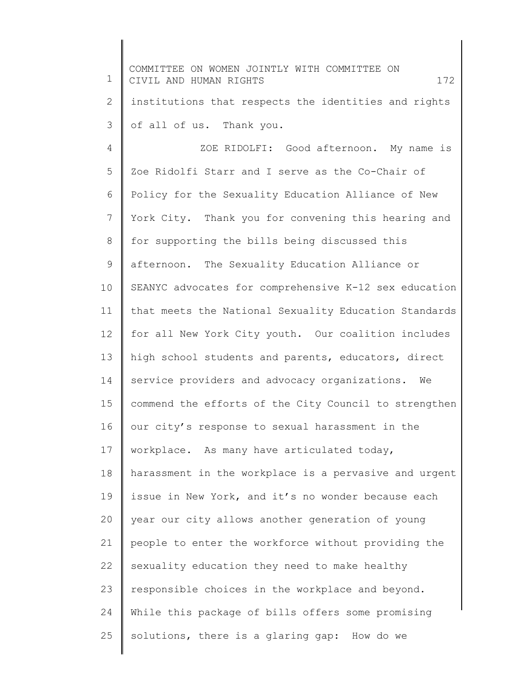| 1  | COMMITTEE ON WOMEN JOINTLY WITH COMMITTEE ON<br>172<br>CIVIL AND HUMAN RIGHTS |
|----|-------------------------------------------------------------------------------|
| 2  | institutions that respects the identities and rights                          |
| 3  | of all of us. Thank you.                                                      |
| 4  | ZOE RIDOLFI: Good afternoon. My name is                                       |
| 5  | Zoe Ridolfi Starr and I serve as the Co-Chair of                              |
| 6  | Policy for the Sexuality Education Alliance of New                            |
| 7  | York City. Thank you for convening this hearing and                           |
| 8  | for supporting the bills being discussed this                                 |
| 9  | afternoon. The Sexuality Education Alliance or                                |
| 10 | SEANYC advocates for comprehensive K-12 sex education                         |
| 11 | that meets the National Sexuality Education Standards                         |
| 12 | for all New York City youth. Our coalition includes                           |
| 13 | high school students and parents, educators, direct                           |
| 14 | service providers and advocacy organizations. We                              |
| 15 | commend the efforts of the City Council to strengthen                         |
| 16 | our city's response to sexual harassment in the                               |
| 17 | workplace. As many have articulated today,                                    |
| 18 | harassment in the workplace is a pervasive and urgent                         |
| 19 | issue in New York, and it's no wonder because each                            |
| 20 | year our city allows another generation of young                              |
| 21 | people to enter the workforce without providing the                           |
| 22 | sexuality education they need to make healthy                                 |
| 23 | responsible choices in the workplace and beyond.                              |
| 24 | While this package of bills offers some promising                             |
| 25 | solutions, there is a glaring gap: How do we                                  |
|    |                                                                               |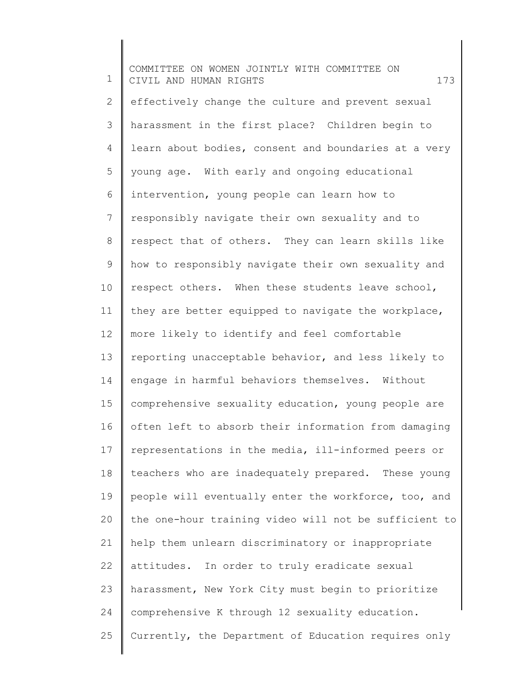1 2 3 4 5 6 7 8 9 10 11 12 13 14 15 16 17 18 19 20 21 22 23 24 25 COMMITTEE ON WOMEN JOINTLY WITH COMMITTEE ON CIVIL AND HUMAN RIGHTS 173 effectively change the culture and prevent sexual harassment in the first place? Children begin to learn about bodies, consent and boundaries at a very young age. With early and ongoing educational intervention, young people can learn how to responsibly navigate their own sexuality and to respect that of others. They can learn skills like how to responsibly navigate their own sexuality and respect others. When these students leave school, they are better equipped to navigate the workplace, more likely to identify and feel comfortable reporting unacceptable behavior, and less likely to engage in harmful behaviors themselves. Without comprehensive sexuality education, young people are often left to absorb their information from damaging representations in the media, ill-informed peers or teachers who are inadequately prepared. These young people will eventually enter the workforce, too, and the one-hour training video will not be sufficient to help them unlearn discriminatory or inappropriate attitudes. In order to truly eradicate sexual harassment, New York City must begin to prioritize comprehensive K through 12 sexuality education. Currently, the Department of Education requires only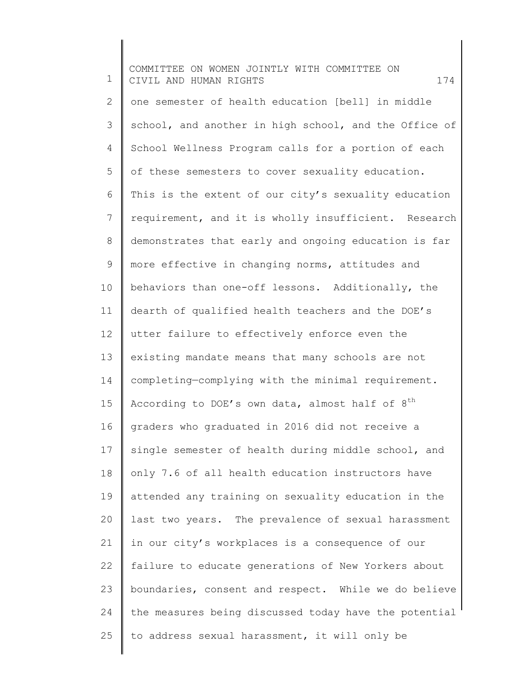1 2 3 4 5 6 7 8 9 10 11 12 13 14 15 16 17 18 19 20 21 22 23 24 25 COMMITTEE ON WOMEN JOINTLY WITH COMMITTEE ON CIVIL AND HUMAN RIGHTS 174 one semester of health education [bell] in middle school, and another in high school, and the Office of School Wellness Program calls for a portion of each of these semesters to cover sexuality education. This is the extent of our city's sexuality education requirement, and it is wholly insufficient. Research demonstrates that early and ongoing education is far more effective in changing norms, attitudes and behaviors than one-off lessons. Additionally, the dearth of qualified health teachers and the DOE's utter failure to effectively enforce even the existing mandate means that many schools are not completing—complying with the minimal requirement. According to DOE's own data, almost half of  $8^{\text{th}}$ graders who graduated in 2016 did not receive a single semester of health during middle school, and only 7.6 of all health education instructors have attended any training on sexuality education in the last two years. The prevalence of sexual harassment in our city's workplaces is a consequence of our failure to educate generations of New Yorkers about boundaries, consent and respect. While we do believe the measures being discussed today have the potential to address sexual harassment, it will only be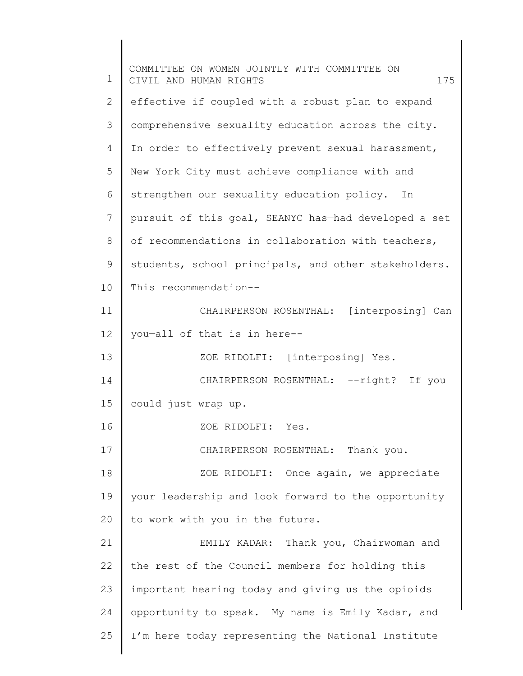1 2 3 4 5 6 7 8 9 10 11 12 13 14 15 16 17 18 19 20 21 22 23 24 25 COMMITTEE ON WOMEN JOINTLY WITH COMMITTEE ON CIVIL AND HUMAN RIGHTS 175 effective if coupled with a robust plan to expand comprehensive sexuality education across the city. In order to effectively prevent sexual harassment, New York City must achieve compliance with and strengthen our sexuality education policy. In pursuit of this goal, SEANYC has—had developed a set of recommendations in collaboration with teachers, students, school principals, and other stakeholders. This recommendation-- CHAIRPERSON ROSENTHAL: [interposing] Can you—all of that is in here-- ZOE RIDOLFI: [interposing] Yes. CHAIRPERSON ROSENTHAL: --right? If you could just wrap up. ZOE RIDOLFI: Yes. CHAIRPERSON ROSENTHAL: Thank you. ZOE RIDOLFI: Once again, we appreciate your leadership and look forward to the opportunity to work with you in the future. EMILY KADAR: Thank you, Chairwoman and the rest of the Council members for holding this important hearing today and giving us the opioids opportunity to speak. My name is Emily Kadar, and I'm here today representing the National Institute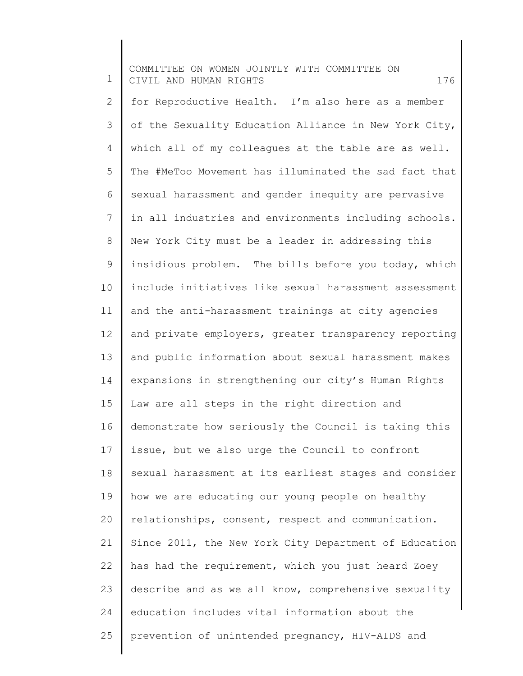1 2 3 4 5 6 7 8 9 10 11 12 13 14 15 16 17 18 19 20 21 22 23 24 25 COMMITTEE ON WOMEN JOINTLY WITH COMMITTEE ON CIVIL AND HUMAN RIGHTS 176 for Reproductive Health. I'm also here as a member of the Sexuality Education Alliance in New York City, which all of my colleagues at the table are as well. The #MeToo Movement has illuminated the sad fact that sexual harassment and gender inequity are pervasive in all industries and environments including schools. New York City must be a leader in addressing this insidious problem. The bills before you today, which include initiatives like sexual harassment assessment and the anti-harassment trainings at city agencies and private employers, greater transparency reporting and public information about sexual harassment makes expansions in strengthening our city's Human Rights Law are all steps in the right direction and demonstrate how seriously the Council is taking this issue, but we also urge the Council to confront sexual harassment at its earliest stages and consider how we are educating our young people on healthy relationships, consent, respect and communication. Since 2011, the New York City Department of Education has had the requirement, which you just heard Zoey describe and as we all know, comprehensive sexuality education includes vital information about the prevention of unintended pregnancy, HIV-AIDS and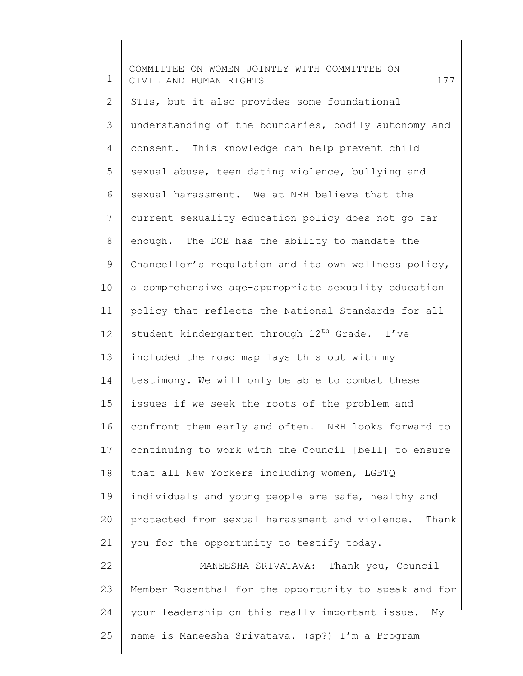1 2 3 4 5 6 7 8 9 10 11 12 13 14 15 16 17 18 19 20 21 22 23 24 25 COMMITTEE ON WOMEN JOINTLY WITH COMMITTEE ON CIVIL AND HUMAN RIGHTS 177 STIs, but it also provides some foundational understanding of the boundaries, bodily autonomy and consent. This knowledge can help prevent child sexual abuse, teen dating violence, bullying and sexual harassment. We at NRH believe that the current sexuality education policy does not go far enough. The DOE has the ability to mandate the Chancellor's regulation and its own wellness policy, a comprehensive age-appropriate sexuality education policy that reflects the National Standards for all student kindergarten through  $12^{th}$  Grade. I've included the road map lays this out with my testimony. We will only be able to combat these issues if we seek the roots of the problem and confront them early and often. NRH looks forward to continuing to work with the Council [bell] to ensure that all New Yorkers including women, LGBTQ individuals and young people are safe, healthy and protected from sexual harassment and violence. Thank you for the opportunity to testify today. MANEESHA SRIVATAVA: Thank you, Council Member Rosenthal for the opportunity to speak and for your leadership on this really important issue. My name is Maneesha Srivatava. (sp?) I'm a Program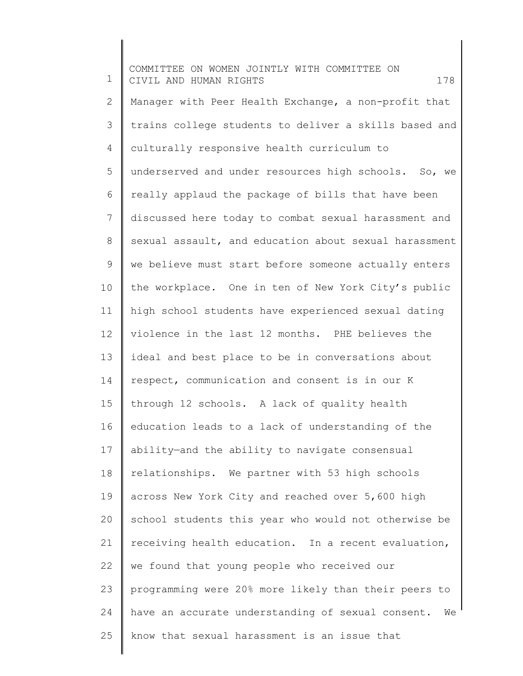1 2 3 4 5 6 7 8 9 10 11 12 13 14 15 16 17 18 19 20 21 22 23 24 25 COMMITTEE ON WOMEN JOINTLY WITH COMMITTEE ON CIVIL AND HUMAN RIGHTS 178 Manager with Peer Health Exchange, a non-profit that trains college students to deliver a skills based and culturally responsive health curriculum to underserved and under resources high schools. So, we really applaud the package of bills that have been discussed here today to combat sexual harassment and sexual assault, and education about sexual harassment we believe must start before someone actually enters the workplace. One in ten of New York City's public high school students have experienced sexual dating violence in the last 12 months. PHE believes the ideal and best place to be in conversations about respect, communication and consent is in our K through 12 schools. A lack of quality health education leads to a lack of understanding of the ability—and the ability to navigate consensual relationships. We partner with 53 high schools across New York City and reached over 5,600 high school students this year who would not otherwise be receiving health education. In a recent evaluation, we found that young people who received our programming were 20% more likely than their peers to have an accurate understanding of sexual consent. We know that sexual harassment is an issue that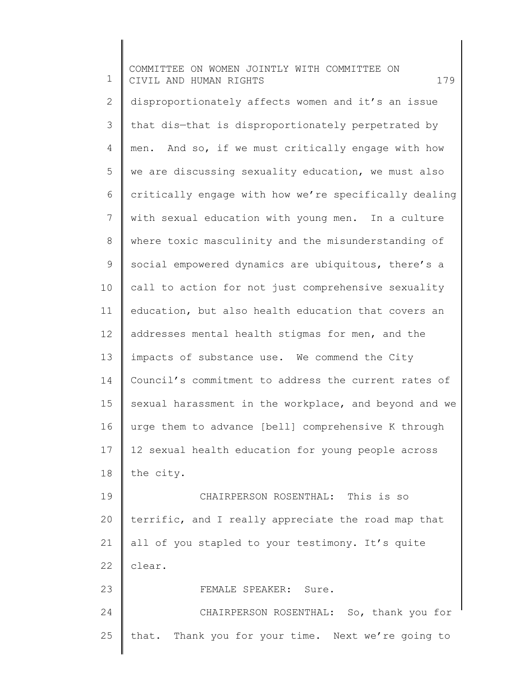1 2 3 4 5 6 7 8 9 10 11 12 13 14 15 16 17 18 19 20 21 22 23 24 25 COMMITTEE ON WOMEN JOINTLY WITH COMMITTEE ON CIVIL AND HUMAN RIGHTS 179 disproportionately affects women and it's an issue that dis—that is disproportionately perpetrated by men. And so, if we must critically engage with how we are discussing sexuality education, we must also critically engage with how we're specifically dealing with sexual education with young men. In a culture where toxic masculinity and the misunderstanding of social empowered dynamics are ubiquitous, there's a call to action for not just comprehensive sexuality education, but also health education that covers an addresses mental health stigmas for men, and the impacts of substance use. We commend the City Council's commitment to address the current rates of sexual harassment in the workplace, and beyond and we urge them to advance [bell] comprehensive K through 12 sexual health education for young people across the city. CHAIRPERSON ROSENTHAL: This is so terrific, and I really appreciate the road map that all of you stapled to your testimony. It's quite clear. FEMALE SPEAKER: Sure. CHAIRPERSON ROSENTHAL: So, thank you for that. Thank you for your time. Next we're going to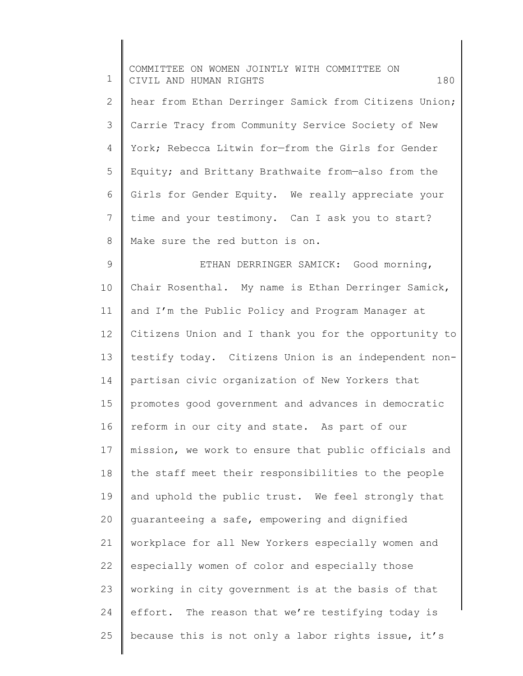1 2 3 4 5 6 7 8 9 10 11 12 13 14 15 16 17 18 19 20 21 22 23 24 25 COMMITTEE ON WOMEN JOINTLY WITH COMMITTEE ON CIVIL AND HUMAN RIGHTS 180 hear from Ethan Derringer Samick from Citizens Union; Carrie Tracy from Community Service Society of New York; Rebecca Litwin for—from the Girls for Gender Equity; and Brittany Brathwaite from—also from the Girls for Gender Equity. We really appreciate your time and your testimony. Can I ask you to start? Make sure the red button is on. ETHAN DERRINGER SAMICK: Good morning, Chair Rosenthal. My name is Ethan Derringer Samick, and I'm the Public Policy and Program Manager at Citizens Union and I thank you for the opportunity to testify today. Citizens Union is an independent nonpartisan civic organization of New Yorkers that promotes good government and advances in democratic reform in our city and state. As part of our mission, we work to ensure that public officials and the staff meet their responsibilities to the people and uphold the public trust. We feel strongly that guaranteeing a safe, empowering and dignified workplace for all New Yorkers especially women and especially women of color and especially those working in city government is at the basis of that effort. The reason that we're testifying today is because this is not only a labor rights issue, it's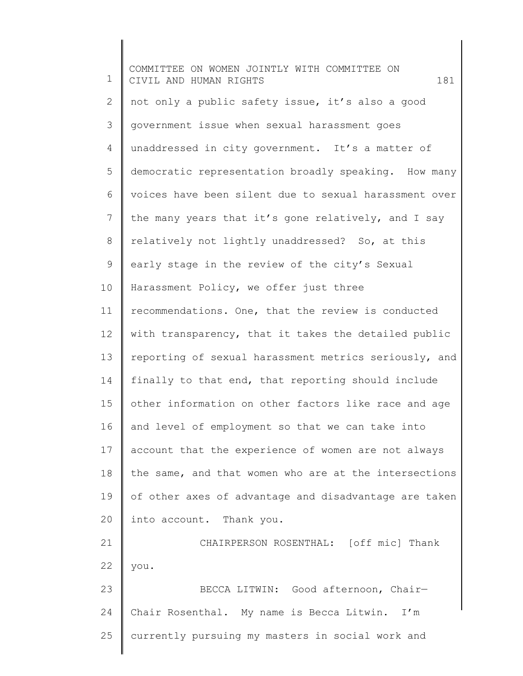1 2 3 4 5 6 7 8 9 10 11 12 13 14 15 16 17 18 19 20 21 22 23 24 25 COMMITTEE ON WOMEN JOINTLY WITH COMMITTEE ON CIVIL AND HUMAN RIGHTS 181 not only a public safety issue, it's also a good government issue when sexual harassment goes unaddressed in city government. It's a matter of democratic representation broadly speaking. How many voices have been silent due to sexual harassment over the many years that it's gone relatively, and I say relatively not lightly unaddressed? So, at this early stage in the review of the city's Sexual Harassment Policy, we offer just three recommendations. One, that the review is conducted with transparency, that it takes the detailed public reporting of sexual harassment metrics seriously, and finally to that end, that reporting should include other information on other factors like race and age and level of employment so that we can take into account that the experience of women are not always the same, and that women who are at the intersections of other axes of advantage and disadvantage are taken into account. Thank you. CHAIRPERSON ROSENTHAL: [off mic] Thank you. BECCA LITWIN: Good afternoon, Chair— Chair Rosenthal. My name is Becca Litwin. I'm currently pursuing my masters in social work and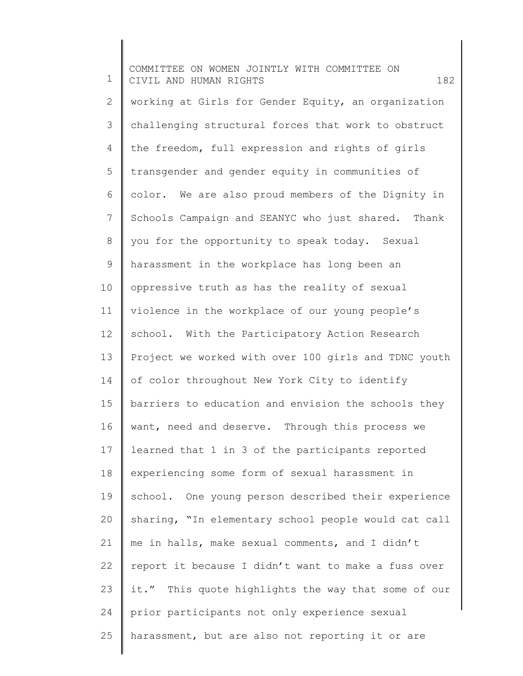1 2 3 4 5 6 7 8 9 10 11 12 13 14 15 16 17 18 19 20 21 22 23 24 25 COMMITTEE ON WOMEN JOINTLY WITH COMMITTEE ON CIVIL AND HUMAN RIGHTS 182 working at Girls for Gender Equity, an organization challenging structural forces that work to obstruct the freedom, full expression and rights of girls transgender and gender equity in communities of color. We are also proud members of the Dignity in Schools Campaign and SEANYC who just shared. Thank you for the opportunity to speak today. Sexual harassment in the workplace has long been an oppressive truth as has the reality of sexual violence in the workplace of our young people's school. With the Participatory Action Research Project we worked with over 100 girls and TDNC youth of color throughout New York City to identify barriers to education and envision the schools they want, need and deserve. Through this process we learned that 1 in 3 of the participants reported experiencing some form of sexual harassment in school. One young person described their experience sharing, "In elementary school people would cat call me in halls, make sexual comments, and I didn't report it because I didn't want to make a fuss over it." This quote highlights the way that some of our prior participants not only experience sexual harassment, but are also not reporting it or are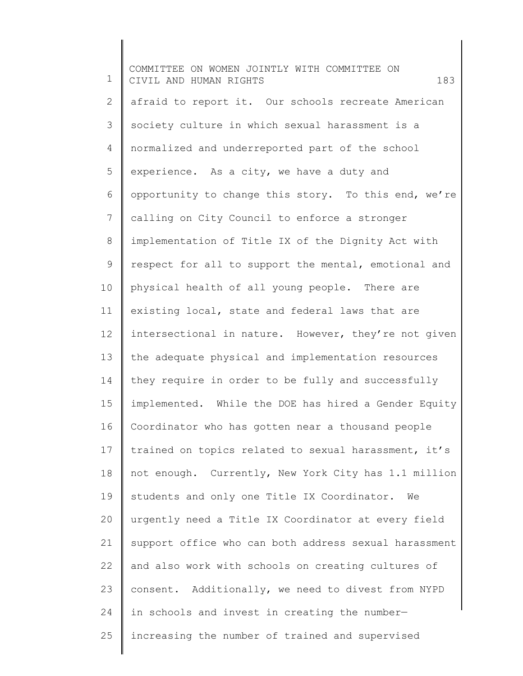1 2 3 4 5 6 7 8 9 10 11 12 13 14 15 16 17 18 19 20 21 22 23 24 25 COMMITTEE ON WOMEN JOINTLY WITH COMMITTEE ON CIVIL AND HUMAN RIGHTS 183 afraid to report it. Our schools recreate American society culture in which sexual harassment is a normalized and underreported part of the school experience. As a city, we have a duty and opportunity to change this story. To this end, we're calling on City Council to enforce a stronger implementation of Title IX of the Dignity Act with respect for all to support the mental, emotional and physical health of all young people. There are existing local, state and federal laws that are intersectional in nature. However, they're not given the adequate physical and implementation resources they require in order to be fully and successfully implemented. While the DOE has hired a Gender Equity Coordinator who has gotten near a thousand people trained on topics related to sexual harassment, it's not enough. Currently, New York City has 1.1 million students and only one Title IX Coordinator. We urgently need a Title IX Coordinator at every field support office who can both address sexual harassment and also work with schools on creating cultures of consent. Additionally, we need to divest from NYPD in schools and invest in creating the number increasing the number of trained and supervised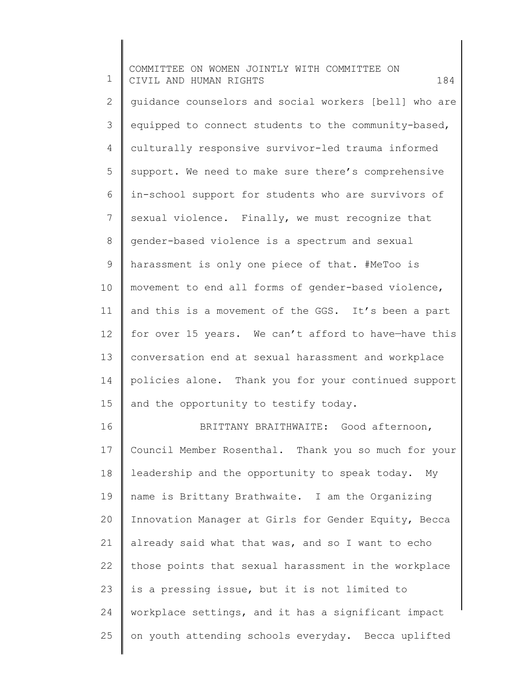1 2 3 4 5 6 7 8 9 10 11 12 13 14 15 COMMITTEE ON WOMEN JOINTLY WITH COMMITTEE ON CIVIL AND HUMAN RIGHTS 184 guidance counselors and social workers [bell] who are equipped to connect students to the community-based, culturally responsive survivor-led trauma informed support. We need to make sure there's comprehensive in-school support for students who are survivors of sexual violence. Finally, we must recognize that gender-based violence is a spectrum and sexual harassment is only one piece of that. #MeToo is movement to end all forms of gender-based violence, and this is a movement of the GGS. It's been a part for over 15 years. We can't afford to have—have this conversation end at sexual harassment and workplace policies alone. Thank you for your continued support and the opportunity to testify today.

16 17 18 19 20 21 22 23 24 25 BRITTANY BRAITHWAITE: Good afternoon, Council Member Rosenthal. Thank you so much for your leadership and the opportunity to speak today. My name is Brittany Brathwaite. I am the Organizing Innovation Manager at Girls for Gender Equity, Becca already said what that was, and so I want to echo those points that sexual harassment in the workplace is a pressing issue, but it is not limited to workplace settings, and it has a significant impact on youth attending schools everyday. Becca uplifted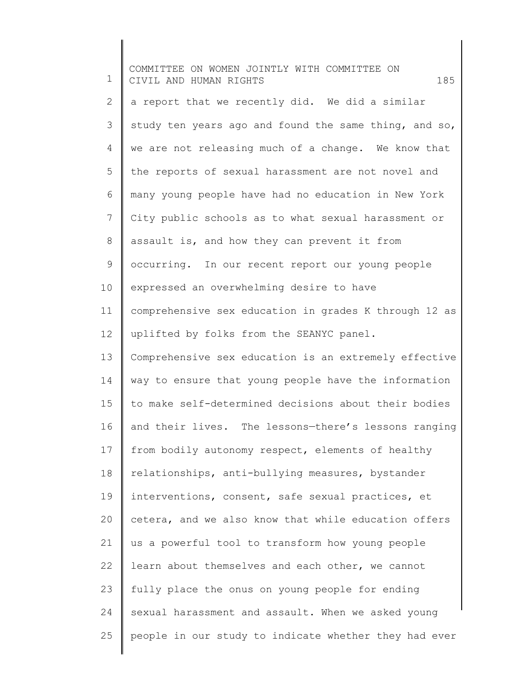1 2 3 4 5 6 7 8 9 10 11 12 13 14 15 16 17 18 19 20 21 22 23 24 25 COMMITTEE ON WOMEN JOINTLY WITH COMMITTEE ON CIVIL AND HUMAN RIGHTS 185 a report that we recently did. We did a similar study ten years ago and found the same thing, and so, we are not releasing much of a change. We know that the reports of sexual harassment are not novel and many young people have had no education in New York City public schools as to what sexual harassment or assault is, and how they can prevent it from occurring. In our recent report our young people expressed an overwhelming desire to have comprehensive sex education in grades K through 12 as uplifted by folks from the SEANYC panel. Comprehensive sex education is an extremely effective way to ensure that young people have the information to make self-determined decisions about their bodies and their lives. The lessons—there's lessons ranging from bodily autonomy respect, elements of healthy relationships, anti-bullying measures, bystander interventions, consent, safe sexual practices, et cetera, and we also know that while education offers us a powerful tool to transform how young people learn about themselves and each other, we cannot fully place the onus on young people for ending sexual harassment and assault. When we asked young people in our study to indicate whether they had ever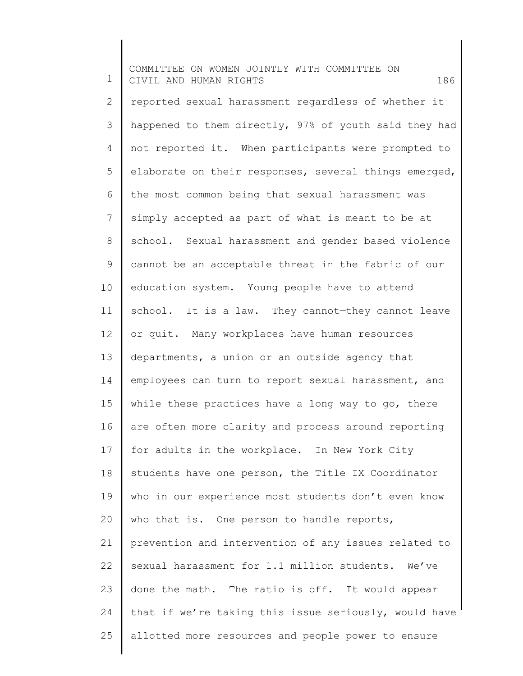1 2 3 4 5 6 7 8 9 10 11 12 13 14 15 16 17 18 19 20 21 22 23 24 25 COMMITTEE ON WOMEN JOINTLY WITH COMMITTEE ON CIVIL AND HUMAN RIGHTS 186 reported sexual harassment regardless of whether it happened to them directly, 97% of youth said they had not reported it. When participants were prompted to elaborate on their responses, several things emerged, the most common being that sexual harassment was simply accepted as part of what is meant to be at school. Sexual harassment and gender based violence cannot be an acceptable threat in the fabric of our education system. Young people have to attend school. It is a law. They cannot—they cannot leave or quit. Many workplaces have human resources departments, a union or an outside agency that employees can turn to report sexual harassment, and while these practices have a long way to go, there are often more clarity and process around reporting for adults in the workplace. In New York City students have one person, the Title IX Coordinator who in our experience most students don't even know who that is. One person to handle reports, prevention and intervention of any issues related to sexual harassment for 1.1 million students. We've done the math. The ratio is off. It would appear that if we're taking this issue seriously, would have allotted more resources and people power to ensure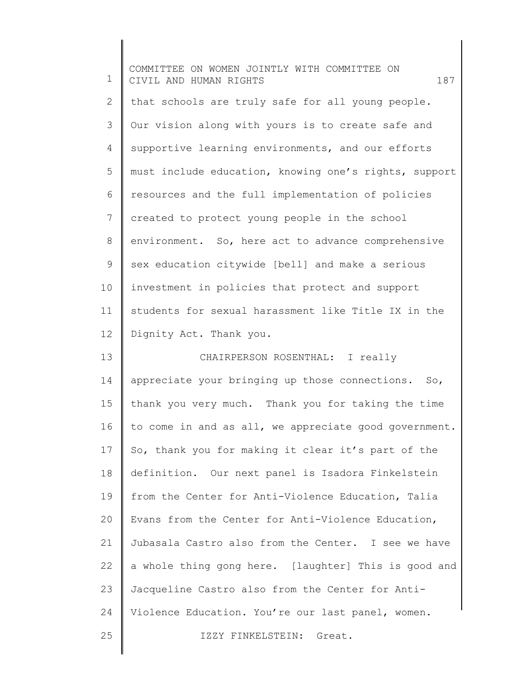1 2 3 4 5 6 7 8 9 10 11 12 13 14 15 16 17 18 19 20 21 22 23 24 25 COMMITTEE ON WOMEN JOINTLY WITH COMMITTEE ON CIVIL AND HUMAN RIGHTS 187 that schools are truly safe for all young people. Our vision along with yours is to create safe and supportive learning environments, and our efforts must include education, knowing one's rights, support resources and the full implementation of policies created to protect young people in the school environment. So, here act to advance comprehensive sex education citywide [bell] and make a serious investment in policies that protect and support students for sexual harassment like Title IX in the Dignity Act. Thank you. CHAIRPERSON ROSENTHAL: I really appreciate your bringing up those connections. So, thank you very much. Thank you for taking the time to come in and as all, we appreciate good government. So, thank you for making it clear it's part of the definition. Our next panel is Isadora Finkelstein from the Center for Anti-Violence Education, Talia Evans from the Center for Anti-Violence Education, Jubasala Castro also from the Center. I see we have a whole thing gong here. [laughter] This is good and Jacqueline Castro also from the Center for Anti-Violence Education. You're our last panel, women. IZZY FINKELSTEIN: Great.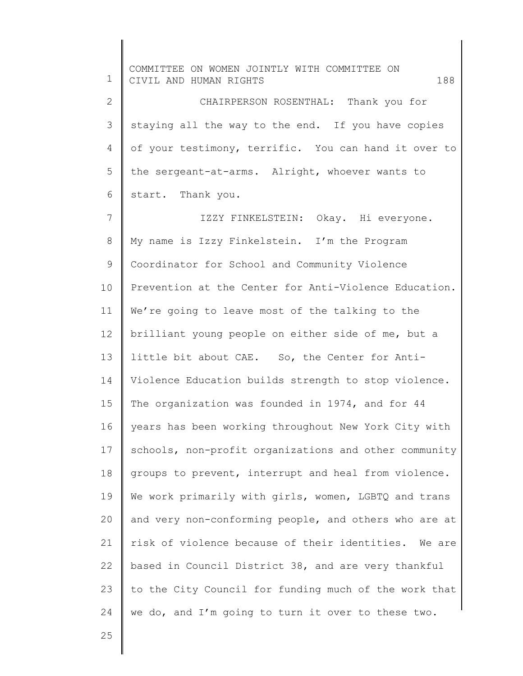1 2 3 4 5 6 7 8 9 10 11 12 13 14 15 16 17 18 19 20 21 22 23 24 COMMITTEE ON WOMEN JOINTLY WITH COMMITTEE ON CIVIL AND HUMAN RIGHTS 188 CHAIRPERSON ROSENTHAL: Thank you for staying all the way to the end. If you have copies of your testimony, terrific. You can hand it over to the sergeant-at-arms. Alright, whoever wants to start. Thank you. IZZY FINKELSTEIN: Okay. Hi everyone. My name is Izzy Finkelstein. I'm the Program Coordinator for School and Community Violence Prevention at the Center for Anti-Violence Education. We're going to leave most of the talking to the brilliant young people on either side of me, but a little bit about CAE. So, the Center for Anti-Violence Education builds strength to stop violence. The organization was founded in 1974, and for 44 years has been working throughout New York City with schools, non-profit organizations and other community groups to prevent, interrupt and heal from violence. We work primarily with girls, women, LGBTQ and trans and very non-conforming people, and others who are at risk of violence because of their identities. We are based in Council District 38, and are very thankful to the City Council for funding much of the work that we do, and I'm going to turn it over to these two.

25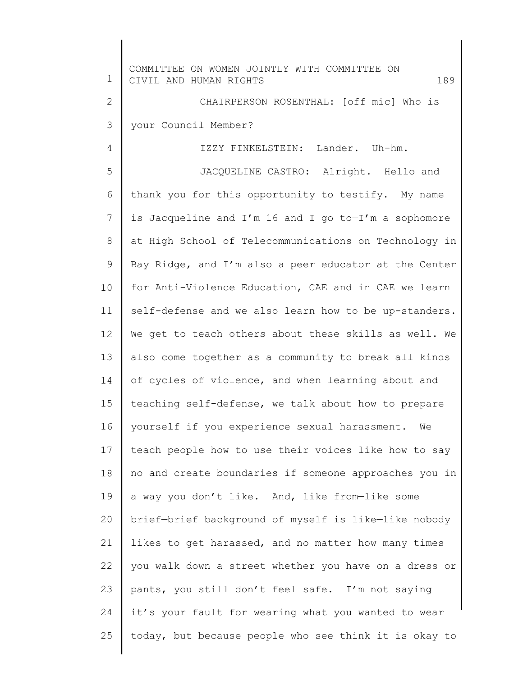1 2 3 4 5 6 7 8 9 10 11 12 13 14 15 16 17 18 19 20 21 22 23 24 25 COMMITTEE ON WOMEN JOINTLY WITH COMMITTEE ON CIVIL AND HUMAN RIGHTS 189 CHAIRPERSON ROSENTHAL: [off mic] Who is your Council Member? IZZY FINKELSTEIN: Lander. Uh-hm. JACQUELINE CASTRO: Alright. Hello and thank you for this opportunity to testify. My name is Jacqueline and I'm 16 and I go to-I'm a sophomore at High School of Telecommunications on Technology in Bay Ridge, and I'm also a peer educator at the Center for Anti-Violence Education, CAE and in CAE we learn self-defense and we also learn how to be up-standers. We get to teach others about these skills as well. We also come together as a community to break all kinds of cycles of violence, and when learning about and teaching self-defense, we talk about how to prepare yourself if you experience sexual harassment. We teach people how to use their voices like how to say no and create boundaries if someone approaches you in a way you don't like. And, like from—like some brief—brief background of myself is like—like nobody likes to get harassed, and no matter how many times you walk down a street whether you have on a dress or pants, you still don't feel safe. I'm not saying it's your fault for wearing what you wanted to wear today, but because people who see think it is okay to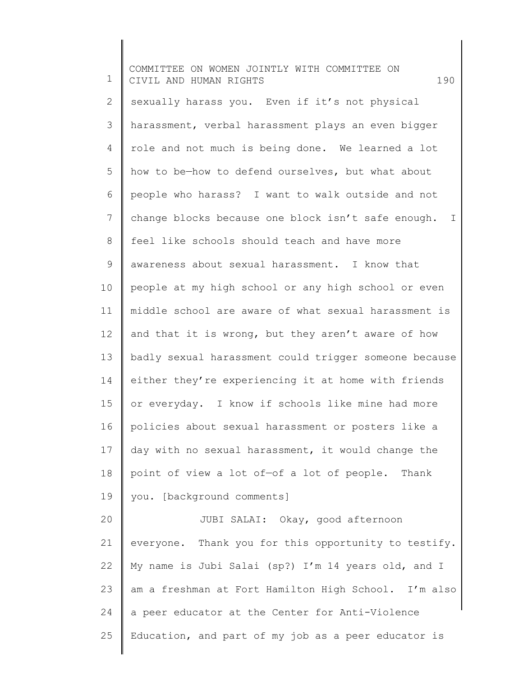1 2 3 4 5 6 7 8 9 10 11 12 13 14 15 16 17 18 19 20 21 22 23 24 25 COMMITTEE ON WOMEN JOINTLY WITH COMMITTEE ON CIVIL AND HUMAN RIGHTS 190 sexually harass you. Even if it's not physical harassment, verbal harassment plays an even bigger role and not much is being done. We learned a lot how to be—how to defend ourselves, but what about people who harass? I want to walk outside and not change blocks because one block isn't safe enough. I feel like schools should teach and have more awareness about sexual harassment. I know that people at my high school or any high school or even middle school are aware of what sexual harassment is and that it is wrong, but they aren't aware of how badly sexual harassment could trigger someone because either they're experiencing it at home with friends or everyday. I know if schools like mine had more policies about sexual harassment or posters like a day with no sexual harassment, it would change the point of view a lot of—of a lot of people. Thank you. [background comments] JUBI SALAI: Okay, good afternoon everyone. Thank you for this opportunity to testify. My name is Jubi Salai (sp?) I'm 14 years old, and I am a freshman at Fort Hamilton High School. I'm also a peer educator at the Center for Anti-Violence Education, and part of my job as a peer educator is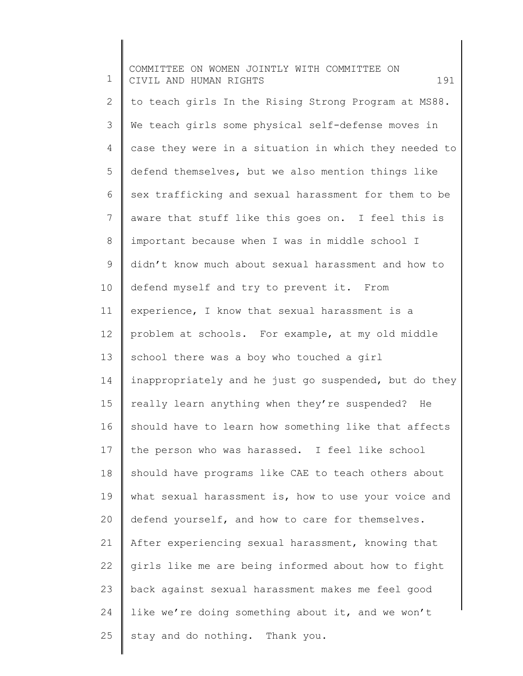1 2 3 4 5 6 7 8 9 10 11 12 13 14 15 16 17 18 19 20 21 22 23 24 25 COMMITTEE ON WOMEN JOINTLY WITH COMMITTEE ON CIVIL AND HUMAN RIGHTS 191 to teach girls In the Rising Strong Program at MS88. We teach girls some physical self-defense moves in case they were in a situation in which they needed to defend themselves, but we also mention things like sex trafficking and sexual harassment for them to be aware that stuff like this goes on. I feel this is important because when I was in middle school I didn't know much about sexual harassment and how to defend myself and try to prevent it. From experience, I know that sexual harassment is a problem at schools. For example, at my old middle school there was a boy who touched a girl inappropriately and he just go suspended, but do they really learn anything when they're suspended? He should have to learn how something like that affects the person who was harassed. I feel like school should have programs like CAE to teach others about what sexual harassment is, how to use your voice and defend yourself, and how to care for themselves. After experiencing sexual harassment, knowing that girls like me are being informed about how to fight back against sexual harassment makes me feel good like we're doing something about it, and we won't stay and do nothing. Thank you.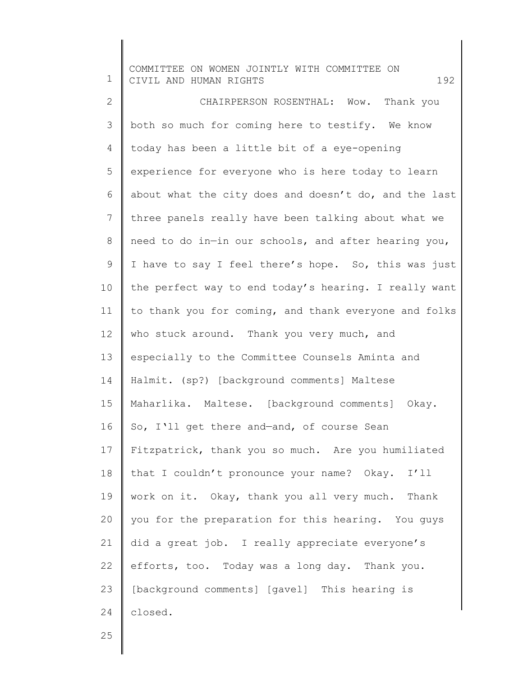1 2 3 4 5 6 7 8 9 10 11 12 13 14 15 16 17 18 19 20 21 22 23 24 COMMITTEE ON WOMEN JOINTLY WITH COMMITTEE ON CIVIL AND HUMAN RIGHTS 192 CHAIRPERSON ROSENTHAL: Wow. Thank you both so much for coming here to testify. We know today has been a little bit of a eye-opening experience for everyone who is here today to learn about what the city does and doesn't do, and the last three panels really have been talking about what we need to do in—in our schools, and after hearing you, I have to say I feel there's hope. So, this was just the perfect way to end today's hearing. I really want to thank you for coming, and thank everyone and folks who stuck around. Thank you very much, and especially to the Committee Counsels Aminta and Halmit. (sp?) [background comments] Maltese Maharlika. Maltese. [background comments] Okay. So, I'll get there and—and, of course Sean Fitzpatrick, thank you so much. Are you humiliated that I couldn't pronounce your name? Okay. I'll work on it. Okay, thank you all very much. Thank you for the preparation for this hearing. You guys did a great job. I really appreciate everyone's efforts, too. Today was a long day. Thank you. [background comments] [gavel] This hearing is closed.

25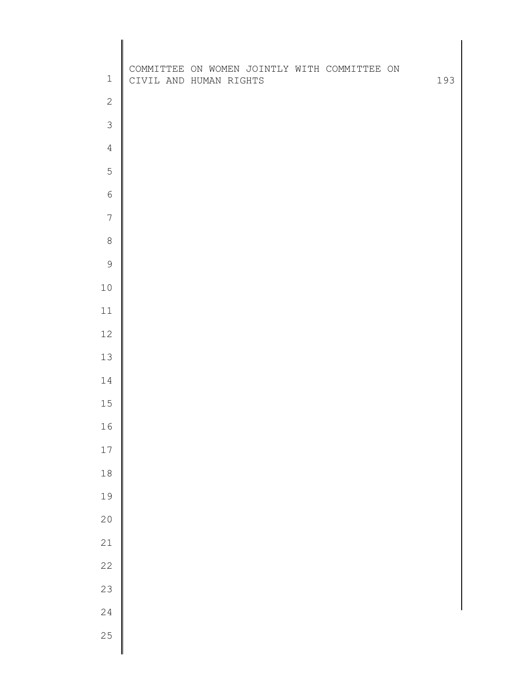| $\mathbf 1$    | CIVIL AND HUMAN RIGHTS | COMMITTEE ON WOMEN JOINTLY WITH COMMITTEE ON |  | 193 |
|----------------|------------------------|----------------------------------------------|--|-----|
| $\sqrt{2}$     |                        |                                              |  |     |
| $\mathsf 3$    |                        |                                              |  |     |
| $\overline{4}$ |                        |                                              |  |     |
| 5              |                        |                                              |  |     |
| $\epsilon$     |                        |                                              |  |     |
| $\overline{7}$ |                        |                                              |  |     |
| $\,8\,$        |                        |                                              |  |     |
| $\mathsf 9$    |                        |                                              |  |     |
| $10\,$         |                        |                                              |  |     |
| $11\,$         |                        |                                              |  |     |
| $12$           |                        |                                              |  |     |
| 13             |                        |                                              |  |     |
| 14             |                        |                                              |  |     |
| $15\,$         |                        |                                              |  |     |
| 16             |                        |                                              |  |     |
| 17             |                        |                                              |  |     |
| $1\,8$         |                        |                                              |  |     |
| 19             |                        |                                              |  |     |
| 20             |                        |                                              |  |     |
| 21             |                        |                                              |  |     |
| 22             |                        |                                              |  |     |
| 23             |                        |                                              |  |     |
| 24             |                        |                                              |  |     |
| 25<br>Ш        |                        |                                              |  |     |